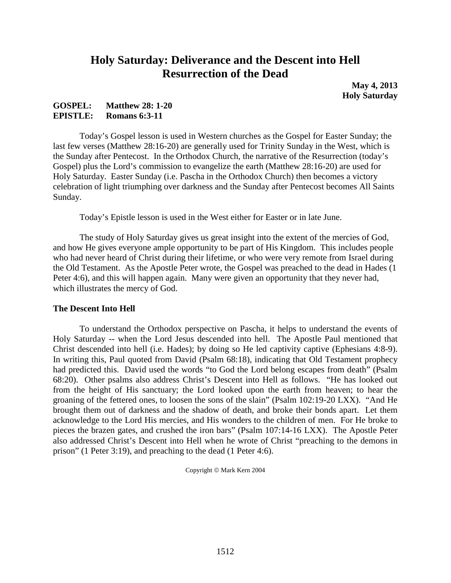# **Holy Saturday: Deliverance and the Descent into Hell Resurrection of the Dead**

**May 4, 2013 Holy Saturday**

### **GOSPEL: Matthew 28: 1-20 EPISTLE: Romans 6:3-11**

Today's Gospel lesson is used in Western churches as the Gospel for Easter Sunday; the last few verses (Matthew 28:16-20) are generally used for Trinity Sunday in the West, which is the Sunday after Pentecost. In the Orthodox Church, the narrative of the Resurrection (today's Gospel) plus the Lord's commission to evangelize the earth (Matthew 28:16-20) are used for Holy Saturday. Easter Sunday (i.e. Pascha in the Orthodox Church) then becomes a victory celebration of light triumphing over darkness and the Sunday after Pentecost becomes All Saints Sunday.

Today's Epistle lesson is used in the West either for Easter or in late June.

The study of Holy Saturday gives us great insight into the extent of the mercies of God, and how He gives everyone ample opportunity to be part of His Kingdom. This includes people who had never heard of Christ during their lifetime, or who were very remote from Israel during the Old Testament. As the Apostle Peter wrote, the Gospel was preached to the dead in Hades (1 Peter 4:6), and this will happen again. Many were given an opportunity that they never had, which illustrates the mercy of God.

### **The Descent Into Hell**

To understand the Orthodox perspective on Pascha, it helps to understand the events of Holy Saturday -- when the Lord Jesus descended into hell. The Apostle Paul mentioned that Christ descended into hell (i.e. Hades); by doing so He led captivity captive (Ephesians 4:8-9). In writing this, Paul quoted from David (Psalm 68:18), indicating that Old Testament prophecy had predicted this. David used the words "to God the Lord belong escapes from death" (Psalm 68:20). Other psalms also address Christ's Descent into Hell as follows. "He has looked out from the height of His sanctuary; the Lord looked upon the earth from heaven; to hear the groaning of the fettered ones, to loosen the sons of the slain" (Psalm 102:19-20 LXX). "And He brought them out of darkness and the shadow of death, and broke their bonds apart. Let them acknowledge to the Lord His mercies, and His wonders to the children of men. For He broke to pieces the brazen gates, and crushed the iron bars" (Psalm 107:14-16 LXX). The Apostle Peter also addressed Christ's Descent into Hell when he wrote of Christ "preaching to the demons in prison" (1 Peter 3:19), and preaching to the dead (1 Peter 4:6).

Copyright © Mark Kern 2004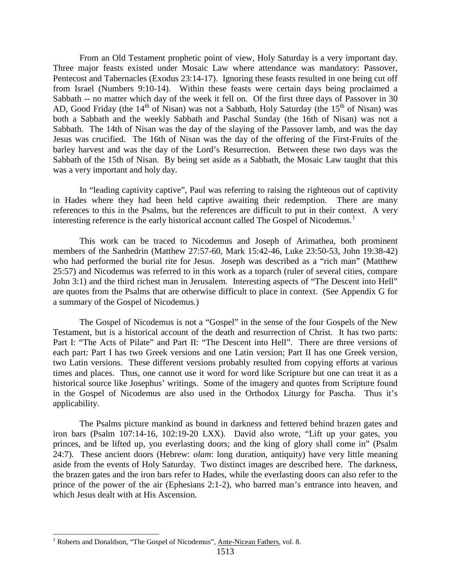From an Old Testament prophetic point of view, Holy Saturday is a very important day. Three major feasts existed under Mosaic Law where attendance was mandatory: Passover, Pentecost and Tabernacles (Exodus 23:14-17). Ignoring these feasts resulted in one being cut off from Israel (Numbers 9:10-14). Within these feasts were certain days being proclaimed a Sabbath -- no matter which day of the week it fell on. Of the first three days of Passover in 30 AD, Good Friday (the  $14<sup>th</sup>$  of Nisan) was not a Sabbath, Holy Saturday (the  $15<sup>th</sup>$  of Nisan) was both a Sabbath and the weekly Sabbath and Paschal Sunday (the 16th of Nisan) was not a Sabbath. The 14th of Nisan was the day of the slaying of the Passover lamb, and was the day Jesus was crucified. The 16th of Nisan was the day of the offering of the First-Fruits of the barley harvest and was the day of the Lord's Resurrection. Between these two days was the Sabbath of the 15th of Nisan. By being set aside as a Sabbath, the Mosaic Law taught that this was a very important and holy day.

In "leading captivity captive", Paul was referring to raising the righteous out of captivity in Hades where they had been held captive awaiting their redemption. There are many references to this in the Psalms, but the references are difficult to put in their context. A very interesting reference is the early historical account called The Gospel of Nicodemus.<sup>[1](#page-1-0)</sup>

This work can be traced to Nicodemus and Joseph of Arimathea, both prominent members of the Sanhedrin (Matthew 27:57-60, Mark 15:42-46, Luke 23:50-53, John 19:38-42) who had performed the burial rite for Jesus. Joseph was described as a "rich man" (Matthew 25:57) and Nicodemus was referred to in this work as a toparch (ruler of several cities, compare John 3:1) and the third richest man in Jerusalem. Interesting aspects of "The Descent into Hell" are quotes from the Psalms that are otherwise difficult to place in context. (See Appendix G for a summary of the Gospel of Nicodemus.)

The Gospel of Nicodemus is not a "Gospel" in the sense of the four Gospels of the New Testament, but is a historical account of the death and resurrection of Christ. It has two parts: Part I: "The Acts of Pilate" and Part II: "The Descent into Hell". There are three versions of each part: Part I has two Greek versions and one Latin version; Part II has one Greek version, two Latin versions. These different versions probably resulted from copying efforts at various times and places. Thus, one cannot use it word for word like Scripture but one can treat it as a historical source like Josephus' writings. Some of the imagery and quotes from Scripture found in the Gospel of Nicodemus are also used in the Orthodox Liturgy for Pascha. Thus it's applicability.

The Psalms picture mankind as bound in darkness and fettered behind brazen gates and iron bars (Psalm 107:14-16, 102:19-20 LXX). David also wrote, "Lift up your gates, you princes, and be lifted up, you everlasting doors; and the king of glory shall come in" (Psalm 24:7). These ancient doors (Hebrew: *olam*: long duration, antiquity) have very little meaning aside from the events of Holy Saturday. Two distinct images are described here. The darkness, the brazen gates and the iron bars refer to Hades, while the everlasting doors can also refer to the prince of the power of the air (Ephesians 2:1-2), who barred man's entrance into heaven, and which Jesus dealt with at His Ascension.

<span id="page-1-0"></span><sup>&</sup>lt;sup>1</sup> Roberts and Donaldson, "The Gospel of Nicodemus", Ante-Nicean Fathers, vol. 8.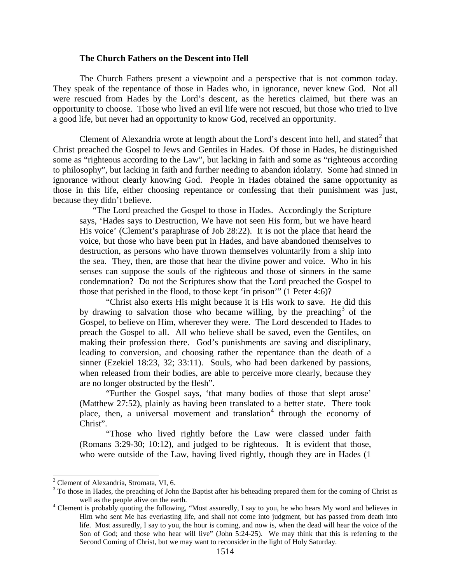#### **The Church Fathers on the Descent into Hell**

The Church Fathers present a viewpoint and a perspective that is not common today. They speak of the repentance of those in Hades who, in ignorance, never knew God. Not all were rescued from Hades by the Lord's descent, as the heretics claimed, but there was an opportunity to choose. Those who lived an evil life were not rescued, but those who tried to live a good life, but never had an opportunity to know God, received an opportunity.

Clement of Alexandria wrote at length about the Lord's descent into hell, and stated<sup>[2](#page-2-0)</sup> that Christ preached the Gospel to Jews and Gentiles in Hades. Of those in Hades, he distinguished some as "righteous according to the Law", but lacking in faith and some as "righteous according to philosophy", but lacking in faith and further needing to abandon idolatry. Some had sinned in ignorance without clearly knowing God. People in Hades obtained the same opportunity as those in this life, either choosing repentance or confessing that their punishment was just, because they didn't believe.

"The Lord preached the Gospel to those in Hades. Accordingly the Scripture says, 'Hades says to Destruction, We have not seen His form, but we have heard His voice' (Clement's paraphrase of Job 28:22). It is not the place that heard the voice, but those who have been put in Hades, and have abandoned themselves to destruction, as persons who have thrown themselves voluntarily from a ship into the sea. They, then, are those that hear the divine power and voice. Who in his senses can suppose the souls of the righteous and those of sinners in the same condemnation? Do not the Scriptures show that the Lord preached the Gospel to those that perished in the flood, to those kept 'in prison'" (1 Peter 4:6)?

"Christ also exerts His might because it is His work to save. He did this by drawing to salvation those who became willing, by the preaching  $\delta$  of the Gospel, to believe on Him, wherever they were. The Lord descended to Hades to preach the Gospel to all. All who believe shall be saved, even the Gentiles, on making their profession there. God's punishments are saving and disciplinary, leading to conversion, and choosing rather the repentance than the death of a sinner (Ezekiel 18:23, 32; 33:11). Souls, who had been darkened by passions, when released from their bodies, are able to perceive more clearly, because they are no longer obstructed by the flesh".

"Further the Gospel says, 'that many bodies of those that slept arose' (Matthew 27:52), plainly as having been translated to a better state. There took place, then, a universal movement and translation<sup>[4](#page-2-2)</sup> through the economy of Christ".

"Those who lived rightly before the Law were classed under faith (Romans 3:29-30; 10:12), and judged to be righteous. It is evident that those, who were outside of the Law, having lived rightly, though they are in Hades (1

<span id="page-2-1"></span><span id="page-2-0"></span><sup>&</sup>lt;sup>2</sup> Clement of Alexandria, <u>Stromata</u>, VI, 6.<br><sup>3</sup> To those in Hades, the preaching of John the Baptist after his beheading prepared them for the coming of Christ as well as the people alive on the earth.<br><sup>4</sup> Clement is probably quoting the following, "Most assuredly, I say to you, he who hears My word and believes in

<span id="page-2-2"></span>Him who sent Me has everlasting life, and shall not come into judgment, but has passed from death into life. Most assuredly, I say to you, the hour is coming, and now is, when the dead will hear the voice of the Son of God; and those who hear will live" (John 5:24-25). We may think that this is referring to the Second Coming of Christ, but we may want to reconsider in the light of Holy Saturday.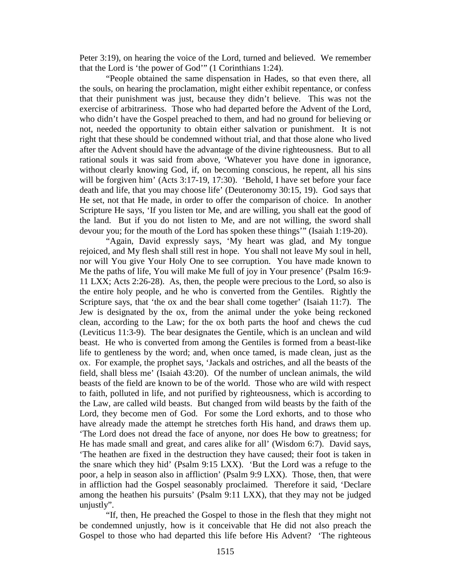Peter 3:19), on hearing the voice of the Lord, turned and believed. We remember that the Lord is 'the power of God'" (1 Corinthians 1:24).

"People obtained the same dispensation in Hades, so that even there, all the souls, on hearing the proclamation, might either exhibit repentance, or confess that their punishment was just, because they didn't believe. This was not the exercise of arbitrariness. Those who had departed before the Advent of the Lord, who didn't have the Gospel preached to them, and had no ground for believing or not, needed the opportunity to obtain either salvation or punishment. It is not right that these should be condemned without trial, and that those alone who lived after the Advent should have the advantage of the divine righteousness. But to all rational souls it was said from above, 'Whatever you have done in ignorance, without clearly knowing God, if, on becoming conscious, he repent, all his sins will be forgiven him' (Acts 3:17-19, 17:30). 'Behold, I have set before your face death and life, that you may choose life' (Deuteronomy 30:15, 19). God says that He set, not that He made, in order to offer the comparison of choice. In another Scripture He says, 'If you listen tor Me, and are willing, you shall eat the good of the land. But if you do not listen to Me, and are not willing, the sword shall devour you; for the mouth of the Lord has spoken these things'" (Isaiah 1:19-20).

"Again, David expressly says, 'My heart was glad, and My tongue rejoiced, and My flesh shall still rest in hope. You shall not leave My soul in hell, nor will You give Your Holy One to see corruption. You have made known to Me the paths of life, You will make Me full of joy in Your presence' (Psalm 16:9- 11 LXX; Acts 2:26-28). As, then, the people were precious to the Lord, so also is the entire holy people, and he who is converted from the Gentiles. Rightly the Scripture says, that 'the ox and the bear shall come together' (Isaiah 11:7). The Jew is designated by the ox, from the animal under the yoke being reckoned clean, according to the Law; for the ox both parts the hoof and chews the cud (Leviticus 11:3-9). The bear designates the Gentile, which is an unclean and wild beast. He who is converted from among the Gentiles is formed from a beast-like life to gentleness by the word; and, when once tamed, is made clean, just as the ox. For example, the prophet says, 'Jackals and ostriches, and all the beasts of the field, shall bless me' (Isaiah 43:20). Of the number of unclean animals, the wild beasts of the field are known to be of the world. Those who are wild with respect to faith, polluted in life, and not purified by righteousness, which is according to the Law, are called wild beasts. But changed from wild beasts by the faith of the Lord, they become men of God. For some the Lord exhorts, and to those who have already made the attempt he stretches forth His hand, and draws them up. 'The Lord does not dread the face of anyone, nor does He bow to greatness; for He has made small and great, and cares alike for all' (Wisdom 6:7). David says, 'The heathen are fixed in the destruction they have caused; their foot is taken in the snare which they hid' (Psalm 9:15 LXX). 'But the Lord was a refuge to the poor, a help in season also in affliction' (Psalm 9:9 LXX). Those, then, that were in affliction had the Gospel seasonably proclaimed. Therefore it said, 'Declare among the heathen his pursuits' (Psalm 9:11 LXX), that they may not be judged unjustly".

"If, then, He preached the Gospel to those in the flesh that they might not be condemned unjustly, how is it conceivable that He did not also preach the Gospel to those who had departed this life before His Advent? 'The righteous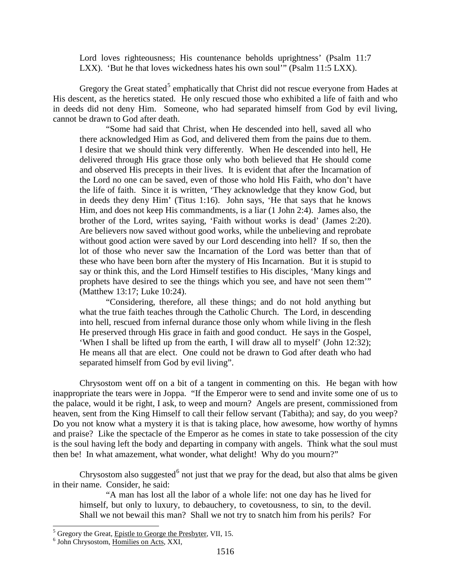Lord loves righteousness; His countenance beholds uprightness' (Psalm 11:7 LXX). 'But he that loves wickedness hates his own soul'" (Psalm 11:5 LXX).

Gregory the Great stated<sup>[5](#page-4-0)</sup> emphatically that Christ did not rescue everyone from Hades at His descent, as the heretics stated. He only rescued those who exhibited a life of faith and who in deeds did not deny Him. Someone, who had separated himself from God by evil living, cannot be drawn to God after death.

"Some had said that Christ, when He descended into hell, saved all who there acknowledged Him as God, and delivered them from the pains due to them. I desire that we should think very differently. When He descended into hell, He delivered through His grace those only who both believed that He should come and observed His precepts in their lives. It is evident that after the Incarnation of the Lord no one can be saved, even of those who hold His Faith, who don't have the life of faith. Since it is written, 'They acknowledge that they know God, but in deeds they deny Him' (Titus 1:16). John says, 'He that says that he knows Him, and does not keep His commandments, is a liar (1 John 2:4). James also, the brother of the Lord, writes saying, 'Faith without works is dead' (James 2:20). Are believers now saved without good works, while the unbelieving and reprobate without good action were saved by our Lord descending into hell? If so, then the lot of those who never saw the Incarnation of the Lord was better than that of these who have been born after the mystery of His Incarnation. But it is stupid to say or think this, and the Lord Himself testifies to His disciples, 'Many kings and prophets have desired to see the things which you see, and have not seen them'" (Matthew 13:17; Luke 10:24).

"Considering, therefore, all these things; and do not hold anything but what the true faith teaches through the Catholic Church. The Lord, in descending into hell, rescued from infernal durance those only whom while living in the flesh He preserved through His grace in faith and good conduct. He says in the Gospel, 'When I shall be lifted up from the earth, I will draw all to myself' (John 12:32); He means all that are elect. One could not be drawn to God after death who had separated himself from God by evil living".

Chrysostom went off on a bit of a tangent in commenting on this. He began with how inappropriate the tears were in Joppa. "If the Emperor were to send and invite some one of us to the palace, would it be right, I ask, to weep and mourn? Angels are present, commissioned from heaven, sent from the King Himself to call their fellow servant (Tabitha); and say, do you weep? Do you not know what a mystery it is that is taking place, how awesome, how worthy of hymns and praise? Like the spectacle of the Emperor as he comes in state to take possession of the city is the soul having left the body and departing in company with angels. Think what the soul must then be! In what amazement, what wonder, what delight! Why do you mourn?"

Chrysostom also suggested<sup>[6](#page-4-1)</sup> not just that we pray for the dead, but also that alms be given in their name. Consider, he said:

"A man has lost all the labor of a whole life: not one day has he lived for himself, but only to luxury, to debauchery, to covetousness, to sin, to the devil. Shall we not bewail this man? Shall we not try to snatch him from his perils? For

<span id="page-4-0"></span> $<sup>5</sup>$  Gregory the Great, <u>Epistle to George the Presbyter</u>, VII, 15.  $<sup>6</sup>$  John Chrysostom, Homilies on Acts, XXI,</sup></sup>

<span id="page-4-1"></span>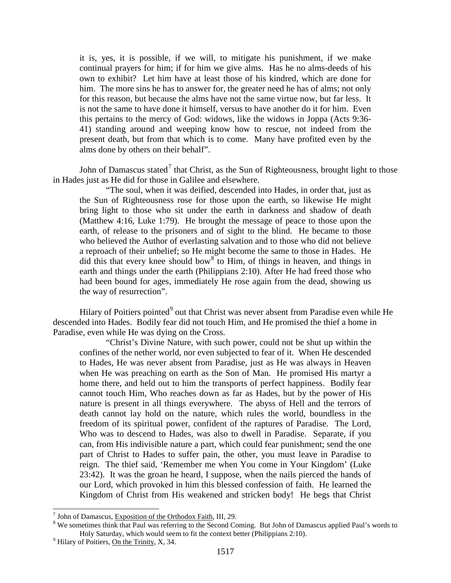it is, yes, it is possible, if we will, to mitigate his punishment, if we make continual prayers for him; if for him we give alms. Has he no alms-deeds of his own to exhibit? Let him have at least those of his kindred, which are done for him. The more sins he has to answer for, the greater need he has of alms; not only for this reason, but because the alms have not the same virtue now, but far less. It is not the same to have done it himself, versus to have another do it for him. Even this pertains to the mercy of God: widows, like the widows in Joppa (Acts 9:36- 41) standing around and weeping know how to rescue, not indeed from the present death, but from that which is to come. Many have profited even by the alms done by others on their behalf".

John of Damascus stated<sup>[7](#page-5-0)</sup> that Christ, as the Sun of Righteousness, brought light to those in Hades just as He did for those in Galilee and elsewhere.

"The soul, when it was deified, descended into Hades, in order that, just as the Sun of Righteousness rose for those upon the earth, so likewise He might bring light to those who sit under the earth in darkness and shadow of death (Matthew 4:16, Luke 1:79). He brought the message of peace to those upon the earth, of release to the prisoners and of sight to the blind. He became to those who believed the Author of everlasting salvation and to those who did not believe a reproach of their unbelief; so He might become the same to those in Hades. He did this that every knee should bow<sup>[8](#page-5-1)</sup> to Him, of things in heaven, and things in earth and things under the earth (Philippians 2:10). After He had freed those who had been bound for ages, immediately He rose again from the dead, showing us the way of resurrection".

Hilary of Poitiers pointed<sup>[9](#page-5-2)</sup> out that Christ was never absent from Paradise even while He descended into Hades. Bodily fear did not touch Him, and He promised the thief a home in Paradise, even while He was dying on the Cross.

"Christ's Divine Nature, with such power, could not be shut up within the confines of the nether world, nor even subjected to fear of it. When He descended to Hades, He was never absent from Paradise, just as He was always in Heaven when He was preaching on earth as the Son of Man. He promised His martyr a home there, and held out to him the transports of perfect happiness. Bodily fear cannot touch Him, Who reaches down as far as Hades, but by the power of His nature is present in all things everywhere. The abyss of Hell and the terrors of death cannot lay hold on the nature, which rules the world, boundless in the freedom of its spiritual power, confident of the raptures of Paradise. The Lord, Who was to descend to Hades, was also to dwell in Paradise. Separate, if you can, from His indivisible nature a part, which could fear punishment; send the one part of Christ to Hades to suffer pain, the other, you must leave in Paradise to reign. The thief said, 'Remember me when You come in Your Kingdom' (Luke 23:42). It was the groan he heard, I suppose, when the nails pierced the hands of our Lord, which provoked in him this blessed confession of faith. He learned the Kingdom of Christ from His weakened and stricken body! He begs that Christ

<span id="page-5-1"></span>

<span id="page-5-0"></span><sup>&</sup>lt;sup>7</sup> John of Damascus, Exposition of the Orthodox Faith, III, 29.<br><sup>8</sup> We sometimes think that Paul was referring to the Second Coming. But John of Damascus applied Paul's words to Holy Saturday, which would seem to fit the context better (Philippians 2:10).<br><sup>9</sup> Hilary of Poitiers, On the Trinity, X, 34.

<span id="page-5-2"></span>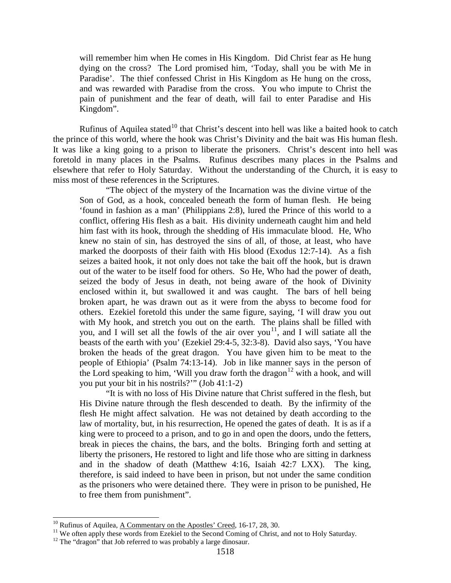will remember him when He comes in His Kingdom. Did Christ fear as He hung dying on the cross? The Lord promised him, 'Today, shall you be with Me in Paradise'. The thief confessed Christ in His Kingdom as He hung on the cross, and was rewarded with Paradise from the cross. You who impute to Christ the pain of punishment and the fear of death, will fail to enter Paradise and His Kingdom".

Rufinus of Aquilea stated<sup>[10](#page-6-0)</sup> that Christ's descent into hell was like a baited hook to catch the prince of this world, where the hook was Christ's Divinity and the bait was His human flesh. It was like a king going to a prison to liberate the prisoners. Christ's descent into hell was foretold in many places in the Psalms. Rufinus describes many places in the Psalms and elsewhere that refer to Holy Saturday. Without the understanding of the Church, it is easy to miss most of these references in the Scriptures.

"The object of the mystery of the Incarnation was the divine virtue of the Son of God, as a hook, concealed beneath the form of human flesh. He being 'found in fashion as a man' (Philippians 2:8), lured the Prince of this world to a conflict, offering His flesh as a bait. His divinity underneath caught him and held him fast with its hook, through the shedding of His immaculate blood. He, Who knew no stain of sin, has destroyed the sins of all, of those, at least, who have marked the doorposts of their faith with His blood (Exodus 12:7-14). As a fish seizes a baited hook, it not only does not take the bait off the hook, but is drawn out of the water to be itself food for others. So He, Who had the power of death, seized the body of Jesus in death, not being aware of the hook of Divinity enclosed within it, but swallowed it and was caught. The bars of hell being broken apart, he was drawn out as it were from the abyss to become food for others. Ezekiel foretold this under the same figure, saying, 'I will draw you out with My hook, and stretch you out on the earth. The plains shall be filled with you, and I will set all the fowls of the air over you<sup>[11](#page-6-1)</sup>, and I will satiate all the beasts of the earth with you' (Ezekiel 29:4-5, 32:3-8). David also says, 'You have broken the heads of the great dragon. You have given him to be meat to the people of Ethiopia' (Psalm 74:13-14). Job in like manner says in the person of the Lord speaking to him, 'Will you draw forth the dragon<sup>[12](#page-6-2)</sup> with a hook, and will you put your bit in his nostrils?'" (Job 41:1-2)

"It is with no loss of His Divine nature that Christ suffered in the flesh, but His Divine nature through the flesh descended to death. By the infirmity of the flesh He might affect salvation. He was not detained by death according to the law of mortality, but, in his resurrection, He opened the gates of death. It is as if a king were to proceed to a prison, and to go in and open the doors, undo the fetters, break in pieces the chains, the bars, and the bolts. Bringing forth and setting at liberty the prisoners, He restored to light and life those who are sitting in darkness and in the shadow of death (Matthew 4:16, Isaiah 42:7 LXX). The king, therefore, is said indeed to have been in prison, but not under the same condition as the prisoners who were detained there. They were in prison to be punished, He to free them from punishment".

<span id="page-6-1"></span><span id="page-6-0"></span><sup>&</sup>lt;sup>10</sup> Rufinus of Aquilea, <u>A Commentary on the Apostles' Creed</u>, 16-17, 28, 30.<br><sup>11</sup> We often apply these words from Ezekiel to the Second Coming of Christ, and not to Holy Saturday.<br><sup>12</sup> The "dragon" that Job referred to

<span id="page-6-2"></span>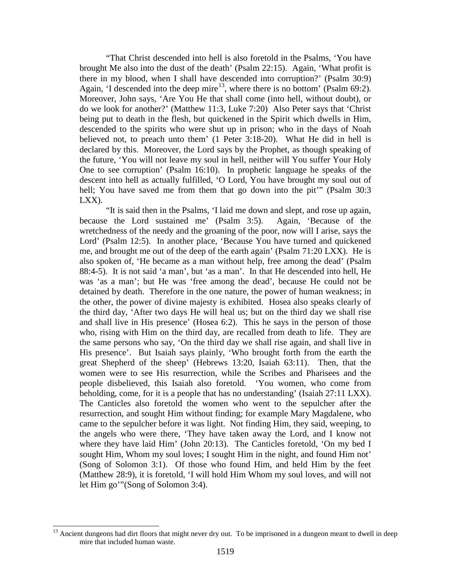"That Christ descended into hell is also foretold in the Psalms, 'You have brought Me also into the dust of the death' (Psalm 22:15). Again, 'What profit is there in my blood, when I shall have descended into corruption?' (Psalm 30:9) Again, 'I descended into the deep mire<sup>13</sup>, where there is no bottom' (Psalm 69:2). Moreover, John says, 'Are You He that shall come (into hell, without doubt), or do we look for another?' (Matthew 11:3, Luke 7:20) Also Peter says that 'Christ being put to death in the flesh, but quickened in the Spirit which dwells in Him, descended to the spirits who were shut up in prison; who in the days of Noah believed not, to preach unto them' (1 Peter 3:18-20). What He did in hell is declared by this. Moreover, the Lord says by the Prophet, as though speaking of the future, 'You will not leave my soul in hell, neither will You suffer Your Holy One to see corruption' (Psalm 16:10). In prophetic language he speaks of the descent into hell as actually fulfilled, 'O Lord, You have brought my soul out of hell; You have saved me from them that go down into the pit" (Psalm 30:3) LXX).

"It is said then in the Psalms, 'I laid me down and slept, and rose up again, because the Lord sustained me' (Psalm 3:5). Again, 'Because of the wretchedness of the needy and the groaning of the poor, now will I arise, says the Lord' (Psalm 12:5). In another place, 'Because You have turned and quickened me, and brought me out of the deep of the earth again' (Psalm 71:20 LXX). He is also spoken of, 'He became as a man without help, free among the dead' (Psalm 88:4-5). It is not said 'a man', but 'as a man'. In that He descended into hell, He was 'as a man'; but He was 'free among the dead', because He could not be detained by death. Therefore in the one nature, the power of human weakness; in the other, the power of divine majesty is exhibited. Hosea also speaks clearly of the third day, 'After two days He will heal us; but on the third day we shall rise and shall live in His presence' (Hosea 6:2). This he says in the person of those who, rising with Him on the third day, are recalled from death to life. They are the same persons who say, 'On the third day we shall rise again, and shall live in His presence'. But Isaiah says plainly, 'Who brought forth from the earth the great Shepherd of the sheep' (Hebrews 13:20, Isaiah 63:11). Then, that the women were to see His resurrection, while the Scribes and Pharisees and the people disbelieved, this Isaiah also foretold. 'You women, who come from beholding, come, for it is a people that has no understanding' (Isaiah 27:11 LXX). The Canticles also foretold the women who went to the sepulcher after the resurrection, and sought Him without finding; for example Mary Magdalene, who came to the sepulcher before it was light. Not finding Him, they said, weeping, to the angels who were there, 'They have taken away the Lord, and I know not where they have laid Him' (John 20:13). The Canticles foretold, 'On my bed I sought Him, Whom my soul loves; I sought Him in the night, and found Him not' (Song of Solomon 3:1). Of those who found Him, and held Him by the feet (Matthew 28:9), it is foretold, 'I will hold Him Whom my soul loves, and will not let Him go'"(Song of Solomon 3:4).

<span id="page-7-0"></span><sup>&</sup>lt;sup>13</sup> Ancient dungeons had dirt floors that might never dry out. To be imprisoned in a dungeon meant to dwell in deep mire that included human waste.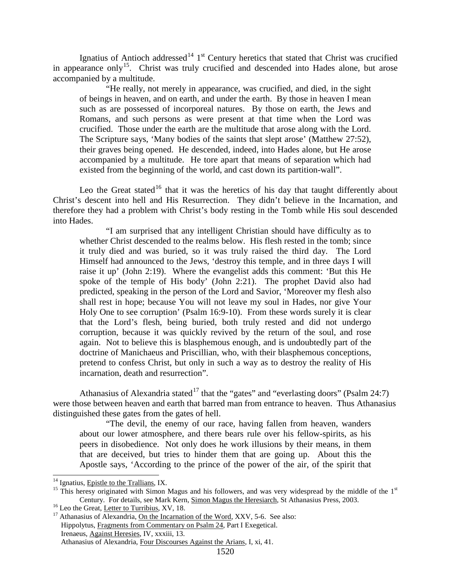Ignatius of Antioch addressed<sup>[14](#page-8-0)</sup> 1<sup>st</sup> Century heretics that stated that Christ was crucified in appearance only<sup>15</sup>. Christ was truly crucified and descended into Hades alone, but arose accompanied by a multitude.

"He really, not merely in appearance, was crucified, and died, in the sight of beings in heaven, and on earth, and under the earth. By those in heaven I mean such as are possessed of incorporeal natures. By those on earth, the Jews and Romans, and such persons as were present at that time when the Lord was crucified. Those under the earth are the multitude that arose along with the Lord. The Scripture says, 'Many bodies of the saints that slept arose' (Matthew 27:52), their graves being opened. He descended, indeed, into Hades alone, but He arose accompanied by a multitude. He tore apart that means of separation which had existed from the beginning of the world, and cast down its partition-wall".

Leo the Great stated<sup>[16](#page-8-2)</sup> that it was the heretics of his day that taught differently about Christ's descent into hell and His Resurrection. They didn't believe in the Incarnation, and therefore they had a problem with Christ's body resting in the Tomb while His soul descended into Hades.

"I am surprised that any intelligent Christian should have difficulty as to whether Christ descended to the realms below. His flesh rested in the tomb; since it truly died and was buried, so it was truly raised the third day. The Lord Himself had announced to the Jews, 'destroy this temple, and in three days I will raise it up' (John 2:19). Where the evangelist adds this comment: 'But this He spoke of the temple of His body' (John 2:21). The prophet David also had predicted, speaking in the person of the Lord and Savior, 'Moreover my flesh also shall rest in hope; because You will not leave my soul in Hades, nor give Your Holy One to see corruption' (Psalm 16:9-10). From these words surely it is clear that the Lord's flesh, being buried, both truly rested and did not undergo corruption, because it was quickly revived by the return of the soul, and rose again. Not to believe this is blasphemous enough, and is undoubtedly part of the doctrine of Manichaeus and Priscillian, who, with their blasphemous conceptions, pretend to confess Christ, but only in such a way as to destroy the reality of His incarnation, death and resurrection".

Athanasius of Alexandria stated<sup>[17](#page-8-3)</sup> that the "gates" and "everlasting doors" (Psalm 24:7) were those between heaven and earth that barred man from entrance to heaven. Thus Athanasius distinguished these gates from the gates of hell.

"The devil, the enemy of our race, having fallen from heaven, wanders about our lower atmosphere, and there bears rule over his fellow-spirits, as his peers in disobedience. Not only does he work illusions by their means, in them that are deceived, but tries to hinder them that are going up. About this the Apostle says, 'According to the prince of the power of the air, of the spirit that

<span id="page-8-1"></span><span id="page-8-0"></span><sup>&</sup>lt;sup>14</sup> Ignatius, *Epistle to the Trallians*, IX.<br><sup>15</sup> This heresy originated with Simon Magus and his followers, and was very widespread by the middle of the 1<sup>st</sup> Century. For details, see Mark Kern, <u>Simon Magus the Heresiarch</u>, St Athanasius Press, 2003.<br><sup>16</sup> Leo the Great, <u>Letter to Turribius</u>, XV, 18.<br><sup>17</sup> Athanasius of Alexandria, <u>On the Incarnation of the Word</u>, XXV, 5-6. Se

<span id="page-8-3"></span><span id="page-8-2"></span>

Hippolytus, Fragments from Commentary on Psalm 24, Part I Exegetical. Irenaeus, Against Heresies, IV, xxxiii, 13. Athanasius of Alexandria, Four Discourses Against the Arians, I, xi, 41.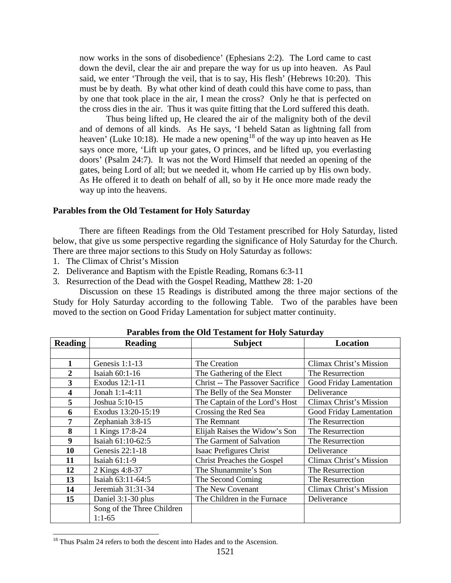now works in the sons of disobedience' (Ephesians 2:2). The Lord came to cast down the devil, clear the air and prepare the way for us up into heaven. As Paul said, we enter 'Through the veil, that is to say, His flesh' (Hebrews 10:20). This must be by death. By what other kind of death could this have come to pass, than by one that took place in the air, I mean the cross? Only he that is perfected on the cross dies in the air. Thus it was quite fitting that the Lord suffered this death.

Thus being lifted up, He cleared the air of the malignity both of the devil and of demons of all kinds. As He says, 'I beheld Satan as lightning fall from heaven' (Luke 10:[18](#page-9-0)). He made a new opening<sup>18</sup> of the way up into heaven as He says once more, 'Lift up your gates, O princes, and be lifted up, you everlasting doors' (Psalm 24:7). It was not the Word Himself that needed an opening of the gates, being Lord of all; but we needed it, whom He carried up by His own body. As He offered it to death on behalf of all, so by it He once more made ready the way up into the heavens.

### **Parables from the Old Testament for Holy Saturday**

There are fifteen Readings from the Old Testament prescribed for Holy Saturday, listed below, that give us some perspective regarding the significance of Holy Saturday for the Church. There are three major sections to this Study on Holy Saturday as follows:

- 1. The Climax of Christ's Mission
- 2. Deliverance and Baptism with the Epistle Reading, Romans 6:3-11
- 3. Resurrection of the Dead with the Gospel Reading, Matthew 28: 1-20

Discussion on these 15 Readings is distributed among the three major sections of the Study for Holy Saturday according to the following Table. Two of the parables have been moved to the section on Good Friday Lamentation for subject matter continuity.

| <b>Reading</b>          | <b>Reading</b>             | <b>Subject</b>                              | <b>Location</b>         |
|-------------------------|----------------------------|---------------------------------------------|-------------------------|
|                         |                            |                                             |                         |
| 1                       | Genesis 1:1-13             | The Creation                                | Climax Christ's Mission |
| $\overline{2}$          | Isaiah $60:1-16$           | The Gathering of the Elect                  | The Resurrection        |
| 3                       | Exodus 12:1-11             | <b>Christ -- The Passover Sacrifice</b>     | Good Friday Lamentation |
| $\overline{\mathbf{4}}$ | Jonah 1:1-4:11             | The Belly of the Sea Monster<br>Deliverance |                         |
| 5                       | Joshua 5:10-15             | The Captain of the Lord's Host              | Climax Christ's Mission |
| 6                       | Exodus 13:20-15:19         | Crossing the Red Sea                        | Good Friday Lamentation |
| 7                       | Zephaniah 3:8-15           | The Remnant                                 | The Resurrection        |
| 8                       | 1 Kings 17:8-24            | Elijah Raises the Widow's Son               | The Resurrection        |
| 9                       | Isaiah 61:10-62:5          | The Garment of Salvation                    | The Resurrection        |
| 10                      | Genesis 22:1-18            | Isaac Prefigures Christ                     | Deliverance             |
| 11                      | Isaiah $61:1-9$            | <b>Christ Preaches the Gospel</b>           | Climax Christ's Mission |
| 12                      | 2 Kings 4:8-37             | The Shunammite's Son                        | The Resurrection        |
| 13                      | Isaiah 63:11-64:5          | The Second Coming                           | The Resurrection        |
| 14                      | Jeremiah 31:31-34          | The New Covenant                            | Climax Christ's Mission |
| 15                      | Daniel 3:1-30 plus         | The Children in the Furnace                 | Deliverance             |
|                         | Song of the Three Children |                                             |                         |
|                         | $1:1-65$                   |                                             |                         |

**Parables from the Old Testament for Holy Saturday**

<span id="page-9-0"></span><sup>&</sup>lt;sup>18</sup> Thus Psalm 24 refers to both the descent into Hades and to the Ascension.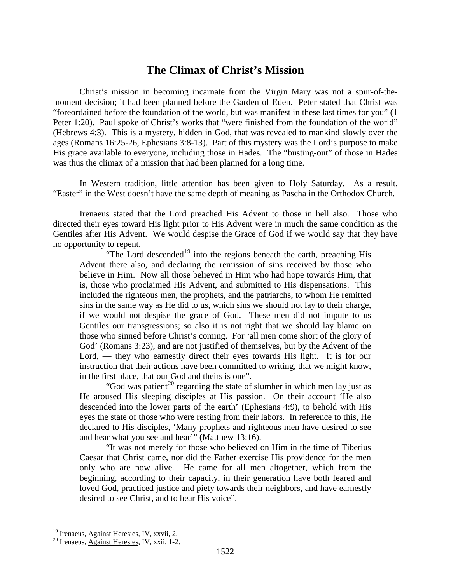## **The Climax of Christ's Mission**

Christ's mission in becoming incarnate from the Virgin Mary was not a spur-of-themoment decision; it had been planned before the Garden of Eden. Peter stated that Christ was "foreordained before the foundation of the world, but was manifest in these last times for you" (1 Peter 1:20). Paul spoke of Christ's works that "were finished from the foundation of the world" (Hebrews 4:3). This is a mystery, hidden in God, that was revealed to mankind slowly over the ages (Romans 16:25-26, Ephesians 3:8-13). Part of this mystery was the Lord's purpose to make His grace available to everyone, including those in Hades. The "busting-out" of those in Hades was thus the climax of a mission that had been planned for a long time.

In Western tradition, little attention has been given to Holy Saturday. As a result, "Easter" in the West doesn't have the same depth of meaning as Pascha in the Orthodox Church.

Irenaeus stated that the Lord preached His Advent to those in hell also. Those who directed their eyes toward His light prior to His Advent were in much the same condition as the Gentiles after His Advent. We would despise the Grace of God if we would say that they have no opportunity to repent.

"The Lord descended<sup>[19](#page-10-0)</sup> into the regions beneath the earth, preaching His Advent there also, and declaring the remission of sins received by those who believe in Him. Now all those believed in Him who had hope towards Him, that is, those who proclaimed His Advent, and submitted to His dispensations. This included the righteous men, the prophets, and the patriarchs, to whom He remitted sins in the same way as He did to us, which sins we should not lay to their charge, if we would not despise the grace of God. These men did not impute to us Gentiles our transgressions; so also it is not right that we should lay blame on those who sinned before Christ's coming. For 'all men come short of the glory of God' (Romans 3:23), and are not justified of themselves, but by the Advent of the Lord, — they who earnestly direct their eyes towards His light. It is for our instruction that their actions have been committed to writing, that we might know, in the first place, that our God and theirs is one".

"God was patient<sup>[20](#page-10-1)</sup> regarding the state of slumber in which men lay just as He aroused His sleeping disciples at His passion. On their account 'He also descended into the lower parts of the earth' (Ephesians 4:9), to behold with His eyes the state of those who were resting from their labors. In reference to this, He declared to His disciples, 'Many prophets and righteous men have desired to see and hear what you see and hear'" (Matthew 13:16).

"It was not merely for those who believed on Him in the time of Tiberius Caesar that Christ came, nor did the Father exercise His providence for the men only who are now alive. He came for all men altogether, which from the beginning, according to their capacity, in their generation have both feared and loved God, practiced justice and piety towards their neighbors, and have earnestly desired to see Christ, and to hear His voice".

<span id="page-10-1"></span><span id="page-10-0"></span><sup>&</sup>lt;sup>19</sup> Irenaeus, Against Heresies, IV, xxvii, 2.<br><sup>20</sup> Irenaeus, Against Heresies, IV, xxii, 1-2.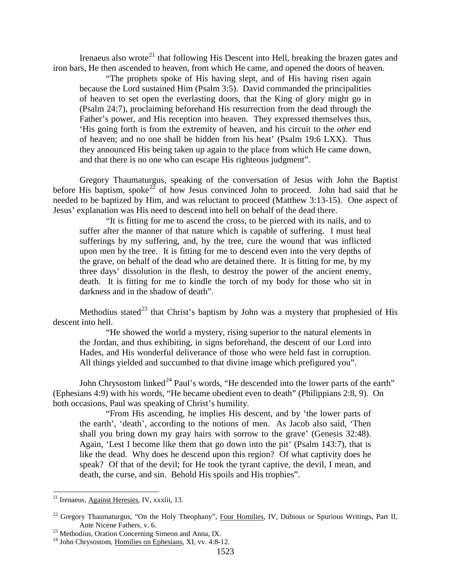Irenaeus also wrote<sup>[21](#page-11-0)</sup> that following His Descent into Hell, breaking the brazen gates and iron bars, He then ascended to heaven, from which He came, and opened the doors of heaven.

"The prophets spoke of His having slept, and of His having risen again because the Lord sustained Him (Psalm 3:5). David commanded the principalities of heaven to set open the everlasting doors, that the King of glory might go in (Psalm 24:7), proclaiming beforehand His resurrection from the dead through the Father's power, and His reception into heaven. They expressed themselves thus, 'His going forth is from the extremity of heaven, and his circuit to the *other* end of heaven; and no one shall be hidden from his heat' (Psalm 19:6 LXX). Thus they announced His being taken up again to the place from which He came down, and that there is no one who can escape His righteous judgment".

Gregory Thaumaturgus, speaking of the conversation of Jesus with John the Baptist before His baptism, spoke<sup>[22](#page-11-1)</sup> of how Jesus convinced John to proceed. John had said that he needed to be baptized by Him, and was reluctant to proceed (Matthew 3:13-15). One aspect of Jesus' explanation was His need to descend into hell on behalf of the dead there.

"It is fitting for me to ascend the cross, to be pierced with its nails, and to suffer after the manner of that nature which is capable of suffering. I must heal sufferings by my suffering, and, by the tree, cure the wound that was inflicted upon men by the tree. It is fitting for me to descend even into the very depths of the grave, on behalf of the dead who are detained there. It is fitting for me, by my three days' dissolution in the flesh, to destroy the power of the ancient enemy, death. It is fitting for me to kindle the torch of my body for those who sit in darkness and in the shadow of death".

Methodius stated<sup>[23](#page-11-2)</sup> that Christ's baptism by John was a mystery that prophesied of His descent into hell.

"He showed the world a mystery, rising superior to the natural elements in the Jordan, and thus exhibiting, in signs beforehand, the descent of our Lord into Hades, and His wonderful deliverance of those who were held fast in corruption. All things yielded and succumbed to that divine image which prefigured you".

John Chrysostom linked<sup>[24](#page-11-3)</sup> Paul's words, "He descended into the lower parts of the earth" (Ephesians 4:9) with his words, "He became obedient even to death" (Philippians 2:8, 9). On both occasions, Paul was speaking of Christ's humility.

"From His ascending, he implies His descent, and by 'the lower parts of the earth', 'death', according to the notions of men. As Jacob also said, 'Then shall you bring down my gray hairs with sorrow to the grave' (Genesis 32:48). Again, 'Lest I become like them that go down into the pit' (Psalm 143:7), that is like the dead. Why does he descend upon this region? Of what captivity does he speak? Of that of the devil; for He took the tyrant captive, the devil, I mean, and death, the curse, and sin. Behold His spoils and His trophies".

<span id="page-11-0"></span> <sup>21</sup> Irenaeus, Against Heresies, IV, xxxiii, 13.

<span id="page-11-1"></span><sup>&</sup>lt;sup>22</sup> Gregory Thaumaturgus, "On the Holy Theophany", Four Homilies, IV, Dubious or Spurious Writings, Part II, Ante Nicene Fathers, v. 6.<br><sup>23</sup> Methodius, Oration Concerning Simeon and Anna, IX.<br><sup>24</sup> John Chrysostom, <u>Homilies on Ephesians</u>, XI, vv. 4:8-12.

<span id="page-11-3"></span><span id="page-11-2"></span>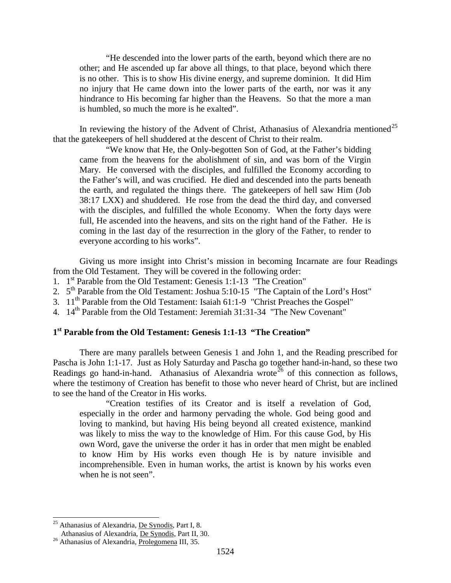"He descended into the lower parts of the earth, beyond which there are no other; and He ascended up far above all things, to that place, beyond which there is no other. This is to show His divine energy, and supreme dominion. It did Him no injury that He came down into the lower parts of the earth, nor was it any hindrance to His becoming far higher than the Heavens. So that the more a man is humbled, so much the more is he exalted".

In reviewing the history of the Advent of Christ, Athanasius of Alexandria mentioned<sup>[25](#page-12-0)</sup> that the gatekeepers of hell shuddered at the descent of Christ to their realm.

"We know that He, the Only-begotten Son of God, at the Father's bidding came from the heavens for the abolishment of sin, and was born of the Virgin Mary. He conversed with the disciples, and fulfilled the Economy according to the Father's will, and was crucified. He died and descended into the parts beneath the earth, and regulated the things there. The gatekeepers of hell saw Him (Job 38:17 LXX) and shuddered. He rose from the dead the third day, and conversed with the disciples, and fulfilled the whole Economy. When the forty days were full, He ascended into the heavens, and sits on the right hand of the Father. He is coming in the last day of the resurrection in the glory of the Father, to render to everyone according to his works".

Giving us more insight into Christ's mission in becoming Incarnate are four Readings from the Old Testament. They will be covered in the following order:

- 1. 1st Parable from the Old Testament: Genesis 1:1-13 "The Creation"
- 2. 5<sup>th</sup> Parable from the Old Testament: Joshua 5:10-15 "The Captain of the Lord's Host"
- 3. 11th Parable from the Old Testament: Isaiah 61:1-9 "Christ Preaches the Gospel"
- 4. 14<sup>th</sup> Parable from the Old Testament: Jeremiah 31:31-34 "The New Covenant"

### **1st Parable from the Old Testament: Genesis 1:1-13 "The Creation"**

There are many parallels between Genesis 1 and John 1, and the Reading prescribed for Pascha is John 1:1-17. Just as Holy Saturday and Pascha go together hand-in-hand, so these two Readings go hand-in-hand. Athanasius of Alexandria wrote<sup>[26](#page-12-1)</sup> of this connection as follows, where the testimony of Creation has benefit to those who never heard of Christ, but are inclined to see the hand of the Creator in His works.

"Creation testifies of its Creator and is itself a revelation of God, especially in the order and harmony pervading the whole. God being good and loving to mankind, but having His being beyond all created existence, mankind was likely to miss the way to the knowledge of Him. For this cause God, by His own Word, gave the universe the order it has in order that men might be enabled to know Him by His works even though He is by nature invisible and incomprehensible. Even in human works, the artist is known by his works even when he is not seen".

<span id="page-12-0"></span><sup>&</sup>lt;sup>25</sup> Athanasius of Alexandria, <u>De Synodis</u>, Part I, 8.<br>Athanasius of Alexandria, <u>De Synodis</u>, Part II, 30.

<span id="page-12-1"></span> $26$  Athanasius of Alexandria, Prolegomena III, 35.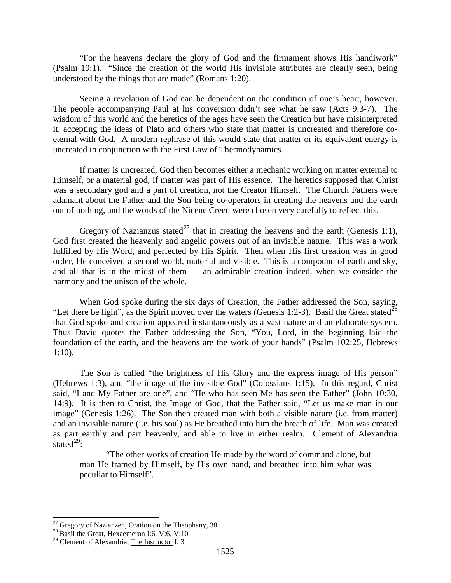"For the heavens declare the glory of God and the firmament shows His handiwork" (Psalm 19:1). "Since the creation of the world His invisible attributes are clearly seen, being understood by the things that are made" (Romans 1:20).

Seeing a revelation of God can be dependent on the condition of one's heart, however. The people accompanying Paul at his conversion didn't see what he saw (Acts 9:3-7). The wisdom of this world and the heretics of the ages have seen the Creation but have misinterpreted it, accepting the ideas of Plato and others who state that matter is uncreated and therefore coeternal with God. A modern rephrase of this would state that matter or its equivalent energy is uncreated in conjunction with the First Law of Thermodynamics.

If matter is uncreated, God then becomes either a mechanic working on matter external to Himself, or a material god, if matter was part of His essence. The heretics supposed that Christ was a secondary god and a part of creation, not the Creator Himself. The Church Fathers were adamant about the Father and the Son being co-operators in creating the heavens and the earth out of nothing, and the words of the Nicene Creed were chosen very carefully to reflect this.

Gregory of Nazianzus stated<sup>[27](#page-13-0)</sup> that in creating the heavens and the earth (Genesis 1:1), God first created the heavenly and angelic powers out of an invisible nature. This was a work fulfilled by His Word, and perfected by His Spirit. Then when His first creation was in good order, He conceived a second world, material and visible. This is a compound of earth and sky, and all that is in the midst of them — an admirable creation indeed, when we consider the harmony and the unison of the whole.

When God spoke during the six days of Creation, the Father addressed the Son, saying, "Let there be light", as the Spirit moved over the waters (Genesis 1:2-3). Basil the Great stated<sup>[28](#page-13-1)</sup> that God spoke and creation appeared instantaneously as a vast nature and an elaborate system. Thus David quotes the Father addressing the Son, "You, Lord, in the beginning laid the foundation of the earth, and the heavens are the work of your hands" (Psalm 102:25, Hebrews 1:10).

The Son is called "the brightness of His Glory and the express image of His person" (Hebrews 1:3), and "the image of the invisible God" (Colossians 1:15). In this regard, Christ said, "I and My Father are one", and "He who has seen Me has seen the Father" (John 10:30, 14:9). It is then to Christ, the Image of God, that the Father said, "Let us make man in our image" (Genesis 1:26). The Son then created man with both a visible nature (i.e. from matter) and an invisible nature (i.e. his soul) as He breathed into him the breath of life. Man was created as part earthly and part heavenly, and able to live in either realm. Clement of Alexandria stated $^{29}$ :

"The other works of creation He made by the word of command alone, but man He framed by Himself, by His own hand, and breathed into him what was peculiar to Himself".

<span id="page-13-0"></span><sup>&</sup>lt;sup>27</sup> Gregory of Nazianzen, <u>Oration on the Theophany</u>, 38<sup>28</sup> Basil the Great, Hexaemeron I:6, V:6, V:10

<span id="page-13-1"></span>

<span id="page-13-2"></span><sup>&</sup>lt;sup>29</sup> Clement of Alexandria, The Instructor I, 3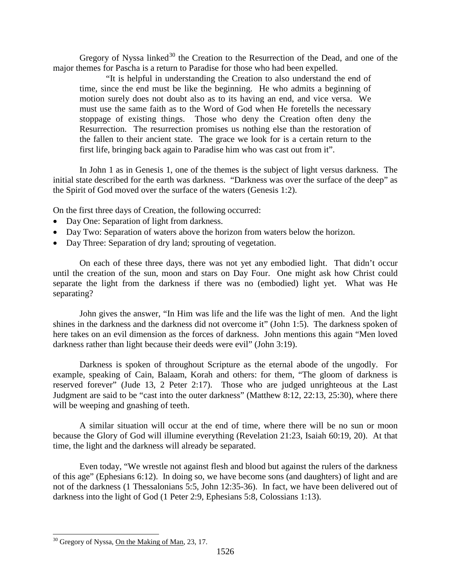Gregory of Nyssa linked<sup>[30](#page-14-0)</sup> the Creation to the Resurrection of the Dead, and one of the major themes for Pascha is a return to Paradise for those who had been expelled.

"It is helpful in understanding the Creation to also understand the end of time, since the end must be like the beginning. He who admits a beginning of motion surely does not doubt also as to its having an end, and vice versa. We must use the same faith as to the Word of God when He foretells the necessary stoppage of existing things. Those who deny the Creation often deny the Resurrection. The resurrection promises us nothing else than the restoration of the fallen to their ancient state. The grace we look for is a certain return to the first life, bringing back again to Paradise him who was cast out from it".

In John 1 as in Genesis 1, one of the themes is the subject of light versus darkness. The initial state described for the earth was darkness. "Darkness was over the surface of the deep" as the Spirit of God moved over the surface of the waters (Genesis 1:2).

On the first three days of Creation, the following occurred:

- Day One: Separation of light from darkness.
- Day Two: Separation of waters above the horizon from waters below the horizon.
- Day Three: Separation of dry land; sprouting of vegetation.

On each of these three days, there was not yet any embodied light. That didn't occur until the creation of the sun, moon and stars on Day Four. One might ask how Christ could separate the light from the darkness if there was no (embodied) light yet. What was He separating?

John gives the answer, "In Him was life and the life was the light of men. And the light shines in the darkness and the darkness did not overcome it" (John 1:5). The darkness spoken of here takes on an evil dimension as the forces of darkness. John mentions this again "Men loved darkness rather than light because their deeds were evil" (John 3:19).

Darkness is spoken of throughout Scripture as the eternal abode of the ungodly. For example, speaking of Cain, Balaam, Korah and others: for them, "The gloom of darkness is reserved forever" (Jude 13, 2 Peter 2:17). Those who are judged unrighteous at the Last Judgment are said to be "cast into the outer darkness" (Matthew 8:12, 22:13, 25:30), where there will be weeping and gnashing of teeth.

A similar situation will occur at the end of time, where there will be no sun or moon because the Glory of God will illumine everything (Revelation 21:23, Isaiah 60:19, 20). At that time, the light and the darkness will already be separated.

Even today, "We wrestle not against flesh and blood but against the rulers of the darkness of this age" (Ephesians 6:12). In doing so, we have become sons (and daughters) of light and are not of the darkness (1 Thessalonians 5:5, John 12:35-36). In fact, we have been delivered out of darkness into the light of God (1 Peter 2:9, Ephesians 5:8, Colossians 1:13).

<span id="page-14-0"></span><sup>&</sup>lt;sup>30</sup> Gregory of Nyssa, On the Making of Man, 23, 17.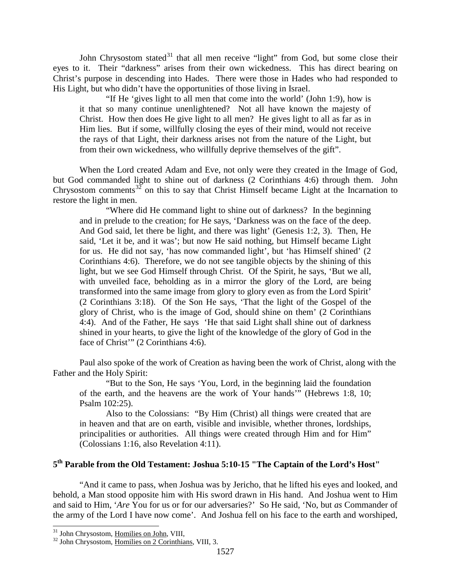John Chrysostom stated $31$  that all men receive "light" from God, but some close their eyes to it. Their "darkness" arises from their own wickedness. This has direct bearing on Christ's purpose in descending into Hades. There were those in Hades who had responded to His Light, but who didn't have the opportunities of those living in Israel.

"If He 'gives light to all men that come into the world' (John 1:9), how is it that so many continue unenlightened? Not all have known the majesty of Christ. How then does He give light to all men? He gives light to all as far as in Him lies. But if some, willfully closing the eyes of their mind, would not receive the rays of that Light, their darkness arises not from the nature of the Light, but from their own wickedness, who willfully deprive themselves of the gift".

When the Lord created Adam and Eve, not only were they created in the Image of God, but God commanded light to shine out of darkness (2 Corinthians 4:6) through them. John Chrysostom comments<sup>[32](#page-15-1)</sup> on this to say that Christ Himself became Light at the Incarnation to restore the light in men.

"Where did He command light to shine out of darkness? In the beginning and in prelude to the creation; for He says, 'Darkness was on the face of the deep. And God said, let there be light, and there was light' (Genesis 1:2, 3). Then, He said, 'Let it be, and it was'; but now He said nothing, but Himself became Light for us. He did not say, 'has now commanded light', but 'has Himself shined' (2 Corinthians 4:6). Therefore, we do not see tangible objects by the shining of this light, but we see God Himself through Christ. Of the Spirit, he says, 'But we all, with unveiled face, beholding as in a mirror the glory of the Lord, are being transformed into the same image from glory to glory even as from the Lord Spirit' (2 Corinthians 3:18). Of the Son He says, 'That the light of the Gospel of the glory of Christ, who is the image of God, should shine on them' (2 Corinthians 4:4). And of the Father, He says 'He that said Light shall shine out of darkness shined in your hearts, to give the light of the knowledge of the glory of God in the face of Christ"" (2 Corinthians 4:6).

Paul also spoke of the work of Creation as having been the work of Christ, along with the Father and the Holy Spirit:

"But to the Son, He says 'You, Lord, in the beginning laid the foundation of the earth, and the heavens are the work of Your hands'" (Hebrews 1:8, 10; Psalm 102:25).

Also to the Colossians: "By Him (Christ) all things were created that are in heaven and that are on earth, visible and invisible, whether thrones, lordships, principalities or authorities. All things were created through Him and for Him" (Colossians 1:16, also Revelation 4:11).

## **5th Parable from the Old Testament: Joshua 5:10-15 "The Captain of the Lord's Host"**

"And it came to pass, when Joshua was by Jericho, that he lifted his eyes and looked, and behold, a Man stood opposite him with His sword drawn in His hand. And Joshua went to Him and said to Him, '*Are* You for us or for our adversaries?' So He said, 'No, but *as* Commander of the army of the Lord I have now come'. And Joshua fell on his face to the earth and worshiped,

<span id="page-15-1"></span><span id="page-15-0"></span> $31$  John Chrysostom, <u>Homilies on John</u>, VIII,  $32$  John Chrysostom, Homilies on 2 Corinthians, VIII, 3.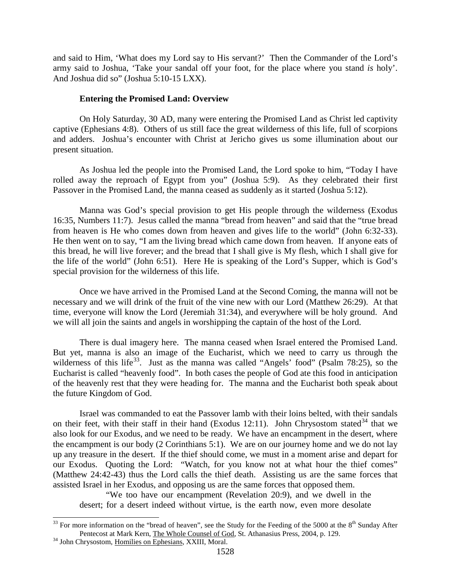and said to Him, 'What does my Lord say to His servant?' Then the Commander of the Lord's army said to Joshua, 'Take your sandal off your foot, for the place where you stand *is* holy'. And Joshua did so" (Joshua 5:10-15 LXX).

#### **Entering the Promised Land: Overview**

On Holy Saturday, 30 AD, many were entering the Promised Land as Christ led captivity captive (Ephesians 4:8). Others of us still face the great wilderness of this life, full of scorpions and adders. Joshua's encounter with Christ at Jericho gives us some illumination about our present situation.

As Joshua led the people into the Promised Land, the Lord spoke to him, "Today I have rolled away the reproach of Egypt from you" (Joshua 5:9). As they celebrated their first Passover in the Promised Land, the manna ceased as suddenly as it started (Joshua 5:12).

Manna was God's special provision to get His people through the wilderness (Exodus 16:35, Numbers 11:7). Jesus called the manna "bread from heaven" and said that the "true bread from heaven is He who comes down from heaven and gives life to the world" (John 6:32-33). He then went on to say, "I am the living bread which came down from heaven. If anyone eats of this bread, he will live forever; and the bread that I shall give is My flesh, which I shall give for the life of the world" (John 6:51). Here He is speaking of the Lord's Supper, which is God's special provision for the wilderness of this life.

Once we have arrived in the Promised Land at the Second Coming, the manna will not be necessary and we will drink of the fruit of the vine new with our Lord (Matthew 26:29). At that time, everyone will know the Lord (Jeremiah 31:34), and everywhere will be holy ground. And we will all join the saints and angels in worshipping the captain of the host of the Lord.

There is dual imagery here. The manna ceased when Israel entered the Promised Land. But yet, manna is also an image of the Eucharist, which we need to carry us through the wilderness of this life<sup>[33](#page-16-0)</sup>. Just as the manna was called "Angels' food" (Psalm 78:25), so the Eucharist is called "heavenly food". In both cases the people of God ate this food in anticipation of the heavenly rest that they were heading for. The manna and the Eucharist both speak about the future Kingdom of God.

Israel was commanded to eat the Passover lamb with their loins belted, with their sandals on their feet, with their staff in their hand (Exodus 12:11). John Chrysostom stated  $34$  that we also look for our Exodus, and we need to be ready. We have an encampment in the desert, where the encampment is our body (2 Corinthians 5:1). We are on our journey home and we do not lay up any treasure in the desert. If the thief should come, we must in a moment arise and depart for our Exodus. Quoting the Lord: "Watch, for you know not at what hour the thief comes" (Matthew 24:42-43) thus the Lord calls the thief death. Assisting us are the same forces that assisted Israel in her Exodus, and opposing us are the same forces that opposed them.

"We too have our encampment (Revelation 20:9), and we dwell in the desert; for a desert indeed without virtue, is the earth now, even more desolate

<span id="page-16-0"></span> $33$  For more information on the "bread of heaven", see the Study for the Feeding of the 5000 at the  $8<sup>th</sup>$  Sunday After Pentecost at Mark Kern, The Whole Counsel of God, St. Athanasius Press, 2004, p. 129. <sup>34</sup> John Chrysostom, Homilies on Ephesians, XXIII, Moral.

<span id="page-16-1"></span>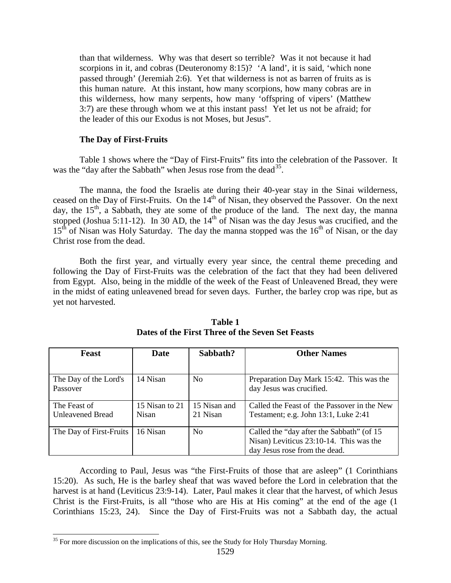than that wilderness. Why was that desert so terrible? Was it not because it had scorpions in it, and cobras (Deuteronomy 8:15)? 'A land', it is said, 'which none passed through' (Jeremiah 2:6). Yet that wilderness is not as barren of fruits as is this human nature. At this instant, how many scorpions, how many cobras are in this wilderness, how many serpents, how many 'offspring of vipers' (Matthew 3:7) are these through whom we at this instant pass! Yet let us not be afraid; for the leader of this our Exodus is not Moses, but Jesus".

### **The Day of First-Fruits**

Table 1 shows where the "Day of First-Fruits" fits into the celebration of the Passover. It was the "day after the Sabbath" when Jesus rose from the dead<sup>[35](#page-17-0)</sup>.

The manna, the food the Israelis ate during their 40-year stay in the Sinai wilderness, ceased on the Day of First-Fruits. On the 14<sup>th</sup> of Nisan, they observed the Passover. On the next day, the  $15<sup>th</sup>$ , a Sabbath, they ate some of the produce of the land. The next day, the manna stopped (Joshua 5:11-12). In 30 AD, the 14<sup>th</sup> of Nisan was the day Jesus was crucified, and the  $15<sup>th</sup>$  of Nisan was Holy Saturday. The day the manna stopped was the  $16<sup>th</sup>$  of Nisan, or the day Christ rose from the dead.

Both the first year, and virtually every year since, the central theme preceding and following the Day of First-Fruits was the celebration of the fact that they had been delivered from Egypt. Also, being in the middle of the week of the Feast of Unleavened Bread, they were in the midst of eating unleavened bread for seven days. Further, the barley crop was ripe, but as yet not harvested.

| Feast                   | Date           | Sabbath?       | <b>Other Names</b>                          |
|-------------------------|----------------|----------------|---------------------------------------------|
|                         |                |                |                                             |
| The Day of the Lord's   | 14 Nisan       | N <sub>0</sub> | Preparation Day Mark 15:42. This was the    |
| Passover                |                |                | day Jesus was crucified.                    |
|                         |                |                |                                             |
| The Feast of            | 15 Nisan to 21 | 15 Nisan and   | Called the Feast of the Passover in the New |
| <b>Unleavened Bread</b> | <b>Nisan</b>   | 21 Nisan       | Testament; e.g. John 13:1, Luke 2:41        |
|                         |                |                |                                             |
| The Day of First-Fruits | 16 Nisan       | N <sub>0</sub> | Called the "day after the Sabbath" (of 15   |
|                         |                |                | Nisan) Leviticus 23:10-14. This was the     |
|                         |                |                | day Jesus rose from the dead.               |

### **Table 1 Dates of the First Three of the Seven Set Feasts**

According to Paul, Jesus was "the First-Fruits of those that are asleep" (1 Corinthians 15:20). As such, He is the barley sheaf that was waved before the Lord in celebration that the harvest is at hand (Leviticus 23:9-14). Later, Paul makes it clear that the harvest, of which Jesus Christ is the First-Fruits, is all "those who are His at His coming" at the end of the age (1 Corinthians 15:23, 24). Since the Day of First-Fruits was not a Sabbath day, the actual

<span id="page-17-0"></span><sup>&</sup>lt;sup>35</sup> For more discussion on the implications of this, see the Study for Holy Thursday Morning.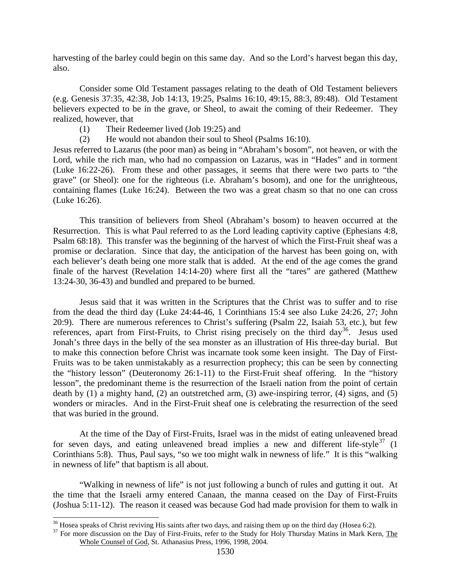harvesting of the barley could begin on this same day. And so the Lord's harvest began this day, also.

Consider some Old Testament passages relating to the death of Old Testament believers (e.g. Genesis 37:35, 42:38, Job 14:13, 19:25, Psalms 16:10, 49:15, 88:3, 89:48). Old Testament believers expected to be in the grave, or Sheol, to await the coming of their Redeemer. They realized, however, that

- (1) Their Redeemer lived (Job 19:25) and
- (2) He would not abandon their soul to Sheol (Psalms 16:10).

Jesus referred to Lazarus (the poor man) as being in "Abraham's bosom", not heaven, or with the Lord, while the rich man, who had no compassion on Lazarus, was in "Hades" and in torment (Luke 16:22-26). From these and other passages, it seems that there were two parts to "the grave" (or Sheol): one for the righteous (i.e. Abraham's bosom), and one for the unrighteous, containing flames (Luke 16:24). Between the two was a great chasm so that no one can cross (Luke 16:26).

This transition of believers from Sheol (Abraham's bosom) to heaven occurred at the Resurrection. This is what Paul referred to as the Lord leading captivity captive (Ephesians 4:8, Psalm 68:18). This transfer was the beginning of the harvest of which the First-Fruit sheaf was a promise or declaration. Since that day, the anticipation of the harvest has been going on, with each believer's death being one more stalk that is added. At the end of the age comes the grand finale of the harvest (Revelation 14:14-20) where first all the "tares" are gathered (Matthew 13:24-30, 36-43) and bundled and prepared to be burned.

Jesus said that it was written in the Scriptures that the Christ was to suffer and to rise from the dead the third day (Luke 24:44-46, 1 Corinthians 15:4 see also Luke 24:26, 27; John 20:9). There are numerous references to Christ's suffering (Psalm 22, Isaiah 53, etc.), but few references, apart from First-Fruits, to Christ rising precisely on the third  $day^{36}$  $day^{36}$  $day^{36}$ . Jesus used Jonah's three days in the belly of the sea monster as an illustration of His three-day burial. But to make this connection before Christ was incarnate took some keen insight. The Day of First-Fruits was to be taken unmistakably as a resurrection prophecy; this can be seen by connecting the "history lesson" (Deuteronomy 26:1-11) to the First-Fruit sheaf offering. In the "history lesson", the predominant theme is the resurrection of the Israeli nation from the point of certain death by  $(1)$  a mighty hand,  $(2)$  an outstretched arm,  $(3)$  awe-inspiring terror,  $(4)$  signs, and  $(5)$ wonders or miracles. And in the First-Fruit sheaf one is celebrating the resurrection of the seed that was buried in the ground.

At the time of the Day of First-Fruits, Israel was in the midst of eating unleavened bread for seven days, and eating unleavened bread implies a new and different life-style<sup>[37](#page-18-1)</sup>  $(1$ Corinthians 5:8). Thus, Paul says, "so we too might walk in newness of life." It is this "walking in newness of life" that baptism is all about.

"Walking in newness of life" is not just following a bunch of rules and gutting it out. At the time that the Israeli army entered Canaan, the manna ceased on the Day of First-Fruits (Joshua 5:11-12). The reason it ceased was because God had made provision for them to walk in

<span id="page-18-1"></span><span id="page-18-0"></span><sup>&</sup>lt;sup>36</sup> Hosea speaks of Christ reviving His saints after two days, and raising them up on the third day (Hosea 6:2).  $37$  For more discussion on the Day of First-Fruits, refer to the Study for Holy Thursday Matins in Mark Ke Whole Counsel of God, St. Athanasius Press, 1996, 1998, 2004.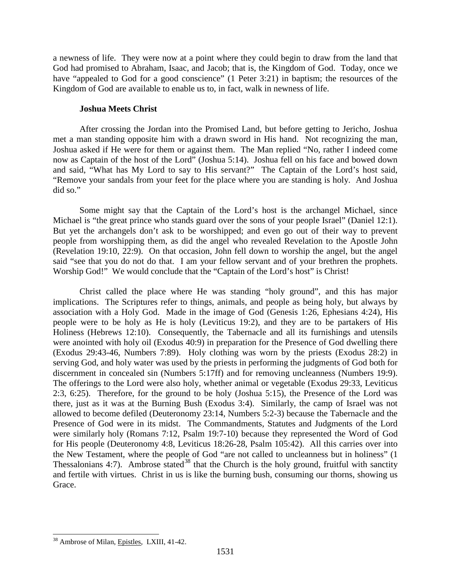a newness of life. They were now at a point where they could begin to draw from the land that God had promised to Abraham, Isaac, and Jacob; that is, the Kingdom of God. Today, once we have "appealed to God for a good conscience" (1 Peter 3:21) in baptism; the resources of the Kingdom of God are available to enable us to, in fact, walk in newness of life.

### **Joshua Meets Christ**

After crossing the Jordan into the Promised Land, but before getting to Jericho, Joshua met a man standing opposite him with a drawn sword in His hand. Not recognizing the man, Joshua asked if He were for them or against them. The Man replied "No, rather I indeed come now as Captain of the host of the Lord" (Joshua 5:14). Joshua fell on his face and bowed down and said, "What has My Lord to say to His servant?" The Captain of the Lord's host said, "Remove your sandals from your feet for the place where you are standing is holy. And Joshua did so."

Some might say that the Captain of the Lord's host is the archangel Michael, since Michael is "the great prince who stands guard over the sons of your people Israel" (Daniel 12:1). But yet the archangels don't ask to be worshipped; and even go out of their way to prevent people from worshipping them, as did the angel who revealed Revelation to the Apostle John (Revelation 19:10, 22:9). On that occasion, John fell down to worship the angel, but the angel said "see that you do not do that. I am your fellow servant and of your brethren the prophets. Worship God!" We would conclude that the "Captain of the Lord's host" is Christ!

Christ called the place where He was standing "holy ground", and this has major implications. The Scriptures refer to things, animals, and people as being holy, but always by association with a Holy God. Made in the image of God (Genesis 1:26, Ephesians 4:24), His people were to be holy as He is holy (Leviticus 19:2), and they are to be partakers of His Holiness (Hebrews 12:10). Consequently, the Tabernacle and all its furnishings and utensils were anointed with holy oil (Exodus 40:9) in preparation for the Presence of God dwelling there (Exodus 29:43-46, Numbers 7:89). Holy clothing was worn by the priests (Exodus 28:2) in serving God, and holy water was used by the priests in performing the judgments of God both for discernment in concealed sin (Numbers 5:17ff) and for removing uncleanness (Numbers 19:9). The offerings to the Lord were also holy, whether animal or vegetable (Exodus 29:33, Leviticus 2:3, 6:25). Therefore, for the ground to be holy (Joshua 5:15), the Presence of the Lord was there, just as it was at the Burning Bush (Exodus 3:4). Similarly, the camp of Israel was not allowed to become defiled (Deuteronomy 23:14, Numbers 5:2-3) because the Tabernacle and the Presence of God were in its midst. The Commandments, Statutes and Judgments of the Lord were similarly holy (Romans 7:12, Psalm 19:7-10) because they represented the Word of God for His people (Deuteronomy 4:8, Leviticus 18:26-28, Psalm 105:42). All this carries over into the New Testament, where the people of God "are not called to uncleanness but in holiness" (1 Thessalonians 4:7). Ambrose stated<sup>[38](#page-19-0)</sup> that the Church is the holy ground, fruitful with sanctity and fertile with virtues. Christ in us is like the burning bush, consuming our thorns, showing us Grace.

<span id="page-19-0"></span><sup>&</sup>lt;sup>38</sup> Ambrose of Milan, Epistles, LXIII, 41-42.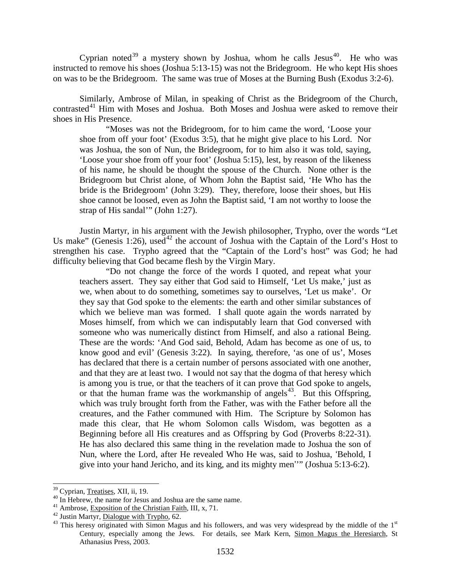Cyprian noted<sup>[39](#page-20-0)</sup> a mystery shown by Joshua, whom he calls Jesus<sup>40</sup>. He who was instructed to remove his shoes (Joshua 5:13-15) was not the Bridegroom. He who kept His shoes on was to be the Bridegroom. The same was true of Moses at the Burning Bush (Exodus 3:2-6).

Similarly, Ambrose of Milan, in speaking of Christ as the Bridegroom of the Church, contrasted<sup>[41](#page-20-2)</sup> Him with Moses and Joshua. Both Moses and Joshua were asked to remove their shoes in His Presence.

"Moses was not the Bridegroom, for to him came the word, 'Loose your shoe from off your foot' (Exodus 3:5), that he might give place to his Lord. Nor was Joshua, the son of Nun, the Bridegroom, for to him also it was told, saying, 'Loose your shoe from off your foot' (Joshua 5:15), lest, by reason of the likeness of his name, he should be thought the spouse of the Church. None other is the Bridegroom but Christ alone, of Whom John the Baptist said, 'He Who has the bride is the Bridegroom' (John 3:29). They, therefore, loose their shoes, but His shoe cannot be loosed, even as John the Baptist said, 'I am not worthy to loose the strap of His sandal'" (John 1:27).

Justin Martyr, in his argument with the Jewish philosopher, Trypho, over the words "Let Us make" (Genesis 1:26), used<sup>[42](#page-20-3)</sup> the account of Joshua with the Captain of the Lord's Host to strengthen his case. Trypho agreed that the "Captain of the Lord's host" was God; he had difficulty believing that God became flesh by the Virgin Mary.

"Do not change the force of the words I quoted, and repeat what your teachers assert. They say either that God said to Himself, 'Let Us make,' just as we, when about to do something, sometimes say to ourselves, 'Let us make'. Or they say that God spoke to the elements: the earth and other similar substances of which we believe man was formed. I shall quote again the words narrated by Moses himself, from which we can indisputably learn that God conversed with someone who was numerically distinct from Himself, and also a rational Being. These are the words: 'And God said, Behold, Adam has become as one of us, to know good and evil' (Genesis 3:22). In saying, therefore, 'as one of us', Moses has declared that there is a certain number of persons associated with one another, and that they are at least two. I would not say that the dogma of that heresy which is among you is true, or that the teachers of it can prove that God spoke to angels, or that the human frame was the workmanship of angels<sup>[43](#page-20-4)</sup>. But this Offspring, which was truly brought forth from the Father, was with the Father before all the creatures, and the Father communed with Him. The Scripture by Solomon has made this clear, that He whom Solomon calls Wisdom, was begotten as a Beginning before all His creatures and as Offspring by God (Proverbs 8:22-31). He has also declared this same thing in the revelation made to Joshua the son of Nun, where the Lord, after He revealed Who He was, said to Joshua, 'Behold, I give into your hand Jericho, and its king, and its mighty men''" (Joshua 5:13-6:2).

<span id="page-20-2"></span>

<span id="page-20-4"></span><span id="page-20-3"></span>

<span id="page-20-1"></span><span id="page-20-0"></span><sup>&</sup>lt;sup>39</sup> Cyprian, <u>Treatises</u>, XII, ii, 19.<br><sup>40</sup> In Hebrew, the name for Jesus and Joshua are the same name.<br><sup>41</sup> Ambrose, <u>Exposition of the Christian Faith</u>, III, x, 71.<br><sup>42</sup> Justin Martyr, <u>Dialogue with Trypho</u>, 62.<br><sup>43</sup> Century, especially among the Jews. For details, see Mark Kern, Simon Magus the Heresiarch, St Athanasius Press, 2003.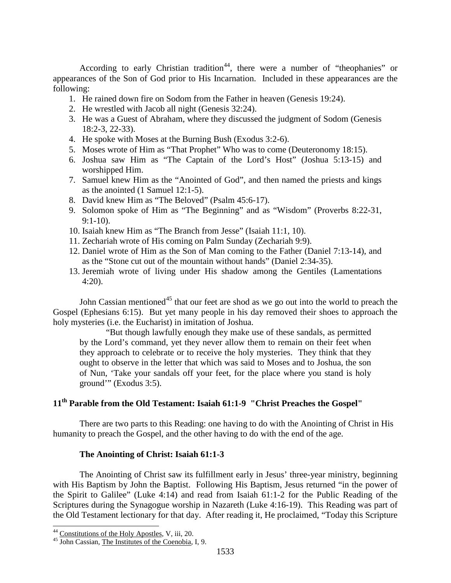According to early Christian tradition<sup>[44](#page-21-0)</sup>, there were a number of "theophanies" or appearances of the Son of God prior to His Incarnation. Included in these appearances are the following:

- 1. He rained down fire on Sodom from the Father in heaven (Genesis 19:24).
- 2. He wrestled with Jacob all night (Genesis 32:24).
- 3. He was a Guest of Abraham, where they discussed the judgment of Sodom (Genesis 18:2-3, 22-33).
- 4. He spoke with Moses at the Burning Bush (Exodus 3:2-6).
- 5. Moses wrote of Him as "That Prophet" Who was to come (Deuteronomy 18:15).
- 6. Joshua saw Him as "The Captain of the Lord's Host" (Joshua 5:13-15) and worshipped Him.
- 7. Samuel knew Him as the "Anointed of God", and then named the priests and kings as the anointed (1 Samuel 12:1-5).
- 8. David knew Him as "The Beloved" (Psalm 45:6-17).
- 9. Solomon spoke of Him as "The Beginning" and as "Wisdom" (Proverbs 8:22-31, 9:1-10).
- 10. Isaiah knew Him as "The Branch from Jesse" (Isaiah 11:1, 10).
- 11. Zechariah wrote of His coming on Palm Sunday (Zechariah 9:9).
- 12. Daniel wrote of Him as the Son of Man coming to the Father (Daniel 7:13-14), and as the "Stone cut out of the mountain without hands" (Daniel 2:34-35).
- 13. Jeremiah wrote of living under His shadow among the Gentiles (Lamentations 4:20).

John Cassian mentioned<sup>[45](#page-21-1)</sup> that our feet are shod as we go out into the world to preach the Gospel (Ephesians 6:15). But yet many people in his day removed their shoes to approach the holy mysteries (i.e. the Eucharist) in imitation of Joshua.

"But though lawfully enough they make use of these sandals, as permitted by the Lord's command, yet they never allow them to remain on their feet when they approach to celebrate or to receive the holy mysteries. They think that they ought to observe in the letter that which was said to Moses and to Joshua, the son of Nun, 'Take your sandals off your feet, for the place where you stand is holy ground'" (Exodus 3:5).

## **11th Parable from the Old Testament: Isaiah 61:1-9 "Christ Preaches the Gospel"**

There are two parts to this Reading: one having to do with the Anointing of Christ in His humanity to preach the Gospel, and the other having to do with the end of the age.

### **The Anointing of Christ: Isaiah 61:1-3**

The Anointing of Christ saw its fulfillment early in Jesus' three-year ministry, beginning with His Baptism by John the Baptist. Following His Baptism, Jesus returned "in the power of the Spirit to Galilee" (Luke 4:14) and read from Isaiah 61:1-2 for the Public Reading of the Scriptures during the Synagogue worship in Nazareth (Luke 4:16-19). This Reading was part of the Old Testament lectionary for that day. After reading it, He proclaimed, "Today this Scripture

<span id="page-21-1"></span><span id="page-21-0"></span><sup>&</sup>lt;sup>44</sup> Constitutions of the Holy Apostles, V, iii, 20.  $45$  John Cassian, The Institutes of the Coenobia, I, 9.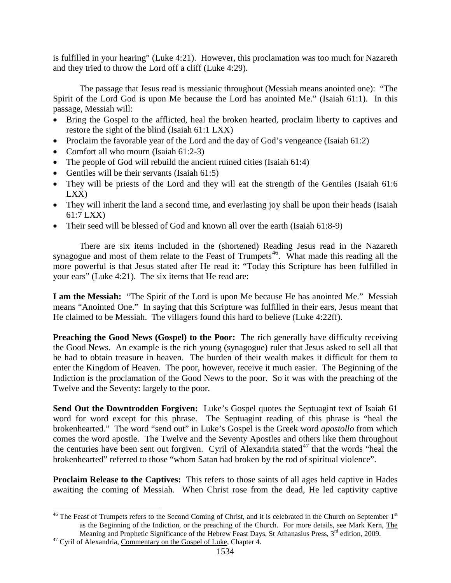is fulfilled in your hearing" (Luke 4:21). However, this proclamation was too much for Nazareth and they tried to throw the Lord off a cliff (Luke 4:29).

The passage that Jesus read is messianic throughout (Messiah means anointed one): "The Spirit of the Lord God is upon Me because the Lord has anointed Me." (Isaiah 61:1). In this passage, Messiah will:

- Bring the Gospel to the afflicted, heal the broken hearted, proclaim liberty to captives and restore the sight of the blind (Isaiah 61:1 LXX)
- Proclaim the favorable year of the Lord and the day of God's vengeance (Isaiah 61:2)
- Comfort all who mourn (Isaiah 61:2-3)
- The people of God will rebuild the ancient ruined cities (Isaiah 61:4)
- Gentiles will be their servants (Isaiah 61:5)
- They will be priests of the Lord and they will eat the strength of the Gentiles (Isaiah 61:6) LXX)
- They will inherit the land a second time, and everlasting joy shall be upon their heads (Isaiah 61:7 LXX)
- Their seed will be blessed of God and known all over the earth (Isaiah 61:8-9)

There are six items included in the (shortened) Reading Jesus read in the Nazareth synagogue and most of them relate to the Feast of Trumpets<sup>46</sup>. What made this reading all the more powerful is that Jesus stated after He read it: "Today this Scripture has been fulfilled in your ears" (Luke 4:21). The six items that He read are:

**I am the Messiah:** "The Spirit of the Lord is upon Me because He has anointed Me." Messiah means "Anointed One." In saying that this Scripture was fulfilled in their ears, Jesus meant that He claimed to be Messiah. The villagers found this hard to believe (Luke 4:22ff).

**Preaching the Good News (Gospel) to the Poor:** The rich generally have difficulty receiving the Good News. An example is the rich young (synagogue) ruler that Jesus asked to sell all that he had to obtain treasure in heaven. The burden of their wealth makes it difficult for them to enter the Kingdom of Heaven. The poor, however, receive it much easier. The Beginning of the Indiction is the proclamation of the Good News to the poor. So it was with the preaching of the Twelve and the Seventy: largely to the poor.

**Send Out the Downtrodden Forgiven:** Luke's Gospel quotes the Septuagint text of Isaiah 61 word for word except for this phrase. The Septuagint reading of this phrase is "heal the brokenhearted." The word "send out" in Luke's Gospel is the Greek word *apostollo* from which comes the word apostle. The Twelve and the Seventy Apostles and others like them throughout the centuries have been sent out forgiven. Cyril of Alexandria stated<sup>[47](#page-22-1)</sup> that the words "heal the brokenhearted" referred to those "whom Satan had broken by the rod of spiritual violence".

**Proclaim Release to the Captives:** This refers to those saints of all ages held captive in Hades awaiting the coming of Messiah. When Christ rose from the dead, He led captivity captive

<span id="page-22-0"></span> $46$  The Feast of Trumpets refers to the Second Coming of Christ, and it is celebrated in the Church on September  $1<sup>st</sup>$ as the Beginning of the Indiction, or the preaching of the Church. For more details, see Mark Kern, The Meaning and Prophetic Significance of the Hebrew Feast Days, St Athanasius Press, 3<sup>rd</sup> edition, 2009.<br><sup>47</sup> Cyril of Alexandria, Commentary on the Gospel of Luke, Chapter 4.

<span id="page-22-1"></span>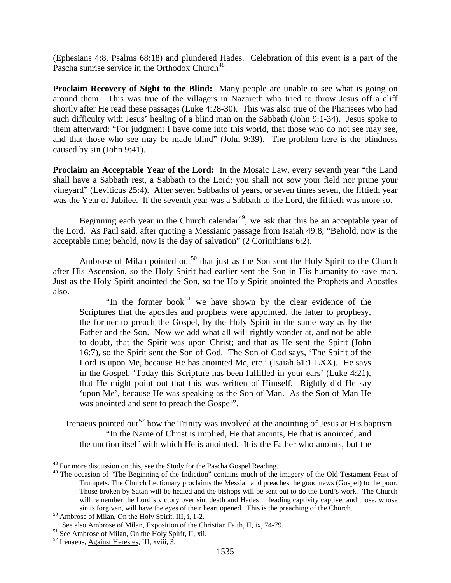(Ephesians 4:8, Psalms 68:18) and plundered Hades. Celebration of this event is a part of the Pascha sunrise service in the Orthodox Church<sup>[48](#page-23-0)</sup>

**Proclaim Recovery of Sight to the Blind:** Many people are unable to see what is going on around them. This was true of the villagers in Nazareth who tried to throw Jesus off a cliff shortly after He read these passages (Luke 4:28-30). This was also true of the Pharisees who had such difficulty with Jesus' healing of a blind man on the Sabbath (John 9:1-34). Jesus spoke to them afterward: "For judgment I have come into this world, that those who do not see may see, and that those who see may be made blind" (John 9:39). The problem here is the blindness caused by sin (John 9:41).

**Proclaim an Acceptable Year of the Lord:** In the Mosaic Law, every seventh year "the Land shall have a Sabbath rest, a Sabbath to the Lord; you shall not sow your field nor prune your vineyard" (Leviticus 25:4). After seven Sabbaths of years, or seven times seven, the fiftieth year was the Year of Jubilee. If the seventh year was a Sabbath to the Lord, the fiftieth was more so.

Beginning each year in the Church calendar $49$ , we ask that this be an acceptable year of the Lord. As Paul said, after quoting a Messianic passage from Isaiah 49:8, "Behold, now is the acceptable time; behold, now is the day of salvation" (2 Corinthians 6:2).

Ambrose of Milan pointed out<sup>[50](#page-23-2)</sup> that just as the Son sent the Holy Spirit to the Church after His Ascension, so the Holy Spirit had earlier sent the Son in His humanity to save man. Just as the Holy Spirit anointed the Son, so the Holy Spirit anointed the Prophets and Apostles also.

"In the former book<sup>[51](#page-23-3)</sup> we have shown by the clear evidence of the Scriptures that the apostles and prophets were appointed, the latter to prophesy, the former to preach the Gospel, by the Holy Spirit in the same way as by the Father and the Son. Now we add what all will rightly wonder at, and not be able to doubt, that the Spirit was upon Christ; and that as He sent the Spirit (John 16:7), so the Spirit sent the Son of God. The Son of God says, 'The Spirit of the Lord is upon Me, because He has anointed Me, etc.' (Isaiah 61:1 LXX). He says in the Gospel, 'Today this Scripture has been fulfilled in your ears' (Luke 4:21), that He might point out that this was written of Himself. Rightly did He say 'upon Me', because He was speaking as the Son of Man. As the Son of Man He was anointed and sent to preach the Gospel".

Irenaeus pointed out<sup>[52](#page-23-4)</sup> how the Trinity was involved at the anointing of Jesus at His baptism. "In the Name of Christ is implied, He that anoints, He that is anointed, and the unction itself with which He is anointed. It is the Father who anoints, but the

<span id="page-23-0"></span> $48$  For more discussion on this, see the Study for the Pascha Gospel Reading.

<span id="page-23-1"></span><sup>&</sup>lt;sup>49</sup> The occasion of "The Beginning of the Indiction" contains much of the imagery of the Old Testament Feast of Trumpets. The Church Lectionary proclaims the Messiah and preaches the good news (Gospel) to the poor. Those broken by Satan will be healed and the bishops will be sent out to do the Lord's work. The Church will remember the Lord's victory over sin, death and Hades in leading captivity captive, and those, whose sin is forgiven, will have the eyes of their heart opened. This is the preaching of the Church. <sup>50</sup> Ambrose of Milan, On the Holy Spirit, III, i, 1-2.

<span id="page-23-3"></span><span id="page-23-2"></span>See also Ambrose of Milan, <u>Exposition of the Christian Faith</u>, II, ix, 74-79.<br><sup>51</sup> See Ambrose of Milan, <u>On the Holy Spirit</u>, II, xii. <sup>52</sup> Irenaeus, Against Heresies, III, xviii, 3.

<span id="page-23-4"></span>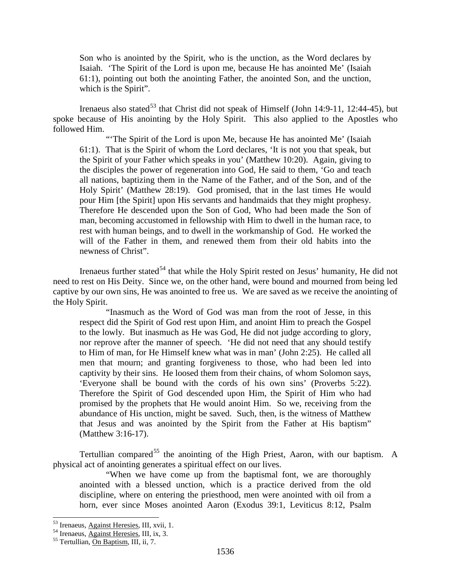Son who is anointed by the Spirit, who is the unction, as the Word declares by Isaiah. 'The Spirit of the Lord is upon me, because He has anointed Me' (Isaiah 61:1), pointing out both the anointing Father, the anointed Son, and the unction, which is the Spirit".

Irenaeus also stated<sup>[53](#page-24-0)</sup> that Christ did not speak of Himself (John 14:9-11, 12:44-45), but spoke because of His anointing by the Holy Spirit. This also applied to the Apostles who followed Him.

"The Spirit of the Lord is upon Me, because He has anointed Me' (Isaiah) 61:1). That is the Spirit of whom the Lord declares, 'It is not you that speak, but the Spirit of your Father which speaks in you' (Matthew 10:20). Again, giving to the disciples the power of regeneration into God, He said to them, 'Go and teach all nations, baptizing them in the Name of the Father, and of the Son, and of the Holy Spirit' (Matthew 28:19). God promised, that in the last times He would pour Him [the Spirit] upon His servants and handmaids that they might prophesy. Therefore He descended upon the Son of God, Who had been made the Son of man, becoming accustomed in fellowship with Him to dwell in the human race, to rest with human beings, and to dwell in the workmanship of God. He worked the will of the Father in them, and renewed them from their old habits into the newness of Christ".

Irenaeus further stated<sup>[54](#page-24-1)</sup> that while the Holy Spirit rested on Jesus' humanity, He did not need to rest on His Deity. Since we, on the other hand, were bound and mourned from being led captive by our own sins, He was anointed to free us. We are saved as we receive the anointing of the Holy Spirit.

"Inasmuch as the Word of God was man from the root of Jesse, in this respect did the Spirit of God rest upon Him, and anoint Him to preach the Gospel to the lowly. But inasmuch as He was God, He did not judge according to glory, nor reprove after the manner of speech. 'He did not need that any should testify to Him of man, for He Himself knew what was in man' (John 2:25). He called all men that mourn; and granting forgiveness to those, who had been led into captivity by their sins. He loosed them from their chains, of whom Solomon says, 'Everyone shall be bound with the cords of his own sins' (Proverbs 5:22). Therefore the Spirit of God descended upon Him, the Spirit of Him who had promised by the prophets that He would anoint Him. So we, receiving from the abundance of His unction, might be saved. Such, then, is the witness of Matthew that Jesus and was anointed by the Spirit from the Father at His baptism" (Matthew 3:16-17).

Tertullian compared<sup>[55](#page-24-2)</sup> the anointing of the High Priest, Aaron, with our baptism. A physical act of anointing generates a spiritual effect on our lives.

"When we have come up from the baptismal font, we are thoroughly anointed with a blessed unction, which is a practice derived from the old discipline, where on entering the priesthood, men were anointed with oil from a horn, ever since Moses anointed Aaron (Exodus 39:1, Leviticus 8:12, Psalm

<span id="page-24-1"></span><span id="page-24-0"></span><sup>&</sup>lt;sup>53</sup> Irenaeus, <u>Against Heresies</u>, III, xvii, 1.<br><sup>54</sup> Irenaeus, <u>Against Heresies</u>, III, ix, 3.<br><sup>55</sup> Tertullian, On <u>Baptism</u>, III, ii, 7.

<span id="page-24-2"></span>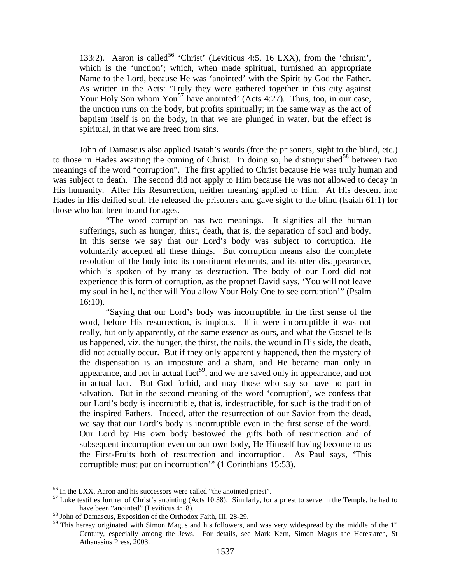133:2). Aaron is called<sup>[56](#page-25-0)</sup> 'Christ' (Leviticus 4:5, 16 LXX), from the 'chrism', which is the 'unction'; which, when made spiritual, furnished an appropriate Name to the Lord, because He was 'anointed' with the Spirit by God the Father. As written in the Acts: 'Truly they were gathered together in this city against Your Holy Son whom You<sup>[57](#page-25-1)</sup> have anointed' (Acts 4:27). Thus, too, in our case, the unction runs on the body, but profits spiritually; in the same way as the act of baptism itself is on the body, in that we are plunged in water, but the effect is spiritual, in that we are freed from sins.

John of Damascus also applied Isaiah's words (free the prisoners, sight to the blind, etc.) to those in Hades awaiting the coming of Christ. In doing so, he distinguished<sup>[58](#page-25-2)</sup> between two meanings of the word "corruption". The first applied to Christ because He was truly human and was subject to death. The second did not apply to Him because He was not allowed to decay in His humanity. After His Resurrection, neither meaning applied to Him. At His descent into Hades in His deified soul, He released the prisoners and gave sight to the blind (Isaiah 61:1) for those who had been bound for ages.

"The word corruption has two meanings. It signifies all the human sufferings, such as hunger, thirst, death, that is, the separation of soul and body. In this sense we say that our Lord's body was subject to corruption. He voluntarily accepted all these things. But corruption means also the complete resolution of the body into its constituent elements, and its utter disappearance, which is spoken of by many as destruction. The body of our Lord did not experience this form of corruption, as the prophet David says, 'You will not leave my soul in hell, neither will You allow Your Holy One to see corruption'" (Psalm 16:10).

"Saying that our Lord's body was incorruptible, in the first sense of the word, before His resurrection, is impious. If it were incorruptible it was not really, but only apparently, of the same essence as ours, and what the Gospel tells us happened, viz. the hunger, the thirst, the nails, the wound in His side, the death, did not actually occur. But if they only apparently happened, then the mystery of the dispensation is an imposture and a sham, and He became man only in appearance, and not in actual fact<sup>[59](#page-25-3)</sup>, and we are saved only in appearance, and not in actual fact. But God forbid, and may those who say so have no part in salvation. But in the second meaning of the word 'corruption', we confess that our Lord's body is incorruptible, that is, indestructible, for such is the tradition of the inspired Fathers. Indeed, after the resurrection of our Savior from the dead, we say that our Lord's body is incorruptible even in the first sense of the word. Our Lord by His own body bestowed the gifts both of resurrection and of subsequent incorruption even on our own body, He Himself having become to us the First-Fruits both of resurrection and incorruption. As Paul says, 'This corruptible must put on incorruption'" (1 Corinthians 15:53).

<span id="page-25-1"></span><span id="page-25-0"></span><sup>&</sup>lt;sup>56</sup> In the LXX, Aaron and his successors were called "the anointed priest".<br><sup>57</sup> Luke testifies further of Christ's anointing (Acts 10:38). Similarly, for a priest to serve in the Temple, he had to have been "anointed" (Leviticus 4:18).<br><sup>58</sup> John of Damascus, Exposition of the Orthodox Faith, III, 28-29.

<span id="page-25-2"></span>

<span id="page-25-3"></span><sup>&</sup>lt;sup>59</sup> This heresy originated with Simon Magus and his followers, and was very widespread by the middle of the 1<sup>st</sup> Century, especially among the Jews. For details, see Mark Kern, Simon Magus the Heresiarch, St Athanasius Press, 2003.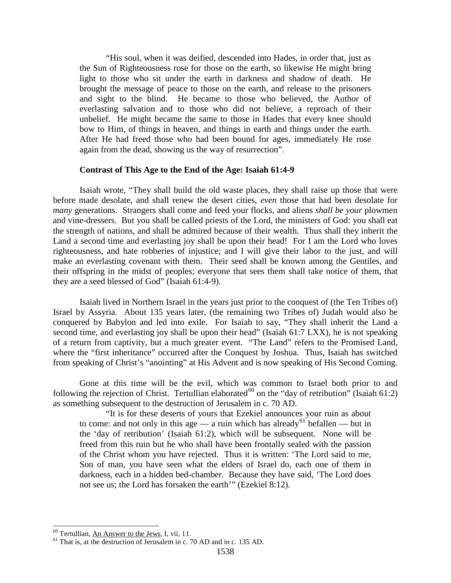"His soul, when it was deified, descended into Hades, in order that, just as the Sun of Righteousness rose for those on the earth, so likewise He might bring light to those who sit under the earth in darkness and shadow of death. He brought the message of peace to those on the earth, and release to the prisoners and sight to the blind. He became to those who believed, the Author of everlasting salvation and to those who did not believe, a reproach of their unbelief. He might became the same to those in Hades that every knee should bow to Him, of things in heaven, and things in earth and things under the earth. After He had freed those who had been bound for ages, immediately He rose again from the dead, showing us the way of resurrection".

### **Contrast of This Age to the End of the Age: Isaiah 61:4-9**

Isaiah wrote, "They shall build the old waste places, they shall raise up those that were before made desolate, and shall renew the desert cities, *even* those that had been desolate for *many* generations. Strangers shall come and feed your flocks, and aliens *shall be your* plowmen and vine-dressers. But you shall be called priests of the Lord, the ministers of God: you shall eat the strength of nations, and shall be admired because of their wealth. Thus shall they inherit the Land a second time and everlasting joy shall be upon their head! For I am the Lord who loves righteousness, and hate robberies of injustice; and I will give their labor to the just, and will make an everlasting covenant with them. Their seed shall be known among the Gentiles, and their offspring in the midst of peoples; everyone that sees them shall take notice of them, that they are a seed blessed of God" (Isaiah 61:4-9).

Isaiah lived in Northern Israel in the years just prior to the conquest of (the Ten Tribes of) Israel by Assyria. About 135 years later, (the remaining two Tribes of) Judah would also be conquered by Babylon and led into exile. For Isaiah to say, "They shall inherit the Land a second time, and everlasting joy shall be upon their head" (Isaiah 61:7 LXX), he is not speaking of a return from captivity, but a much greater event. "The Land" refers to the Promised Land, where the "first inheritance" occurred after the Conquest by Joshua. Thus, Isaiah has switched from speaking of Christ's "anointing" at His Advent and is now speaking of His Second Coming.

Gone at this time will be the evil, which was common to Israel both prior to and following the rejection of Christ. Tertullian elaborated<sup>[60](#page-26-0)</sup> on the "day of retribution" (Isaiah 61:2) as something subsequent to the destruction of Jerusalem in c. 70 AD.

"It is for these deserts of yours that Ezekiel announces your ruin as about to come: and not only in this age — a ruin which has already<sup>[61](#page-26-1)</sup> befallen — but in the 'day of retribution' (Isaiah 61:2), which will be subsequent. None will be freed from this ruin but he who shall have been frontally sealed with the passion of the Christ whom you have rejected. Thus it is written: 'The Lord said to me, Son of man, you have seen what the elders of Israel do, each one of them in darkness, each in a hidden bed-chamber. Because they have said, 'The Lord does not see us; the Lord has forsaken the earth'" (Ezekiel 8:12).

<span id="page-26-1"></span><span id="page-26-0"></span><sup>&</sup>lt;sup>60</sup> Tertullian, <u>An Answer to the Jews</u>, I, vii, 11.<br><sup>61</sup> That is, at the destruction of Jerusalem in c. 70 AD and in c. 135 AD.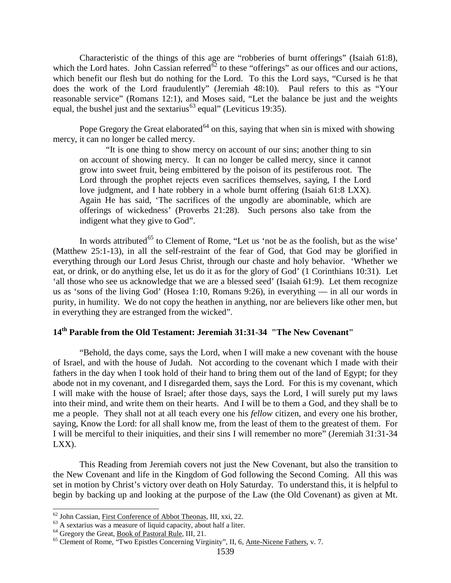Characteristic of the things of this age are "robberies of burnt offerings" (Isaiah 61:8), which the Lord hates. John Cassian referred<sup> $62$ </sup> to these "offerings" as our offices and our actions, which benefit our flesh but do nothing for the Lord. To this the Lord says, "Cursed is he that does the work of the Lord fraudulently" (Jeremiah 48:10). Paul refers to this as "Your reasonable service" (Romans 12:1), and Moses said, "Let the balance be just and the weights equal, the bushel just and the sextarius<sup>[63](#page-27-1)</sup> equal" (Leviticus 19:35).

Pope Gregory the Great elaborated<sup> $64$ </sup> on this, saying that when sin is mixed with showing mercy, it can no longer be called mercy.

"It is one thing to show mercy on account of our sins; another thing to sin on account of showing mercy. It can no longer be called mercy, since it cannot grow into sweet fruit, being embittered by the poison of its pestiferous root. The Lord through the prophet rejects even sacrifices themselves, saying, I the Lord love judgment, and I hate robbery in a whole burnt offering (Isaiah 61:8 LXX). Again He has said, 'The sacrifices of the ungodly are abominable, which are offerings of wickedness' (Proverbs 21:28). Such persons also take from the indigent what they give to God".

In words attributed<sup>[65](#page-27-3)</sup> to Clement of Rome, "Let us 'not be as the foolish, but as the wise' (Matthew 25:1-13), in all the self-restraint of the fear of God, that God may be glorified in everything through our Lord Jesus Christ, through our chaste and holy behavior. 'Whether we eat, or drink, or do anything else, let us do it as for the glory of God' (1 Corinthians 10:31). Let 'all those who see us acknowledge that we are a blessed seed' (Isaiah 61:9). Let them recognize us as 'sons of the living God' (Hosea 1:10, Romans 9:26), in everything — in all our words in purity, in humility. We do not copy the heathen in anything, nor are believers like other men, but in everything they are estranged from the wicked".

### **14th Parable from the Old Testament: Jeremiah 31:31-34 "The New Covenant"**

"Behold, the days come, says the Lord, when I will make a new covenant with the house of Israel, and with the house of Judah. Not according to the covenant which I made with their fathers in the day when I took hold of their hand to bring them out of the land of Egypt; for they abode not in my covenant, and I disregarded them, says the Lord. For this is my covenant, which I will make with the house of Israel; after those days, says the Lord, I will surely put my laws into their mind, and write them on their hearts. And I will be to them a God, and they shall be to me a people. They shall not at all teach every one his *fellow* citizen, and every one his brother, saying, Know the Lord: for all shall know me, from the least of them to the greatest of them. For I will be merciful to their iniquities, and their sins I will remember no more" (Jeremiah 31:31-34 LXX).

This Reading from Jeremiah covers not just the New Covenant, but also the transition to the New Covenant and life in the Kingdom of God following the Second Coming. All this was set in motion by Christ's victory over death on Holy Saturday. To understand this, it is helpful to begin by backing up and looking at the purpose of the Law (the Old Covenant) as given at Mt.

<span id="page-27-2"></span><span id="page-27-1"></span>

<span id="page-27-3"></span>

<span id="page-27-0"></span><sup>&</sup>lt;sup>62</sup> John Cassian, <u>First Conference of Abbot Theonas</u>, III, xxi, 22.<br><sup>63</sup> A sextarius was a measure of liquid capacity, about half a liter.<br><sup>64</sup> Gregory the Great, <u>Book of Pastoral Rule</u>, III, 21.<br><sup>65</sup> Clement of Rome,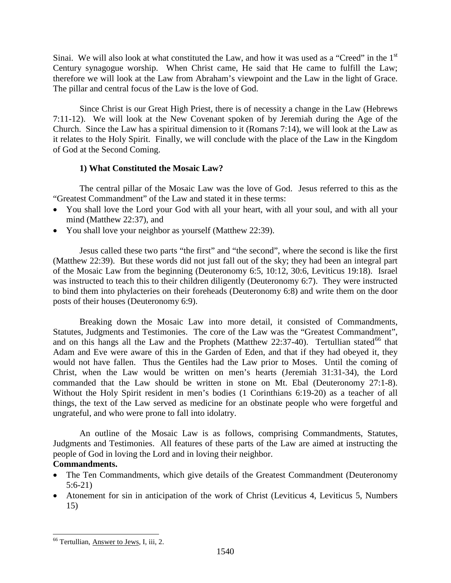Sinai. We will also look at what constituted the Law, and how it was used as a "Creed" in the 1<sup>st</sup> Century synagogue worship. When Christ came, He said that He came to fulfill the Law; therefore we will look at the Law from Abraham's viewpoint and the Law in the light of Grace. The pillar and central focus of the Law is the love of God.

Since Christ is our Great High Priest, there is of necessity a change in the Law (Hebrews 7:11-12). We will look at the New Covenant spoken of by Jeremiah during the Age of the Church. Since the Law has a spiritual dimension to it (Romans 7:14), we will look at the Law as it relates to the Holy Spirit. Finally, we will conclude with the place of the Law in the Kingdom of God at the Second Coming.

## **1) What Constituted the Mosaic Law?**

The central pillar of the Mosaic Law was the love of God. Jesus referred to this as the "Greatest Commandment" of the Law and stated it in these terms:

- You shall love the Lord your God with all your heart, with all your soul, and with all your mind (Matthew 22:37), and
- You shall love your neighbor as yourself (Matthew 22:39).

Jesus called these two parts "the first" and "the second", where the second is like the first (Matthew 22:39). But these words did not just fall out of the sky; they had been an integral part of the Mosaic Law from the beginning (Deuteronomy 6:5, 10:12, 30:6, Leviticus 19:18). Israel was instructed to teach this to their children diligently (Deuteronomy 6:7). They were instructed to bind them into phylacteries on their foreheads (Deuteronomy 6:8) and write them on the door posts of their houses (Deuteronomy 6:9).

Breaking down the Mosaic Law into more detail, it consisted of Commandments, Statutes, Judgments and Testimonies. The core of the Law was the "Greatest Commandment", and on this hangs all the Law and the Prophets (Matthew  $22:37-40$ ). Tertullian stated<sup>[66](#page-28-0)</sup> that Adam and Eve were aware of this in the Garden of Eden, and that if they had obeyed it, they would not have fallen. Thus the Gentiles had the Law prior to Moses. Until the coming of Christ, when the Law would be written on men's hearts (Jeremiah 31:31-34), the Lord commanded that the Law should be written in stone on Mt. Ebal (Deuteronomy 27:1-8). Without the Holy Spirit resident in men's bodies (1 Corinthians 6:19-20) as a teacher of all things, the text of the Law served as medicine for an obstinate people who were forgetful and ungrateful, and who were prone to fall into idolatry.

An outline of the Mosaic Law is as follows, comprising Commandments, Statutes, Judgments and Testimonies. All features of these parts of the Law are aimed at instructing the people of God in loving the Lord and in loving their neighbor.

## **Commandments.**

- The Ten Commandments, which give details of the Greatest Commandment (Deuteronomy 5:6-21)
- Atonement for sin in anticipation of the work of Christ (Leviticus 4, Leviticus 5, Numbers 15)

<span id="page-28-0"></span> <sup>66</sup> Tertullian, Answer to Jews, I, iii, 2.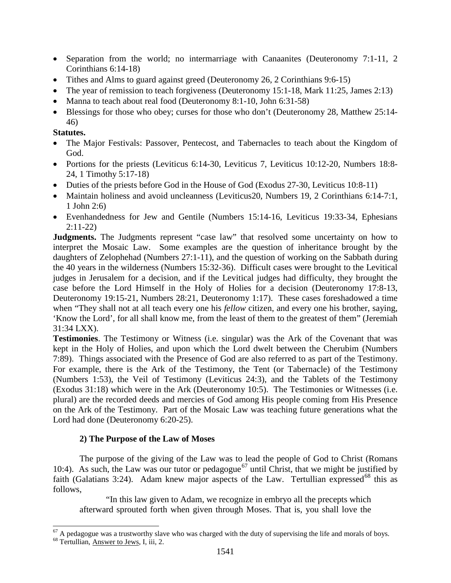- Separation from the world; no intermarriage with Canaanites (Deuteronomy 7:1-11, 2) Corinthians 6:14-18)
- Tithes and Alms to guard against greed (Deuteronomy 26, 2 Corinthians 9:6-15)
- The year of remission to teach forgiveness (Deuteronomy 15:1-18, Mark 11:25, James 2:13)
- Manna to teach about real food (Deuteronomy 8:1-10, John 6:31-58)
- Blessings for those who obey; curses for those who don't (Deuteronomy 28, Matthew 25:14-46)

## **Statutes.**

- The Major Festivals: Passover, Pentecost, and Tabernacles to teach about the Kingdom of God.
- Portions for the priests (Leviticus 6:14-30, Leviticus 7, Leviticus 10:12-20, Numbers 18:8-24, 1 Timothy 5:17-18)
- Duties of the priests before God in the House of God (Exodus 27-30, Leviticus 10:8-11)
- Maintain holiness and avoid uncleanness (Leviticus 20, Numbers 19, 2 Corinthians 6:14-7:1, 1 John 2:6)
- Evenhandedness for Jew and Gentile (Numbers 15:14-16, Leviticus 19:33-34, Ephesians 2:11-22)

**Judgments.** The Judgments represent "case law" that resolved some uncertainty on how to interpret the Mosaic Law. Some examples are the question of inheritance brought by the daughters of Zelophehad (Numbers 27:1-11), and the question of working on the Sabbath during the 40 years in the wilderness (Numbers 15:32-36). Difficult cases were brought to the Levitical judges in Jerusalem for a decision, and if the Levitical judges had difficulty, they brought the case before the Lord Himself in the Holy of Holies for a decision (Deuteronomy 17:8-13, Deuteronomy 19:15-21, Numbers 28:21, Deuteronomy 1:17). These cases foreshadowed a time when "They shall not at all teach every one his *fellow* citizen, and every one his brother, saying, 'Know the Lord', for all shall know me, from the least of them to the greatest of them" (Jeremiah 31:34 LXX).

**Testimonies**. The Testimony or Witness (i.e. singular) was the Ark of the Covenant that was kept in the Holy of Holies, and upon which the Lord dwelt between the Cherubim (Numbers 7:89). Things associated with the Presence of God are also referred to as part of the Testimony. For example, there is the Ark of the Testimony, the Tent (or Tabernacle) of the Testimony (Numbers 1:53), the Veil of Testimony (Leviticus 24:3), and the Tablets of the Testimony (Exodus 31:18) which were in the Ark (Deuteronomy 10:5). The Testimonies or Witnesses (i.e. plural) are the recorded deeds and mercies of God among His people coming from His Presence on the Ark of the Testimony. Part of the Mosaic Law was teaching future generations what the Lord had done (Deuteronomy 6:20-25).

## **2) The Purpose of the Law of Moses**

The purpose of the giving of the Law was to lead the people of God to Christ (Romans 10:4). As such, the Law was our tutor or pedagogue<sup>[67](#page-29-0)</sup> until Christ, that we might be justified by faith (Galatians 3:24). Adam knew major aspects of the Law. Tertullian expressed <sup>[68](#page-29-1)</sup> this as follows,

"In this law given to Adam, we recognize in embryo all the precepts which afterward sprouted forth when given through Moses. That is, you shall love the

<span id="page-29-1"></span><span id="page-29-0"></span> $^{67}$  A pedagogue was a trustworthy slave who was charged with the duty of supervising the life and morals of boys.  $^{68}$  Tertullian, Answer to Jews, I, iii, 2.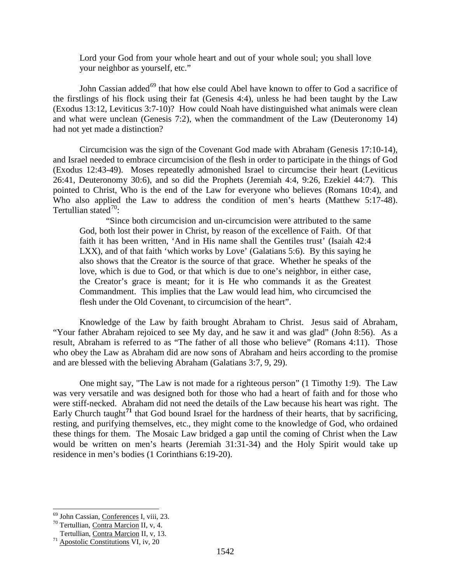Lord your God from your whole heart and out of your whole soul; you shall love your neighbor as yourself, etc."

John Cassian added<sup>[69](#page-30-0)</sup> that how else could Abel have known to offer to God a sacrifice of the firstlings of his flock using their fat (Genesis 4:4), unless he had been taught by the Law (Exodus 13:12, Leviticus 3:7-10)? How could Noah have distinguished what animals were clean and what were unclean (Genesis 7:2), when the commandment of the Law (Deuteronomy 14) had not yet made a distinction?

Circumcision was the sign of the Covenant God made with Abraham (Genesis 17:10-14), and Israel needed to embrace circumcision of the flesh in order to participate in the things of God (Exodus 12:43-49). Moses repeatedly admonished Israel to circumcise their heart (Leviticus 26:41, Deuteronomy 30:6), and so did the Prophets (Jeremiah 4:4, 9:26, Ezekiel 44:7). This pointed to Christ, Who is the end of the Law for everyone who believes (Romans 10:4), and Who also applied the Law to address the condition of men's hearts (Matthew 5:17-48). Tertullian stated $70$ :

"Since both circumcision and un-circumcision were attributed to the same God, both lost their power in Christ, by reason of the excellence of Faith. Of that faith it has been written, 'And in His name shall the Gentiles trust' (Isaiah 42:4 LXX), and of that faith 'which works by Love' (Galatians 5:6). By this saying he also shows that the Creator is the source of that grace. Whether he speaks of the love, which is due to God, or that which is due to one's neighbor, in either case, the Creator's grace is meant; for it is He who commands it as the Greatest Commandment. This implies that the Law would lead him, who circumcised the flesh under the Old Covenant, to circumcision of the heart".

Knowledge of the Law by faith brought Abraham to Christ. Jesus said of Abraham, "Your father Abraham rejoiced to see My day, and he saw it and was glad" (John 8:56). As a result, Abraham is referred to as "The father of all those who believe" (Romans 4:11). Those who obey the Law as Abraham did are now sons of Abraham and heirs according to the promise and are blessed with the believing Abraham (Galatians 3:7, 9, 29).

One might say, "The Law is not made for a righteous person" (1 Timothy 1:9). The Law was very versatile and was designed both for those who had a heart of faith and for those who were stiff-necked. Abraham did not need the details of the Law because his heart was right. The Early Church taught<sup>[71](#page-30-2)</sup> that God bound Israel for the hardness of their hearts, that by sacrificing, resting, and purifying themselves, etc., they might come to the knowledge of God, who ordained these things for them. The Mosaic Law bridged a gap until the coming of Christ when the Law would be written on men's hearts (Jeremiah 31:31-34) and the Holy Spirit would take up residence in men's bodies (1 Corinthians 6:19-20).

<span id="page-30-1"></span><span id="page-30-0"></span><sup>&</sup>lt;sup>69</sup> John Cassian, <u>Conferences</u> I, viii, 23.<br><sup>70</sup> Tertullian, <u>Contra Marcion</u> II, v, 4.<br>Tertullian, <u>Contra Marcion</u> II, v, 13.

<span id="page-30-2"></span> $171$  Apostolic Constitutions VI, iv, 20.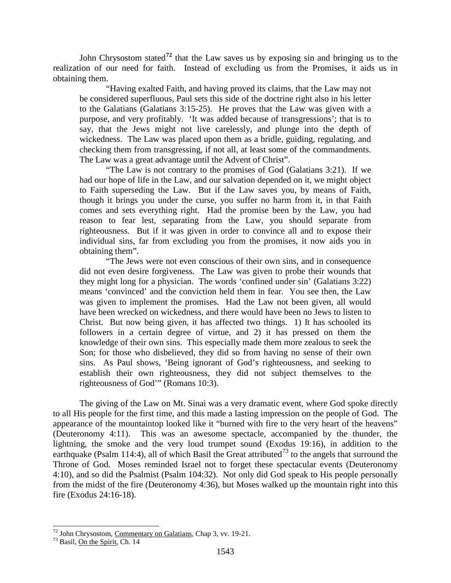John Chrysostom stated**[72](#page-31-0)** that the Law saves us by exposing sin and bringing us to the realization of our need for faith. Instead of excluding us from the Promises, it aids us in obtaining them.

"Having exalted Faith, and having proved its claims, that the Law may not be considered superfluous, Paul sets this side of the doctrine right also in his letter to the Galatians (Galatians 3:15-25). He proves that the Law was given with a purpose, and very profitably. 'It was added because of transgressions'; that is to say, that the Jews might not live carelessly, and plunge into the depth of wickedness. The Law was placed upon them as a bridle, guiding, regulating, and checking them from transgressing, if not all, at least some of the commandments. The Law was a great advantage until the Advent of Christ".

"The Law is not contrary to the promises of God (Galatians 3:21). If we had our hope of life in the Law, and our salvation depended on it, we might object to Faith superseding the Law. But if the Law saves you, by means of Faith, though it brings you under the curse, you suffer no harm from it, in that Faith comes and sets everything right. Had the promise been by the Law, you had reason to fear lest, separating from the Law, you should separate from righteousness. But if it was given in order to convince all and to expose their individual sins, far from excluding you from the promises, it now aids you in obtaining them".

"The Jews were not even conscious of their own sins, and in consequence did not even desire forgiveness. The Law was given to probe their wounds that they might long for a physician. The words 'confined under sin' (Galatians 3:22) means 'convinced' and the conviction held them in fear. You see then, the Law was given to implement the promises. Had the Law not been given, all would have been wrecked on wickedness, and there would have been no Jews to listen to Christ. But now being given, it has affected two things. 1) It has schooled its followers in a certain degree of virtue, and 2) it has pressed on them the knowledge of their own sins. This especially made them more zealous to seek the Son; for those who disbelieved, they did so from having no sense of their own sins. As Paul shows, 'Being ignorant of God's righteousness, and seeking to establish their own righteousness, they did not subject themselves to the righteousness of God'" (Romans 10:3).

The giving of the Law on Mt. Sinai was a very dramatic event, where God spoke directly to all His people for the first time, and this made a lasting impression on the people of God. The appearance of the mountaintop looked like it "burned with fire to the very heart of the heavens" (Deuteronomy 4:11). This was an awesome spectacle, accompanied by the thunder, the lightning, the smoke and the very loud trumpet sound (Exodus 19:16), in addition to the earthquake (Psalm 114:4), all of which Basil the Great attributed<sup>[73](#page-31-1)</sup> to the angels that surround the Throne of God. Moses reminded Israel not to forget these spectacular events (Deuteronomy 4:10), and so did the Psalmist (Psalm 104:32). Not only did God speak to His people personally from the midst of the fire (Deuteronomy 4:36), but Moses walked up the mountain right into this fire (Exodus 24:16-18).

<span id="page-31-0"></span><sup>&</sup>lt;sup>72</sup> John Chrysostom, <u>Commentary on Galatians</u>, Chap 3, vv. 19-21.<br><sup>73</sup> Basil, On the Spirit, Ch. 14

<span id="page-31-1"></span>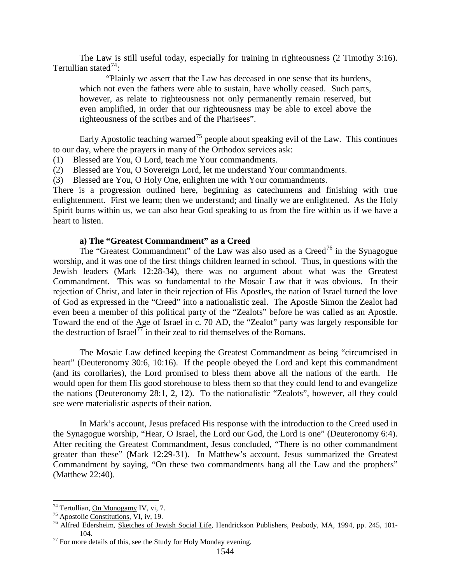The Law is still useful today, especially for training in righteousness (2 Timothy 3:16). Tertullian stated $^{74}$  $^{74}$  $^{74}$ :

"Plainly we assert that the Law has deceased in one sense that its burdens, which not even the fathers were able to sustain, have wholly ceased. Such parts, however, as relate to righteousness not only permanently remain reserved, but even amplified, in order that our righteousness may be able to excel above the righteousness of the scribes and of the Pharisees".

Early Apostolic teaching warned<sup>[75](#page-32-1)</sup> people about speaking evil of the Law. This continues to our day, where the prayers in many of the Orthodox services ask:

(1) Blessed are You, O Lord, teach me Your commandments.

(2) Blessed are You, O Sovereign Lord, let me understand Your commandments.

(3) Blessed are You, O Holy One, enlighten me with Your commandments.

There is a progression outlined here, beginning as catechumens and finishing with true enlightenment. First we learn; then we understand; and finally we are enlightened. As the Holy Spirit burns within us, we can also hear God speaking to us from the fire within us if we have a heart to listen.

### **a) The "Greatest Commandment" as a Creed**

The "Greatest Commandment" of the Law was also used as a Creed<sup>[76](#page-32-2)</sup> in the Synagogue worship, and it was one of the first things children learned in school. Thus, in questions with the Jewish leaders (Mark 12:28-34), there was no argument about what was the Greatest Commandment. This was so fundamental to the Mosaic Law that it was obvious. In their rejection of Christ, and later in their rejection of His Apostles, the nation of Israel turned the love of God as expressed in the "Creed" into a nationalistic zeal. The Apostle Simon the Zealot had even been a member of this political party of the "Zealots" before he was called as an Apostle. Toward the end of the Age of Israel in c. 70 AD, the "Zealot" party was largely responsible for the destruction of Israel<sup>[77](#page-32-3)</sup> in their zeal to rid themselves of the Romans.

The Mosaic Law defined keeping the Greatest Commandment as being "circumcised in heart" (Deuteronomy 30:6, 10:16). If the people obeyed the Lord and kept this commandment (and its corollaries), the Lord promised to bless them above all the nations of the earth. He would open for them His good storehouse to bless them so that they could lend to and evangelize the nations (Deuteronomy 28:1, 2, 12). To the nationalistic "Zealots", however, all they could see were materialistic aspects of their nation.

In Mark's account, Jesus prefaced His response with the introduction to the Creed used in the Synagogue worship, "Hear, O Israel, the Lord our God, the Lord is one" (Deuteronomy 6:4). After reciting the Greatest Commandment, Jesus concluded, "There is no other commandment greater than these" (Mark 12:29-31). In Matthew's account, Jesus summarized the Greatest Commandment by saying, "On these two commandments hang all the Law and the prophets" (Matthew 22:40).

<span id="page-32-2"></span>

<span id="page-32-1"></span><span id="page-32-0"></span><sup>&</sup>lt;sup>74</sup> Tertullian, <u>On Monogamy</u> IV, vi, 7.<br><sup>75</sup> Apostolic <u>Constitutions</u>, VI, iv, 19.<br><sup>76</sup> Alfred Edersheim, Sketch<u>es of Jewish Social Life</u>, Hendrickson Publishers, Peabody, MA, 1994, pp. 245, 101-104. 104. 104. 104. The Study for Holy Monday evening.

<span id="page-32-3"></span>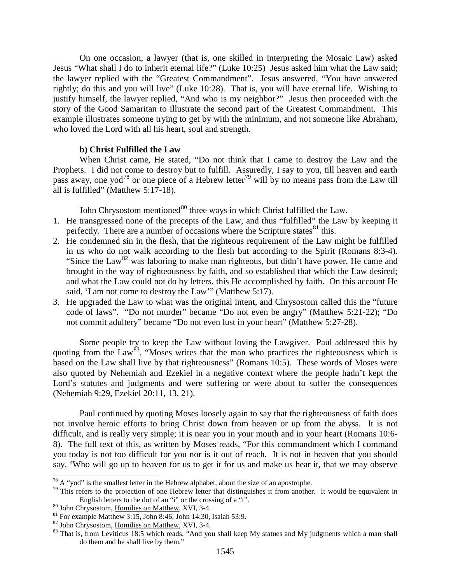On one occasion, a lawyer (that is, one skilled in interpreting the Mosaic Law) asked Jesus "What shall I do to inherit eternal life?" (Luke 10:25) Jesus asked him what the Law said; the lawyer replied with the "Greatest Commandment". Jesus answered, "You have answered rightly; do this and you will live" (Luke 10:28). That is, you will have eternal life. Wishing to justify himself, the lawyer replied, "And who is my neighbor?" Jesus then proceeded with the story of the Good Samaritan to illustrate the second part of the Greatest Commandment. This example illustrates someone trying to get by with the minimum, and not someone like Abraham, who loved the Lord with all his heart, soul and strength.

#### **b) Christ Fulfilled the Law**

When Christ came, He stated, "Do not think that I came to destroy the Law and the Prophets. I did not come to destroy but to fulfill. Assuredly, I say to you, till heaven and earth pass away, one yod<sup>[78](#page-33-0)</sup> or one piece of a Hebrew letter<sup>[79](#page-33-1)</sup> will by no means pass from the Law till all is fulfilled" (Matthew 5:17-18).

John Chrysostom mentioned<sup>[80](#page-33-2)</sup> three ways in which Christ fulfilled the Law.

- 1. He transgressed none of the precepts of the Law, and thus "fulfilled" the Law by keeping it perfectly. There are a number of occasions where the Scripture states  $81$  this.
- 2. He condemned sin in the flesh, that the righteous requirement of the Law might be fulfilled in us who do not walk according to the flesh but according to the Spirit (Romans 8:3-4). "Since the Law<sup>[82](#page-33-4)</sup> was laboring to make man righteous, but didn't have power, He came and brought in the way of righteousness by faith, and so established that which the Law desired; and what the Law could not do by letters, this He accomplished by faith. On this account He said, 'I am not come to destroy the Law'" (Matthew 5:17).
- 3. He upgraded the Law to what was the original intent, and Chrysostom called this the "future code of laws". "Do not murder" became "Do not even be angry" (Matthew 5:21-22); "Do not commit adultery" became "Do not even lust in your heart" (Matthew 5:27-28).

Some people try to keep the Law without loving the Lawgiver. Paul addressed this by quoting from the Law<sup>83</sup>, "Moses writes that the man who practices the righteousness which is based on the Law shall live by that righteousness" (Romans 10:5). These words of Moses were also quoted by Nehemiah and Ezekiel in a negative context where the people hadn't kept the Lord's statutes and judgments and were suffering or were about to suffer the consequences (Nehemiah 9:29, Ezekiel 20:11, 13, 21).

Paul continued by quoting Moses loosely again to say that the righteousness of faith does not involve heroic efforts to bring Christ down from heaven or up from the abyss. It is not difficult, and is really very simple; it is near you in your mouth and in your heart (Romans 10:6- 8). The full text of this, as written by Moses reads, "For this commandment which I command you today is not too difficult for you nor is it out of reach. It is not in heaven that you should say, 'Who will go up to heaven for us to get it for us and make us hear it, that we may observe

<span id="page-33-1"></span><span id="page-33-0"></span><sup>&</sup>lt;sup>78</sup> A "yod" is the smallest letter in the Hebrew alphabet, about the size of an apostrophe.<br><sup>79</sup> This refers to the projection of one Hebrew letter that distinguishes it from another. It would be equivalent in English letters to the dot of an "i" or the crossing of a "t".<br><sup>80</sup> John Chrysostom, <u>Homilies on Matthew</u>, XVI, 3-4.<br><sup>81</sup> For example Matthew 3:15, John 8:46, John 14:30, Isaiah 53:9.<br><sup>82</sup> John Chrysostom, <u>Homilies on Ma</u>

<span id="page-33-3"></span><span id="page-33-2"></span>

<span id="page-33-5"></span><span id="page-33-4"></span>

do them and he shall live by them."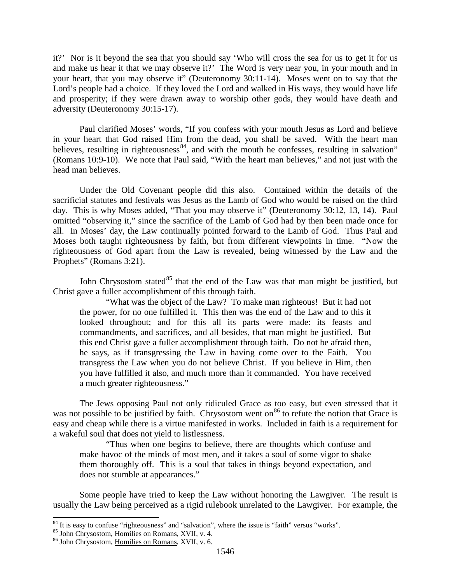it?' Nor is it beyond the sea that you should say 'Who will cross the sea for us to get it for us and make us hear it that we may observe it?' The Word is very near you, in your mouth and in your heart, that you may observe it" (Deuteronomy 30:11-14). Moses went on to say that the Lord's people had a choice. If they loved the Lord and walked in His ways, they would have life and prosperity; if they were drawn away to worship other gods, they would have death and adversity (Deuteronomy 30:15-17).

Paul clarified Moses' words, "If you confess with your mouth Jesus as Lord and believe in your heart that God raised Him from the dead, you shall be saved. With the heart man believes, resulting in righteousness<sup>84</sup>, and with the mouth he confesses, resulting in salvation" (Romans 10:9-10). We note that Paul said, "With the heart man believes," and not just with the head man believes.

Under the Old Covenant people did this also. Contained within the details of the sacrificial statutes and festivals was Jesus as the Lamb of God who would be raised on the third day. This is why Moses added, "That you may observe it" (Deuteronomy 30:12, 13, 14). Paul omitted "observing it," since the sacrifice of the Lamb of God had by then been made once for all. In Moses' day, the Law continually pointed forward to the Lamb of God. Thus Paul and Moses both taught righteousness by faith, but from different viewpoints in time. "Now the righteousness of God apart from the Law is revealed, being witnessed by the Law and the Prophets" (Romans 3:21).

John Chrysostom stated $85$  that the end of the Law was that man might be justified, but Christ gave a fuller accomplishment of this through faith.

"What was the object of the Law? To make man righteous! But it had not the power, for no one fulfilled it. This then was the end of the Law and to this it looked throughout; and for this all its parts were made: its feasts and commandments, and sacrifices, and all besides, that man might be justified. But this end Christ gave a fuller accomplishment through faith. Do not be afraid then, he says, as if transgressing the Law in having come over to the Faith. You transgress the Law when you do not believe Christ. If you believe in Him, then you have fulfilled it also, and much more than it commanded. You have received a much greater righteousness."

The Jews opposing Paul not only ridiculed Grace as too easy, but even stressed that it was not possible to be justified by faith. Chrysostom went on<sup>[86](#page-34-2)</sup> to refute the notion that Grace is easy and cheap while there is a virtue manifested in works. Included in faith is a requirement for a wakeful soul that does not yield to listlessness.

"Thus when one begins to believe, there are thoughts which confuse and make havoc of the minds of most men, and it takes a soul of some vigor to shake them thoroughly off. This is a soul that takes in things beyond expectation, and does not stumble at appearances."

Some people have tried to keep the Law without honoring the Lawgiver. The result is usually the Law being perceived as a rigid rulebook unrelated to the Lawgiver. For example, the

<span id="page-34-1"></span><span id="page-34-0"></span><sup>&</sup>lt;sup>84</sup> It is easy to confuse "righteousness" and "salvation", where the issue is "faith" versus "works".<br><sup>85</sup> John Chrysostom, <u>Homilies on Romans, XVII, v. 4.</u> 86 John Chrysostom, Homilies on Romans, XVII, v. 6.

<span id="page-34-2"></span>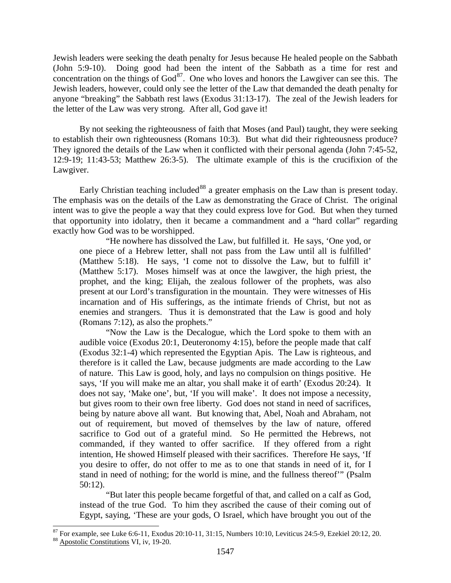Jewish leaders were seeking the death penalty for Jesus because He healed people on the Sabbath (John 5:9-10). Doing good had been the intent of the Sabbath as a time for rest and concentration on the things of  $God^{87}$  $God^{87}$  $God^{87}$ . One who loves and honors the Lawgiver can see this. The Jewish leaders, however, could only see the letter of the Law that demanded the death penalty for anyone "breaking" the Sabbath rest laws (Exodus 31:13-17). The zeal of the Jewish leaders for the letter of the Law was very strong. After all, God gave it!

By not seeking the righteousness of faith that Moses (and Paul) taught, they were seeking to establish their own righteousness (Romans 10:3). But what did their righteousness produce? They ignored the details of the Law when it conflicted with their personal agenda (John 7:45-52, 12:9-19; 11:43-53; Matthew 26:3-5). The ultimate example of this is the crucifixion of the Lawgiver.

Early Christian teaching included<sup>[88](#page-35-1)</sup> a greater emphasis on the Law than is present today. The emphasis was on the details of the Law as demonstrating the Grace of Christ. The original intent was to give the people a way that they could express love for God. But when they turned that opportunity into idolatry, then it became a commandment and a "hard collar" regarding exactly how God was to be worshipped.

"He nowhere has dissolved the Law, but fulfilled it. He says, 'One yod, or one piece of a Hebrew letter, shall not pass from the Law until all is fulfilled' (Matthew 5:18). He says, 'I come not to dissolve the Law, but to fulfill it' (Matthew 5:17). Moses himself was at once the lawgiver, the high priest, the prophet, and the king; Elijah, the zealous follower of the prophets, was also present at our Lord's transfiguration in the mountain. They were witnesses of His incarnation and of His sufferings, as the intimate friends of Christ, but not as enemies and strangers. Thus it is demonstrated that the Law is good and holy (Romans 7:12), as also the prophets."

"Now the Law is the Decalogue, which the Lord spoke to them with an audible voice (Exodus 20:1, Deuteronomy 4:15), before the people made that calf (Exodus 32:1-4) which represented the Egyptian Apis. The Law is righteous, and therefore is it called the Law, because judgments are made according to the Law of nature. This Law is good, holy, and lays no compulsion on things positive. He says, 'If you will make me an altar, you shall make it of earth' (Exodus 20:24). It does not say, 'Make one', but, 'If you will make'. It does not impose a necessity, but gives room to their own free liberty. God does not stand in need of sacrifices, being by nature above all want. But knowing that, Abel, Noah and Abraham, not out of requirement, but moved of themselves by the law of nature, offered sacrifice to God out of a grateful mind. So He permitted the Hebrews, not commanded, if they wanted to offer sacrifice. If they offered from a right intention, He showed Himself pleased with their sacrifices. Therefore He says, 'If you desire to offer, do not offer to me as to one that stands in need of it, for I stand in need of nothing; for the world is mine, and the fullness thereof'" (Psalm 50:12).

"But later this people became forgetful of that, and called on a calf as God, instead of the true God. To him they ascribed the cause of their coming out of Egypt, saying, 'These are your gods, O Israel, which have brought you out of the

<span id="page-35-1"></span><span id="page-35-0"></span><sup>&</sup>lt;sup>87</sup> For example, see Luke 6:6-11, Exodus 20:10-11, 31:15, Numbers 10:10, Leviticus 24:5-9, Ezekiel 20:12, 20. <sup>88</sup> Apostolic Constitutions VI, iv, 19-20.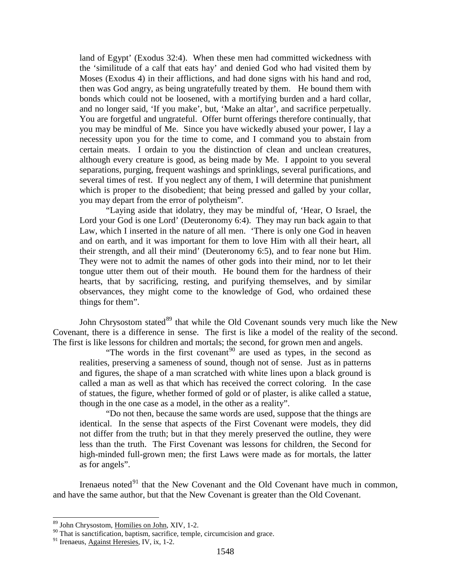land of Egypt' (Exodus 32:4). When these men had committed wickedness with the 'similitude of a calf that eats hay' and denied God who had visited them by Moses (Exodus 4) in their afflictions, and had done signs with his hand and rod, then was God angry, as being ungratefully treated by them. He bound them with bonds which could not be loosened, with a mortifying burden and a hard collar, and no longer said, 'If you make', but, 'Make an altar', and sacrifice perpetually. You are forgetful and ungrateful. Offer burnt offerings therefore continually, that you may be mindful of Me. Since you have wickedly abused your power, I lay a necessity upon you for the time to come, and I command you to abstain from certain meats. I ordain to you the distinction of clean and unclean creatures, although every creature is good, as being made by Me. I appoint to you several separations, purging, frequent washings and sprinklings, several purifications, and several times of rest. If you neglect any of them, I will determine that punishment which is proper to the disobedient; that being pressed and galled by your collar, you may depart from the error of polytheism".

"Laying aside that idolatry, they may be mindful of, 'Hear, O Israel, the Lord your God is one Lord' (Deuteronomy 6:4). They may run back again to that Law, which I inserted in the nature of all men. 'There is only one God in heaven and on earth, and it was important for them to love Him with all their heart, all their strength, and all their mind' (Deuteronomy 6:5), and to fear none but Him. They were not to admit the names of other gods into their mind, nor to let their tongue utter them out of their mouth. He bound them for the hardness of their hearts, that by sacrificing, resting, and purifying themselves, and by similar observances, they might come to the knowledge of God, who ordained these things for them".

John Chrysostom stated<sup>[89](#page-36-0)</sup> that while the Old Covenant sounds very much like the New Covenant, there is a difference in sense. The first is like a model of the reality of the second. The first is like lessons for children and mortals; the second, for grown men and angels.

"The words in the first covenant<sup>[90](#page-36-1)</sup> are used as types, in the second as realities, preserving a sameness of sound, though not of sense. Just as in patterns and figures, the shape of a man scratched with white lines upon a black ground is called a man as well as that which has received the correct coloring. In the case of statues, the figure, whether formed of gold or of plaster, is alike called a statue, though in the one case as a model, in the other as a reality".

"Do not then, because the same words are used, suppose that the things are identical. In the sense that aspects of the First Covenant were models, they did not differ from the truth; but in that they merely preserved the outline, they were less than the truth. The First Covenant was lessons for children, the Second for high-minded full-grown men; the first Laws were made as for mortals, the latter as for angels".

Irenaeus noted $91$  that the New Covenant and the Old Covenant have much in common, and have the same author, but that the New Covenant is greater than the Old Covenant.

<span id="page-36-0"></span><sup>&</sup>lt;sup>89</sup> John Chrysostom, <u>Homilies on John</u>, XIV, 1-2.

 $90$  That is sanctification, baptism, sacrifice, temple, circumcision and grace.

<span id="page-36-2"></span><span id="page-36-1"></span><sup>&</sup>lt;sup>91</sup> Irenaeus, Against Heresies, IV, ix, 1-2.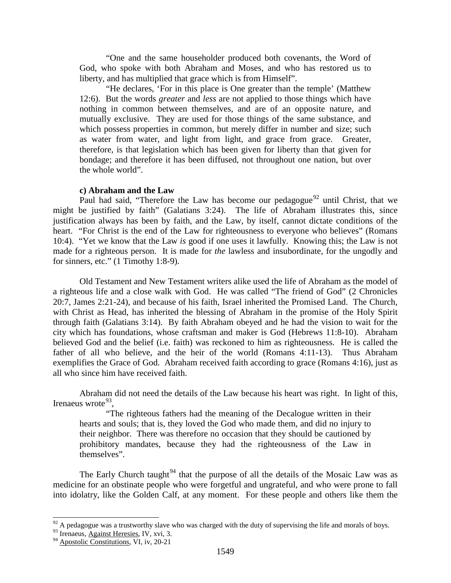"One and the same householder produced both covenants, the Word of God, who spoke with both Abraham and Moses, and who has restored us to liberty, and has multiplied that grace which is from Himself".

"He declares, 'For in this place is One greater than the temple' (Matthew 12:6). But the words *greater* and *less* are not applied to those things which have nothing in common between themselves, and are of an opposite nature, and mutually exclusive. They are used for those things of the same substance, and which possess properties in common, but merely differ in number and size; such as water from water, and light from light, and grace from grace. Greater, therefore, is that legislation which has been given for liberty than that given for bondage; and therefore it has been diffused, not throughout one nation, but over the whole world".

#### **c) Abraham and the Law**

Paul had said, "Therefore the Law has become our pedagogue<sup>[92](#page-37-0)</sup> until Christ, that we might be justified by faith" (Galatians 3:24). The life of Abraham illustrates this, since justification always has been by faith, and the Law, by itself, cannot dictate conditions of the heart. "For Christ is the end of the Law for righteousness to everyone who believes" (Romans 10:4). "Yet we know that the Law *is* good if one uses it lawfully. Knowing this; the Law is not made for a righteous person. It is made for *the* lawless and insubordinate, for the ungodly and for sinners, etc." (1 Timothy 1:8-9).

Old Testament and New Testament writers alike used the life of Abraham as the model of a righteous life and a close walk with God. He was called "The friend of God" (2 Chronicles 20:7, James 2:21-24), and because of his faith, Israel inherited the Promised Land. The Church, with Christ as Head, has inherited the blessing of Abraham in the promise of the Holy Spirit through faith (Galatians 3:14). By faith Abraham obeyed and he had the vision to wait for the city which has foundations, whose craftsman and maker is God (Hebrews 11:8-10). Abraham believed God and the belief (i.e. faith) was reckoned to him as righteousness. He is called the father of all who believe, and the heir of the world (Romans 4:11-13). Thus Abraham exemplifies the Grace of God. Abraham received faith according to grace (Romans 4:16), just as all who since him have received faith.

Abraham did not need the details of the Law because his heart was right. In light of this, Irenaeus wrote $93$ .

"The righteous fathers had the meaning of the Decalogue written in their hearts and souls; that is, they loved the God who made them, and did no injury to their neighbor. There was therefore no occasion that they should be cautioned by prohibitory mandates, because they had the righteousness of the Law in themselves".

The Early Church taught<sup>[94](#page-37-2)</sup> that the purpose of all the details of the Mosaic Law was as medicine for an obstinate people who were forgetful and ungrateful, and who were prone to fall into idolatry, like the Golden Calf, at any moment. For these people and others like them the

<span id="page-37-0"></span> $^{92}$  A pedagogue was a trustworthy slave who was charged with the duty of supervising the life and morals of boys.

<span id="page-37-2"></span><span id="page-37-1"></span> $93$  Irenaeus, Against Heresies, IV, xvi, 3.

<sup>&</sup>lt;sup>94</sup> Apostolic Constitutions, VI, iv, 20-21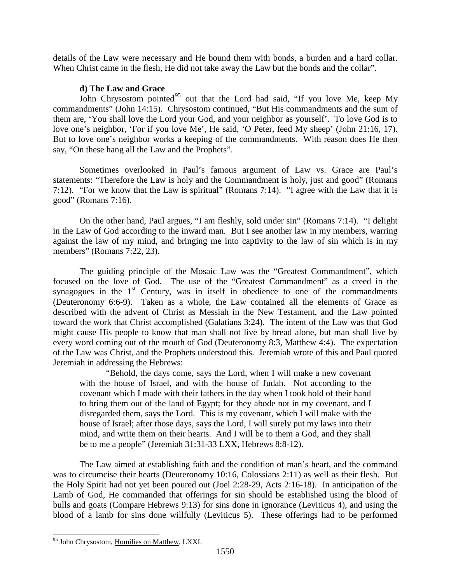details of the Law were necessary and He bound them with bonds, a burden and a hard collar. When Christ came in the flesh, He did not take away the Law but the bonds and the collar".

## **d) The Law and Grace**

John Chrysostom pointed<sup>[95](#page-38-0)</sup> out that the Lord had said, "If you love Me, keep My commandments" (John 14:15). Chrysostom continued, "But His commandments and the sum of them are, 'You shall love the Lord your God, and your neighbor as yourself'. To love God is to love one's neighbor, 'For if you love Me', He said, 'O Peter, feed My sheep' (John 21:16, 17). But to love one's neighbor works a keeping of the commandments. With reason does He then say, "On these hang all the Law and the Prophets".

Sometimes overlooked in Paul's famous argument of Law vs. Grace are Paul's statements: "Therefore the Law is holy and the Commandment is holy, just and good" (Romans 7:12). "For we know that the Law is spiritual" (Romans 7:14). "I agree with the Law that it is good" (Romans 7:16).

On the other hand, Paul argues, "I am fleshly, sold under sin" (Romans 7:14). "I delight in the Law of God according to the inward man. But I see another law in my members, warring against the law of my mind, and bringing me into captivity to the law of sin which is in my members" (Romans 7:22, 23).

The guiding principle of the Mosaic Law was the "Greatest Commandment", which focused on the love of God. The use of the "Greatest Commandment" as a creed in the synagogues in the  $1<sup>st</sup>$  Century, was in itself in obedience to one of the commandments (Deuteronomy 6:6-9). Taken as a whole, the Law contained all the elements of Grace as described with the advent of Christ as Messiah in the New Testament, and the Law pointed toward the work that Christ accomplished (Galatians 3:24). The intent of the Law was that God might cause His people to know that man shall not live by bread alone, but man shall live by every word coming out of the mouth of God (Deuteronomy 8:3, Matthew 4:4). The expectation of the Law was Christ, and the Prophets understood this. Jeremiah wrote of this and Paul quoted Jeremiah in addressing the Hebrews:

"Behold, the days come, says the Lord, when I will make a new covenant with the house of Israel, and with the house of Judah. Not according to the covenant which I made with their fathers in the day when I took hold of their hand to bring them out of the land of Egypt; for they abode not in my covenant, and I disregarded them, says the Lord. This is my covenant, which I will make with the house of Israel; after those days, says the Lord, I will surely put my laws into their mind, and write them on their hearts. And I will be to them a God, and they shall be to me a people" (Jeremiah 31:31-33 LXX, Hebrews 8:8-12).

The Law aimed at establishing faith and the condition of man's heart, and the command was to circumcise their hearts (Deuteronomy 10:16, Colossians 2:11) as well as their flesh. But the Holy Spirit had not yet been poured out (Joel 2:28-29, Acts 2:16-18). In anticipation of the Lamb of God, He commanded that offerings for sin should be established using the blood of bulls and goats (Compare Hebrews 9:13) for sins done in ignorance (Leviticus 4), and using the blood of a lamb for sins done willfully (Leviticus 5). These offerings had to be performed

<span id="page-38-0"></span><sup>&</sup>lt;sup>95</sup> John Chrysostom, Homilies on Matthew, LXXI.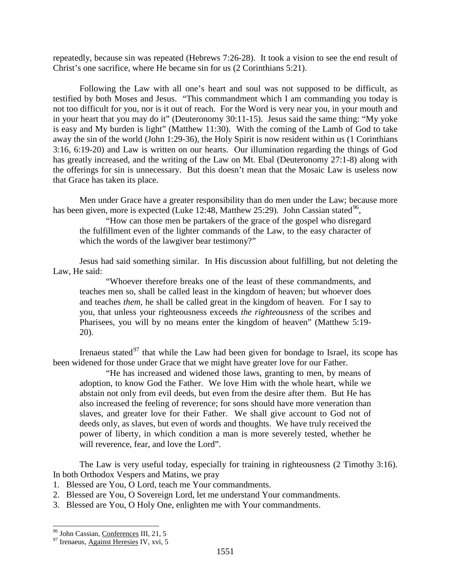repeatedly, because sin was repeated (Hebrews 7:26-28). It took a vision to see the end result of Christ's one sacrifice, where He became sin for us (2 Corinthians 5:21).

Following the Law with all one's heart and soul was not supposed to be difficult, as testified by both Moses and Jesus. "This commandment which I am commanding you today is not too difficult for you, nor is it out of reach. For the Word is very near you, in your mouth and in your heart that you may do it" (Deuteronomy 30:11-15). Jesus said the same thing: "My yoke is easy and My burden is light" (Matthew 11:30). With the coming of the Lamb of God to take away the sin of the world (John 1:29-36), the Holy Spirit is now resident within us (1 Corinthians 3:16, 6:19-20) and Law is written on our hearts. Our illumination regarding the things of God has greatly increased, and the writing of the Law on Mt. Ebal (Deuteronomy 27:1-8) along with the offerings for sin is unnecessary. But this doesn't mean that the Mosaic Law is useless now that Grace has taken its place.

Men under Grace have a greater responsibility than do men under the Law; because more has been given, more is expected (Luke 12:48, Matthew 25:29). John Cassian stated<sup>[96](#page-39-0)</sup>,

"How can those men be partakers of the grace of the gospel who disregard the fulfillment even of the lighter commands of the Law, to the easy character of which the words of the lawgiver bear testimony?"

Jesus had said something similar. In His discussion about fulfilling, but not deleting the Law, He said:

"Whoever therefore breaks one of the least of these commandments, and teaches men so, shall be called least in the kingdom of heaven; but whoever does and teaches *them,* he shall be called great in the kingdom of heaven. For I say to you, that unless your righteousness exceeds *the righteousness* of the scribes and Pharisees, you will by no means enter the kingdom of heaven" (Matthew 5:19- 20).

Irenaeus stated<sup>[97](#page-39-1)</sup> that while the Law had been given for bondage to Israel, its scope has been widened for those under Grace that we might have greater love for our Father.

"He has increased and widened those laws, granting to men, by means of adoption, to know God the Father. We love Him with the whole heart, while we abstain not only from evil deeds, but even from the desire after them. But He has also increased the feeling of reverence; for sons should have more veneration than slaves, and greater love for their Father. We shall give account to God not of deeds only, as slaves, but even of words and thoughts. We have truly received the power of liberty, in which condition a man is more severely tested, whether he will reverence, fear, and love the Lord".

The Law is very useful today, especially for training in righteousness (2 Timothy 3:16). In both Orthodox Vespers and Matins, we pray

- 1. Blessed are You, O Lord, teach me Your commandments.
- 2. Blessed are You, O Sovereign Lord, let me understand Your commandments.
- 3. Blessed are You, O Holy One, enlighten me with Your commandments.

<span id="page-39-0"></span><sup>&</sup>lt;sup>96</sup> John Cassian, <u>Conferences</u> III, 21, 5<sup>97</sup> Irenaeus, Against Heresies IV, xvi, 5

<span id="page-39-1"></span>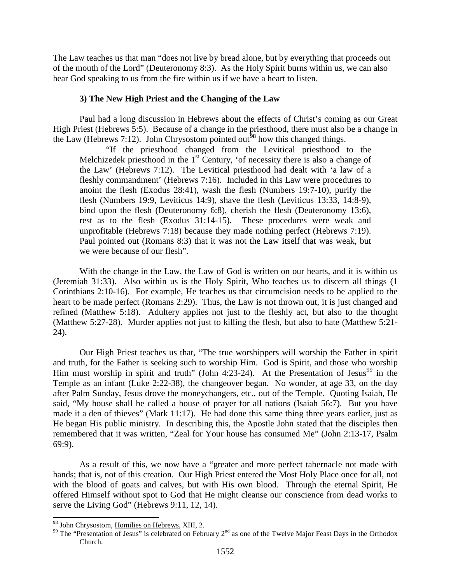The Law teaches us that man "does not live by bread alone, but by everything that proceeds out of the mouth of the Lord" (Deuteronomy 8:3). As the Holy Spirit burns within us, we can also hear God speaking to us from the fire within us if we have a heart to listen.

#### **3) The New High Priest and the Changing of the Law**

Paul had a long discussion in Hebrews about the effects of Christ's coming as our Great High Priest (Hebrews 5:5). Because of a change in the priesthood, there must also be a change in the Law (Hebrews 7:12). John Chrysostom pointed out**[98](#page-40-0)** how this changed things.

"If the priesthood changed from the Levitical priesthood to the Melchizedek priesthood in the  $1<sup>st</sup>$  Century, 'of necessity there is also a change of the Law' (Hebrews 7:12). The Levitical priesthood had dealt with 'a law of a fleshly commandment' (Hebrews 7:16). Included in this Law were procedures to anoint the flesh (Exodus 28:41), wash the flesh (Numbers 19:7-10), purify the flesh (Numbers 19:9, Leviticus 14:9), shave the flesh (Leviticus 13:33, 14:8-9), bind upon the flesh (Deuteronomy 6:8), cherish the flesh (Deuteronomy 13:6), rest as to the flesh (Exodus 31:14-15). These procedures were weak and unprofitable (Hebrews 7:18) because they made nothing perfect (Hebrews 7:19). Paul pointed out (Romans 8:3) that it was not the Law itself that was weak, but we were because of our flesh".

With the change in the Law, the Law of God is written on our hearts, and it is within us (Jeremiah 31:33). Also within us is the Holy Spirit, Who teaches us to discern all things (1 Corinthians 2:10-16). For example, He teaches us that circumcision needs to be applied to the heart to be made perfect (Romans 2:29). Thus, the Law is not thrown out, it is just changed and refined (Matthew 5:18). Adultery applies not just to the fleshly act, but also to the thought (Matthew 5:27-28). Murder applies not just to killing the flesh, but also to hate (Matthew 5:21- 24).

Our High Priest teaches us that, "The true worshippers will worship the Father in spirit and truth, for the Father is seeking such to worship Him. God is Spirit, and those who worship Him must worship in spirit and truth" (John 4:23-24). At the Presentation of Jesus<sup>[99](#page-40-1)</sup> in the Temple as an infant (Luke 2:22-38), the changeover began. No wonder, at age 33, on the day after Palm Sunday, Jesus drove the moneychangers, etc., out of the Temple. Quoting Isaiah, He said, "My house shall be called a house of prayer for all nations (Isaiah 56:7). But you have made it a den of thieves" (Mark 11:17). He had done this same thing three years earlier, just as He began His public ministry. In describing this, the Apostle John stated that the disciples then remembered that it was written, "Zeal for Your house has consumed Me" (John 2:13-17, Psalm 69:9).

As a result of this, we now have a "greater and more perfect tabernacle not made with hands; that is, not of this creation. Our High Priest entered the Most Holy Place once for all, not with the blood of goats and calves, but with His own blood. Through the eternal Spirit, He offered Himself without spot to God that He might cleanse our conscience from dead works to serve the Living God" (Hebrews 9:11, 12, 14).

<span id="page-40-1"></span><span id="page-40-0"></span><sup>&</sup>lt;sup>98</sup> John Chrysostom, <u>Homilies on Hebrews</u>, XIII, 2.<br><sup>99</sup> The "Presentation of Jesus" is celebrated on February 2<sup>nd</sup> as one of the Twelve Major Feast Days in the Orthodox Church.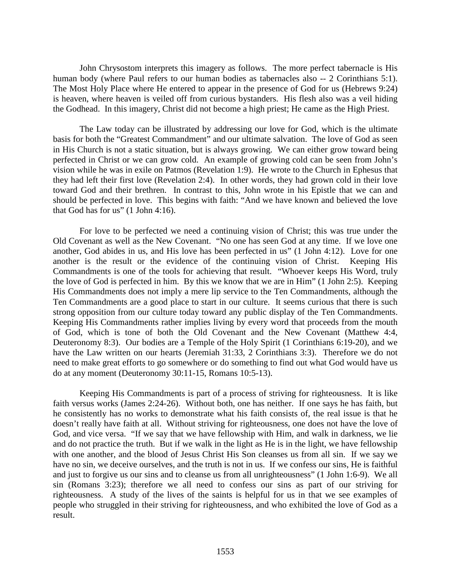John Chrysostom interprets this imagery as follows. The more perfect tabernacle is His human body (where Paul refers to our human bodies as tabernacles also -- 2 Corinthians 5:1). The Most Holy Place where He entered to appear in the presence of God for us (Hebrews 9:24) is heaven, where heaven is veiled off from curious bystanders. His flesh also was a veil hiding the Godhead. In this imagery, Christ did not become a high priest; He came as the High Priest.

The Law today can be illustrated by addressing our love for God, which is the ultimate basis for both the "Greatest Commandment" and our ultimate salvation. The love of God as seen in His Church is not a static situation, but is always growing. We can either grow toward being perfected in Christ or we can grow cold. An example of growing cold can be seen from John's vision while he was in exile on Patmos (Revelation 1:9). He wrote to the Church in Ephesus that they had left their first love (Revelation 2:4). In other words, they had grown cold in their love toward God and their brethren. In contrast to this, John wrote in his Epistle that we can and should be perfected in love. This begins with faith: "And we have known and believed the love that God has for us" (1 John 4:16).

For love to be perfected we need a continuing vision of Christ; this was true under the Old Covenant as well as the New Covenant. "No one has seen God at any time. If we love one another, God abides in us, and His love has been perfected in us" (1 John 4:12). Love for one another is the result or the evidence of the continuing vision of Christ. Keeping His Commandments is one of the tools for achieving that result. "Whoever keeps His Word, truly the love of God is perfected in him. By this we know that we are in Him" (1 John 2:5). Keeping His Commandments does not imply a mere lip service to the Ten Commandments, although the Ten Commandments are a good place to start in our culture. It seems curious that there is such strong opposition from our culture today toward any public display of the Ten Commandments. Keeping His Commandments rather implies living by every word that proceeds from the mouth of God, which is tone of both the Old Covenant and the New Covenant (Matthew 4:4, Deuteronomy 8:3). Our bodies are a Temple of the Holy Spirit (1 Corinthians 6:19-20), and we have the Law written on our hearts (Jeremiah 31:33, 2 Corinthians 3:3). Therefore we do not need to make great efforts to go somewhere or do something to find out what God would have us do at any moment (Deuteronomy 30:11-15, Romans 10:5-13).

Keeping His Commandments is part of a process of striving for righteousness. It is like faith versus works (James 2:24-26). Without both, one has neither. If one says he has faith, but he consistently has no works to demonstrate what his faith consists of, the real issue is that he doesn't really have faith at all. Without striving for righteousness, one does not have the love of God, and vice versa. "If we say that we have fellowship with Him, and walk in darkness, we lie and do not practice the truth. But if we walk in the light as He is in the light, we have fellowship with one another, and the blood of Jesus Christ His Son cleanses us from all sin. If we say we have no sin, we deceive ourselves, and the truth is not in us. If we confess our sins, He is faithful and just to forgive us our sins and to cleanse us from all unrighteousness" (1 John 1:6-9). We all sin (Romans 3:23); therefore we all need to confess our sins as part of our striving for righteousness. A study of the lives of the saints is helpful for us in that we see examples of people who struggled in their striving for righteousness, and who exhibited the love of God as a result.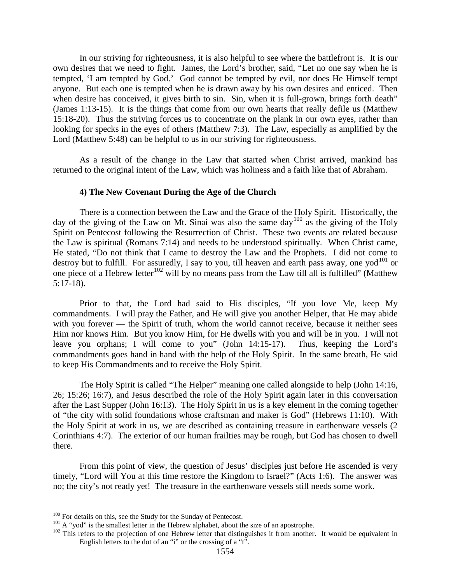In our striving for righteousness, it is also helpful to see where the battlefront is. It is our own desires that we need to fight. James, the Lord's brother, said, "Let no one say when he is tempted, 'I am tempted by God.' God cannot be tempted by evil, nor does He Himself tempt anyone. But each one is tempted when he is drawn away by his own desires and enticed. Then when desire has conceived, it gives birth to sin. Sin, when it is full-grown, brings forth death" (James 1:13-15). It is the things that come from our own hearts that really defile us (Matthew 15:18-20). Thus the striving forces us to concentrate on the plank in our own eyes, rather than looking for specks in the eyes of others (Matthew 7:3). The Law, especially as amplified by the Lord (Matthew 5:48) can be helpful to us in our striving for righteousness.

As a result of the change in the Law that started when Christ arrived, mankind has returned to the original intent of the Law, which was holiness and a faith like that of Abraham.

#### **4) The New Covenant During the Age of the Church**

There is a connection between the Law and the Grace of the Holy Spirit. Historically, the day of the giving of the Law on Mt. Sinai was also the same day<sup>[100](#page-42-0)</sup> as the giving of the Holy Spirit on Pentecost following the Resurrection of Christ. These two events are related because the Law is spiritual (Romans 7:14) and needs to be understood spiritually. When Christ came, He stated, "Do not think that I came to destroy the Law and the Prophets. I did not come to destroy but to fulfill. For assuredly, I say to you, till heaven and earth pass away, one yod<sup>[101](#page-42-1)</sup> or one piece of a Hebrew letter<sup>[102](#page-42-2)</sup> will by no means pass from the Law till all is fulfilled" (Matthew 5:17-18).

Prior to that, the Lord had said to His disciples, "If you love Me, keep My commandments. I will pray the Father, and He will give you another Helper, that He may abide with you forever — the Spirit of truth, whom the world cannot receive, because it neither sees Him nor knows Him. But you know Him, for He dwells with you and will be in you. I will not leave you orphans; I will come to you" (John 14:15-17). Thus, keeping the Lord's commandments goes hand in hand with the help of the Holy Spirit. In the same breath, He said to keep His Commandments and to receive the Holy Spirit.

The Holy Spirit is called "The Helper" meaning one called alongside to help (John 14:16, 26; 15:26; 16:7), and Jesus described the role of the Holy Spirit again later in this conversation after the Last Supper (John 16:13). The Holy Spirit in us is a key element in the coming together of "the city with solid foundations whose craftsman and maker is God" (Hebrews 11:10). With the Holy Spirit at work in us, we are described as containing treasure in earthenware vessels (2 Corinthians 4:7). The exterior of our human frailties may be rough, but God has chosen to dwell there.

From this point of view, the question of Jesus' disciples just before He ascended is very timely, "Lord will You at this time restore the Kingdom to Israel?" (Acts 1:6). The answer was no; the city's not ready yet! The treasure in the earthenware vessels still needs some work.

<span id="page-42-2"></span><span id="page-42-1"></span>

<span id="page-42-0"></span><sup>&</sup>lt;sup>100</sup> For details on this, see the Study for the Sunday of Pentecost.<br><sup>101</sup> A "yod" is the smallest letter in the Hebrew alphabet, about the size of an apostrophe.<br><sup>102</sup> This refers to the projection of one Hebrew letter English letters to the dot of an "i" or the crossing of a "t".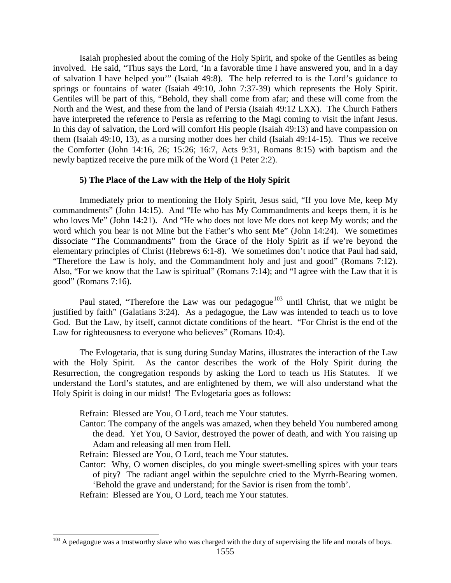Isaiah prophesied about the coming of the Holy Spirit, and spoke of the Gentiles as being involved. He said, "Thus says the Lord, 'In a favorable time I have answered you, and in a day of salvation I have helped you'" (Isaiah 49:8). The help referred to is the Lord's guidance to springs or fountains of water (Isaiah 49:10, John 7:37-39) which represents the Holy Spirit. Gentiles will be part of this, "Behold, they shall come from afar; and these will come from the North and the West, and these from the land of Persia (Isaiah 49:12 LXX). The Church Fathers have interpreted the reference to Persia as referring to the Magi coming to visit the infant Jesus. In this day of salvation, the Lord will comfort His people (Isaiah 49:13) and have compassion on them (Isaiah 49:10, 13), as a nursing mother does her child (Isaiah 49:14-15). Thus we receive the Comforter (John 14:16, 26; 15:26; 16:7, Acts 9:31, Romans 8:15) with baptism and the newly baptized receive the pure milk of the Word (1 Peter 2:2).

#### **5) The Place of the Law with the Help of the Holy Spirit**

Immediately prior to mentioning the Holy Spirit, Jesus said, "If you love Me, keep My commandments" (John 14:15). And "He who has My Commandments and keeps them, it is he who loves Me" (John 14:21). And "He who does not love Me does not keep My words; and the word which you hear is not Mine but the Father's who sent Me" (John 14:24). We sometimes dissociate "The Commandments" from the Grace of the Holy Spirit as if we're beyond the elementary principles of Christ (Hebrews 6:1-8). We sometimes don't notice that Paul had said, "Therefore the Law is holy, and the Commandment holy and just and good" (Romans 7:12). Also, "For we know that the Law is spiritual" (Romans 7:14); and "I agree with the Law that it is good" (Romans 7:16).

Paul stated, "Therefore the Law was our pedagogue<sup>[103](#page-43-0)</sup> until Christ, that we might be justified by faith" (Galatians 3:24). As a pedagogue, the Law was intended to teach us to love God. But the Law, by itself, cannot dictate conditions of the heart. "For Christ is the end of the Law for righteousness to everyone who believes" (Romans 10:4).

The Evlogetaria, that is sung during Sunday Matins, illustrates the interaction of the Law with the Holy Spirit. As the cantor describes the work of the Holy Spirit during the Resurrection, the congregation responds by asking the Lord to teach us His Statutes. If we understand the Lord's statutes, and are enlightened by them, we will also understand what the Holy Spirit is doing in our midst! The Evlogetaria goes as follows:

Refrain: Blessed are You, O Lord, teach me Your statutes.

- Cantor: The company of the angels was amazed, when they beheld You numbered among the dead. Yet You, O Savior, destroyed the power of death, and with You raising up Adam and releasing all men from Hell.
- Refrain: Blessed are You, O Lord, teach me Your statutes.
- Cantor: Why, O women disciples, do you mingle sweet-smelling spices with your tears of pity? The radiant angel within the sepulchre cried to the Myrrh-Bearing women. 'Behold the grave and understand; for the Savior is risen from the tomb'.
- Refrain: Blessed are You, O Lord, teach me Your statutes.

<span id="page-43-0"></span> $103$  A pedagogue was a trustworthy slave who was charged with the duty of supervising the life and morals of boys.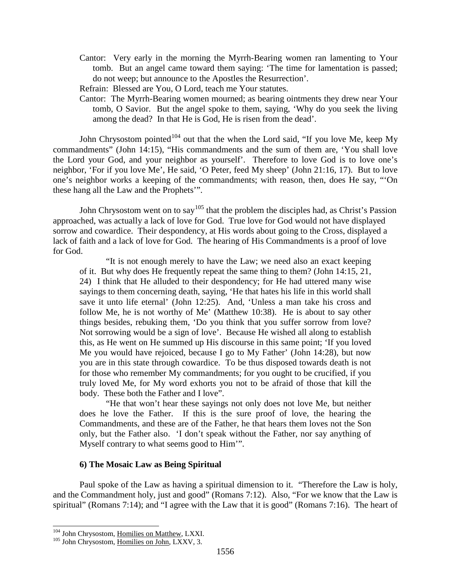- Cantor: Very early in the morning the Myrrh-Bearing women ran lamenting to Your tomb. But an angel came toward them saying: 'The time for lamentation is passed; do not weep; but announce to the Apostles the Resurrection'.
- Refrain: Blessed are You, O Lord, teach me Your statutes.
- Cantor: The Myrrh-Bearing women mourned; as bearing ointments they drew near Your tomb, O Savior. But the angel spoke to them, saying, 'Why do you seek the living among the dead? In that He is God, He is risen from the dead'.

John Chrysostom pointed<sup>[104](#page-44-0)</sup> out that the when the Lord said, "If you love Me, keep My commandments" (John 14:15), "His commandments and the sum of them are, 'You shall love the Lord your God, and your neighbor as yourself'. Therefore to love God is to love one's neighbor, 'For if you love Me', He said, 'O Peter, feed My sheep' (John 21:16, 17). But to love one's neighbor works a keeping of the commandments; with reason, then, does He say, "'On these hang all the Law and the Prophets'".

John Chrysostom went on to say<sup>[105](#page-44-1)</sup> that the problem the disciples had, as Christ's Passion approached, was actually a lack of love for God. True love for God would not have displayed sorrow and cowardice. Their despondency, at His words about going to the Cross, displayed a lack of faith and a lack of love for God. The hearing of His Commandments is a proof of love for God.

"It is not enough merely to have the Law; we need also an exact keeping of it. But why does He frequently repeat the same thing to them? (John 14:15, 21, 24) I think that He alluded to their despondency; for He had uttered many wise sayings to them concerning death, saying, 'He that hates his life in this world shall save it unto life eternal' (John 12:25). And, 'Unless a man take his cross and follow Me, he is not worthy of Me' (Matthew 10:38). He is about to say other things besides, rebuking them, 'Do you think that you suffer sorrow from love? Not sorrowing would be a sign of love'. Because He wished all along to establish this, as He went on He summed up His discourse in this same point; 'If you loved Me you would have rejoiced, because I go to My Father' (John 14:28), but now you are in this state through cowardice. To be thus disposed towards death is not for those who remember My commandments; for you ought to be crucified, if you truly loved Me, for My word exhorts you not to be afraid of those that kill the body. These both the Father and I love".

"He that won't hear these sayings not only does not love Me, but neither does he love the Father. If this is the sure proof of love, the hearing the Commandments, and these are of the Father, he that hears them loves not the Son only, but the Father also. 'I don't speak without the Father, nor say anything of Myself contrary to what seems good to Him'".

#### **6) The Mosaic Law as Being Spiritual**

Paul spoke of the Law as having a spiritual dimension to it. "Therefore the Law is holy, and the Commandment holy, just and good" (Romans 7:12). Also, "For we know that the Law is spiritual" (Romans 7:14); and "I agree with the Law that it is good" (Romans 7:16). The heart of

<span id="page-44-1"></span><span id="page-44-0"></span><sup>&</sup>lt;sup>104</sup> John Chrysostom, <u>Homilies on Matthew</u>, LXXI.<br><sup>105</sup> John Chrysostom, <u>Homilies on John</u>, LXXV, 3.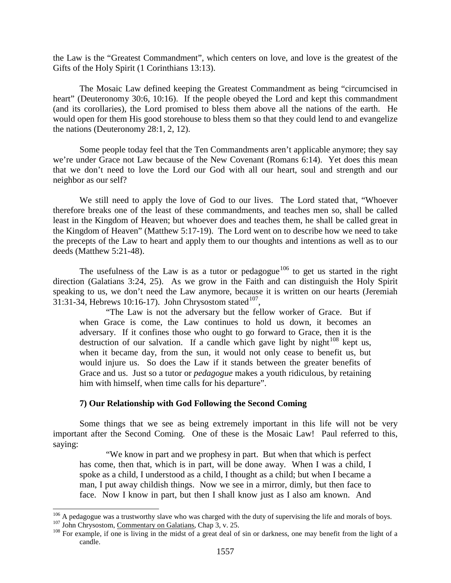the Law is the "Greatest Commandment", which centers on love, and love is the greatest of the Gifts of the Holy Spirit (1 Corinthians 13:13).

The Mosaic Law defined keeping the Greatest Commandment as being "circumcised in heart" (Deuteronomy 30:6, 10:16). If the people obeyed the Lord and kept this commandment (and its corollaries), the Lord promised to bless them above all the nations of the earth. He would open for them His good storehouse to bless them so that they could lend to and evangelize the nations (Deuteronomy 28:1, 2, 12).

Some people today feel that the Ten Commandments aren't applicable anymore; they say we're under Grace not Law because of the New Covenant (Romans 6:14). Yet does this mean that we don't need to love the Lord our God with all our heart, soul and strength and our neighbor as our self?

We still need to apply the love of God to our lives. The Lord stated that, "Whoever therefore breaks one of the least of these commandments, and teaches men so, shall be called least in the Kingdom of Heaven; but whoever does and teaches them, he shall be called great in the Kingdom of Heaven" (Matthew 5:17-19). The Lord went on to describe how we need to take the precepts of the Law to heart and apply them to our thoughts and intentions as well as to our deeds (Matthew 5:21-48).

The usefulness of the Law is as a tutor or pedagogue<sup>[106](#page-45-0)</sup> to get us started in the right direction (Galatians 3:24, 25). As we grow in the Faith and can distinguish the Holy Spirit speaking to us, we don't need the Law anymore, because it is written on our hearts (Jeremiah 31:31-34, Hebrews 10:16-17). John Chrysostom stated<sup>107</sup>,

"The Law is not the adversary but the fellow worker of Grace. But if when Grace is come, the Law continues to hold us down, it becomes an adversary. If it confines those who ought to go forward to Grace, then it is the destruction of our salvation. If a candle which gave light by night $108$  kept us, when it became day, from the sun, it would not only cease to benefit us, but would injure us. So does the Law if it stands between the greater benefits of Grace and us. Just so a tutor or *pedagogue* makes a youth ridiculous, by retaining him with himself, when time calls for his departure".

## **7) Our Relationship with God Following the Second Coming**

Some things that we see as being extremely important in this life will not be very important after the Second Coming. One of these is the Mosaic Law! Paul referred to this, saying:

"We know in part and we prophesy in part. But when that which is perfect has come, then that, which is in part, will be done away. When I was a child, I spoke as a child, I understood as a child, I thought as a child; but when I became a man, I put away childish things. Now we see in a mirror, dimly, but then face to face. Now I know in part, but then I shall know just as I also am known. And

<span id="page-45-2"></span>

<span id="page-45-1"></span><span id="page-45-0"></span><sup>&</sup>lt;sup>106</sup> A pedagogue was a trustworthy slave who was charged with the duty of supervising the life and morals of boys.<br><sup>107</sup> John Chrysostom, <u>Commentary on Galatians</u>, Chap 3, v. 25.<br><sup>108</sup> For example, if one is living in t candle.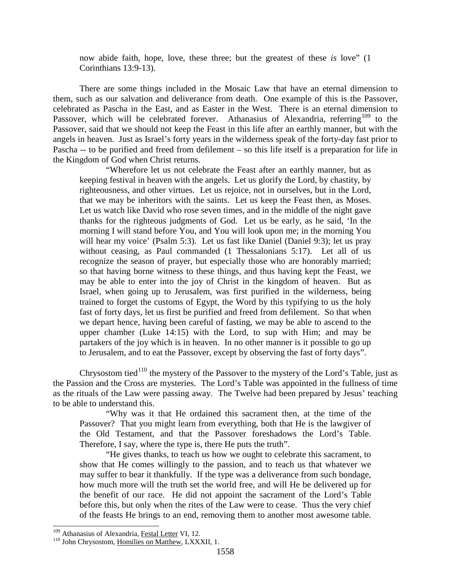now abide faith, hope, love, these three; but the greatest of these *is* love" (1 Corinthians 13:9-13).

There are some things included in the Mosaic Law that have an eternal dimension to them, such as our salvation and deliverance from death. One example of this is the Passover, celebrated as Pascha in the East, and as Easter in the West. There is an eternal dimension to Passover, which will be celebrated forever. Athanasius of Alexandria, referring<sup>[109](#page-46-0)</sup> to the Passover, said that we should not keep the Feast in this life after an earthly manner, but with the angels in heaven. Just as Israel's forty years in the wilderness speak of the forty-day fast prior to Pascha -- to be purified and freed from defilement – so this life itself is a preparation for life in the Kingdom of God when Christ returns.

"Wherefore let us not celebrate the Feast after an earthly manner, but as keeping festival in heaven with the angels. Let us glorify the Lord, by chastity, by righteousness, and other virtues. Let us rejoice, not in ourselves, but in the Lord, that we may be inheritors with the saints. Let us keep the Feast then, as Moses. Let us watch like David who rose seven times, and in the middle of the night gave thanks for the righteous judgments of God. Let us be early, as he said, 'In the morning I will stand before You, and You will look upon me; in the morning You will hear my voice' (Psalm 5:3). Let us fast like Daniel (Daniel 9:3); let us pray without ceasing, as Paul commanded (1 Thessalonians 5:17). Let all of us recognize the season of prayer, but especially those who are honorably married; so that having borne witness to these things, and thus having kept the Feast, we may be able to enter into the joy of Christ in the kingdom of heaven. But as Israel, when going up to Jerusalem, was first purified in the wilderness, being trained to forget the customs of Egypt, the Word by this typifying to us the holy fast of forty days, let us first be purified and freed from defilement. So that when we depart hence, having been careful of fasting, we may be able to ascend to the upper chamber (Luke 14:15) with the Lord, to sup with Him; and may be partakers of the joy which is in heaven. In no other manner is it possible to go up to Jerusalem, and to eat the Passover, except by observing the fast of forty days".

Chrysostom tied<sup>[110](#page-46-1)</sup> the mystery of the Passover to the mystery of the Lord's Table, just as the Passion and the Cross are mysteries. The Lord's Table was appointed in the fullness of time as the rituals of the Law were passing away. The Twelve had been prepared by Jesus' teaching to be able to understand this.

"Why was it that He ordained this sacrament then, at the time of the Passover? That you might learn from everything, both that He is the lawgiver of the Old Testament, and that the Passover foreshadows the Lord's Table. Therefore, I say, where the type is, there He puts the truth".

"He gives thanks, to teach us how we ought to celebrate this sacrament, to show that He comes willingly to the passion, and to teach us that whatever we may suffer to bear it thankfully. If the type was a deliverance from such bondage, how much more will the truth set the world free, and will He be delivered up for the benefit of our race. He did not appoint the sacrament of the Lord's Table before this, but only when the rites of the Law were to cease. Thus the very chief of the feasts He brings to an end, removing them to another most awesome table.

<span id="page-46-1"></span><span id="page-46-0"></span><sup>&</sup>lt;sup>109</sup> Athanasius of Alexandria, <u>Festal Letter</u> VI, 12.<br><sup>110</sup> John Chrysostom, <u>Homilies on Matthew</u>, LXXXII, 1.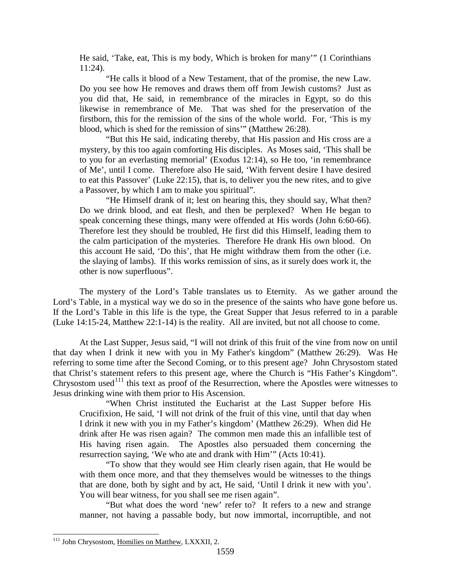He said, 'Take, eat, This is my body, Which is broken for many'" (1 Corinthians 11:24).

"He calls it blood of a New Testament, that of the promise, the new Law. Do you see how He removes and draws them off from Jewish customs? Just as you did that, He said, in remembrance of the miracles in Egypt, so do this likewise in remembrance of Me. That was shed for the preservation of the firstborn, this for the remission of the sins of the whole world. For, 'This is my blood, which is shed for the remission of sins'" (Matthew 26:28).

"But this He said, indicating thereby, that His passion and His cross are a mystery, by this too again comforting His disciples. As Moses said, 'This shall be to you for an everlasting memorial' (Exodus 12:14), so He too, 'in remembrance of Me', until I come. Therefore also He said, 'With fervent desire I have desired to eat this Passover' (Luke 22:15), that is, to deliver you the new rites, and to give a Passover, by which I am to make you spiritual".

"He Himself drank of it; lest on hearing this, they should say, What then? Do we drink blood, and eat flesh, and then be perplexed? When He began to speak concerning these things, many were offended at His words (John 6:60-66). Therefore lest they should be troubled, He first did this Himself, leading them to the calm participation of the mysteries. Therefore He drank His own blood. On this account He said, 'Do this', that He might withdraw them from the other (i.e. the slaying of lambs). If this works remission of sins, as it surely does work it, the other is now superfluous".

The mystery of the Lord's Table translates us to Eternity. As we gather around the Lord's Table, in a mystical way we do so in the presence of the saints who have gone before us. If the Lord's Table in this life is the type, the Great Supper that Jesus referred to in a parable (Luke 14:15-24, Matthew 22:1-14) is the reality. All are invited, but not all choose to come.

At the Last Supper, Jesus said, "I will not drink of this fruit of the vine from now on until that day when I drink it new with you in My Father's kingdom" (Matthew 26:29). Was He referring to some time after the Second Coming, or to this present age? John Chrysostom stated that Christ's statement refers to this present age, where the Church is "His Father's Kingdom". Chrysostom used<sup>[111](#page-47-0)</sup> this text as proof of the Resurrection, where the Apostles were witnesses to Jesus drinking wine with them prior to His Ascension.

"When Christ instituted the Eucharist at the Last Supper before His Crucifixion, He said, 'I will not drink of the fruit of this vine, until that day when I drink it new with you in my Father's kingdom' (Matthew 26:29). When did He drink after He was risen again? The common men made this an infallible test of His having risen again. The Apostles also persuaded them concerning the resurrection saying, 'We who ate and drank with Him'" (Acts 10:41).

"To show that they would see Him clearly risen again, that He would be with them once more, and that they themselves would be witnesses to the things that are done, both by sight and by act, He said, 'Until I drink it new with you'. You will bear witness, for you shall see me risen again".

"But what does the word 'new' refer to? It refers to a new and strange manner, not having a passable body, but now immortal, incorruptible, and not

<span id="page-47-0"></span><sup>&</sup>lt;sup>111</sup> John Chrysostom, Homilies on Matthew, LXXXII, 2.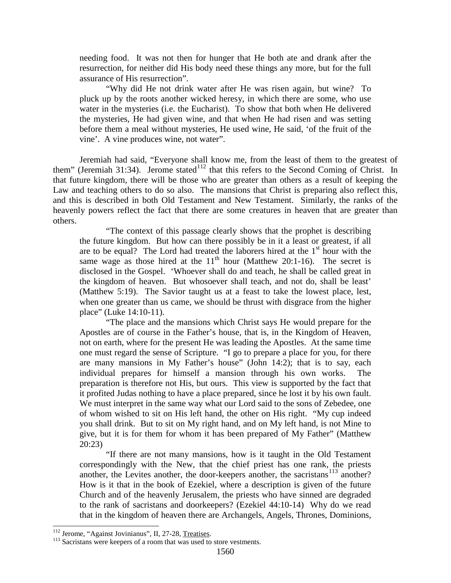needing food. It was not then for hunger that He both ate and drank after the resurrection, for neither did His body need these things any more, but for the full assurance of His resurrection".

"Why did He not drink water after He was risen again, but wine? To pluck up by the roots another wicked heresy, in which there are some, who use water in the mysteries (i.e. the Eucharist). To show that both when He delivered the mysteries, He had given wine, and that when He had risen and was setting before them a meal without mysteries, He used wine, He said, 'of the fruit of the vine'. A vine produces wine, not water".

Jeremiah had said, "Everyone shall know me, from the least of them to the greatest of them" (Jeremiah 31:34). Jerome stated<sup>[112](#page-48-0)</sup> that this refers to the Second Coming of Christ. In that future kingdom, there will be those who are greater than others as a result of keeping the Law and teaching others to do so also. The mansions that Christ is preparing also reflect this, and this is described in both Old Testament and New Testament. Similarly, the ranks of the heavenly powers reflect the fact that there are some creatures in heaven that are greater than others.

"The context of this passage clearly shows that the prophet is describing the future kingdom. But how can there possibly be in it a least or greatest, if all are to be equal? The Lord had treated the laborers hired at the  $1<sup>st</sup>$  hour with the same wage as those hired at the  $11<sup>th</sup>$  hour (Matthew 20:1-16). The secret is disclosed in the Gospel. 'Whoever shall do and teach, he shall be called great in the kingdom of heaven. But whosoever shall teach, and not do, shall be least' (Matthew 5:19). The Savior taught us at a feast to take the lowest place, lest, when one greater than us came, we should be thrust with disgrace from the higher place" (Luke 14:10-11).

"The place and the mansions which Christ says He would prepare for the Apostles are of course in the Father's house, that is, in the Kingdom of Heaven, not on earth, where for the present He was leading the Apostles. At the same time one must regard the sense of Scripture. "I go to prepare a place for you, for there are many mansions in My Father's house" (John 14:2); that is to say, each individual prepares for himself a mansion through his own works. The preparation is therefore not His, but ours. This view is supported by the fact that it profited Judas nothing to have a place prepared, since he lost it by his own fault. We must interpret in the same way what our Lord said to the sons of Zebedee, one of whom wished to sit on His left hand, the other on His right. "My cup indeed you shall drink. But to sit on My right hand, and on My left hand, is not Mine to give, but it is for them for whom it has been prepared of My Father" (Matthew 20:23)

"If there are not many mansions, how is it taught in the Old Testament correspondingly with the New, that the chief priest has one rank, the priests another, the Levites another, the door-keepers another, the sacristans<sup>[113](#page-48-1)</sup> another? How is it that in the book of Ezekiel, where a description is given of the future Church and of the heavenly Jerusalem, the priests who have sinned are degraded to the rank of sacristans and doorkeepers? (Ezekiel 44:10-14) Why do we read that in the kingdom of heaven there are Archangels, Angels, Thrones, Dominions,

<span id="page-48-1"></span><span id="page-48-0"></span><sup>&</sup>lt;sup>112</sup> Jerome, "Against Jovinianus", II, 27-28, Treatises.  $\frac{113}{113}$  Sacristans were keepers of a room that was used to store vestments.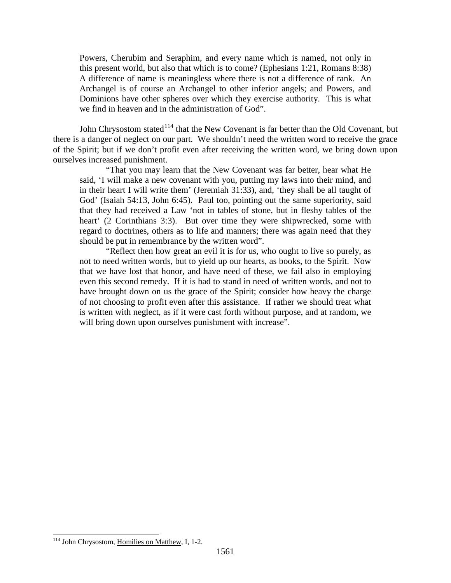Powers, Cherubim and Seraphim, and every name which is named, not only in this present world, but also that which is to come? (Ephesians 1:21, Romans 8:38) A difference of name is meaningless where there is not a difference of rank. An Archangel is of course an Archangel to other inferior angels; and Powers, and Dominions have other spheres over which they exercise authority. This is what we find in heaven and in the administration of God".

John Chrysostom stated<sup>[114](#page-49-0)</sup> that the New Covenant is far better than the Old Covenant, but there is a danger of neglect on our part. We shouldn't need the written word to receive the grace of the Spirit; but if we don't profit even after receiving the written word, we bring down upon ourselves increased punishment.

"That you may learn that the New Covenant was far better, hear what He said, 'I will make a new covenant with you, putting my laws into their mind, and in their heart I will write them' (Jeremiah 31:33), and, 'they shall be all taught of God' (Isaiah 54:13, John 6:45). Paul too, pointing out the same superiority, said that they had received a Law 'not in tables of stone, but in fleshy tables of the heart' (2 Corinthians 3:3). But over time they were shipwrecked, some with regard to doctrines, others as to life and manners; there was again need that they should be put in remembrance by the written word".

"Reflect then how great an evil it is for us, who ought to live so purely, as not to need written words, but to yield up our hearts, as books, to the Spirit. Now that we have lost that honor, and have need of these, we fail also in employing even this second remedy. If it is bad to stand in need of written words, and not to have brought down on us the grace of the Spirit; consider how heavy the charge of not choosing to profit even after this assistance. If rather we should treat what is written with neglect, as if it were cast forth without purpose, and at random, we will bring down upon ourselves punishment with increase".

<span id="page-49-0"></span> <sup>114</sup> John Chrysostom, Homilies on Matthew, I, 1-2.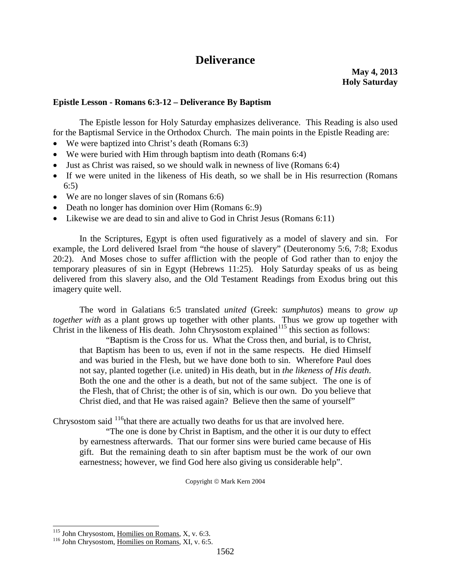# **Deliverance**

#### **Epistle Lesson - Romans 6:3-12 – Deliverance By Baptism**

The Epistle lesson for Holy Saturday emphasizes deliverance. This Reading is also used for the Baptismal Service in the Orthodox Church. The main points in the Epistle Reading are:

- We were baptized into Christ's death (Romans 6:3)
- We were buried with Him through baptism into death (Romans 6:4)
- Just as Christ was raised, so we should walk in newness of live (Romans 6:4)
- If we were united in the likeness of His death, so we shall be in His resurrection (Romans 6:5)
- We are no longer slaves of sin (Romans 6:6)
- Death no longer has dominion over Him (Romans 6:.9)
- Likewise we are dead to sin and alive to God in Christ Jesus (Romans 6:11)

In the Scriptures, Egypt is often used figuratively as a model of slavery and sin. For example, the Lord delivered Israel from "the house of slavery" (Deuteronomy 5:6, 7:8; Exodus 20:2). And Moses chose to suffer affliction with the people of God rather than to enjoy the temporary pleasures of sin in Egypt (Hebrews 11:25). Holy Saturday speaks of us as being delivered from this slavery also, and the Old Testament Readings from Exodus bring out this imagery quite well.

The word in Galatians 6:5 translated *united* (Greek: *sumphutos*) means to *grow up together with* as a plant grows up together with other plants. Thus we grow up together with Christ in the likeness of His death. John Chrysostom explained<sup>[115](#page-50-0)</sup> this section as follows:

"Baptism is the Cross for us. What the Cross then, and burial, is to Christ, that Baptism has been to us, even if not in the same respects. He died Himself and was buried in the Flesh, but we have done both to sin. Wherefore Paul does not say, planted together (i.e. united) in His death, but in *the likeness of His death*. Both the one and the other is a death, but not of the same subject. The one is of the Flesh, that of Christ; the other is of sin, which is our own. Do you believe that Christ died, and that He was raised again? Believe then the same of yourself"

Chrysostom said  $116$ <sup>that there are actually two deaths for us that are involved here.</sup>

"The one is done by Christ in Baptism, and the other it is our duty to effect by earnestness afterwards. That our former sins were buried came because of His gift. But the remaining death to sin after baptism must be the work of our own earnestness; however, we find God here also giving us considerable help".

Copyright  $\odot$  Mark Kern 2004

<span id="page-50-1"></span><span id="page-50-0"></span><sup>&</sup>lt;sup>115</sup> John Chrysostom, <u>Homilies on Romans</u>, X, v. 6:3.<br><sup>116</sup> John Chrysostom, <u>Homilies on Romans</u>, XI, v. 6:5.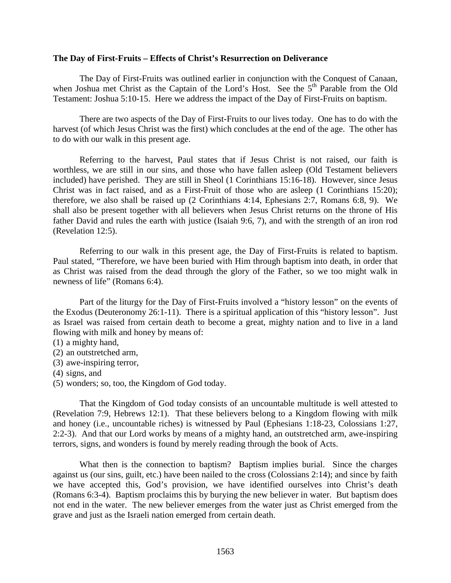#### **The Day of First-Fruits – Effects of Christ's Resurrection on Deliverance**

The Day of First-Fruits was outlined earlier in conjunction with the Conquest of Canaan, when Joshua met Christ as the Captain of the Lord's Host. See the 5<sup>th</sup> Parable from the Old Testament: Joshua 5:10-15. Here we address the impact of the Day of First-Fruits on baptism.

There are two aspects of the Day of First-Fruits to our lives today. One has to do with the harvest (of which Jesus Christ was the first) which concludes at the end of the age. The other has to do with our walk in this present age.

Referring to the harvest, Paul states that if Jesus Christ is not raised, our faith is worthless, we are still in our sins, and those who have fallen asleep (Old Testament believers included) have perished. They are still in Sheol (1 Corinthians 15:16-18). However, since Jesus Christ was in fact raised, and as a First-Fruit of those who are asleep (1 Corinthians 15:20); therefore, we also shall be raised up (2 Corinthians 4:14, Ephesians 2:7, Romans 6:8, 9). We shall also be present together with all believers when Jesus Christ returns on the throne of His father David and rules the earth with justice (Isaiah 9:6, 7), and with the strength of an iron rod (Revelation 12:5).

Referring to our walk in this present age, the Day of First-Fruits is related to baptism. Paul stated, "Therefore, we have been buried with Him through baptism into death, in order that as Christ was raised from the dead through the glory of the Father, so we too might walk in newness of life" (Romans 6:4).

Part of the liturgy for the Day of First-Fruits involved a "history lesson" on the events of the Exodus (Deuteronomy 26:1-11). There is a spiritual application of this "history lesson". Just as Israel was raised from certain death to become a great, mighty nation and to live in a land flowing with milk and honey by means of:

- (1) a mighty hand,
- (2) an outstretched arm,
- (3) awe-inspiring terror,
- (4) signs, and
- (5) wonders; so, too, the Kingdom of God today.

That the Kingdom of God today consists of an uncountable multitude is well attested to (Revelation 7:9, Hebrews 12:1). That these believers belong to a Kingdom flowing with milk and honey (i.e., uncountable riches) is witnessed by Paul (Ephesians 1:18-23, Colossians 1:27, 2:2-3). And that our Lord works by means of a mighty hand, an outstretched arm, awe-inspiring terrors, signs, and wonders is found by merely reading through the book of Acts.

What then is the connection to baptism? Baptism implies burial. Since the charges against us (our sins, guilt, etc.) have been nailed to the cross (Colossians 2:14); and since by faith we have accepted this, God's provision, we have identified ourselves into Christ's death (Romans 6:3-4). Baptism proclaims this by burying the new believer in water. But baptism does not end in the water. The new believer emerges from the water just as Christ emerged from the grave and just as the Israeli nation emerged from certain death.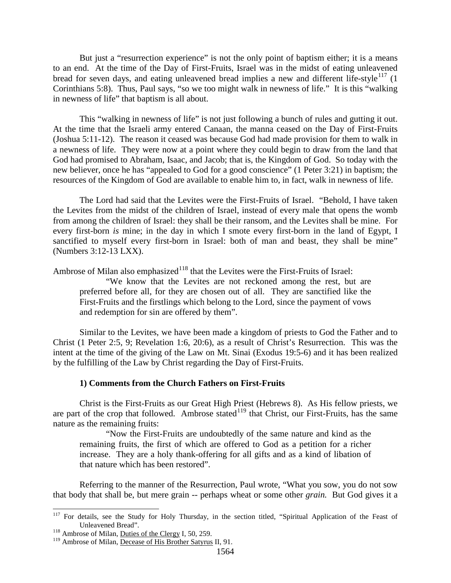But just a "resurrection experience" is not the only point of baptism either; it is a means to an end. At the time of the Day of First-Fruits, Israel was in the midst of eating unleavened bread for seven days, and eating unleavened bread implies a new and different life-style<sup>[117](#page-52-0)</sup> (1) Corinthians 5:8). Thus, Paul says, "so we too might walk in newness of life." It is this "walking in newness of life" that baptism is all about.

This "walking in newness of life" is not just following a bunch of rules and gutting it out. At the time that the Israeli army entered Canaan, the manna ceased on the Day of First-Fruits (Joshua 5:11-12). The reason it ceased was because God had made provision for them to walk in a newness of life. They were now at a point where they could begin to draw from the land that God had promised to Abraham, Isaac, and Jacob; that is, the Kingdom of God. So today with the new believer, once he has "appealed to God for a good conscience" (1 Peter 3:21) in baptism; the resources of the Kingdom of God are available to enable him to, in fact, walk in newness of life.

The Lord had said that the Levites were the First-Fruits of Israel. "Behold, I have taken the Levites from the midst of the children of Israel, instead of every male that opens the womb from among the children of Israel: they shall be their ransom, and the Levites shall be mine. For every first-born *is* mine; in the day in which I smote every first-born in the land of Egypt, I sanctified to myself every first-born in Israel: both of man and beast, they shall be mine" (Numbers 3:12-13 LXX).

Ambrose of Milan also emphasized $118$  that the Levites were the First-Fruits of Israel:

"We know that the Levites are not reckoned among the rest, but are preferred before all, for they are chosen out of all. They are sanctified like the First-Fruits and the firstlings which belong to the Lord, since the payment of vows and redemption for sin are offered by them".

Similar to the Levites, we have been made a kingdom of priests to God the Father and to Christ (1 Peter 2:5, 9; Revelation 1:6, 20:6), as a result of Christ's Resurrection. This was the intent at the time of the giving of the Law on Mt. Sinai (Exodus 19:5-6) and it has been realized by the fulfilling of the Law by Christ regarding the Day of First-Fruits.

#### **1) Comments from the Church Fathers on First-Fruits**

Christ is the First-Fruits as our Great High Priest (Hebrews 8). As His fellow priests, we are part of the crop that followed. Ambrose stated<sup>[119](#page-52-2)</sup> that Christ, our First-Fruits, has the same nature as the remaining fruits:

"Now the First-Fruits are undoubtedly of the same nature and kind as the remaining fruits, the first of which are offered to God as a petition for a richer increase. They are a holy thank-offering for all gifts and as a kind of libation of that nature which has been restored".

Referring to the manner of the Resurrection, Paul wrote, "What you sow, you do not sow that body that shall be, but mere grain -- perhaps wheat or some other *grain.* But God gives it a

<span id="page-52-0"></span><sup>&</sup>lt;sup>117</sup> For details, see the Study for Holy Thursday, in the section titled, "Spiritual Application of the Feast of Unleavened Bread".<br><sup>118</sup> Ambrose of Milan, <u>Duties of the Clergy</u> I, 50, 259.

<span id="page-52-1"></span>

<span id="page-52-2"></span><sup>&</sup>lt;sup>119</sup> Ambrose of Milan, Decease of His Brother Satyrus II, 91.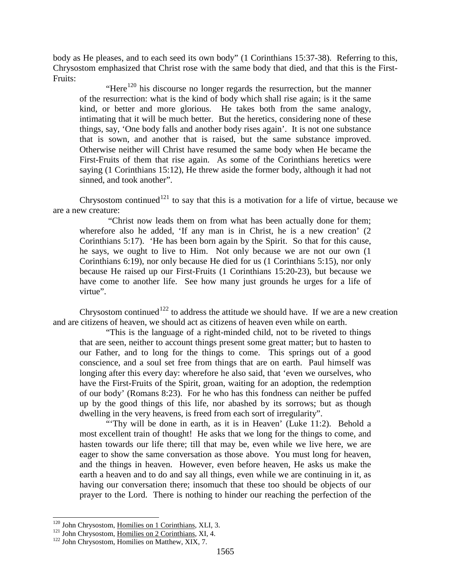body as He pleases, and to each seed its own body" (1 Corinthians 15:37-38). Referring to this, Chrysostom emphasized that Christ rose with the same body that died, and that this is the First-Fruits:

"Here<sup>[120](#page-53-0)</sup> his discourse no longer regards the resurrection, but the manner of the resurrection: what is the kind of body which shall rise again; is it the same kind, or better and more glorious. He takes both from the same analogy, intimating that it will be much better. But the heretics, considering none of these things, say, 'One body falls and another body rises again'. It is not one substance that is sown, and another that is raised, but the same substance improved. Otherwise neither will Christ have resumed the same body when He became the First-Fruits of them that rise again. As some of the Corinthians heretics were saying (1 Corinthians 15:12), He threw aside the former body, although it had not sinned, and took another".

Chrysostom continued<sup>[121](#page-53-1)</sup> to say that this is a motivation for a life of virtue, because we are a new creature:

"Christ now leads them on from what has been actually done for them; wherefore also he added, 'If any man is in Christ, he is a new creation' (2 Corinthians 5:17). 'He has been born again by the Spirit. So that for this cause, he says, we ought to live to Him. Not only because we are not our own (1 Corinthians 6:19), nor only because He died for us (1 Corinthians 5:15), nor only because He raised up our First-Fruits (1 Corinthians 15:20-23), but because we have come to another life. See how many just grounds he urges for a life of virtue".

Chrysostom continued<sup>[122](#page-53-2)</sup> to address the attitude we should have. If we are a new creation and are citizens of heaven, we should act as citizens of heaven even while on earth.

"This is the language of a right-minded child, not to be riveted to things that are seen, neither to account things present some great matter; but to hasten to our Father, and to long for the things to come. This springs out of a good conscience, and a soul set free from things that are on earth. Paul himself was longing after this every day: wherefore he also said, that 'even we ourselves, who have the First-Fruits of the Spirit, groan, waiting for an adoption, the redemption of our body' (Romans 8:23). For he who has this fondness can neither be puffed up by the good things of this life, nor abashed by its sorrows; but as though dwelling in the very heavens, is freed from each sort of irregularity".

"Thy will be done in earth, as it is in Heaven' (Luke 11:2). Behold a most excellent train of thought! He asks that we long for the things to come, and hasten towards our life there; till that may be, even while we live here, we are eager to show the same conversation as those above. You must long for heaven, and the things in heaven. However, even before heaven, He asks us make the earth a heaven and to do and say all things, even while we are continuing in it, as having our conversation there; insomuch that these too should be objects of our prayer to the Lord. There is nothing to hinder our reaching the perfection of the

<span id="page-53-1"></span><span id="page-53-0"></span><sup>&</sup>lt;sup>120</sup> John Chrysostom, <u>Homilies on 1 Corinthians</u>, XLI, 3.<br><sup>121</sup> John Chrysostom, <u>Homilies on 2 Corinthians</u>, XI, 4.<br><sup>122</sup> John Chrysostom, Homilies on Matthew, XIX, 7.

<span id="page-53-2"></span>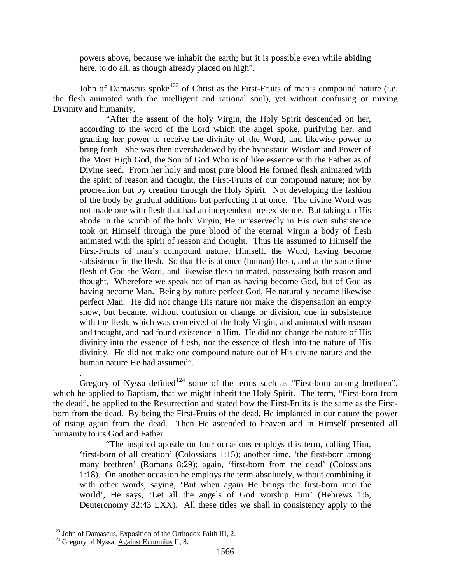powers above, because we inhabit the earth; but it is possible even while abiding here, to do all, as though already placed on high".

John of Damascus spoke<sup>[123](#page-54-0)</sup> of Christ as the First-Fruits of man's compound nature (i.e. the flesh animated with the intelligent and rational soul), yet without confusing or mixing Divinity and humanity.

"After the assent of the holy Virgin, the Holy Spirit descended on her, according to the word of the Lord which the angel spoke, purifying her, and granting her power to receive the divinity of the Word, and likewise power to bring forth. She was then overshadowed by the hypostatic Wisdom and Power of the Most High God, the Son of God Who is of like essence with the Father as of Divine seed. From her holy and most pure blood He formed flesh animated with the spirit of reason and thought, the First-Fruits of our compound nature; not by procreation but by creation through the Holy Spirit. Not developing the fashion of the body by gradual additions but perfecting it at once. The divine Word was not made one with flesh that had an independent pre-existence. But taking up His abode in the womb of the holy Virgin, He unreservedly in His own subsistence took on Himself through the pure blood of the eternal Virgin a body of flesh animated with the spirit of reason and thought. Thus He assumed to Himself the First-Fruits of man's compound nature, Himself, the Word, having become subsistence in the flesh. So that He is at once (human) flesh, and at the same time flesh of God the Word, and likewise flesh animated, possessing both reason and thought. Wherefore we speak not of man as having become God, but of God as having become Man. Being by nature perfect God, He naturally became likewise perfect Man. He did not change His nature nor make the dispensation an empty show, but became, without confusion or change or division, one in subsistence with the flesh, which was conceived of the holy Virgin, and animated with reason and thought, and had found existence in Him. He did not change the nature of His divinity into the essence of flesh, nor the essence of flesh into the nature of His divinity. He did not make one compound nature out of His divine nature and the human nature He had assumed".

Gregory of Nyssa defined<sup>[124](#page-54-1)</sup> some of the terms such as "First-born among brethren", which he applied to Baptism, that we might inherit the Holy Spirit. The term, "First-born from the dead", he applied to the Resurrection and stated how the First-Fruits is the same as the Firstborn from the dead. By being the First-Fruits of the dead, He implanted in our nature the power of rising again from the dead. Then He ascended to heaven and in Himself presented all humanity to its God and Father.

"The inspired apostle on four occasions employs this term, calling Him, 'first-born of all creation' (Colossians 1:15); another time, 'the first-born among many brethren' (Romans 8:29); again, 'first-born from the dead' (Colossians 1:18). On another occasion he employs the term absolutely, without combining it with other words, saying, 'But when again He brings the first-born into the world', He says, 'Let all the angels of God worship Him' (Hebrews 1:6, Deuteronomy 32:43 LXX). All these titles we shall in consistency apply to the

.

<span id="page-54-0"></span><sup>&</sup>lt;sup>123</sup> John of Damascus, <u>Exposition of the Orthodox Faith</u> III, 2.<br><sup>124</sup> Gregory of Nyssa, Against Eunomius II, 8.

<span id="page-54-1"></span>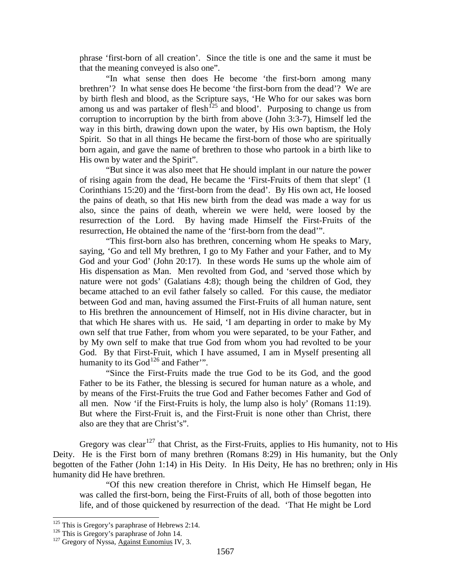phrase 'first-born of all creation'. Since the title is one and the same it must be that the meaning conveyed is also one".

"In what sense then does He become 'the first-born among many brethren'? In what sense does He become 'the first-born from the dead'? We are by birth flesh and blood, as the Scripture says, 'He Who for our sakes was born among us and was partaker of flesh<sup>[125](#page-55-0)</sup> and blood'. Purposing to change us from corruption to incorruption by the birth from above (John 3:3-7), Himself led the way in this birth, drawing down upon the water, by His own baptism, the Holy Spirit. So that in all things He became the first-born of those who are spiritually born again, and gave the name of brethren to those who partook in a birth like to His own by water and the Spirit".

"But since it was also meet that He should implant in our nature the power of rising again from the dead, He became the 'First-Fruits of them that slept' (1 Corinthians 15:20) and the 'first-born from the dead'. By His own act, He loosed the pains of death, so that His new birth from the dead was made a way for us also, since the pains of death, wherein we were held, were loosed by the resurrection of the Lord. By having made Himself the First-Fruits of the resurrection, He obtained the name of the 'first-born from the dead'".

"This first-born also has brethren, concerning whom He speaks to Mary, saying, 'Go and tell My brethren, I go to My Father and your Father, and to My God and your God' (John 20:17). In these words He sums up the whole aim of His dispensation as Man. Men revolted from God, and 'served those which by nature were not gods' (Galatians 4:8); though being the children of God, they became attached to an evil father falsely so called. For this cause, the mediator between God and man, having assumed the First-Fruits of all human nature, sent to His brethren the announcement of Himself, not in His divine character, but in that which He shares with us. He said, 'I am departing in order to make by My own self that true Father, from whom you were separated, to be your Father, and by My own self to make that true God from whom you had revolted to be your God. By that First-Fruit, which I have assumed, I am in Myself presenting all humanity to its  $God<sup>126</sup>$  $God<sup>126</sup>$  $God<sup>126</sup>$  and Father".

"Since the First-Fruits made the true God to be its God, and the good Father to be its Father, the blessing is secured for human nature as a whole, and by means of the First-Fruits the true God and Father becomes Father and God of all men. Now 'if the First-Fruits is holy, the lump also is holy' (Romans 11:19). But where the First-Fruit is, and the First-Fruit is none other than Christ, there also are they that are Christ's".

Gregory was clear<sup>[127](#page-55-2)</sup> that Christ, as the First-Fruits, applies to His humanity, not to His Deity. He is the First born of many brethren (Romans 8:29) in His humanity, but the Only begotten of the Father (John 1:14) in His Deity. In His Deity, He has no brethren; only in His humanity did He have brethren.

"Of this new creation therefore in Christ, which He Himself began, He was called the first-born, being the First-Fruits of all, both of those begotten into life, and of those quickened by resurrection of the dead. 'That He might be Lord

<span id="page-55-0"></span><sup>&</sup>lt;sup>125</sup> This is Gregory's paraphrase of Hebrews 2:14.<br><sup>126</sup> This is Gregory's paraphrase of John 14.<br><sup>127</sup> Gregory of Nyssa, Against Eunomius IV, 3.

<span id="page-55-2"></span><span id="page-55-1"></span>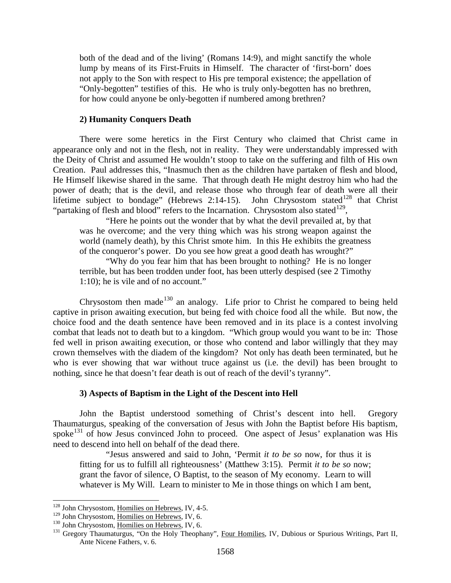both of the dead and of the living' (Romans 14:9), and might sanctify the whole lump by means of its First-Fruits in Himself. The character of 'first-born' does not apply to the Son with respect to His pre temporal existence; the appellation of "Only-begotten" testifies of this. He who is truly only-begotten has no brethren, for how could anyone be only-begotten if numbered among brethren?

#### **2) Humanity Conquers Death**

There were some heretics in the First Century who claimed that Christ came in appearance only and not in the flesh, not in reality. They were understandably impressed with the Deity of Christ and assumed He wouldn't stoop to take on the suffering and filth of His own Creation. Paul addresses this, "Inasmuch then as the children have partaken of flesh and blood, He Himself likewise shared in the same. That through death He might destroy him who had the power of death; that is the devil, and release those who through fear of death were all their lifetime subject to bondage" (Hebrews 2:14-15). John Chrysostom stated<sup>[128](#page-56-0)</sup> that Christ "partaking of flesh and blood" refers to the Incarnation. Chrysostom also stated<sup>[129](#page-56-1)</sup>,

"Here he points out the wonder that by what the devil prevailed at, by that was he overcome; and the very thing which was his strong weapon against the world (namely death), by this Christ smote him. In this He exhibits the greatness of the conqueror's power. Do you see how great a good death has wrought?"

"Why do you fear him that has been brought to nothing? He is no longer terrible, but has been trodden under foot, has been utterly despised (see 2 Timothy 1:10); he is vile and of no account."

Chrysostom then made<sup>[130](#page-56-2)</sup> an analogy. Life prior to Christ he compared to being held captive in prison awaiting execution, but being fed with choice food all the while. But now, the choice food and the death sentence have been removed and in its place is a contest involving combat that leads not to death but to a kingdom. "Which group would you want to be in: Those fed well in prison awaiting execution, or those who contend and labor willingly that they may crown themselves with the diadem of the kingdom? Not only has death been terminated, but he who is ever showing that war without truce against us (i.e. the devil) has been brought to nothing, since he that doesn't fear death is out of reach of the devil's tyranny".

#### **3) Aspects of Baptism in the Light of the Descent into Hell**

John the Baptist understood something of Christ's descent into hell. Gregory Thaumaturgus, speaking of the conversation of Jesus with John the Baptist before His baptism, spoke<sup>[131](#page-56-3)</sup> of how Jesus convinced John to proceed. One aspect of Jesus' explanation was His need to descend into hell on behalf of the dead there.

"Jesus answered and said to John, 'Permit *it to be so* now, for thus it is fitting for us to fulfill all righteousness' (Matthew 3:15). Permit *it to be so* now; grant the favor of silence, O Baptist, to the season of My economy. Learn to will whatever is My Will. Learn to minister to Me in those things on which I am bent,

<span id="page-56-0"></span> $128$  John Chrysostom, <u>Homilies on Hebrews</u>, IV, 4-5.<br> $129$  John Chrysostom, <u>Homilies on Hebrews</u>, IV, 6.

<span id="page-56-1"></span>

<span id="page-56-3"></span>

<span id="page-56-2"></span><sup>&</sup>lt;sup>130</sup> John Chrysostom, Homilies on Hebrews, IV, 6.<br><sup>131</sup> Gregory Thaumaturgus, "On the Holy Theophany", Four Homilies, IV, Dubious or Spurious Writings, Part II, Ante Nicene Fathers, v. 6.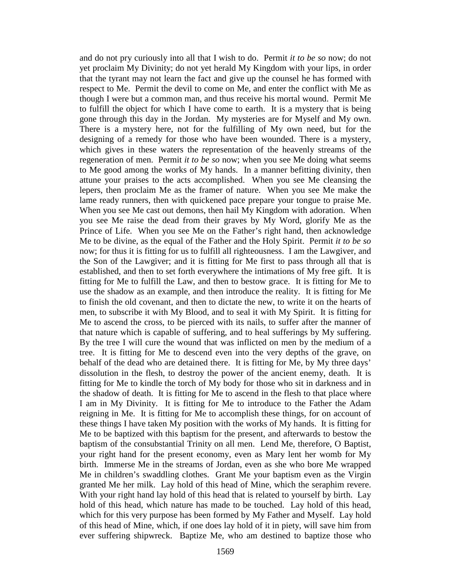and do not pry curiously into all that I wish to do. Permit *it to be so* now; do not yet proclaim My Divinity; do not yet herald My Kingdom with your lips, in order that the tyrant may not learn the fact and give up the counsel he has formed with respect to Me. Permit the devil to come on Me, and enter the conflict with Me as though I were but a common man, and thus receive his mortal wound. Permit Me to fulfill the object for which I have come to earth. It is a mystery that is being gone through this day in the Jordan. My mysteries are for Myself and My own. There is a mystery here, not for the fulfilling of My own need, but for the designing of a remedy for those who have been wounded. There is a mystery, which gives in these waters the representation of the heavenly streams of the regeneration of men. Permit *it to be so* now; when you see Me doing what seems to Me good among the works of My hands. In a manner befitting divinity, then attune your praises to the acts accomplished. When you see Me cleansing the lepers, then proclaim Me as the framer of nature. When you see Me make the lame ready runners, then with quickened pace prepare your tongue to praise Me. When you see Me cast out demons, then hail My Kingdom with adoration. When you see Me raise the dead from their graves by My Word, glorify Me as the Prince of Life. When you see Me on the Father's right hand, then acknowledge Me to be divine, as the equal of the Father and the Holy Spirit. Permit *it to be so* now; for thus it is fitting for us to fulfill all righteousness. I am the Lawgiver, and the Son of the Lawgiver; and it is fitting for Me first to pass through all that is established, and then to set forth everywhere the intimations of My free gift. It is fitting for Me to fulfill the Law, and then to bestow grace. It is fitting for Me to use the shadow as an example, and then introduce the reality. It is fitting for Me to finish the old covenant, and then to dictate the new, to write it on the hearts of men, to subscribe it with My Blood, and to seal it with My Spirit. It is fitting for Me to ascend the cross, to be pierced with its nails, to suffer after the manner of that nature which is capable of suffering, and to heal sufferings by My suffering. By the tree I will cure the wound that was inflicted on men by the medium of a tree. It is fitting for Me to descend even into the very depths of the grave, on behalf of the dead who are detained there. It is fitting for Me, by My three days' dissolution in the flesh, to destroy the power of the ancient enemy, death. It is fitting for Me to kindle the torch of My body for those who sit in darkness and in the shadow of death. It is fitting for Me to ascend in the flesh to that place where I am in My Divinity. It is fitting for Me to introduce to the Father the Adam reigning in Me. It is fitting for Me to accomplish these things, for on account of these things I have taken My position with the works of My hands. It is fitting for Me to be baptized with this baptism for the present, and afterwards to bestow the baptism of the consubstantial Trinity on all men. Lend Me, therefore, O Baptist, your right hand for the present economy, even as Mary lent her womb for My birth. Immerse Me in the streams of Jordan, even as she who bore Me wrapped Me in children's swaddling clothes. Grant Me your baptism even as the Virgin granted Me her milk. Lay hold of this head of Mine, which the seraphim revere. With your right hand lay hold of this head that is related to yourself by birth. Lay hold of this head, which nature has made to be touched. Lay hold of this head, which for this very purpose has been formed by My Father and Myself. Lay hold of this head of Mine, which, if one does lay hold of it in piety, will save him from ever suffering shipwreck. Baptize Me, who am destined to baptize those who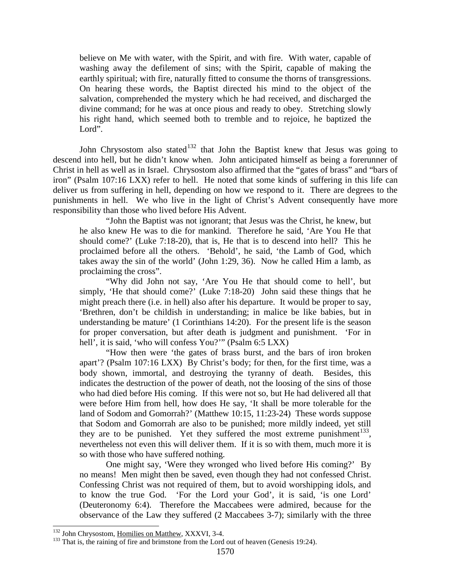believe on Me with water, with the Spirit, and with fire. With water, capable of washing away the defilement of sins; with the Spirit, capable of making the earthly spiritual; with fire, naturally fitted to consume the thorns of transgressions. On hearing these words, the Baptist directed his mind to the object of the salvation, comprehended the mystery which he had received, and discharged the divine command; for he was at once pious and ready to obey. Stretching slowly his right hand, which seemed both to tremble and to rejoice, he baptized the Lord".

John Chrysostom also stated<sup>[132](#page-58-0)</sup> that John the Baptist knew that Jesus was going to descend into hell, but he didn't know when. John anticipated himself as being a forerunner of Christ in hell as well as in Israel. Chrysostom also affirmed that the "gates of brass" and "bars of iron" (Psalm 107:16 LXX) refer to hell. He noted that some kinds of suffering in this life can deliver us from suffering in hell, depending on how we respond to it. There are degrees to the punishments in hell. We who live in the light of Christ's Advent consequently have more responsibility than those who lived before His Advent.

"John the Baptist was not ignorant; that Jesus was the Christ, he knew, but he also knew He was to die for mankind. Therefore he said, 'Are You He that should come?' (Luke 7:18-20), that is, He that is to descend into hell? This he proclaimed before all the others. 'Behold', he said, 'the Lamb of God, which takes away the sin of the world' (John 1:29, 36). Now he called Him a lamb, as proclaiming the cross".

"Why did John not say, 'Are You He that should come to hell', but simply, 'He that should come?' (Luke 7:18-20) John said these things that he might preach there (i.e. in hell) also after his departure. It would be proper to say, 'Brethren, don't be childish in understanding; in malice be like babies, but in understanding be mature' (1 Corinthians 14:20). For the present life is the season for proper conversation, but after death is judgment and punishment. 'For in hell', it is said, 'who will confess You?'" (Psalm 6:5 LXX)

"How then were 'the gates of brass burst, and the bars of iron broken apart'? (Psalm 107:16 LXX) By Christ's body; for then, for the first time, was a body shown, immortal, and destroying the tyranny of death. Besides, this indicates the destruction of the power of death, not the loosing of the sins of those who had died before His coming. If this were not so, but He had delivered all that were before Him from hell, how does He say, 'It shall be more tolerable for the land of Sodom and Gomorrah?' (Matthew 10:15, 11:23-24) These words suppose that Sodom and Gomorrah are also to be punished; more mildly indeed, yet still they are to be punished. Yet they suffered the most extreme punishment<sup>[133](#page-58-1)</sup>, nevertheless not even this will deliver them. If it is so with them, much more it is so with those who have suffered nothing.

One might say, 'Were they wronged who lived before His coming?' By no means! Men might then be saved, even though they had not confessed Christ. Confessing Christ was not required of them, but to avoid worshipping idols, and to know the true God. 'For the Lord your God', it is said, 'is one Lord' (Deuteronomy 6:4). Therefore the Maccabees were admired, because for the observance of the Law they suffered (2 Maccabees 3-7); similarly with the three

<span id="page-58-1"></span><span id="page-58-0"></span><sup>&</sup>lt;sup>132</sup> John Chrysostom, <u>Homilies on Matthew</u>, XXXVI, 3-4.<br><sup>133</sup> That is, the raining of fire and brimstone from the Lord out of heaven (Genesis 19:24).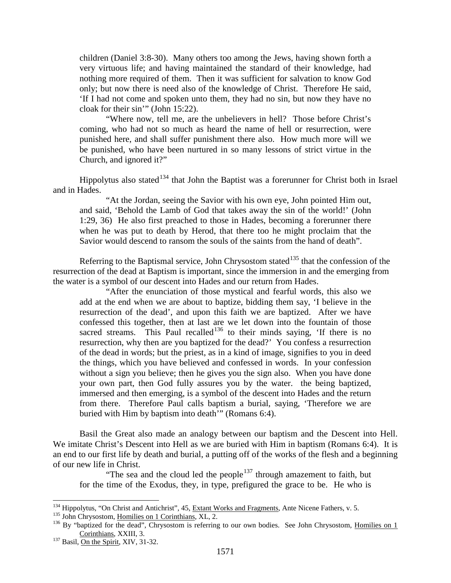children (Daniel 3:8-30). Many others too among the Jews, having shown forth a very virtuous life; and having maintained the standard of their knowledge, had nothing more required of them. Then it was sufficient for salvation to know God only; but now there is need also of the knowledge of Christ. Therefore He said, 'If I had not come and spoken unto them, they had no sin, but now they have no cloak for their sin'" (John 15:22).

"Where now, tell me, are the unbelievers in hell? Those before Christ's coming, who had not so much as heard the name of hell or resurrection, were punished here, and shall suffer punishment there also. How much more will we be punished, who have been nurtured in so many lessons of strict virtue in the Church, and ignored it?"

Hippolytus also stated<sup>[134](#page-59-0)</sup> that John the Baptist was a forerunner for Christ both in Israel and in Hades.

"At the Jordan, seeing the Savior with his own eye, John pointed Him out, and said, 'Behold the Lamb of God that takes away the sin of the world!' (John 1:29, 36) He also first preached to those in Hades, becoming a forerunner there when he was put to death by Herod, that there too he might proclaim that the Savior would descend to ransom the souls of the saints from the hand of death".

Referring to the Baptismal service, John Chrysostom stated<sup>[135](#page-59-1)</sup> that the confession of the resurrection of the dead at Baptism is important, since the immersion in and the emerging from the water is a symbol of our descent into Hades and our return from Hades.

"After the enunciation of those mystical and fearful words, this also we add at the end when we are about to baptize, bidding them say, 'I believe in the resurrection of the dead', and upon this faith we are baptized. After we have confessed this together, then at last are we let down into the fountain of those sacred streams. This Paul recalled<sup>[136](#page-59-2)</sup> to their minds saying, 'If there is no resurrection, why then are you baptized for the dead?' You confess a resurrection of the dead in words; but the priest, as in a kind of image, signifies to you in deed the things, which you have believed and confessed in words. In your confession without a sign you believe; then he gives you the sign also. When you have done your own part, then God fully assures you by the water. the being baptized, immersed and then emerging, is a symbol of the descent into Hades and the return from there. Therefore Paul calls baptism a burial, saying, 'Therefore we are buried with Him by baptism into death'" (Romans 6:4).

Basil the Great also made an analogy between our baptism and the Descent into Hell. We imitate Christ's Descent into Hell as we are buried with Him in baptism (Romans 6:4). It is an end to our first life by death and burial, a putting off of the works of the flesh and a beginning of our new life in Christ.

"The sea and the cloud led the people<sup>[137](#page-59-3)</sup> through amazement to faith, but for the time of the Exodus, they, in type, prefigured the grace to be. He who is

<span id="page-59-2"></span><span id="page-59-1"></span>

<span id="page-59-0"></span><sup>&</sup>lt;sup>134</sup> Hippolytus, "On Christ and Antichrist", 45, <u>Extant Works and Fragments</u>, Ante Nicene Fathers, v. 5.<br><sup>135</sup> John Chrysostom, <u>Homilies on 1 Corinthians</u>, XL, 2.<br><sup>136</sup> By "baptized for the dead", Chrysostom is referrin Corinthians, XXIII, 3.<br><sup>137</sup> Basil, On th<u>e Spirit</u>, XIV, 31-32.

<span id="page-59-3"></span>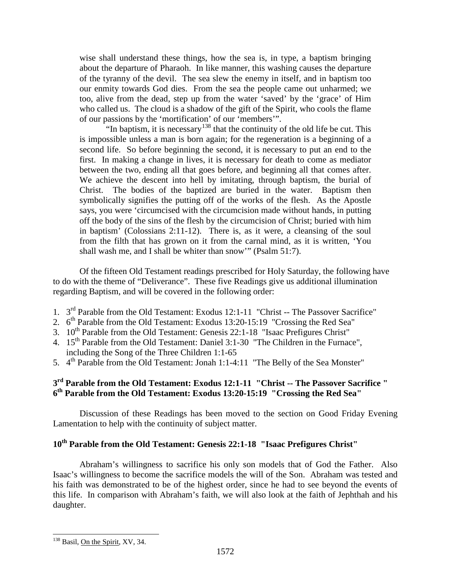wise shall understand these things, how the sea is, in type, a baptism bringing about the departure of Pharaoh. In like manner, this washing causes the departure of the tyranny of the devil. The sea slew the enemy in itself, and in baptism too our enmity towards God dies. From the sea the people came out unharmed; we too, alive from the dead, step up from the water 'saved' by the 'grace' of Him who called us. The cloud is a shadow of the gift of the Spirit, who cools the flame of our passions by the 'mortification' of our 'members'".

"In baptism, it is necessary<sup>[138](#page-60-0)</sup> that the continuity of the old life be cut. This is impossible unless a man is born again; for the regeneration is a beginning of a second life. So before beginning the second, it is necessary to put an end to the first. In making a change in lives, it is necessary for death to come as mediator between the two, ending all that goes before, and beginning all that comes after. We achieve the descent into hell by imitating, through baptism, the burial of Christ. The bodies of the baptized are buried in the water. Baptism then symbolically signifies the putting off of the works of the flesh. As the Apostle says, you were 'circumcised with the circumcision made without hands, in putting off the body of the sins of the flesh by the circumcision of Christ; buried with him in baptism' (Colossians 2:11-12). There is, as it were, a cleansing of the soul from the filth that has grown on it from the carnal mind, as it is written, 'You shall wash me, and I shall be whiter than snow'" (Psalm 51:7).

Of the fifteen Old Testament readings prescribed for Holy Saturday, the following have to do with the theme of "Deliverance". These five Readings give us additional illumination regarding Baptism, and will be covered in the following order:

- 1. 3rd Parable from the Old Testament: Exodus 12:1-11 "Christ -- The Passover Sacrifice"
- 2.  $6<sup>th</sup>$  Parable from the Old Testament: Exodus 13:20-15:19 "Crossing the Red Sea"
- 3. 10<sup>th</sup> Parable from the Old Testament: Genesis 22:1-18 "Isaac Prefigures Christ"
- 4. 15<sup>th</sup> Parable from the Old Testament: Daniel 3:1-30 "The Children in the Furnace", including the Song of the Three Children 1:1-65
- 5.  $4<sup>th</sup>$  Parable from the Old Testament: Jonah 1:1-4:11 "The Belly of the Sea Monster"

# **3rd Parable from the Old Testament: Exodus 12:1-11 "Christ -- The Passover Sacrifice " 6th Parable from the Old Testament: Exodus 13:20-15:19 "Crossing the Red Sea"**

Discussion of these Readings has been moved to the section on Good Friday Evening Lamentation to help with the continuity of subject matter.

# **10th Parable from the Old Testament: Genesis 22:1-18 "Isaac Prefigures Christ"**

Abraham's willingness to sacrifice his only son models that of God the Father. Also Isaac's willingness to become the sacrifice models the will of the Son. Abraham was tested and his faith was demonstrated to be of the highest order, since he had to see beyond the events of this life. In comparison with Abraham's faith, we will also look at the faith of Jephthah and his daughter.

<span id="page-60-0"></span><sup>&</sup>lt;sup>138</sup> Basil, On the Spirit, XV, 34.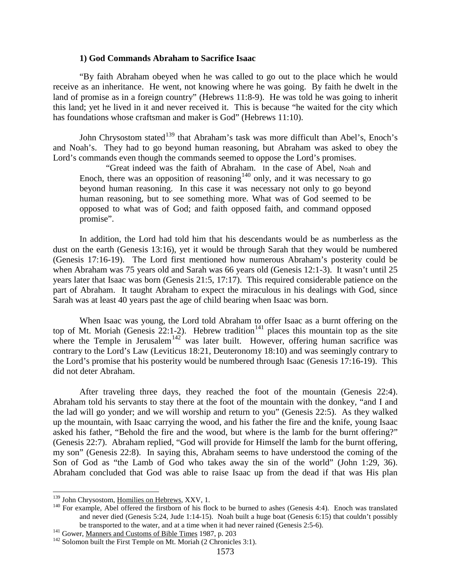#### **1) God Commands Abraham to Sacrifice Isaac**

"By faith Abraham obeyed when he was called to go out to the place which he would receive as an inheritance. He went, not knowing where he was going. By faith he dwelt in the land of promise as in a foreign country" (Hebrews 11:8-9). He was told he was going to inherit this land; yet he lived in it and never received it. This is because "he waited for the city which has foundations whose craftsman and maker is God" (Hebrews 11:10).

John Chrysostom stated<sup>[139](#page-61-0)</sup> that Abraham's task was more difficult than Abel's, Enoch's and Noah's. They had to go beyond human reasoning, but Abraham was asked to obey the Lord's commands even though the commands seemed to oppose the Lord's promises.

"Great indeed was the faith of Abraham. In the case of Abel, Noah and Enoch, there was an opposition of reasoning<sup>[140](#page-61-1)</sup> only, and it was necessary to go beyond human reasoning. In this case it was necessary not only to go beyond human reasoning, but to see something more. What was of God seemed to be opposed to what was of God; and faith opposed faith, and command opposed promise".

In addition, the Lord had told him that his descendants would be as numberless as the dust on the earth (Genesis 13:16), yet it would be through Sarah that they would be numbered (Genesis 17:16-19). The Lord first mentioned how numerous Abraham's posterity could be when Abraham was 75 years old and Sarah was 66 years old (Genesis 12:1-3). It wasn't until 25 years later that Isaac was born (Genesis 21:5, 17:17). This required considerable patience on the part of Abraham. It taught Abraham to expect the miraculous in his dealings with God, since Sarah was at least 40 years past the age of child bearing when Isaac was born.

When Isaac was young, the Lord told Abraham to offer Isaac as a burnt offering on the top of Mt. Moriah (Genesis  $22:1-2$ ). Hebrew tradition<sup>[141](#page-61-2)</sup> places this mountain top as the site where the Temple in Jerusalem<sup>[142](#page-61-3)'</sup> was later built. However, offering human sacrifice was contrary to the Lord's Law (Leviticus 18:21, Deuteronomy 18:10) and was seemingly contrary to the Lord's promise that his posterity would be numbered through Isaac (Genesis 17:16-19). This did not deter Abraham.

After traveling three days, they reached the foot of the mountain (Genesis 22:4). Abraham told his servants to stay there at the foot of the mountain with the donkey, "and I and the lad will go yonder; and we will worship and return to you" (Genesis 22:5). As they walked up the mountain, with Isaac carrying the wood, and his father the fire and the knife, young Isaac asked his father, "Behold the fire and the wood, but where is the lamb for the burnt offering?" (Genesis 22:7). Abraham replied, "God will provide for Himself the lamb for the burnt offering, my son" (Genesis 22:8). In saying this, Abraham seems to have understood the coming of the Son of God as "the Lamb of God who takes away the sin of the world" (John 1:29, 36). Abraham concluded that God was able to raise Isaac up from the dead if that was His plan

<span id="page-61-1"></span><span id="page-61-0"></span><sup>&</sup>lt;sup>139</sup> John Chrysostom, <u>Homilies on Hebrews</u>, XXV, 1.<br><sup>140</sup> For example, Abel offered the firstborn of his flock to be burned to ashes (Genesis 4:4). Enoch was translated and never died (Genesis 5:24, Jude 1:14-15). Noah built a huge boat (Genesis 6:15) that couldn't possibly be transported to the water, and at a time when it had never rained (Genesis 2:5-6).<br><sup>141</sup> Gower, <u>Manners and Customs of Bible Times</u> 1987, p. 203<br><sup>142</sup> Solomon built the First Temple on Mt. Moriah (2 Chronicles 3:1).

<span id="page-61-2"></span>

<span id="page-61-3"></span>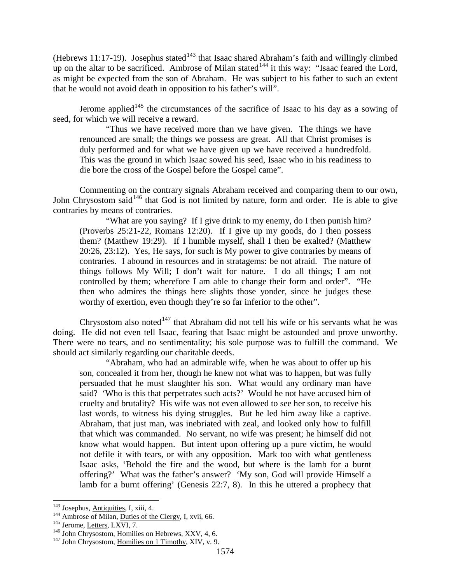(Hebrews 11:17-19). Josephus stated<sup>[143](#page-62-0)</sup> that Isaac shared Abraham's faith and willingly climbed up on the altar to be sacrificed. Ambrose of Milan stated<sup>[144](#page-62-1)</sup> it this way: "Isaac feared the Lord, as might be expected from the son of Abraham. He was subject to his father to such an extent that he would not avoid death in opposition to his father's will".

Jerome applied<sup>[145](#page-62-2)</sup> the circumstances of the sacrifice of Isaac to his day as a sowing of seed, for which we will receive a reward.

"Thus we have received more than we have given. The things we have renounced are small; the things we possess are great. All that Christ promises is duly performed and for what we have given up we have received a hundredfold. This was the ground in which Isaac sowed his seed, Isaac who in his readiness to die bore the cross of the Gospel before the Gospel came".

Commenting on the contrary signals Abraham received and comparing them to our own, John Chrysostom said<sup>[146](#page-62-3)</sup> that God is not limited by nature, form and order. He is able to give contraries by means of contraries.

"What are you saying? If I give drink to my enemy, do I then punish him? (Proverbs 25:21-22, Romans 12:20). If I give up my goods, do I then possess them? (Matthew 19:29). If I humble myself, shall I then be exalted? (Matthew 20:26, 23:12). Yes, He says, for such is My power to give contraries by means of contraries. I abound in resources and in stratagems: be not afraid. The nature of things follows My Will; I don't wait for nature. I do all things; I am not controlled by them; wherefore I am able to change their form and order". "He then who admires the things here slights those yonder, since he judges these worthy of exertion, even though they're so far inferior to the other".

Chrysostom also noted<sup> $147$ </sup> that Abraham did not tell his wife or his servants what he was doing. He did not even tell Isaac, fearing that Isaac might be astounded and prove unworthy. There were no tears, and no sentimentality; his sole purpose was to fulfill the command. We should act similarly regarding our charitable deeds.

"Abraham, who had an admirable wife, when he was about to offer up his son, concealed it from her, though he knew not what was to happen, but was fully persuaded that he must slaughter his son. What would any ordinary man have said? 'Who is this that perpetrates such acts?' Would he not have accused him of cruelty and brutality? His wife was not even allowed to see her son, to receive his last words, to witness his dying struggles. But he led him away like a captive. Abraham, that just man, was inebriated with zeal, and looked only how to fulfill that which was commanded. No servant, no wife was present; he himself did not know what would happen. But intent upon offering up a pure victim, he would not defile it with tears, or with any opposition. Mark too with what gentleness Isaac asks, 'Behold the fire and the wood, but where is the lamb for a burnt offering?' What was the father's answer? 'My son, God will provide Himself a lamb for a burnt offering' (Genesis 22:7, 8). In this he uttered a prophecy that

<span id="page-62-3"></span><span id="page-62-2"></span>

<span id="page-62-1"></span><span id="page-62-0"></span><sup>&</sup>lt;sup>143</sup> Josephus, <u>Antiquities</u>, I, xiii, 4.<br><sup>144</sup> Ambrose of Milan, <u>Duties of the Clergy</u>, I, xvii, 66.<br><sup>145</sup> Jerome, <u>Letters</u>, LXVI, 7.<br><sup>146</sup> John Chrysostom, <u>Homilies on Hebrews</u>, XXV, 4, 6.<br><sup>147</sup> John Chrysostom, Hom

<span id="page-62-4"></span>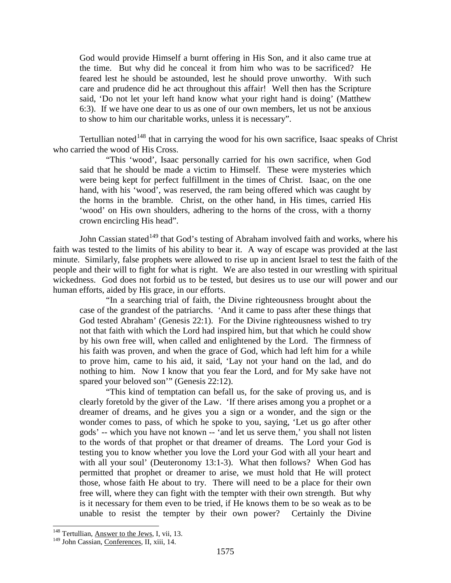God would provide Himself a burnt offering in His Son, and it also came true at the time. But why did he conceal it from him who was to be sacrificed? He feared lest he should be astounded, lest he should prove unworthy. With such care and prudence did he act throughout this affair! Well then has the Scripture said, 'Do not let your left hand know what your right hand is doing' (Matthew 6:3). If we have one dear to us as one of our own members, let us not be anxious to show to him our charitable works, unless it is necessary".

Tertullian noted $148$  that in carrying the wood for his own sacrifice, Isaac speaks of Christ who carried the wood of His Cross.

"This 'wood', Isaac personally carried for his own sacrifice, when God said that he should be made a victim to Himself. These were mysteries which were being kept for perfect fulfillment in the times of Christ. Isaac, on the one hand, with his 'wood', was reserved, the ram being offered which was caught by the horns in the bramble. Christ, on the other hand, in His times, carried His 'wood' on His own shoulders, adhering to the horns of the cross, with a thorny crown encircling His head".

John Cassian stated<sup>[149](#page-63-1)</sup> that God's testing of Abraham involved faith and works, where his faith was tested to the limits of his ability to bear it. A way of escape was provided at the last minute. Similarly, false prophets were allowed to rise up in ancient Israel to test the faith of the people and their will to fight for what is right. We are also tested in our wrestling with spiritual wickedness. God does not forbid us to be tested, but desires us to use our will power and our human efforts, aided by His grace, in our efforts.

"In a searching trial of faith, the Divine righteousness brought about the case of the grandest of the patriarchs. 'And it came to pass after these things that God tested Abraham' (Genesis 22:1). For the Divine righteousness wished to try not that faith with which the Lord had inspired him, but that which he could show by his own free will, when called and enlightened by the Lord. The firmness of his faith was proven, and when the grace of God, which had left him for a while to prove him, came to his aid, it said, 'Lay not your hand on the lad, and do nothing to him. Now I know that you fear the Lord, and for My sake have not spared your beloved son'" (Genesis 22:12).

"This kind of temptation can befall us, for the sake of proving us, and is clearly foretold by the giver of the Law. 'If there arises among you a prophet or a dreamer of dreams, and he gives you a sign or a wonder, and the sign or the wonder comes to pass, of which he spoke to you, saying, 'Let us go after other gods' -- which you have not known -- 'and let us serve them,' you shall not listen to the words of that prophet or that dreamer of dreams. The Lord your God is testing you to know whether you love the Lord your God with all your heart and with all your soul' (Deuteronomy 13:1-3). What then follows? When God has permitted that prophet or dreamer to arise, we must hold that He will protect those, whose faith He about to try. There will need to be a place for their own free will, where they can fight with the tempter with their own strength. But why is it necessary for them even to be tried, if He knows them to be so weak as to be unable to resist the tempter by their own power? Certainly the Divine

<span id="page-63-0"></span><sup>&</sup>lt;sup>148</sup> Tertullian, Answer to the Jews, I, vii, 13.

<span id="page-63-1"></span><sup>&</sup>lt;sup>149</sup> John Cassian, Conferences, II, xiii, 14.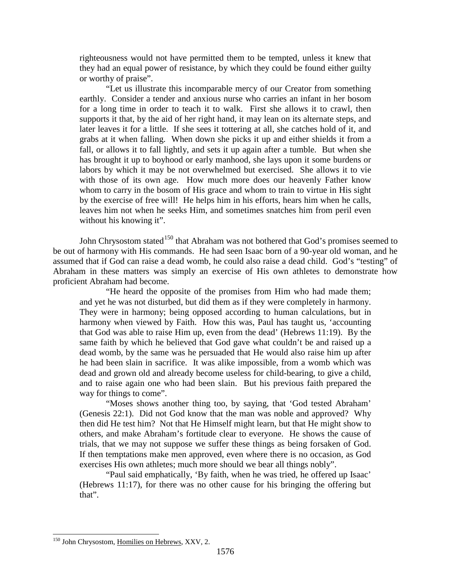righteousness would not have permitted them to be tempted, unless it knew that they had an equal power of resistance, by which they could be found either guilty or worthy of praise".

"Let us illustrate this incomparable mercy of our Creator from something earthly. Consider a tender and anxious nurse who carries an infant in her bosom for a long time in order to teach it to walk. First she allows it to crawl, then supports it that, by the aid of her right hand, it may lean on its alternate steps, and later leaves it for a little. If she sees it tottering at all, she catches hold of it, and grabs at it when falling. When down she picks it up and either shields it from a fall, or allows it to fall lightly, and sets it up again after a tumble. But when she has brought it up to boyhood or early manhood, she lays upon it some burdens or labors by which it may be not overwhelmed but exercised. She allows it to vie with those of its own age. How much more does our heavenly Father know whom to carry in the bosom of His grace and whom to train to virtue in His sight by the exercise of free will! He helps him in his efforts, hears him when he calls, leaves him not when he seeks Him, and sometimes snatches him from peril even without his knowing it".

John Chrysostom stated<sup>[150](#page-64-0)</sup> that Abraham was not bothered that God's promises seemed to be out of harmony with His commands. He had seen Isaac born of a 90-year old woman, and he assumed that if God can raise a dead womb, he could also raise a dead child. God's "testing" of Abraham in these matters was simply an exercise of His own athletes to demonstrate how proficient Abraham had become.

"He heard the opposite of the promises from Him who had made them; and yet he was not disturbed, but did them as if they were completely in harmony. They were in harmony; being opposed according to human calculations, but in harmony when viewed by Faith. How this was, Paul has taught us, 'accounting that God was able to raise Him up, even from the dead' (Hebrews 11:19). By the same faith by which he believed that God gave what couldn't be and raised up a dead womb, by the same was he persuaded that He would also raise him up after he had been slain in sacrifice. It was alike impossible, from a womb which was dead and grown old and already become useless for child-bearing, to give a child, and to raise again one who had been slain. But his previous faith prepared the way for things to come".

"Moses shows another thing too, by saying, that 'God tested Abraham' (Genesis 22:1). Did not God know that the man was noble and approved? Why then did He test him? Not that He Himself might learn, but that He might show to others, and make Abraham's fortitude clear to everyone. He shows the cause of trials, that we may not suppose we suffer these things as being forsaken of God. If then temptations make men approved, even where there is no occasion, as God exercises His own athletes; much more should we bear all things nobly".

"Paul said emphatically, 'By faith, when he was tried, he offered up Isaac' (Hebrews 11:17), for there was no other cause for his bringing the offering but that".

<span id="page-64-0"></span><sup>&</sup>lt;sup>150</sup> John Chrysostom, Homilies on Hebrews, XXV, 2.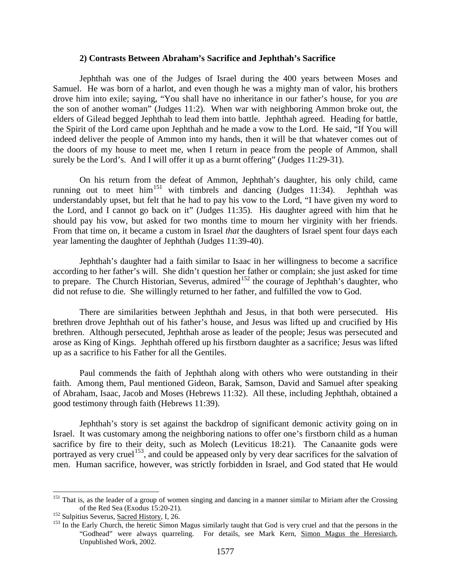#### **2) Contrasts Between Abraham's Sacrifice and Jephthah's Sacrifice**

Jephthah was one of the Judges of Israel during the 400 years between Moses and Samuel. He was born of a harlot, and even though he was a mighty man of valor, his brothers drove him into exile; saying, "You shall have no inheritance in our father's house, for you *are* the son of another woman" (Judges 11:2). When war with neighboring Ammon broke out, the elders of Gilead begged Jephthah to lead them into battle. Jephthah agreed. Heading for battle, the Spirit of the Lord came upon Jephthah and he made a vow to the Lord. He said, "If You will indeed deliver the people of Ammon into my hands, then it will be that whatever comes out of the doors of my house to meet me, when I return in peace from the people of Ammon, shall surely be the Lord's. And I will offer it up as a burnt offering" (Judges 11:29-31).

On his return from the defeat of Ammon, Jephthah's daughter, his only child, came running out to meet him<sup>[151](#page-65-0)</sup> with timbrels and dancing (Judges 11:34). Jephthah was understandably upset, but felt that he had to pay his vow to the Lord, "I have given my word to the Lord, and I cannot go back on it" (Judges 11:35). His daughter agreed with him that he should pay his vow, but asked for two months time to mourn her virginity with her friends. From that time on, it became a custom in Israel *that* the daughters of Israel spent four days each year lamenting the daughter of Jephthah (Judges 11:39-40).

Jephthah's daughter had a faith similar to Isaac in her willingness to become a sacrifice according to her father's will. She didn't question her father or complain; she just asked for time to prepare. The Church Historian, Severus, admired<sup>[152](#page-65-1)</sup> the courage of Jephthah's daughter, who did not refuse to die. She willingly returned to her father, and fulfilled the vow to God.

There are similarities between Jephthah and Jesus, in that both were persecuted. His brethren drove Jephthah out of his father's house, and Jesus was lifted up and crucified by His brethren. Although persecuted, Jephthah arose as leader of the people; Jesus was persecuted and arose as King of Kings. Jephthah offered up his firstborn daughter as a sacrifice; Jesus was lifted up as a sacrifice to his Father for all the Gentiles.

Paul commends the faith of Jephthah along with others who were outstanding in their faith. Among them, Paul mentioned Gideon, Barak, Samson, David and Samuel after speaking of Abraham, Isaac, Jacob and Moses (Hebrews 11:32). All these, including Jephthah, obtained a good testimony through faith (Hebrews 11:39).

Jephthah's story is set against the backdrop of significant demonic activity going on in Israel. It was customary among the neighboring nations to offer one's firstborn child as a human sacrifice by fire to their deity, such as Molech (Leviticus 18:21). The Canaanite gods were portrayed as very cruel<sup>[153](#page-65-2)</sup>, and could be appeased only by very dear sacrifices for the salvation of men. Human sacrifice, however, was strictly forbidden in Israel, and God stated that He would

<span id="page-65-0"></span><sup>&</sup>lt;sup>151</sup> That is, as the leader of a group of women singing and dancing in a manner similar to Miriam after the Crossing of the Red Sea (Exodus 15:20-21).<br>
<sup>152</sup> Sulpitius Severus, <u>Sacred History</u>, I, 26.<br>
<sup>153</sup> In the Early Church, the heretic Simon Magus similarly taught that God is very cruel and that the persons in the

<span id="page-65-1"></span>

<span id="page-65-2"></span><sup>&</sup>quot;Godhead" were always quarreling. For details, see Mark Kern, Simon Magus the Heresiarch, Unpublished Work, 2002.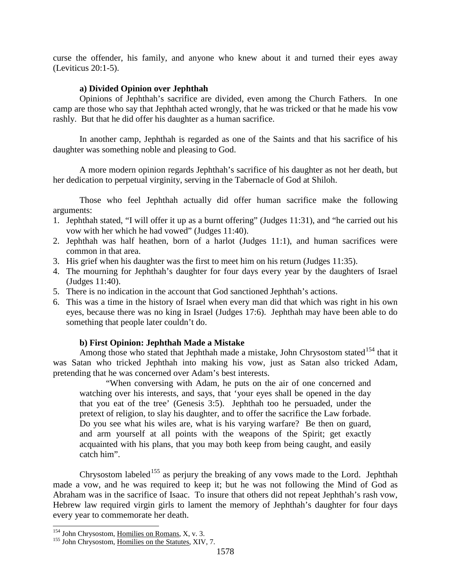curse the offender, his family, and anyone who knew about it and turned their eyes away (Leviticus 20:1-5).

#### **a) Divided Opinion over Jephthah**

Opinions of Jephthah's sacrifice are divided, even among the Church Fathers. In one camp are those who say that Jephthah acted wrongly, that he was tricked or that he made his vow rashly. But that he did offer his daughter as a human sacrifice.

In another camp, Jephthah is regarded as one of the Saints and that his sacrifice of his daughter was something noble and pleasing to God.

A more modern opinion regards Jephthah's sacrifice of his daughter as not her death, but her dedication to perpetual virginity, serving in the Tabernacle of God at Shiloh.

Those who feel Jephthah actually did offer human sacrifice make the following arguments:

- 1. Jephthah stated, "I will offer it up as a burnt offering" (Judges 11:31), and "he carried out his vow with her which he had vowed" (Judges 11:40).
- 2. Jephthah was half heathen, born of a harlot (Judges 11:1), and human sacrifices were common in that area.
- 3. His grief when his daughter was the first to meet him on his return (Judges 11:35).
- 4. The mourning for Jephthah's daughter for four days every year by the daughters of Israel (Judges 11:40).
- 5. There is no indication in the account that God sanctioned Jephthah's actions.
- 6. This was a time in the history of Israel when every man did that which was right in his own eyes, because there was no king in Israel (Judges 17:6). Jephthah may have been able to do something that people later couldn't do.

## **b) First Opinion: Jephthah Made a Mistake**

Among those who stated that Jephthah made a mistake, John Chrysostom stated<sup>[154](#page-66-0)</sup> that it was Satan who tricked Jephthah into making his vow, just as Satan also tricked Adam, pretending that he was concerned over Adam's best interests.

"When conversing with Adam, he puts on the air of one concerned and watching over his interests, and says, that 'your eyes shall be opened in the day that you eat of the tree' (Genesis 3:5). Jephthah too he persuaded, under the pretext of religion, to slay his daughter, and to offer the sacrifice the Law forbade. Do you see what his wiles are, what is his varying warfare? Be then on guard, and arm yourself at all points with the weapons of the Spirit; get exactly acquainted with his plans, that you may both keep from being caught, and easily catch him".

Chrysostom labeled<sup>[155](#page-66-1)</sup> as perjury the breaking of any vows made to the Lord. Jephthah made a vow, and he was required to keep it; but he was not following the Mind of God as Abraham was in the sacrifice of Isaac. To insure that others did not repeat Jephthah's rash vow, Hebrew law required virgin girls to lament the memory of Jephthah's daughter for four days every year to commemorate her death.

<span id="page-66-1"></span><span id="page-66-0"></span><sup>&</sup>lt;sup>154</sup> John Chrysostom, <u>Homilies on Romans</u>, X, v. 3.<br><sup>155</sup> John Chrysostom, <u>Homilies on the Statutes</u>, XIV, 7.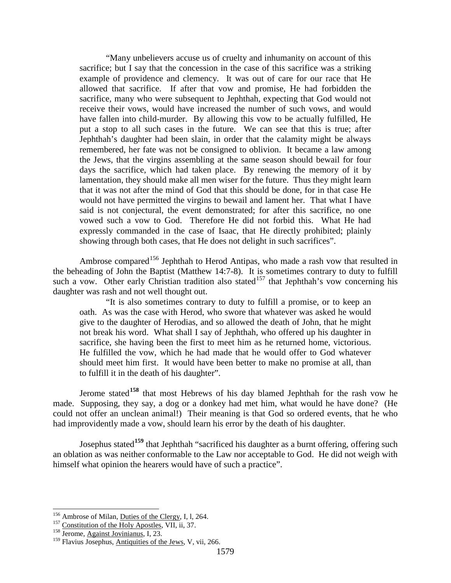"Many unbelievers accuse us of cruelty and inhumanity on account of this sacrifice; but I say that the concession in the case of this sacrifice was a striking example of providence and clemency. It was out of care for our race that He allowed that sacrifice. If after that vow and promise, He had forbidden the sacrifice, many who were subsequent to Jephthah, expecting that God would not receive their vows, would have increased the number of such vows, and would have fallen into child-murder. By allowing this vow to be actually fulfilled, He put a stop to all such cases in the future. We can see that this is true; after Jephthah's daughter had been slain, in order that the calamity might be always remembered, her fate was not be consigned to oblivion. It became a law among the Jews, that the virgins assembling at the same season should bewail for four days the sacrifice, which had taken place. By renewing the memory of it by lamentation, they should make all men wiser for the future. Thus they might learn that it was not after the mind of God that this should be done, for in that case He would not have permitted the virgins to bewail and lament her. That what I have said is not conjectural, the event demonstrated; for after this sacrifice, no one vowed such a vow to God. Therefore He did not forbid this. What He had expressly commanded in the case of Isaac, that He directly prohibited; plainly showing through both cases, that He does not delight in such sacrifices".

Ambrose compared<sup>[156](#page-67-0)</sup> Jephthah to Herod Antipas, who made a rash vow that resulted in the beheading of John the Baptist (Matthew 14:7-8). It is sometimes contrary to duty to fulfill such a vow. Other early Christian tradition also stated<sup>[157](#page-67-1)</sup> that Jephthah's vow concerning his daughter was rash and not well thought out.

"It is also sometimes contrary to duty to fulfill a promise, or to keep an oath. As was the case with Herod, who swore that whatever was asked he would give to the daughter of Herodias, and so allowed the death of John, that he might not break his word. What shall I say of Jephthah, who offered up his daughter in sacrifice, she having been the first to meet him as he returned home, victorious. He fulfilled the vow, which he had made that he would offer to God whatever should meet him first. It would have been better to make no promise at all, than to fulfill it in the death of his daughter".

Jerome stated**[158](#page-67-2)** that most Hebrews of his day blamed Jephthah for the rash vow he made. Supposing, they say, a dog or a donkey had met him, what would he have done? (He could not offer an unclean animal!) Their meaning is that God so ordered events, that he who had improvidently made a vow, should learn his error by the death of his daughter.

Josephus stated**[159](#page-67-3)** that Jephthah "sacrificed his daughter as a burnt offering, offering such an oblation as was neither conformable to the Law nor acceptable to God. He did not weigh with himself what opinion the hearers would have of such a practice".

<span id="page-67-0"></span><sup>&</sup>lt;sup>156</sup> Ambrose of Milan, <u>Duties of the Clergy</u>, I, 1, 264.<br><sup>157</sup> Constitution of the Holy Apostles, VII, ii, 37.<br><sup>158</sup> Jerome, Against Jovinianus, I, 23.

<span id="page-67-1"></span>

<span id="page-67-2"></span>

<span id="page-67-3"></span><sup>&</sup>lt;sup>159</sup> Flavius Josephus, Antiquities of the Jews, V, vii, 266.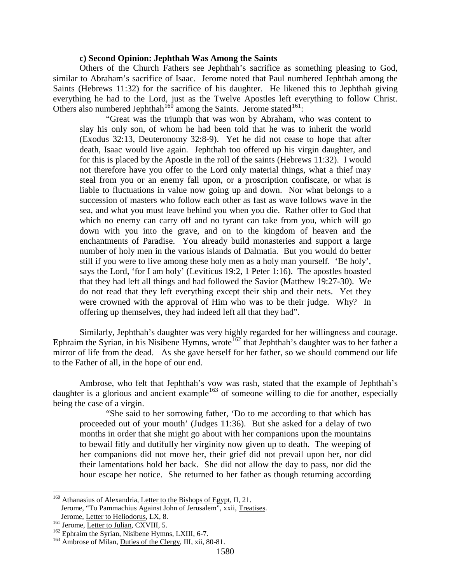#### **c) Second Opinion: Jephthah Was Among the Saints**

Others of the Church Fathers see Jephthah's sacrifice as something pleasing to God, similar to Abraham's sacrifice of Isaac. Jerome noted that Paul numbered Jephthah among the Saints (Hebrews 11:32) for the sacrifice of his daughter. He likened this to Jephthah giving everything he had to the Lord, just as the Twelve Apostles left everything to follow Christ. Others also numbered Jephthah<sup>[160](#page-68-0)</sup> among the Saints. Jerome stated<sup>161</sup>:

"Great was the triumph that was won by Abraham, who was content to slay his only son, of whom he had been told that he was to inherit the world (Exodus 32:13, Deuteronomy 32:8-9). Yet he did not cease to hope that after death, Isaac would live again. Jephthah too offered up his virgin daughter, and for this is placed by the Apostle in the roll of the saints (Hebrews 11:32). I would not therefore have you offer to the Lord only material things, what a thief may steal from you or an enemy fall upon, or a proscription confiscate, or what is liable to fluctuations in value now going up and down. Nor what belongs to a succession of masters who follow each other as fast as wave follows wave in the sea, and what you must leave behind you when you die. Rather offer to God that which no enemy can carry off and no tyrant can take from you, which will go down with you into the grave, and on to the kingdom of heaven and the enchantments of Paradise. You already build monasteries and support a large number of holy men in the various islands of Dalmatia. But you would do better still if you were to live among these holy men as a holy man yourself. 'Be holy', says the Lord, 'for I am holy' (Leviticus 19:2, 1 Peter 1:16). The apostles boasted that they had left all things and had followed the Savior (Matthew 19:27-30). We do not read that they left everything except their ship and their nets. Yet they were crowned with the approval of Him who was to be their judge. Why? In offering up themselves, they had indeed left all that they had".

Similarly, Jephthah's daughter was very highly regarded for her willingness and courage. Ephraim the Syrian, in his Nisibene Hymns, wrote<sup>[162](#page-68-2)</sup> that Jephthah's daughter was to her father a mirror of life from the dead. As she gave herself for her father, so we should commend our life to the Father of all, in the hope of our end.

Ambrose, who felt that Jephthah's vow was rash, stated that the example of Jephthah's daughter is a glorious and ancient example<sup>[163](#page-68-3)</sup> of someone willing to die for another, especially being the case of a virgin.

"She said to her sorrowing father, 'Do to me according to that which has proceeded out of your mouth' (Judges 11:36). But she asked for a delay of two months in order that she might go about with her companions upon the mountains to bewail fitly and dutifully her virginity now given up to death. The weeping of her companions did not move her, their grief did not prevail upon her, nor did their lamentations hold her back. She did not allow the day to pass, nor did the hour escape her notice. She returned to her father as though returning according

<span id="page-68-0"></span><sup>&</sup>lt;sup>160</sup> Athanasius of Alexandria, Letter to the Bishops of Egypt, II, 21. Jerome, "To Pammachius Against John of Jerusalem", xxii, Treatises.

<span id="page-68-2"></span><span id="page-68-1"></span>

Jerome, <u>Letter to Heliodorus</u>, LX, 8.<br><sup>161</sup> Jerome, <u>Letter to Julian</u>, CXVIII, 5.<br><sup>162</sup> Ephraim the Syrian, <u>Nisibene Hymns</u>, LXIII, 6-7.<br><sup>163</sup> Ambrose of Milan, <u>Duties of the Clergy</u>, III, xii, 80-81.

<span id="page-68-3"></span>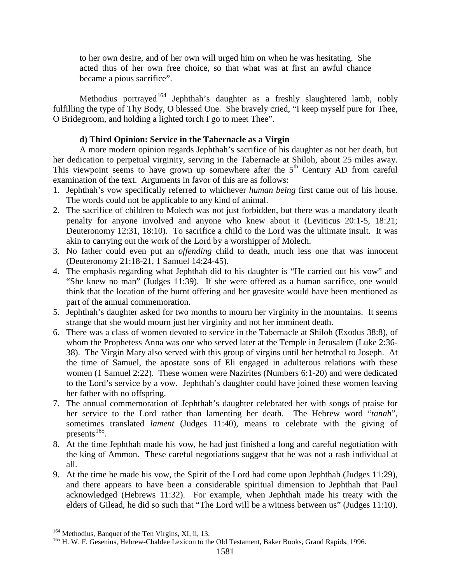to her own desire, and of her own will urged him on when he was hesitating. She acted thus of her own free choice, so that what was at first an awful chance became a pious sacrifice".

Methodius portrayed<sup>[164](#page-69-0)</sup> Jephthah's daughter as a freshly slaughtered lamb, nobly fulfilling the type of Thy Body, O blessed One. She bravely cried, "I keep myself pure for Thee, O Bridegroom, and holding a lighted torch I go to meet Thee".

# **d) Third Opinion: Service in the Tabernacle as a Virgin**

A more modern opinion regards Jephthah's sacrifice of his daughter as not her death, but her dedication to perpetual virginity, serving in the Tabernacle at Shiloh, about 25 miles away. This viewpoint seems to have grown up somewhere after the  $5<sup>th</sup>$  Century AD from careful examination of the text. Arguments in favor of this are as follows:

- 1. Jephthah's vow specifically referred to whichever *human being* first came out of his house. The words could not be applicable to any kind of animal.
- 2. The sacrifice of children to Molech was not just forbidden, but there was a mandatory death penalty for anyone involved and anyone who knew about it (Leviticus 20:1-5, 18:21; Deuteronomy 12:31, 18:10). To sacrifice a child to the Lord was the ultimate insult. It was akin to carrying out the work of the Lord by a worshipper of Molech.
- 3. No father could even put an *offending* child to death, much less one that was innocent (Deuteronomy 21:18-21, 1 Samuel 14:24-45).
- 4. The emphasis regarding what Jephthah did to his daughter is "He carried out his vow" and "She knew no man" (Judges 11:39). If she were offered as a human sacrifice, one would think that the location of the burnt offering and her gravesite would have been mentioned as part of the annual commemoration.
- 5. Jephthah's daughter asked for two months to mourn her virginity in the mountains. It seems strange that she would mourn just her virginity and not her imminent death.
- 6. There was a class of women devoted to service in the Tabernacle at Shiloh (Exodus 38:8), of whom the Prophetess Anna was one who served later at the Temple in Jerusalem (Luke 2:36- 38). The Virgin Mary also served with this group of virgins until her betrothal to Joseph. At the time of Samuel, the apostate sons of Eli engaged in adulterous relations with these women (1 Samuel 2:22). These women were Nazirites (Numbers 6:1-20) and were dedicated to the Lord's service by a vow. Jephthah's daughter could have joined these women leaving her father with no offspring.
- 7. The annual commemoration of Jephthah's daughter celebrated her with songs of praise for her service to the Lord rather than lamenting her death. The Hebrew word "*tanah*", sometimes translated *lament* (Judges 11:40), means to celebrate with the giving of presents<sup>[165](#page-69-1)</sup>.
- 8. At the time Jephthah made his vow, he had just finished a long and careful negotiation with the king of Ammon. These careful negotiations suggest that he was not a rash individual at all.
- 9. At the time he made his vow, the Spirit of the Lord had come upon Jephthah (Judges 11:29), and there appears to have been a considerable spiritual dimension to Jephthah that Paul acknowledged (Hebrews 11:32). For example, when Jephthah made his treaty with the elders of Gilead, he did so such that "The Lord will be a witness between us" (Judges 11:10).

<span id="page-69-1"></span><span id="page-69-0"></span><sup>&</sup>lt;sup>164</sup> Methodius, <u>Banquet of the Ten Virgins</u>, XI, ii, 13.<br><sup>165</sup> H. W. F. Gesenius, Hebrew-Chaldee Lexicon to the Old Testament, Baker Books, Grand Rapids, 1996.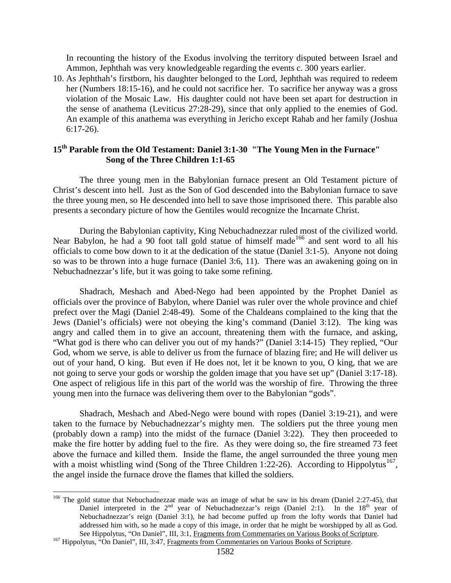In recounting the history of the Exodus involving the territory disputed between Israel and Ammon, Jephthah was very knowledgeable regarding the events c. 300 years earlier.

10. As Jephthah's firstborn, his daughter belonged to the Lord, Jephthah was required to redeem her (Numbers 18:15-16), and he could not sacrifice her. To sacrifice her anyway was a gross violation of the Mosaic Law. His daughter could not have been set apart for destruction in the sense of anathema (Leviticus 27:28-29), since that only applied to the enemies of God. An example of this anathema was everything in Jericho except Rahab and her family (Joshua 6:17-26).

# **15th Parable from the Old Testament: Daniel 3:1-30 "The Young Men in the Furnace" Song of the Three Children 1:1-65**

The three young men in the Babylonian furnace present an Old Testament picture of Christ's descent into hell. Just as the Son of God descended into the Babylonian furnace to save the three young men, so He descended into hell to save those imprisoned there. This parable also presents a secondary picture of how the Gentiles would recognize the Incarnate Christ.

During the Babylonian captivity, King Nebuchadnezzar ruled most of the civilized world. Near Babylon, he had a 90 foot tall gold statue of himself made<sup>[166](#page-70-0)</sup> and sent word to all his officials to come bow down to it at the dedication of the statue (Daniel 3:1-5). Anyone not doing so was to be thrown into a huge furnace (Daniel 3:6, 11). There was an awakening going on in Nebuchadnezzar's life, but it was going to take some refining.

Shadrach, Meshach and Abed-Nego had been appointed by the Prophet Daniel as officials over the province of Babylon, where Daniel was ruler over the whole province and chief prefect over the Magi (Daniel 2:48-49). Some of the Chaldeans complained to the king that the Jews (Daniel's officials) were not obeying the king's command (Daniel 3:12). The king was angry and called them in to give an account, threatening them with the furnace, and asking, "What god is there who can deliver you out of my hands?" (Daniel 3:14-15) They replied, "Our God, whom we serve, is able to deliver us from the furnace of blazing fire; and He will deliver us out of your hand, O king. But even if He does not, let it be known to you, O king, that we are not going to serve your gods or worship the golden image that you have set up" (Daniel 3:17-18). One aspect of religious life in this part of the world was the worship of fire. Throwing the three young men into the furnace was delivering them over to the Babylonian "gods".

Shadrach, Meshach and Abed-Nego were bound with ropes (Daniel 3:19-21), and were taken to the furnace by Nebuchadnezzar's mighty men. The soldiers put the three young men (probably down a ramp) into the midst of the furnace (Daniel 3:22). They then proceeded to make the fire hotter by adding fuel to the fire. As they were doing so, the fire streamed 73 feet above the furnace and killed them. Inside the flame, the angel surrounded the three young men with a moist whistling wind (Song of the Three Children 1:22-26). According to Hippolytus<sup>[167](#page-70-1)</sup>, the angel inside the furnace drove the flames that killed the soldiers.

<span id="page-70-0"></span><sup>&</sup>lt;sup>166</sup> The gold statue that Nebuchadnezzar made was an image of what he saw in his dream (Daniel 2:27-45), that Daniel interpreted in the  $2<sup>nd</sup>$  year of Nebuchadnezzar's reign (Daniel 2:1). In the  $18<sup>th</sup>$  year of Nebuchadnezzar's reign (Daniel 3:1), he had become puffed up from the lofty words that Daniel had addressed him with, so he made a copy of this image, in order that he might be worshipped by all as God. See Hippolytus, "On Daniel", III, 3:1, Fragments from Commentaries on Various Books of Scripture.<br><sup>167</sup> Hippolytus, "On Daniel", III, 3:47, Fragments from Commentaries on Various Books of Scripture.

<span id="page-70-1"></span>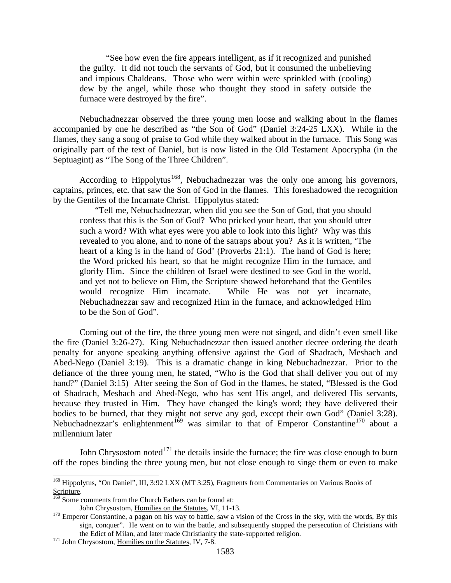"See how even the fire appears intelligent, as if it recognized and punished the guilty. It did not touch the servants of God, but it consumed the unbelieving and impious Chaldeans. Those who were within were sprinkled with (cooling) dew by the angel, while those who thought they stood in safety outside the furnace were destroyed by the fire".

Nebuchadnezzar observed the three young men loose and walking about in the flames accompanied by one he described as "the Son of God" (Daniel 3:24-25 LXX). While in the flames, they sang a song of praise to God while they walked about in the furnace. This Song was originally part of the text of Daniel, but is now listed in the Old Testament Apocrypha (in the Septuagint) as "The Song of the Three Children".

According to Hippolytus<sup>168</sup>, Nebuchadnezzar was the only one among his governors, captains, princes, etc. that saw the Son of God in the flames. This foreshadowed the recognition by the Gentiles of the Incarnate Christ. Hippolytus stated:

"Tell me, Nebuchadnezzar, when did you see the Son of God, that you should confess that this is the Son of God? Who pricked your heart, that you should utter such a word? With what eyes were you able to look into this light? Why was this revealed to you alone, and to none of the satraps about you? As it is written, 'The heart of a king is in the hand of God' (Proverbs 21:1). The hand of God is here; the Word pricked his heart, so that he might recognize Him in the furnace, and glorify Him. Since the children of Israel were destined to see God in the world, and yet not to believe on Him, the Scripture showed beforehand that the Gentiles would recognize Him incarnate. While He was not yet incarnate, Nebuchadnezzar saw and recognized Him in the furnace, and acknowledged Him to be the Son of God".

Coming out of the fire, the three young men were not singed, and didn't even smell like the fire (Daniel 3:26-27). King Nebuchadnezzar then issued another decree ordering the death penalty for anyone speaking anything offensive against the God of Shadrach, Meshach and Abed-Nego (Daniel 3:19). This is a dramatic change in king Nebuchadnezzar. Prior to the defiance of the three young men, he stated, "Who is the God that shall deliver you out of my hand?" (Daniel 3:15) After seeing the Son of God in the flames, he stated, "Blessed is the God of Shadrach, Meshach and Abed-Nego, who has sent His angel, and delivered His servants, because they trusted in Him. They have changed the king's word; they have delivered their bodies to be burned, that they might not serve any god, except their own God" (Daniel 3:28). Nebuchadnezzar's enlightenment<sup>[169](#page-71-1)</sup> was similar to that of Emperor Constantine<sup>[170](#page-71-2)</sup> about a millennium later

John Chrysostom noted $171$  the details inside the furnace; the fire was close enough to burn off the ropes binding the three young men, but not close enough to singe them or even to make

<span id="page-71-0"></span><sup>&</sup>lt;sup>168</sup> Hippolytus, "On Daniel", III, 3:92 LXX (MT 3:25), Fragments from Commentaries on Various Books of Scripture.<br> $\frac{169}{169}$  Some comments from the Church Fathers can be found at:

<span id="page-71-2"></span><span id="page-71-1"></span>John Chrysostom, <u>Homilies on the Statutes</u>, VI, 11-13.<br><sup>170</sup> Emperor Constantine, a pagan on his way to battle, saw a vision of the Cross in the sky, with the words, By this sign, conquer". He went on to win the battle, and subsequently stopped the persecution of Christians with the Edict of Milan, and later made Christianity the state-supported religion. <sup>171</sup> John Chrysostom, Homilies on the Statutes, IV, 7-8.

<span id="page-71-3"></span>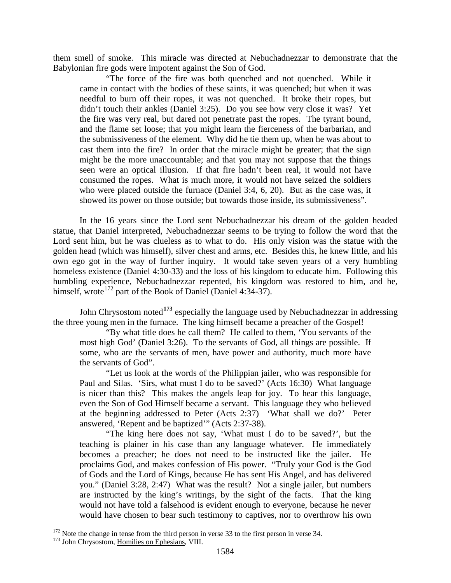them smell of smoke. This miracle was directed at Nebuchadnezzar to demonstrate that the Babylonian fire gods were impotent against the Son of God.

"The force of the fire was both quenched and not quenched. While it came in contact with the bodies of these saints, it was quenched; but when it was needful to burn off their ropes, it was not quenched. It broke their ropes, but didn't touch their ankles (Daniel 3:25). Do you see how very close it was? Yet the fire was very real, but dared not penetrate past the ropes. The tyrant bound, and the flame set loose; that you might learn the fierceness of the barbarian, and the submissiveness of the element. Why did he tie them up, when he was about to cast them into the fire? In order that the miracle might be greater; that the sign might be the more unaccountable; and that you may not suppose that the things seen were an optical illusion. If that fire hadn't been real, it would not have consumed the ropes. What is much more, it would not have seized the soldiers who were placed outside the furnace (Daniel 3:4, 6, 20). But as the case was, it showed its power on those outside; but towards those inside, its submissiveness".

In the 16 years since the Lord sent Nebuchadnezzar his dream of the golden headed statue, that Daniel interpreted, Nebuchadnezzar seems to be trying to follow the word that the Lord sent him, but he was clueless as to what to do. His only vision was the statue with the golden head (which was himself), silver chest and arms, etc. Besides this, he knew little, and his own ego got in the way of further inquiry. It would take seven years of a very humbling homeless existence (Daniel 4:30-33) and the loss of his kingdom to educate him. Following this humbling experience, Nebuchadnezzar repented, his kingdom was restored to him, and he, himself, wrote<sup>[172](#page-72-0)</sup> part of the Book of Daniel (Daniel 4:34-37).

John Chrysostom noted**[173](#page-72-1)** especially the language used by Nebuchadnezzar in addressing the three young men in the furnace. The king himself became a preacher of the Gospel!

"By what title does he call them? He called to them, 'You servants of the most high God' (Daniel 3:26). To the servants of God, all things are possible. If some, who are the servants of men, have power and authority, much more have the servants of God".

"Let us look at the words of the Philippian jailer, who was responsible for Paul and Silas. 'Sirs, what must I do to be saved?' (Acts 16:30) What language is nicer than this? This makes the angels leap for joy. To hear this language, even the Son of God Himself became a servant. This language they who believed at the beginning addressed to Peter (Acts 2:37) 'What shall we do?' Peter answered, 'Repent and be baptized'" (Acts 2:37-38).

"The king here does not say, 'What must I do to be saved?', but the teaching is plainer in his case than any language whatever. He immediately becomes a preacher; he does not need to be instructed like the jailer. He proclaims God, and makes confession of His power. "Truly your God is the God of Gods and the Lord of Kings, because He has sent His Angel, and has delivered you." (Daniel 3:28, 2:47) What was the result? Not a single jailer, but numbers are instructed by the king's writings, by the sight of the facts. That the king would not have told a falsehood is evident enough to everyone, because he never would have chosen to bear such testimony to captives, nor to overthrow his own

<span id="page-72-0"></span> $172$  Note the change in tense from the third person in verse 33 to the first person in verse 34.  $173$  John Chrysostom, Homilies on Ephesians, VIII.

<span id="page-72-1"></span>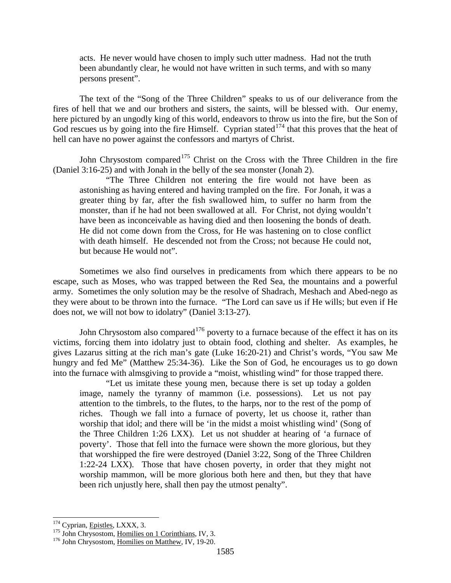acts. He never would have chosen to imply such utter madness. Had not the truth been abundantly clear, he would not have written in such terms, and with so many persons present".

The text of the "Song of the Three Children" speaks to us of our deliverance from the fires of hell that we and our brothers and sisters, the saints, will be blessed with. Our enemy, here pictured by an ungodly king of this world, endeavors to throw us into the fire, but the Son of God rescues us by going into the fire Himself. Cyprian stated<sup>[174](#page-73-0)</sup> that this proves that the heat of hell can have no power against the confessors and martyrs of Christ.

John Chrysostom compared<sup>[175](#page-73-1)</sup> Christ on the Cross with the Three Children in the fire (Daniel 3:16-25) and with Jonah in the belly of the sea monster (Jonah 2).

"The Three Children not entering the fire would not have been as astonishing as having entered and having trampled on the fire. For Jonah, it was a greater thing by far, after the fish swallowed him, to suffer no harm from the monster, than if he had not been swallowed at all. For Christ, not dying wouldn't have been as inconceivable as having died and then loosening the bonds of death. He did not come down from the Cross, for He was hastening on to close conflict with death himself. He descended not from the Cross; not because He could not, but because He would not".

Sometimes we also find ourselves in predicaments from which there appears to be no escape, such as Moses, who was trapped between the Red Sea, the mountains and a powerful army. Sometimes the only solution may be the resolve of Shadrach, Meshach and Abed-nego as they were about to be thrown into the furnace. "The Lord can save us if He wills; but even if He does not, we will not bow to idolatry" (Daniel 3:13-27).

John Chrysostom also compared<sup>[176](#page-73-2)</sup> poverty to a furnace because of the effect it has on its victims, forcing them into idolatry just to obtain food, clothing and shelter. As examples, he gives Lazarus sitting at the rich man's gate (Luke 16:20-21) and Christ's words, "You saw Me hungry and fed Me" (Matthew 25:34-36). Like the Son of God, he encourages us to go down into the furnace with almsgiving to provide a "moist, whistling wind" for those trapped there.

"Let us imitate these young men, because there is set up today a golden image, namely the tyranny of mammon (i.e. possessions). Let us not pay attention to the timbrels, to the flutes, to the harps, nor to the rest of the pomp of riches. Though we fall into a furnace of poverty, let us choose it, rather than worship that idol; and there will be 'in the midst a moist whistling wind' (Song of the Three Children 1:26 LXX). Let us not shudder at hearing of 'a furnace of poverty'. Those that fell into the furnace were shown the more glorious, but they that worshipped the fire were destroyed (Daniel 3:22, Song of the Three Children 1:22-24 LXX). Those that have chosen poverty, in order that they might not worship mammon, will be more glorious both here and then, but they that have been rich unjustly here, shall then pay the utmost penalty".

<span id="page-73-1"></span><span id="page-73-0"></span><sup>&</sup>lt;sup>174</sup> Cyprian, <u>Epistles</u>, LXXX, 3.<br><sup>175</sup> John Chrysostom, <u>Homilies on 1 Corinthians</u>, IV, 3.<br><sup>176</sup> John Chrysostom, Homilies on Matthew, IV, 19-20.

<span id="page-73-2"></span>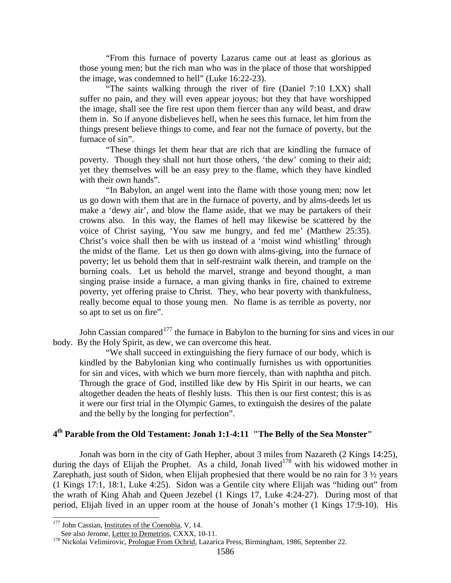"From this furnace of poverty Lazarus came out at least as glorious as those young men; but the rich man who was in the place of those that worshipped the image, was condemned to hell" (Luke 16:22-23).

"The saints walking through the river of fire (Daniel 7:10 LXX) shall suffer no pain, and they will even appear joyous; but they that have worshipped the image, shall see the fire rest upon them fiercer than any wild beast, and draw them in. So if anyone disbelieves hell, when he sees this furnace, let him from the things present believe things to come, and fear not the furnace of poverty, but the furnace of sin".

"These things let them hear that are rich that are kindling the furnace of poverty. Though they shall not hurt those others, 'the dew' coming to their aid; yet they themselves will be an easy prey to the flame, which they have kindled with their own hands".

"In Babylon, an angel went into the flame with those young men; now let us go down with them that are in the furnace of poverty, and by alms-deeds let us make a 'dewy air', and blow the flame aside, that we may be partakers of their crowns also. In this way, the flames of hell may likewise be scattered by the voice of Christ saying, 'You saw me hungry, and fed me' (Matthew 25:35). Christ's voice shall then be with us instead of a 'moist wind whistling' through the midst of the flame. Let us then go down with alms-giving, into the furnace of poverty; let us behold them that in self-restraint walk therein, and trample on the burning coals. Let us behold the marvel, strange and beyond thought, a man singing praise inside a furnace, a man giving thanks in fire, chained to extreme poverty, yet offering praise to Christ. They, who bear poverty with thankfulness, really become equal to those young men. No flame is as terrible as poverty, nor so apt to set us on fire".

John Cassian compared<sup>[177](#page-74-0)</sup> the furnace in Babylon to the burning for sins and vices in our body. By the Holy Spirit, as dew, we can overcome this heat.

"We shall succeed in extinguishing the fiery furnace of our body, which is kindled by the Babylonian king who continually furnishes us with opportunities for sin and vices, with which we burn more fiercely, than with naphtha and pitch. Through the grace of God, instilled like dew by His Spirit in our hearts, we can altogether deaden the heats of fleshly lusts. This then is our first contest; this is as it were our first trial in the Olympic Games, to extinguish the desires of the palate and the belly by the longing for perfection".

# **4th Parable from the Old Testament: Jonah 1:1-4:11 "The Belly of the Sea Monster"**

Jonah was born in the city of Gath Hepher, about 3 miles from Nazareth (2 Kings 14:25), during the days of Elijah the Prophet. As a child, Jonah lived<sup>[178](#page-74-1)</sup> with his widowed mother in Zarephath, just south of Sidon, when Elijah prophesied that there would be no rain for 3  $\frac{1}{2}$  years (1 Kings 17:1, 18:1, Luke 4:25). Sidon was a Gentile city where Elijah was "hiding out" from the wrath of King Ahab and Queen Jezebel (1 Kings 17, Luke 4:24-27). During most of that period, Elijah lived in an upper room at the house of Jonah's mother (1 Kings 17:9-10). His

<span id="page-74-0"></span><sup>&</sup>lt;sup>177</sup> John Cassian, <u>Institutes of the Coenobia</u>, V, 14.<br>See also Jerome, Letter to Demetrios, CXXX, 10-11.

<span id="page-74-1"></span><sup>178</sup> Nickolai Velimirovic, Prologue From Ochrid, Lazarica Press, Birmingham, 1986, September 22.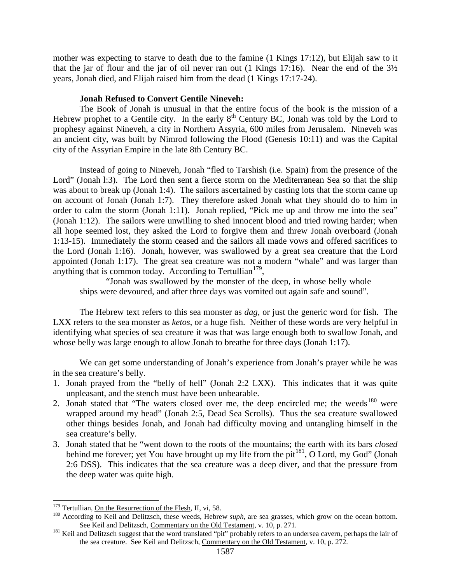mother was expecting to starve to death due to the famine (1 Kings 17:12), but Elijah saw to it that the jar of flour and the jar of oil never ran out (1 Kings 17:16). Near the end of the  $3\frac{1}{2}$ years, Jonah died, and Elijah raised him from the dead (1 Kings 17:17-24).

## **Jonah Refused to Convert Gentile Nineveh:**

The Book of Jonah is unusual in that the entire focus of the book is the mission of a Hebrew prophet to a Gentile city. In the early  $8<sup>th</sup>$  Century BC, Jonah was told by the Lord to prophesy against Nineveh, a city in Northern Assyria, 600 miles from Jerusalem. Nineveh was an ancient city, was built by Nimrod following the Flood (Genesis 10:11) and was the Capital city of the Assyrian Empire in the late 8th Century BC.

Instead of going to Nineveh, Jonah "fled to Tarshish (i.e. Spain) from the presence of the Lord" (Jonah 1:3). The Lord then sent a fierce storm on the Mediterranean Sea so that the ship was about to break up (Jonah 1:4). The sailors ascertained by casting lots that the storm came up on account of Jonah (Jonah 1:7). They therefore asked Jonah what they should do to him in order to calm the storm (Jonah 1:11). Jonah replied, "Pick me up and throw me into the sea" (Jonah 1:12). The sailors were unwilling to shed innocent blood and tried rowing harder; when all hope seemed lost, they asked the Lord to forgive them and threw Jonah overboard (Jonah 1:13-15). Immediately the storm ceased and the sailors all made vows and offered sacrifices to the Lord (Jonah 1:16). Jonah, however, was swallowed by a great sea creature that the Lord appointed (Jonah 1:17). The great sea creature was not a modern "whale" and was larger than anything that is common today. According to Tertullian<sup>179</sup>,

"Jonah was swallowed by the monster of the deep, in whose belly whole ships were devoured, and after three days was vomited out again safe and sound".

The Hebrew text refers to this sea monster as *dag*, or just the generic word for fish. The LXX refers to the sea monster as *ketos*, or a huge fish. Neither of these words are very helpful in identifying what species of sea creature it was that was large enough both to swallow Jonah, and whose belly was large enough to allow Jonah to breathe for three days (Jonah 1:17).

We can get some understanding of Jonah's experience from Jonah's prayer while he was in the sea creature's belly.

- 1. Jonah prayed from the "belly of hell" (Jonah 2:2 LXX). This indicates that it was quite unpleasant, and the stench must have been unbearable.
- 2. Jonah stated that "The waters closed over me, the deep encircled me; the weeds<sup>[180](#page-75-1)</sup> were wrapped around my head" (Jonah 2:5, Dead Sea Scrolls). Thus the sea creature swallowed other things besides Jonah, and Jonah had difficulty moving and untangling himself in the sea creature's belly.
- 3. Jonah stated that he "went down to the roots of the mountains; the earth with its bars *closed*  behind me forever; yet You have brought up my life from the pit<sup>181</sup>, O Lord, my God" (Jonah 2:6 DSS). This indicates that the sea creature was a deep diver, and that the pressure from the deep water was quite high.

<span id="page-75-1"></span><span id="page-75-0"></span>

<sup>&</sup>lt;sup>179</sup> Tertullian, <u>On the Resurrection of the Flesh</u>, II, vi, 58.<br><sup>180</sup> According to Keil and Delitzsch, these weeds, Hebrew *suph*, are sea grasses, which grow on the ocean bottom. See Keil and Delitzsch, Commentary on the Old Testament, v. 10, p. 271.<br><sup>181</sup> Keil and Delitzsch suggest that the word translated "pit" probably refers to an undersea cavern, perhaps the lair of

<span id="page-75-2"></span>the sea creature. See Keil and Delitzsch, Commentary on the Old Testament, v. 10, p. 272.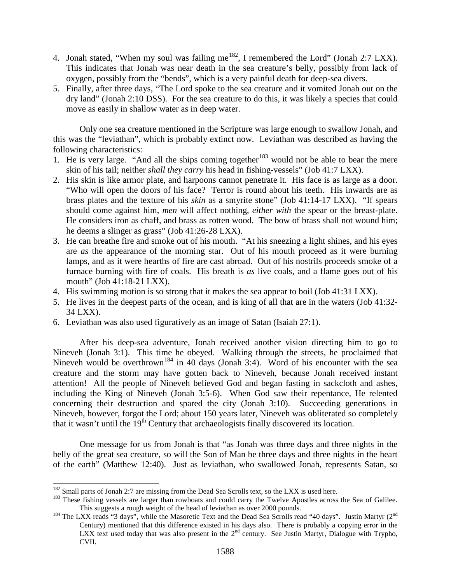- 4. Jonah stated, "When my soul was failing me<sup>[182](#page-76-0)</sup>, I remembered the Lord" (Jonah 2:7 LXX). This indicates that Jonah was near death in the sea creature's belly, possibly from lack of oxygen, possibly from the "bends", which is a very painful death for deep-sea divers.
- 5. Finally, after three days, "The Lord spoke to the sea creature and it vomited Jonah out on the dry land" (Jonah 2:10 DSS). For the sea creature to do this, it was likely a species that could move as easily in shallow water as in deep water.

Only one sea creature mentioned in the Scripture was large enough to swallow Jonah, and this was the "leviathan", which is probably extinct now. Leviathan was described as having the following characteristics:

- 1. He is very large. "And all the ships coming together<sup>[183](#page-76-1)</sup> would not be able to bear the mere skin of his tail; neither *shall they carry* his head in fishing-vessels" (Job 41:7 LXX).
- 2. His skin is like armor plate, and harpoons cannot penetrate it. His face is as large as a door. "Who will open the doors of his face? Terror is round about his teeth. His inwards are as brass plates and the texture of his *skin* as a smyrite stone" (Job 41:14-17 LXX). "If spears should come against him, *men* will affect nothing, *either with* the spear or the breast-plate. He considers iron as chaff, and brass as rotten wood. The bow of brass shall not wound him; he deems a slinger as grass" (Job 41:26-28 LXX).
- 3. He can breathe fire and smoke out of his mouth. "At his sneezing a light shines, and his eyes are *as* the appearance of the morning star. Out of his mouth proceed as it were burning lamps, and as it were hearths of fire are cast abroad. Out of his nostrils proceeds smoke of a furnace burning with fire of coals. His breath is *as* live coals, and a flame goes out of his mouth" (Job 41:18-21 LXX).
- 4. His swimming motion is so strong that it makes the sea appear to boil (Job 41:31 LXX).
- 5. He lives in the deepest parts of the ocean, and is king of all that are in the waters (Job 41:32- 34 LXX).
- 6. Leviathan was also used figuratively as an image of Satan (Isaiah 27:1).

After his deep-sea adventure, Jonah received another vision directing him to go to Nineveh (Jonah 3:1). This time he obeyed. Walking through the streets, he proclaimed that Nineveh would be overthrown<sup>[184](#page-76-2)</sup> in 40 days (Jonah 3:4). Word of his encounter with the sea creature and the storm may have gotten back to Nineveh, because Jonah received instant attention! All the people of Nineveh believed God and began fasting in sackcloth and ashes, including the King of Nineveh (Jonah 3:5-6). When God saw their repentance, He relented concerning their destruction and spared the city (Jonah 3:10). Succeeding generations in Nineveh, however, forgot the Lord; about 150 years later, Nineveh was obliterated so completely that it wasn't until the  $19<sup>th</sup>$  Century that archaeologists finally discovered its location.

One message for us from Jonah is that "as Jonah was three days and three nights in the belly of the great sea creature, so will the Son of Man be three days and three nights in the heart of the earth" (Matthew 12:40). Just as leviathan, who swallowed Jonah, represents Satan, so

<span id="page-76-1"></span><span id="page-76-0"></span><sup>&</sup>lt;sup>182</sup> Small parts of Jonah 2:7 are missing from the Dead Sea Scrolls text, so the LXX is used here.<br><sup>183</sup> These fishing vessels are larger than rowboats and could carry the Twelve Apostles across the Sea of Galilee. This suggests a rough weight of the head of leviathan as over 2000 pounds.<br><sup>184</sup> The LXX reads "3 days", while the Masoretic Text and the Dead Sea Scrolls read "40 days". Justin Martyr (2<sup>nd</sup>

<span id="page-76-2"></span>Century) mentioned that this difference existed in his days also. There is probably a copying error in the LXX text used today that was also present in the 2<sup>nd</sup> century. See Justin Martyr, Dialogue with Trypho, CVII.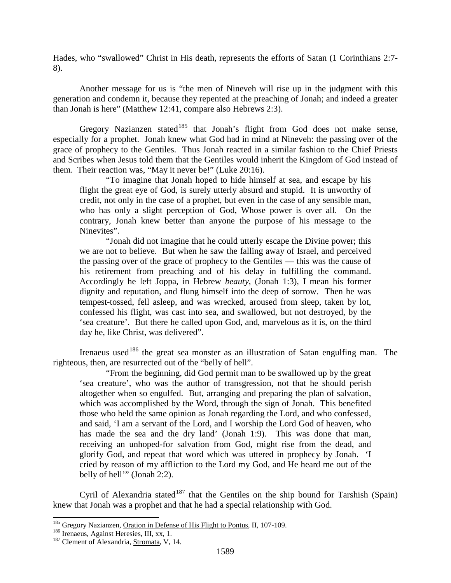Hades, who "swallowed" Christ in His death, represents the efforts of Satan (1 Corinthians 2:7- 8).

Another message for us is "the men of Nineveh will rise up in the judgment with this generation and condemn it, because they repented at the preaching of Jonah; and indeed a greater than Jonah is here" (Matthew 12:41, compare also Hebrews 2:3).

Gregory Nazianzen stated<sup>[185](#page-77-0)</sup> that Jonah's flight from God does not make sense, especially for a prophet. Jonah knew what God had in mind at Nineveh: the passing over of the grace of prophecy to the Gentiles. Thus Jonah reacted in a similar fashion to the Chief Priests and Scribes when Jesus told them that the Gentiles would inherit the Kingdom of God instead of them. Their reaction was, "May it never be!" (Luke 20:16).

"To imagine that Jonah hoped to hide himself at sea, and escape by his flight the great eye of God, is surely utterly absurd and stupid. It is unworthy of credit, not only in the case of a prophet, but even in the case of any sensible man, who has only a slight perception of God, Whose power is over all. On the contrary, Jonah knew better than anyone the purpose of his message to the Ninevites".

"Jonah did not imagine that he could utterly escape the Divine power; this we are not to believe. But when he saw the falling away of Israel, and perceived the passing over of the grace of prophecy to the Gentiles — this was the cause of his retirement from preaching and of his delay in fulfilling the command. Accordingly he left Joppa, in Hebrew *beauty*, (Jonah 1:3), I mean his former dignity and reputation, and flung himself into the deep of sorrow. Then he was tempest-tossed, fell asleep, and was wrecked, aroused from sleep, taken by lot, confessed his flight, was cast into sea, and swallowed, but not destroyed, by the 'sea creature'. But there he called upon God, and, marvelous as it is, on the third day he, like Christ, was delivered".

Irenaeus used<sup>[186](#page-77-1)</sup> the great sea monster as an illustration of Satan engulfing man. The righteous, then, are resurrected out of the "belly of hell".

"From the beginning, did God permit man to be swallowed up by the great 'sea creature', who was the author of transgression, not that he should perish altogether when so engulfed. But, arranging and preparing the plan of salvation, which was accomplished by the Word, through the sign of Jonah. This benefited those who held the same opinion as Jonah regarding the Lord, and who confessed, and said, 'I am a servant of the Lord, and I worship the Lord God of heaven, who has made the sea and the dry land' (Jonah 1:9). This was done that man, receiving an unhoped-for salvation from God, might rise from the dead, and glorify God, and repeat that word which was uttered in prophecy by Jonah. 'I cried by reason of my affliction to the Lord my God, and He heard me out of the belly of hell'" (Jonah 2:2).

Cyril of Alexandria stated<sup>[187](#page-77-2)</sup> that the Gentiles on the ship bound for Tarshish (Spain) knew that Jonah was a prophet and that he had a special relationship with God.

<span id="page-77-1"></span><span id="page-77-0"></span><sup>&</sup>lt;sup>185</sup> Gregory Nazianzen, <u>Oration in Defense of His Flight to Pontus</u>, II, 107-109.<br><sup>186</sup> Irenaeus, <u>Against Heresies</u>, III, xx, 1.<br><sup>187</sup> Clement of Alexandria, Stromata, V, 14.

<span id="page-77-2"></span>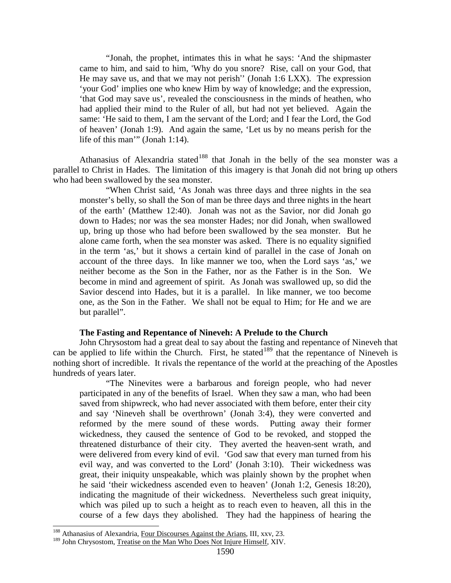"Jonah, the prophet, intimates this in what he says: 'And the shipmaster came to him, and said to him, 'Why do you snore? Rise, call on your God, that He may save us, and that we may not perish'' (Jonah 1:6 LXX). The expression 'your God' implies one who knew Him by way of knowledge; and the expression, 'that God may save us', revealed the consciousness in the minds of heathen, who had applied their mind to the Ruler of all, but had not yet believed. Again the same: 'He said to them, I am the servant of the Lord; and I fear the Lord, the God of heaven' (Jonah 1:9). And again the same, 'Let us by no means perish for the life of this man'" (Jonah 1:14).

Athanasius of Alexandria stated<sup>[188](#page-78-0)</sup> that Jonah in the belly of the sea monster was a parallel to Christ in Hades. The limitation of this imagery is that Jonah did not bring up others who had been swallowed by the sea monster.

"When Christ said, 'As Jonah was three days and three nights in the sea monster's belly, so shall the Son of man be three days and three nights in the heart of the earth' (Matthew 12:40). Jonah was not as the Savior, nor did Jonah go down to Hades; nor was the sea monster Hades; nor did Jonah, when swallowed up, bring up those who had before been swallowed by the sea monster. But he alone came forth, when the sea monster was asked. There is no equality signified in the term 'as,' but it shows a certain kind of parallel in the case of Jonah on account of the three days. In like manner we too, when the Lord says 'as,' we neither become as the Son in the Father, nor as the Father is in the Son. We become in mind and agreement of spirit. As Jonah was swallowed up, so did the Savior descend into Hades, but it is a parallel. In like manner, we too become one, as the Son in the Father. We shall not be equal to Him; for He and we are but parallel".

#### **The Fasting and Repentance of Nineveh: A Prelude to the Church**

John Chrysostom had a great deal to say about the fasting and repentance of Nineveh that can be applied to life within the Church. First, he stated<sup>[189](#page-78-1)</sup> that the repentance of Nineveh is nothing short of incredible. It rivals the repentance of the world at the preaching of the Apostles hundreds of years later.

"The Ninevites were a barbarous and foreign people, who had never participated in any of the benefits of Israel. When they saw a man, who had been saved from shipwreck, who had never associated with them before, enter their city and say 'Nineveh shall be overthrown' (Jonah 3:4), they were converted and reformed by the mere sound of these words. Putting away their former wickedness, they caused the sentence of God to be revoked, and stopped the threatened disturbance of their city. They averted the heaven-sent wrath, and were delivered from every kind of evil. 'God saw that every man turned from his evil way, and was converted to the Lord' (Jonah 3:10). Their wickedness was great, their iniquity unspeakable, which was plainly shown by the prophet when he said 'their wickedness ascended even to heaven' (Jonah 1:2, Genesis 18:20), indicating the magnitude of their wickedness. Nevertheless such great iniquity, which was piled up to such a height as to reach even to heaven, all this in the course of a few days they abolished. They had the happiness of hearing the

<span id="page-78-0"></span><sup>&</sup>lt;sup>188</sup> Athanasius of Alexandria, Four Discourses Against the Arians, III, xxv, 23.

<span id="page-78-1"></span><sup>&</sup>lt;sup>189</sup> John Chrysostom, Treatise on the Man Who Does Not Injure Himself, XIV.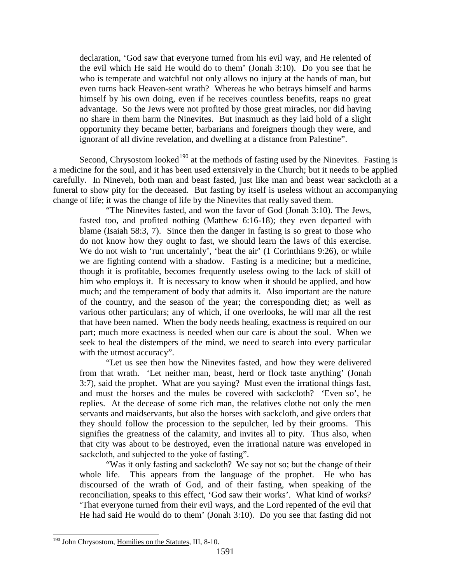declaration, 'God saw that everyone turned from his evil way, and He relented of the evil which He said He would do to them' (Jonah 3:10). Do you see that he who is temperate and watchful not only allows no injury at the hands of man, but even turns back Heaven-sent wrath? Whereas he who betrays himself and harms himself by his own doing, even if he receives countless benefits, reaps no great advantage. So the Jews were not profited by those great miracles, nor did having no share in them harm the Ninevites. But inasmuch as they laid hold of a slight opportunity they became better, barbarians and foreigners though they were, and ignorant of all divine revelation, and dwelling at a distance from Palestine".

Second, Chrysostom looked<sup>[190](#page-79-0)</sup> at the methods of fasting used by the Ninevites. Fasting is a medicine for the soul, and it has been used extensively in the Church; but it needs to be applied carefully. In Nineveh, both man and beast fasted, just like man and beast wear sackcloth at a funeral to show pity for the deceased. But fasting by itself is useless without an accompanying change of life; it was the change of life by the Ninevites that really saved them.

"The Ninevites fasted, and won the favor of God (Jonah 3:10). The Jews, fasted too, and profited nothing (Matthew 6:16-18); they even departed with blame (Isaiah 58:3, 7). Since then the danger in fasting is so great to those who do not know how they ought to fast, we should learn the laws of this exercise. We do not wish to 'run uncertainly', 'beat the air' (1 Corinthians 9:26), or while we are fighting contend with a shadow. Fasting is a medicine; but a medicine, though it is profitable, becomes frequently useless owing to the lack of skill of him who employs it. It is necessary to know when it should be applied, and how much; and the temperament of body that admits it. Also important are the nature of the country, and the season of the year; the corresponding diet; as well as various other particulars; any of which, if one overlooks, he will mar all the rest that have been named. When the body needs healing, exactness is required on our part; much more exactness is needed when our care is about the soul. When we seek to heal the distempers of the mind, we need to search into every particular with the utmost accuracy".

"Let us see then how the Ninevites fasted, and how they were delivered from that wrath. 'Let neither man, beast, herd or flock taste anything' (Jonah 3:7), said the prophet. What are you saying? Must even the irrational things fast, and must the horses and the mules be covered with sackcloth? 'Even so', he replies. At the decease of some rich man, the relatives clothe not only the men servants and maidservants, but also the horses with sackcloth, and give orders that they should follow the procession to the sepulcher, led by their grooms. This signifies the greatness of the calamity, and invites all to pity. Thus also, when that city was about to be destroyed, even the irrational nature was enveloped in sackcloth, and subjected to the yoke of fasting".

"Was it only fasting and sackcloth? We say not so; but the change of their whole life. This appears from the language of the prophet. He who has discoursed of the wrath of God, and of their fasting, when speaking of the reconciliation, speaks to this effect, 'God saw their works'. What kind of works? 'That everyone turned from their evil ways, and the Lord repented of the evil that He had said He would do to them' (Jonah 3:10). Do you see that fasting did not

<span id="page-79-0"></span><sup>&</sup>lt;sup>190</sup> John Chrysostom, Homilies on the Statutes, III, 8-10.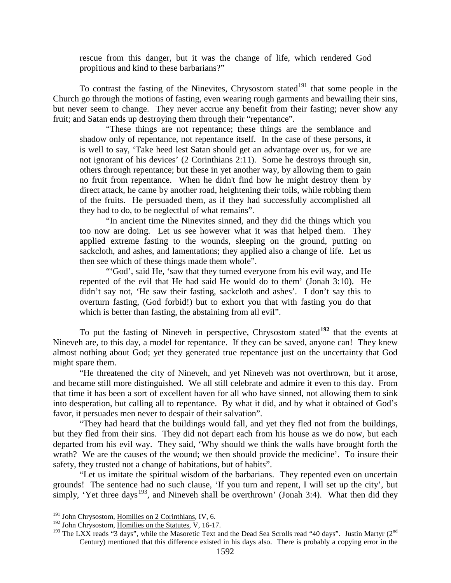rescue from this danger, but it was the change of life, which rendered God propitious and kind to these barbarians?"

To contrast the fasting of the Ninevites, Chrysostom stated<sup>[191](#page-80-0)</sup> that some people in the Church go through the motions of fasting, even wearing rough garments and bewailing their sins, but never seem to change. They never accrue any benefit from their fasting; never show any fruit; and Satan ends up destroying them through their "repentance".

"These things are not repentance; these things are the semblance and shadow only of repentance, not repentance itself. In the case of these persons, it is well to say, 'Take heed lest Satan should get an advantage over us, for we are not ignorant of his devices' (2 Corinthians 2:11). Some he destroys through sin, others through repentance; but these in yet another way, by allowing them to gain no fruit from repentance. When he didn't find how he might destroy them by direct attack, he came by another road, heightening their toils, while robbing them of the fruits. He persuaded them, as if they had successfully accomplished all they had to do, to be neglectful of what remains".

"In ancient time the Ninevites sinned, and they did the things which you too now are doing. Let us see however what it was that helped them. They applied extreme fasting to the wounds, sleeping on the ground, putting on sackcloth, and ashes, and lamentations; they applied also a change of life. Let us then see which of these things made them whole".

"'God', said He, 'saw that they turned everyone from his evil way, and He repented of the evil that He had said He would do to them' (Jonah 3:10). He didn't say not, 'He saw their fasting, sackcloth and ashes'. I don't say this to overturn fasting, (God forbid!) but to exhort you that with fasting you do that which is better than fasting, the abstaining from all evil".

To put the fasting of Nineveh in perspective, Chrysostom stated**[192](#page-80-1)** that the events at Nineveh are, to this day, a model for repentance. If they can be saved, anyone can! They knew almost nothing about God; yet they generated true repentance just on the uncertainty that God might spare them.

"He threatened the city of Nineveh, and yet Nineveh was not overthrown, but it arose, and became still more distinguished. We all still celebrate and admire it even to this day. From that time it has been a sort of excellent haven for all who have sinned, not allowing them to sink into desperation, but calling all to repentance. By what it did, and by what it obtained of God's favor, it persuades men never to despair of their salvation".

"They had heard that the buildings would fall, and yet they fled not from the buildings, but they fled from their sins. They did not depart each from his house as we do now, but each departed from his evil way. They said, 'Why should we think the walls have brought forth the wrath? We are the causes of the wound; we then should provide the medicine'. To insure their safety, they trusted not a change of habitations, but of habits".

"Let us imitate the spiritual wisdom of the barbarians. They repented even on uncertain grounds! The sentence had no such clause, 'If you turn and repent, I will set up the city', but simply, 'Yet three days<sup>[193](#page-80-2)</sup>, and Nineveh shall be overthrown' (Jonah 3:4). What then did they

<span id="page-80-0"></span> $191$  John Chrysostom, Homilies on 2 Corinthians, IV, 6.

<sup>&</sup>lt;sup>192</sup> John Chrysostom, Homilies on the Statutes, V, 16-17.

<span id="page-80-2"></span><span id="page-80-1"></span><sup>&</sup>lt;sup>193</sup> The LXX reads "3 days", while the Masoretic Text and the Dead Sea Scrolls read "40 days". Justin Martyr (2<sup>nd</sup> Century) mentioned that this difference existed in his days also. There is probably a copying error in the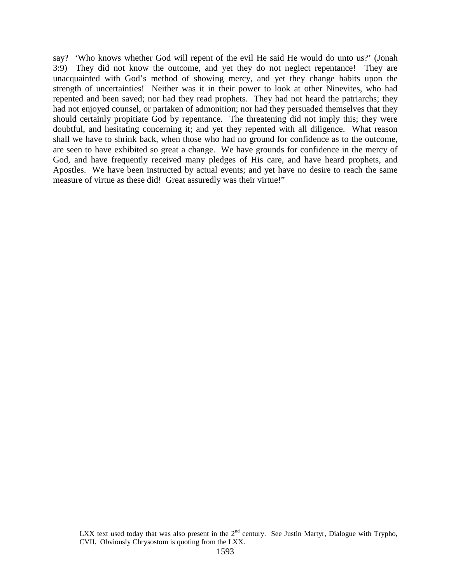say? 'Who knows whether God will repent of the evil He said He would do unto us?' (Jonah 3:9) They did not know the outcome, and yet they do not neglect repentance! They are unacquainted with God's method of showing mercy, and yet they change habits upon the strength of uncertainties! Neither was it in their power to look at other Ninevites, who had repented and been saved; nor had they read prophets. They had not heard the patriarchs; they had not enjoyed counsel, or partaken of admonition; nor had they persuaded themselves that they should certainly propitiate God by repentance. The threatening did not imply this; they were doubtful, and hesitating concerning it; and yet they repented with all diligence. What reason shall we have to shrink back, when those who had no ground for confidence as to the outcome, are seen to have exhibited so great a change. We have grounds for confidence in the mercy of God, and have frequently received many pledges of His care, and have heard prophets, and Apostles. We have been instructed by actual events; and yet have no desire to reach the same measure of virtue as these did! Great assuredly was their virtue!"

 $\overline{a}$ 

LXX text used today that was also present in the  $2<sup>nd</sup>$  century. See Justin Martyr, Dialogue with Trypho, CVII. Obviously Chrysostom is quoting from the LXX.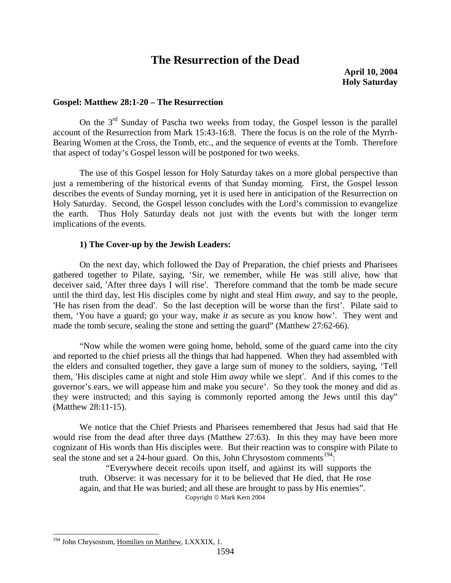# **The Resurrection of the Dead**

**April 10, 2004 Holy Saturday**

#### **Gospel: Matthew 28:1-20 – The Resurrection**

On the  $3<sup>rd</sup>$  Sunday of Pascha two weeks from today, the Gospel lesson is the parallel account of the Resurrection from Mark 15:43-16:8. There the focus is on the role of the Myrrh-Bearing Women at the Cross, the Tomb, etc., and the sequence of events at the Tomb. Therefore that aspect of today's Gospel lesson will be postponed for two weeks.

The use of this Gospel lesson for Holy Saturday takes on a more global perspective than just a remembering of the historical events of that Sunday morning. First, the Gospel lesson describes the events of Sunday morning, yet it is used here in anticipation of the Resurrection on Holy Saturday. Second, the Gospel lesson concludes with the Lord's commission to evangelize the earth. Thus Holy Saturday deals not just with the events but with the longer term implications of the events.

#### **1) The Cover-up by the Jewish Leaders:**

On the next day, which followed the Day of Preparation, the chief priests and Pharisees gathered together to Pilate, saying, 'Sir, we remember, while He was still alive, how that deceiver said, 'After three days I will rise'. Therefore command that the tomb be made secure until the third day, lest His disciples come by night and steal Him *away,* and say to the people, 'He has risen from the dead'. So the last deception will be worse than the first'. Pilate said to them, 'You have a guard; go your way, make *it* as secure as you know how'. They went and made the tomb secure, sealing the stone and setting the guard" (Matthew 27:62-66).

"Now while the women were going home, behold, some of the guard came into the city and reported to the chief priests all the things that had happened. When they had assembled with the elders and consulted together, they gave a large sum of money to the soldiers, saying, 'Tell them, 'His disciples came at night and stole Him *away* while we slept'. And if this comes to the governor's ears, we will appease him and make you secure'. So they took the money and did as they were instructed; and this saying is commonly reported among the Jews until this day" (Matthew 28:11-15).

We notice that the Chief Priests and Pharisees remembered that Jesus had said that He would rise from the dead after three days (Matthew 27:63). In this they may have been more cognizant of His words than His disciples were. But their reaction was to conspire with Pilate to seal the stone and set a 24-hour guard. On this, John Chrysostom comments<sup>194</sup>:

"Everywhere deceit recoils upon itself, and against its will supports the truth. Observe: it was necessary for it to be believed that He died, that He rose again, and that He was buried; and all these are brought to pass by His enemies". Copyright © Mark Kern 2004

<span id="page-82-0"></span><sup>&</sup>lt;sup>194</sup> John Chrysostom, Homilies on Matthew, LXXXIX, 1.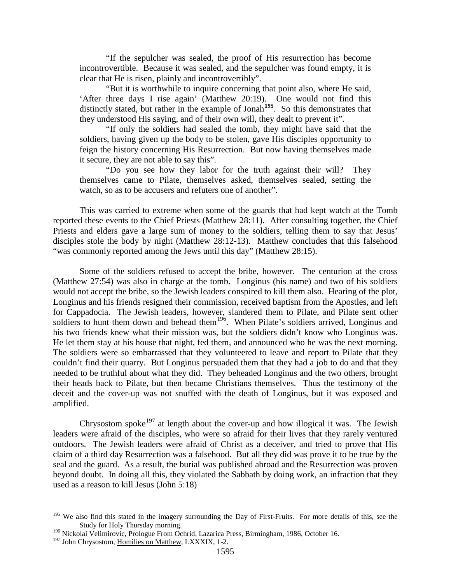"If the sepulcher was sealed, the proof of His resurrection has become incontrovertible. Because it was sealed, and the sepulcher was found empty, it is clear that He is risen, plainly and incontrovertibly".

"But it is worthwhile to inquire concerning that point also, where He said, 'After three days I rise again' (Matthew 20:19). One would not find this distinctly stated, but rather in the example of Jonah**[195](#page-83-0)**. So this demonstrates that they understood His saying, and of their own will, they dealt to prevent it".

"If only the soldiers had sealed the tomb, they might have said that the soldiers, having given up the body to be stolen, gave His disciples opportunity to feign the history concerning His Resurrection. But now having themselves made it secure, they are not able to say this".

"Do you see how they labor for the truth against their will? They themselves came to Pilate, themselves asked, themselves sealed, setting the watch, so as to be accusers and refuters one of another".

This was carried to extreme when some of the guards that had kept watch at the Tomb reported these events to the Chief Priests (Matthew 28:11). After consulting together, the Chief Priests and elders gave a large sum of money to the soldiers, telling them to say that Jesus' disciples stole the body by night (Matthew 28:12-13). Matthew concludes that this falsehood "was commonly reported among the Jews until this day" (Matthew 28:15).

Some of the soldiers refused to accept the bribe, however. The centurion at the cross (Matthew 27:54) was also in charge at the tomb. Longinus (his name) and two of his soldiers would not accept the bribe, so the Jewish leaders conspired to kill them also. Hearing of the plot, Longinus and his friends resigned their commission, received baptism from the Apostles, and left for Cappadocia. The Jewish leaders, however, slandered them to Pilate, and Pilate sent other soldiers to hunt them down and behead them<sup>[196](#page-83-1)</sup>. When Pilate's soldiers arrived, Longinus and his two friends knew what their mission was, but the soldiers didn't know who Longinus was. He let them stay at his house that night, fed them, and announced who he was the next morning. The soldiers were so embarrassed that they volunteered to leave and report to Pilate that they couldn't find their quarry. But Longinus persuaded them that they had a job to do and that they needed to be truthful about what they did. They beheaded Longinus and the two others, brought their heads back to Pilate, but then became Christians themselves. Thus the testimony of the deceit and the cover-up was not snuffed with the death of Longinus, but it was exposed and amplified.

Chrysostom spoke<sup>[197](#page-83-2)</sup> at length about the cover-up and how illogical it was. The Jewish leaders were afraid of the disciples, who were so afraid for their lives that they rarely ventured outdoors. The Jewish leaders were afraid of Christ as a deceiver, and tried to prove that His claim of a third day Resurrection was a falsehood. But all they did was prove it to be true by the seal and the guard. As a result, the burial was published abroad and the Resurrection was proven beyond doubt. In doing all this, they violated the Sabbath by doing work, an infraction that they used as a reason to kill Jesus (John 5:18)

<span id="page-83-0"></span><sup>&</sup>lt;sup>195</sup> We also find this stated in the imagery surrounding the Day of First-Fruits. For more details of this, see the Study for Holy Thursday morning.

<span id="page-83-1"></span><sup>&</sup>lt;sup>196</sup> Nickolai Velimirovic, Prologue From Ochrid, Lazarica Press, Birmingham, 1986, October 16.

<span id="page-83-2"></span><sup>&</sup>lt;sup>197</sup> John Chrysostom, Homilies on Matthew, LXXXIX, 1-2.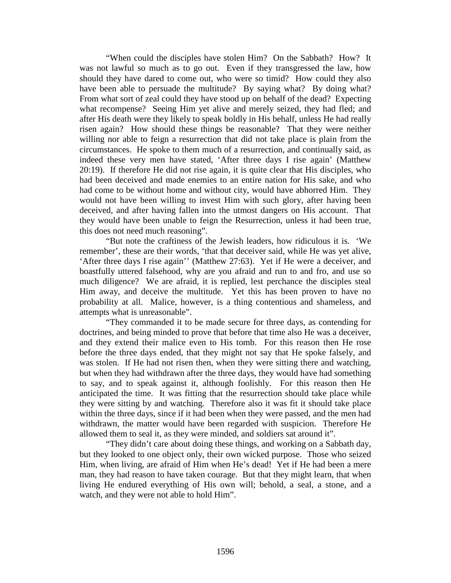"When could the disciples have stolen Him? On the Sabbath? How? It was not lawful so much as to go out. Even if they transgressed the law, how should they have dared to come out, who were so timid? How could they also have been able to persuade the multitude? By saying what? By doing what? From what sort of zeal could they have stood up on behalf of the dead? Expecting what recompense? Seeing Him yet alive and merely seized, they had fled; and after His death were they likely to speak boldly in His behalf, unless He had really risen again? How should these things be reasonable? That they were neither willing nor able to feign a resurrection that did not take place is plain from the circumstances. He spoke to them much of a resurrection, and continually said, as indeed these very men have stated, 'After three days I rise again' (Matthew 20:19). If therefore He did not rise again, it is quite clear that His disciples, who had been deceived and made enemies to an entire nation for His sake, and who had come to be without home and without city, would have abhorred Him. They would not have been willing to invest Him with such glory, after having been deceived, and after having fallen into the utmost dangers on His account. That they would have been unable to feign the Resurrection, unless it had been true, this does not need much reasoning".

"But note the craftiness of the Jewish leaders, how ridiculous it is. 'We remember', these are their words, 'that that deceiver said, while He was yet alive, 'After three days I rise again'' (Matthew 27:63). Yet if He were a deceiver, and boastfully uttered falsehood, why are you afraid and run to and fro, and use so much diligence? We are afraid, it is replied, lest perchance the disciples steal Him away, and deceive the multitude. Yet this has been proven to have no probability at all. Malice, however, is a thing contentious and shameless, and attempts what is unreasonable".

"They commanded it to be made secure for three days, as contending for doctrines, and being minded to prove that before that time also He was a deceiver, and they extend their malice even to His tomb. For this reason then He rose before the three days ended, that they might not say that He spoke falsely, and was stolen. If He had not risen then, when they were sitting there and watching, but when they had withdrawn after the three days, they would have had something to say, and to speak against it, although foolishly. For this reason then He anticipated the time. It was fitting that the resurrection should take place while they were sitting by and watching. Therefore also it was fit it should take place within the three days, since if it had been when they were passed, and the men had withdrawn, the matter would have been regarded with suspicion. Therefore He allowed them to seal it, as they were minded, and soldiers sat around it".

"They didn't care about doing these things, and working on a Sabbath day, but they looked to one object only, their own wicked purpose. Those who seized Him, when living, are afraid of Him when He's dead! Yet if He had been a mere man, they had reason to have taken courage. But that they might learn, that when living He endured everything of His own will; behold, a seal, a stone, and a watch, and they were not able to hold Him".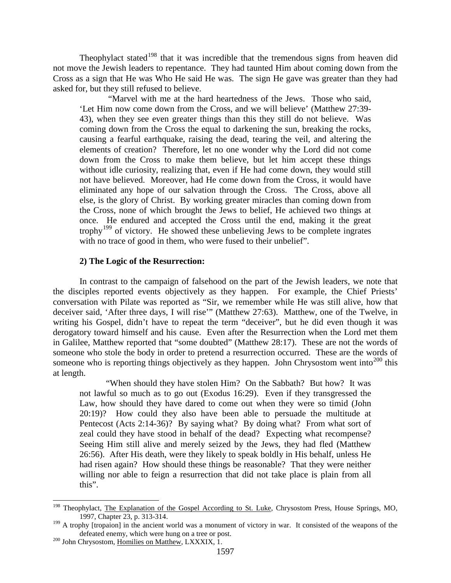Theophylact stated<sup>[198](#page-85-0)</sup> that it was incredible that the tremendous signs from heaven did not move the Jewish leaders to repentance. They had taunted Him about coming down from the Cross as a sign that He was Who He said He was. The sign He gave was greater than they had asked for, but they still refused to believe.

"Marvel with me at the hard heartedness of the Jews. Those who said, 'Let Him now come down from the Cross, and we will believe' (Matthew 27:39- 43), when they see even greater things than this they still do not believe. Was coming down from the Cross the equal to darkening the sun, breaking the rocks, causing a fearful earthquake, raising the dead, tearing the veil, and altering the elements of creation? Therefore, let no one wonder why the Lord did not come down from the Cross to make them believe, but let him accept these things without idle curiosity, realizing that, even if He had come down, they would still not have believed. Moreover, had He come down from the Cross, it would have eliminated any hope of our salvation through the Cross. The Cross, above all else, is the glory of Christ. By working greater miracles than coming down from the Cross, none of which brought the Jews to belief, He achieved two things at once. He endured and accepted the Cross until the end, making it the great trophy[199](#page-85-1) of victory. He showed these unbelieving Jews to be complete ingrates with no trace of good in them, who were fused to their unbelief".

### **2) The Logic of the Resurrection:**

In contrast to the campaign of falsehood on the part of the Jewish leaders, we note that the disciples reported events objectively as they happen. For example, the Chief Priests' conversation with Pilate was reported as "Sir, we remember while He was still alive, how that deceiver said, 'After three days, I will rise'" (Matthew 27:63). Matthew, one of the Twelve, in writing his Gospel, didn't have to repeat the term "deceiver", but he did even though it was derogatory toward himself and his cause. Even after the Resurrection when the Lord met them in Galilee, Matthew reported that "some doubted" (Matthew 28:17). These are not the words of someone who stole the body in order to pretend a resurrection occurred. These are the words of someone who is reporting things objectively as they happen. John Chrysostom went into<sup>[200](#page-85-2)</sup> this at length.

"When should they have stolen Him? On the Sabbath? But how? It was not lawful so much as to go out (Exodus 16:29). Even if they transgressed the Law, how should they have dared to come out when they were so timid (John 20:19)? How could they also have been able to persuade the multitude at Pentecost (Acts 2:14-36)? By saying what? By doing what? From what sort of zeal could they have stood in behalf of the dead? Expecting what recompense? Seeing Him still alive and merely seized by the Jews, they had fled (Matthew 26:56). After His death, were they likely to speak boldly in His behalf, unless He had risen again? How should these things be reasonable? That they were neither willing nor able to feign a resurrection that did not take place is plain from all this".

<span id="page-85-0"></span><sup>&</sup>lt;sup>198</sup> Theophylact, The Explanation of the Gospel According to St. Luke, Chrysostom Press, House Springs, MO, 1997, Chapter 23, p. 313-314.

<span id="page-85-1"></span><sup>&</sup>lt;sup>199</sup> A trophy [tropaion] in the ancient world was a monument of victory in war. It consisted of the weapons of the defeated enemy, which were hung on a tree or post.<br><sup>200</sup> John Chrysostom, <u>Homilies on Matthew</u>, LXXXIX, 1.

<span id="page-85-2"></span>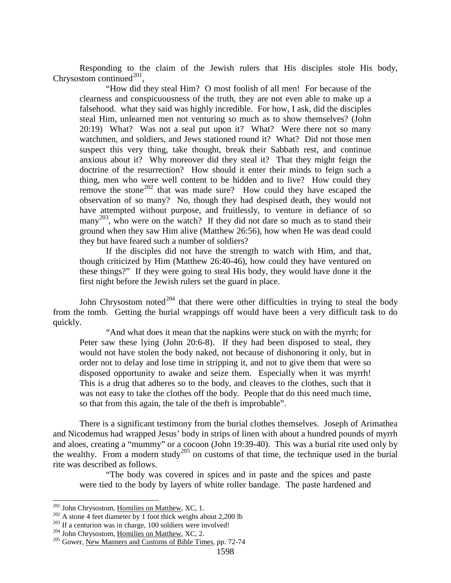Responding to the claim of the Jewish rulers that His disciples stole His body, Chrysostom continued $^{201}$  $^{201}$  $^{201}$ ,

"How did they steal Him? O most foolish of all men! For because of the clearness and conspicuousness of the truth, they are not even able to make up a falsehood. what they said was highly incredible. For how, I ask, did the disciples steal Him, unlearned men not venturing so much as to show themselves? (John 20:19) What? Was not a seal put upon it? What? Were there not so many watchmen, and soldiers, and Jews stationed round it? What? Did not those men suspect this very thing, take thought, break their Sabbath rest, and continue anxious about it? Why moreover did they steal it? That they might feign the doctrine of the resurrection? How should it enter their minds to feign such a thing, men who were well content to be hidden and to live? How could they remove the stone<sup>[202](#page-86-1)</sup> that was made sure? How could they have escaped the observation of so many? No, though they had despised death, they would not have attempted without purpose, and fruitlessly, to venture in defiance of so many<sup>[203](#page-86-2)</sup>, who were on the watch? If they did not dare so much as to stand their ground when they saw Him alive (Matthew 26:56), how when He was dead could they but have feared such a number of soldiers?

If the disciples did not have the strength to watch with Him, and that, though criticized by Him (Matthew 26:40-46), how could they have ventured on these things?" If they were going to steal His body, they would have done it the first night before the Jewish rulers set the guard in place.

John Chrysostom noted<sup>[204](#page-86-3)</sup> that there were other difficulties in trying to steal the body from the tomb. Getting the burial wrappings off would have been a very difficult task to do quickly.

"And what does it mean that the napkins were stuck on with the myrrh; for Peter saw these lying (John 20:6-8). If they had been disposed to steal, they would not have stolen the body naked, not because of dishonoring it only, but in order not to delay and lose time in stripping it, and not to give them that were so disposed opportunity to awake and seize them. Especially when it was myrrh! This is a drug that adheres so to the body, and cleaves to the clothes, such that it was not easy to take the clothes off the body. People that do this need much time, so that from this again, the tale of the theft is improbable".

There is a significant testimony from the burial clothes themselves. Joseph of Arimathea and Nicodemus had wrapped Jesus' body in strips of linen with about a hundred pounds of myrrh and aloes, creating a "mummy" or a cocoon (John 19:39-40). This was a burial rite used only by the wealthy. From a modern study<sup>[205](#page-86-4)</sup> on customs of that time, the technique used in the burial rite was described as follows.

"The body was covered in spices and in paste and the spices and paste were tied to the body by layers of white roller bandage. The paste hardened and

<span id="page-86-1"></span><span id="page-86-0"></span><sup>&</sup>lt;sup>201</sup> John Chrysostom, <u>Homilies on Matthew</u>, XC, 1.<br><sup>202</sup> A stone 4 feet diameter by 1 foot thick weighs about 2,200 lb<br><sup>203</sup> If a centurion was in charge, 100 soldiers were involved!<br><sup>204</sup> John Chrysostom, <u>Homilies on </u>

<span id="page-86-2"></span>

<span id="page-86-3"></span>

<span id="page-86-4"></span>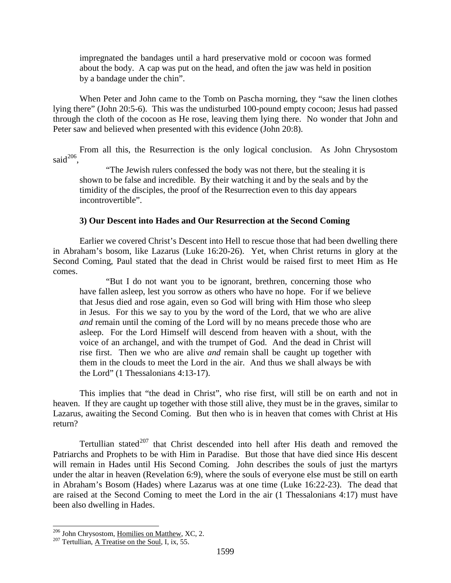impregnated the bandages until a hard preservative mold or cocoon was formed about the body. A cap was put on the head, and often the jaw was held in position by a bandage under the chin".

When Peter and John came to the Tomb on Pascha morning, they "saw the linen clothes lying there" (John 20:5-6). This was the undisturbed 100-pound empty cocoon; Jesus had passed through the cloth of the cocoon as He rose, leaving them lying there. No wonder that John and Peter saw and believed when presented with this evidence (John 20:8).

From all this, the Resurrection is the only logical conclusion. As John Chrysostom said<sup>[206](#page-87-0)</sup>

"The Jewish rulers confessed the body was not there, but the stealing it is shown to be false and incredible. By their watching it and by the seals and by the timidity of the disciples, the proof of the Resurrection even to this day appears incontrovertible".

#### **3) Our Descent into Hades and Our Resurrection at the Second Coming**

Earlier we covered Christ's Descent into Hell to rescue those that had been dwelling there in Abraham's bosom, like Lazarus (Luke 16:20-26). Yet, when Christ returns in glory at the Second Coming, Paul stated that the dead in Christ would be raised first to meet Him as He comes.

"But I do not want you to be ignorant, brethren, concerning those who have fallen asleep, lest you sorrow as others who have no hope. For if we believe that Jesus died and rose again, even so God will bring with Him those who sleep in Jesus. For this we say to you by the word of the Lord, that we who are alive *and* remain until the coming of the Lord will by no means precede those who are asleep. For the Lord Himself will descend from heaven with a shout, with the voice of an archangel, and with the trumpet of God. And the dead in Christ will rise first. Then we who are alive *and* remain shall be caught up together with them in the clouds to meet the Lord in the air. And thus we shall always be with the Lord" (1 Thessalonians 4:13-17).

This implies that "the dead in Christ", who rise first, will still be on earth and not in heaven. If they are caught up together with those still alive, they must be in the graves, similar to Lazarus, awaiting the Second Coming. But then who is in heaven that comes with Christ at His return?

Tertullian stated $207$  that Christ descended into hell after His death and removed the Patriarchs and Prophets to be with Him in Paradise. But those that have died since His descent will remain in Hades until His Second Coming. John describes the souls of just the martyrs under the altar in heaven (Revelation 6:9), where the souls of everyone else must be still on earth in Abraham's Bosom (Hades) where Lazarus was at one time (Luke 16:22-23). The dead that are raised at the Second Coming to meet the Lord in the air (1 Thessalonians 4:17) must have been also dwelling in Hades.

<span id="page-87-0"></span><sup>&</sup>lt;sup>206</sup> John Chrysostom, <u>Homilies on Matthew</u>, XC, 2.<br><sup>207</sup> Tertullian, A Treatise on the Soul, I, ix, 55.

<span id="page-87-1"></span>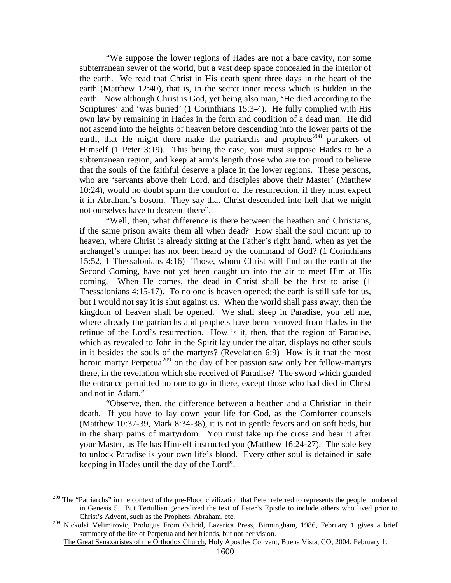"We suppose the lower regions of Hades are not a bare cavity, nor some subterranean sewer of the world, but a vast deep space concealed in the interior of the earth. We read that Christ in His death spent three days in the heart of the earth (Matthew 12:40), that is, in the secret inner recess which is hidden in the earth. Now although Christ is God, yet being also man, 'He died according to the Scriptures' and 'was buried' (1 Corinthians 15:3-4). He fully complied with His own law by remaining in Hades in the form and condition of a dead man. He did not ascend into the heights of heaven before descending into the lower parts of the earth, that He might there make the patriarchs and prophets<sup>[208](#page-88-0)</sup> partakers of Himself (1 Peter 3:19). This being the case, you must suppose Hades to be a subterranean region, and keep at arm's length those who are too proud to believe that the souls of the faithful deserve a place in the lower regions. These persons, who are 'servants above their Lord, and disciples above their Master' (Matthew 10:24), would no doubt spurn the comfort of the resurrection, if they must expect it in Abraham's bosom. They say that Christ descended into hell that we might not ourselves have to descend there".

"Well, then, what difference is there between the heathen and Christians, if the same prison awaits them all when dead? How shall the soul mount up to heaven, where Christ is already sitting at the Father's right hand, when as yet the archangel's trumpet has not been heard by the command of God? (1 Corinthians 15:52, 1 Thessalonians 4:16) Those, whom Christ will find on the earth at the Second Coming, have not yet been caught up into the air to meet Him at His coming. When He comes, the dead in Christ shall be the first to arise (1 Thessalonians 4:15-17). To no one is heaven opened; the earth is still safe for us, but I would not say it is shut against us. When the world shall pass away, then the kingdom of heaven shall be opened. We shall sleep in Paradise, you tell me, where already the patriarchs and prophets have been removed from Hades in the retinue of the Lord's resurrection. How is it, then, that the region of Paradise, which as revealed to John in the Spirit lay under the altar, displays no other souls in it besides the souls of the martyrs? (Revelation 6:9) How is it that the most heroic martyr Perpetua<sup>[209](#page-88-1)</sup> on the day of her passion saw only her fellow-martyrs there, in the revelation which she received of Paradise? The sword which guarded the entrance permitted no one to go in there, except those who had died in Christ and not in Adam."

"Observe, then, the difference between a heathen and a Christian in their death. If you have to lay down your life for God, as the Comforter counsels (Matthew 10:37-39, Mark 8:34-38), it is not in gentle fevers and on soft beds, but in the sharp pains of martyrdom. You must take up the cross and bear it after your Master, as He has Himself instructed you (Matthew 16:24-27). The sole key to unlock Paradise is your own life's blood. Every other soul is detained in safe keeping in Hades until the day of the Lord".

<span id="page-88-0"></span><sup>&</sup>lt;sup>208</sup> The "Patriarchs" in the context of the pre-Flood civilization that Peter referred to represents the people numbered in Genesis 5. But Tertullian generalized the text of Peter's Epistle to include others who lived prior to Christ's Advent, such as the Prophets, Abraham, etc.

<span id="page-88-1"></span><sup>&</sup>lt;sup>209</sup> Nickolai Velimirovic, Prologue From Ochrid, Lazarica Press, Birmingham, 1986, February 1 gives a brief summary of the life of Perpetua and her friends, but not her vision.

The Great Synaxaristes of the Orthodox Church, Holy Apostles Convent, Buena Vista, CO, 2004, February 1.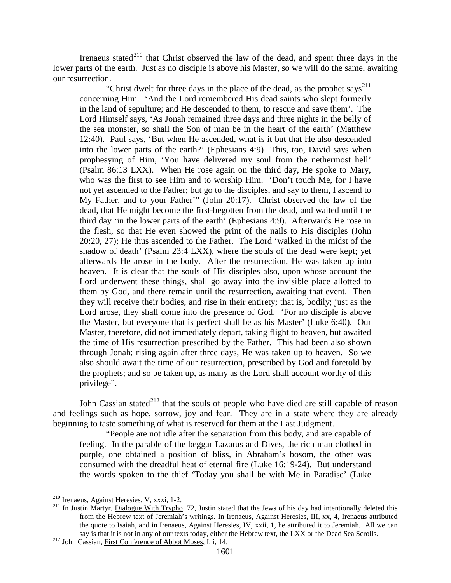Irenaeus stated<sup>[210](#page-89-0)</sup> that Christ observed the law of the dead, and spent three days in the lower parts of the earth. Just as no disciple is above his Master, so we will do the same, awaiting our resurrection.

"Christ dwelt for three days in the place of the dead, as the prophet says<sup>[211](#page-89-1)</sup> concerning Him. 'And the Lord remembered His dead saints who slept formerly in the land of sepulture; and He descended to them, to rescue and save them'. The Lord Himself says, 'As Jonah remained three days and three nights in the belly of the sea monster, so shall the Son of man be in the heart of the earth' (Matthew 12:40). Paul says, 'But when He ascended, what is it but that He also descended into the lower parts of the earth?' (Ephesians 4:9) This, too, David says when prophesying of Him, 'You have delivered my soul from the nethermost hell' (Psalm 86:13 LXX). When He rose again on the third day, He spoke to Mary, who was the first to see Him and to worship Him. 'Don't touch Me, for I have not yet ascended to the Father; but go to the disciples, and say to them, I ascend to My Father, and to your Father'" (John 20:17). Christ observed the law of the dead, that He might become the first-begotten from the dead, and waited until the third day 'in the lower parts of the earth' (Ephesians 4:9). Afterwards He rose in the flesh, so that He even showed the print of the nails to His disciples (John 20:20, 27); He thus ascended to the Father. The Lord 'walked in the midst of the shadow of death' (Psalm 23:4 LXX), where the souls of the dead were kept; yet afterwards He arose in the body. After the resurrection, He was taken up into heaven. It is clear that the souls of His disciples also, upon whose account the Lord underwent these things, shall go away into the invisible place allotted to them by God, and there remain until the resurrection, awaiting that event. Then they will receive their bodies, and rise in their entirety; that is, bodily; just as the Lord arose, they shall come into the presence of God. 'For no disciple is above the Master, but everyone that is perfect shall be as his Master' (Luke 6:40). Our Master, therefore, did not immediately depart, taking flight to heaven, but awaited the time of His resurrection prescribed by the Father. This had been also shown through Jonah; rising again after three days, He was taken up to heaven. So we also should await the time of our resurrection, prescribed by God and foretold by the prophets; and so be taken up, as many as the Lord shall account worthy of this privilege".

John Cassian stated<sup>[212](#page-89-2)</sup> that the souls of people who have died are still capable of reason and feelings such as hope, sorrow, joy and fear. They are in a state where they are already beginning to taste something of what is reserved for them at the Last Judgment.

"People are not idle after the separation from this body, and are capable of feeling. In the parable of the beggar Lazarus and Dives, the rich man clothed in purple, one obtained a position of bliss, in Abraham's bosom, the other was consumed with the dreadful heat of eternal fire (Luke 16:19-24). But understand the words spoken to the thief 'Today you shall be with Me in Paradise' (Luke

<span id="page-89-1"></span><span id="page-89-0"></span><sup>&</sup>lt;sup>210</sup> Irenaeus, Against Heresies, V, xxxi, 1-2.<br><sup>211</sup> In Justin Martyr, <u>Dialogue With Trypho</u>, 72, Justin stated that the Jews of his day had intentionally deleted this from the Hebrew text of Jeremiah's writings. In Irenaeus, Against Heresies, III, xx, 4, Irenaeus attributed the quote to Isaiah, and in Irenaeus, Against Heresies, IV, xxii, 1, he attributed it to Jeremiah. All we can say is that it is not in any of our texts today, either the Hebrew text, the LXX or the Dead Sea Scrolls. 212 John Cassian, First Conference of Abbot Moses, I, i, 14.

<span id="page-89-2"></span>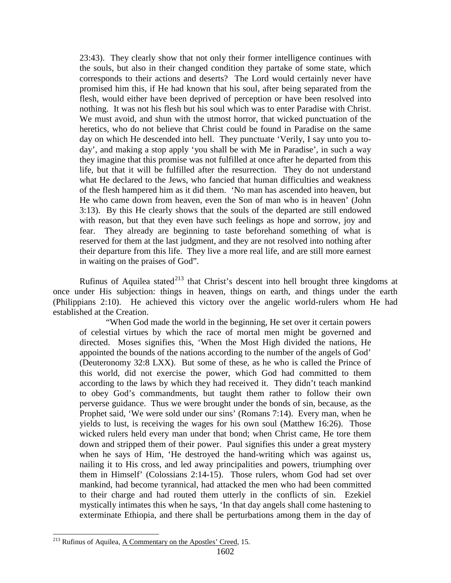23:43). They clearly show that not only their former intelligence continues with the souls, but also in their changed condition they partake of some state, which corresponds to their actions and deserts? The Lord would certainly never have promised him this, if He had known that his soul, after being separated from the flesh, would either have been deprived of perception or have been resolved into nothing. It was not his flesh but his soul which was to enter Paradise with Christ. We must avoid, and shun with the utmost horror, that wicked punctuation of the heretics, who do not believe that Christ could be found in Paradise on the same day on which He descended into hell. They punctuate 'Verily, I say unto you today', and making a stop apply 'you shall be with Me in Paradise', in such a way they imagine that this promise was not fulfilled at once after he departed from this life, but that it will be fulfilled after the resurrection. They do not understand what He declared to the Jews, who fancied that human difficulties and weakness of the flesh hampered him as it did them. 'No man has ascended into heaven, but He who came down from heaven, even the Son of man who is in heaven' (John 3:13). By this He clearly shows that the souls of the departed are still endowed with reason, but that they even have such feelings as hope and sorrow, joy and fear. They already are beginning to taste beforehand something of what is reserved for them at the last judgment, and they are not resolved into nothing after their departure from this life. They live a more real life, and are still more earnest in waiting on the praises of God".

Rufinus of Aquilea stated<sup>[213](#page-90-0)</sup> that Christ's descent into hell brought three kingdoms at once under His subjection: things in heaven, things on earth, and things under the earth (Philippians 2:10). He achieved this victory over the angelic world-rulers whom He had established at the Creation.

"When God made the world in the beginning, He set over it certain powers of celestial virtues by which the race of mortal men might be governed and directed. Moses signifies this, 'When the Most High divided the nations, He appointed the bounds of the nations according to the number of the angels of God' (Deuteronomy 32:8 LXX). But some of these, as he who is called the Prince of this world, did not exercise the power, which God had committed to them according to the laws by which they had received it. They didn't teach mankind to obey God's commandments, but taught them rather to follow their own perverse guidance. Thus we were brought under the bonds of sin, because, as the Prophet said, 'We were sold under our sins' (Romans 7:14). Every man, when he yields to lust, is receiving the wages for his own soul (Matthew 16:26). Those wicked rulers held every man under that bond; when Christ came, He tore them down and stripped them of their power. Paul signifies this under a great mystery when he says of Him, 'He destroyed the hand-writing which was against us, nailing it to His cross, and led away principalities and powers, triumphing over them in Himself' (Colossians 2:14-15). Those rulers, whom God had set over mankind, had become tyrannical, had attacked the men who had been committed to their charge and had routed them utterly in the conflicts of sin. Ezekiel mystically intimates this when he says, 'In that day angels shall come hastening to exterminate Ethiopia, and there shall be perturbations among them in the day of

<span id="page-90-0"></span><sup>&</sup>lt;sup>213</sup> Rufinus of Aquilea, A Commentary on the Apostles' Creed, 15.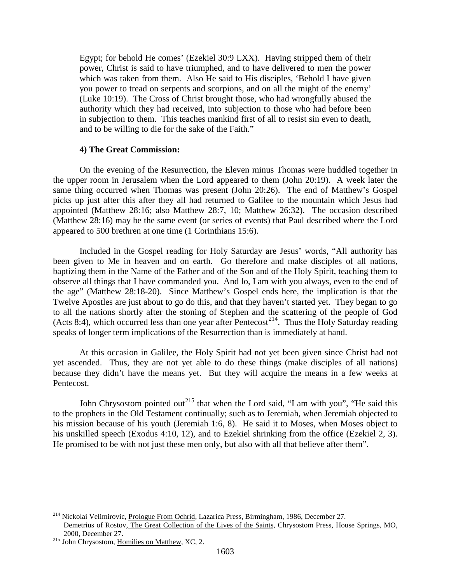Egypt; for behold He comes' (Ezekiel 30:9 LXX). Having stripped them of their power, Christ is said to have triumphed, and to have delivered to men the power which was taken from them. Also He said to His disciples, 'Behold I have given you power to tread on serpents and scorpions, and on all the might of the enemy' (Luke 10:19). The Cross of Christ brought those, who had wrongfully abused the authority which they had received, into subjection to those who had before been in subjection to them. This teaches mankind first of all to resist sin even to death, and to be willing to die for the sake of the Faith."

### **4) The Great Commission:**

On the evening of the Resurrection, the Eleven minus Thomas were huddled together in the upper room in Jerusalem when the Lord appeared to them (John 20:19). A week later the same thing occurred when Thomas was present (John 20:26). The end of Matthew's Gospel picks up just after this after they all had returned to Galilee to the mountain which Jesus had appointed (Matthew 28:16; also Matthew 28:7, 10; Matthew 26:32). The occasion described (Matthew 28:16) may be the same event (or series of events) that Paul described where the Lord appeared to 500 brethren at one time (1 Corinthians 15:6).

Included in the Gospel reading for Holy Saturday are Jesus' words, "All authority has been given to Me in heaven and on earth. Go therefore and make disciples of all nations, baptizing them in the Name of the Father and of the Son and of the Holy Spirit, teaching them to observe all things that I have commanded you. And lo, I am with you always, even to the end of the age" (Matthew 28:18-20). Since Matthew's Gospel ends here, the implication is that the Twelve Apostles are just about to go do this, and that they haven't started yet. They began to go to all the nations shortly after the stoning of Stephen and the scattering of the people of God (Acts 8:4), which occurred less than one year after Pentecost<sup>[214](#page-91-0)</sup>. Thus the Holy Saturday reading speaks of longer term implications of the Resurrection than is immediately at hand.

At this occasion in Galilee, the Holy Spirit had not yet been given since Christ had not yet ascended. Thus, they are not yet able to do these things (make disciples of all nations) because they didn't have the means yet. But they will acquire the means in a few weeks at Pentecost.

John Chrysostom pointed out<sup>[215](#page-91-1)</sup> that when the Lord said, "I am with you", "He said this to the prophets in the Old Testament continually; such as to Jeremiah, when Jeremiah objected to his mission because of his youth (Jeremiah 1:6, 8). He said it to Moses, when Moses object to his unskilled speech (Exodus 4:10, 12), and to Ezekiel shrinking from the office (Ezekiel 2, 3). He promised to be with not just these men only, but also with all that believe after them".

<span id="page-91-0"></span><sup>&</sup>lt;sup>214</sup> Nickolai Velimirovic, Prologue From Ochrid, Lazarica Press, Birmingham, 1986, December 27. Demetrius of Rostov, The Great Collection of the Lives of the Saints, Chrysostom Press, House Springs, MO, 2000, December 27. <sup>215</sup> John Chrysostom, Homilies on Matthew, XC, 2.

<span id="page-91-1"></span>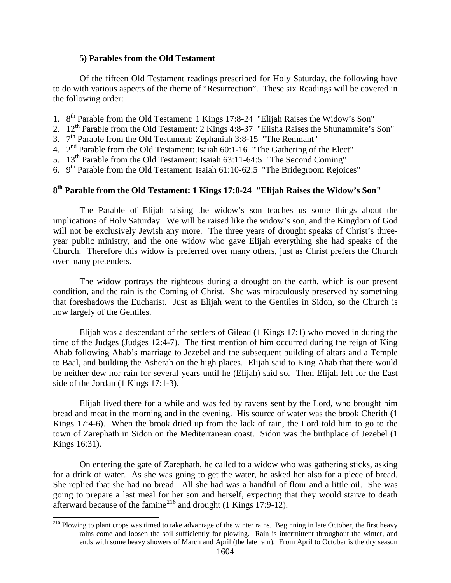## **5) Parables from the Old Testament**

Of the fifteen Old Testament readings prescribed for Holy Saturday, the following have to do with various aspects of the theme of "Resurrection". These six Readings will be covered in the following order:

- 1. 8<sup>th</sup> Parable from the Old Testament: 1 Kings 17:8-24 "Elijah Raises the Widow's Son"
- 2. 12<sup>th</sup> Parable from the Old Testament: 2 Kings 4:8-37 "Elisha Raises the Shunammite's Son"
- 3. 7th Parable from the Old Testament: Zephaniah 3:8-15 "The Remnant"
- 4.  $2<sup>nd</sup>$  Parable from the Old Testament: Isaiah 60:1-16 "The Gathering of the Elect"
- 5. 13<sup>th</sup> Parable from the Old Testament: Isaiah 63:11-64:5 "The Second Coming"
- 6.  $9<sup>th</sup>$  Parable from the Old Testament: Isaiah 61:10-62:5 "The Bridegroom Rejoices"

## **8th Parable from the Old Testament: 1 Kings 17:8-24 "Elijah Raises the Widow's Son"**

The Parable of Elijah raising the widow's son teaches us some things about the implications of Holy Saturday. We will be raised like the widow's son, and the Kingdom of God will not be exclusively Jewish any more. The three years of drought speaks of Christ's threeyear public ministry, and the one widow who gave Elijah everything she had speaks of the Church. Therefore this widow is preferred over many others, just as Christ prefers the Church over many pretenders.

The widow portrays the righteous during a drought on the earth, which is our present condition, and the rain is the Coming of Christ. She was miraculously preserved by something that foreshadows the Eucharist. Just as Elijah went to the Gentiles in Sidon, so the Church is now largely of the Gentiles.

Elijah was a descendant of the settlers of Gilead (1 Kings 17:1) who moved in during the time of the Judges (Judges 12:4-7). The first mention of him occurred during the reign of King Ahab following Ahab's marriage to Jezebel and the subsequent building of altars and a Temple to Baal, and building the Asherah on the high places. Elijah said to King Ahab that there would be neither dew nor rain for several years until he (Elijah) said so. Then Elijah left for the East side of the Jordan (1 Kings 17:1-3).

Elijah lived there for a while and was fed by ravens sent by the Lord, who brought him bread and meat in the morning and in the evening. His source of water was the brook Cherith (1 Kings 17:4-6). When the brook dried up from the lack of rain, the Lord told him to go to the town of Zarephath in Sidon on the Mediterranean coast. Sidon was the birthplace of Jezebel (1 Kings 16:31).

On entering the gate of Zarephath, he called to a widow who was gathering sticks, asking for a drink of water. As she was going to get the water, he asked her also for a piece of bread. She replied that she had no bread. All she had was a handful of flour and a little oil. She was going to prepare a last meal for her son and herself, expecting that they would starve to death afterward because of the famine<sup>[216](#page-92-0)</sup> and drought (1 Kings 17:9-12).

<span id="page-92-0"></span><sup>&</sup>lt;sup>216</sup> Plowing to plant crops was timed to take advantage of the winter rains. Beginning in late October, the first heavy rains come and loosen the soil sufficiently for plowing. Rain is intermittent throughout the winter, and ends with some heavy showers of March and April (the late rain). From April to October is the dry season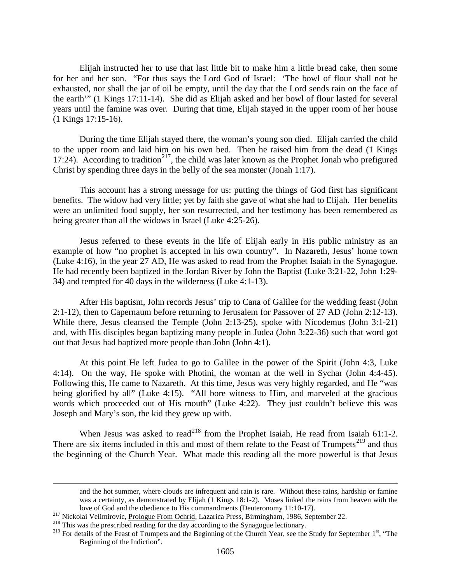Elijah instructed her to use that last little bit to make him a little bread cake, then some for her and her son. "For thus says the Lord God of Israel: 'The bowl of flour shall not be exhausted, nor shall the jar of oil be empty, until the day that the Lord sends rain on the face of the earth'" (1 Kings 17:11-14). She did as Elijah asked and her bowl of flour lasted for several years until the famine was over. During that time, Elijah stayed in the upper room of her house (1 Kings 17:15-16).

During the time Elijah stayed there, the woman's young son died. Elijah carried the child to the upper room and laid him on his own bed. Then he raised him from the dead (1 Kings 17:24). According to tradition<sup>217</sup>, the child was later known as the Prophet Jonah who prefigured Christ by spending three days in the belly of the sea monster (Jonah 1:17).

This account has a strong message for us: putting the things of God first has significant benefits. The widow had very little; yet by faith she gave of what she had to Elijah. Her benefits were an unlimited food supply, her son resurrected, and her testimony has been remembered as being greater than all the widows in Israel (Luke 4:25-26).

Jesus referred to these events in the life of Elijah early in His public ministry as an example of how "no prophet is accepted in his own country". In Nazareth, Jesus' home town (Luke 4:16), in the year 27 AD, He was asked to read from the Prophet Isaiah in the Synagogue. He had recently been baptized in the Jordan River by John the Baptist (Luke 3:21-22, John 1:29- 34) and tempted for 40 days in the wilderness (Luke 4:1-13).

After His baptism, John records Jesus' trip to Cana of Galilee for the wedding feast (John 2:1-12), then to Capernaum before returning to Jerusalem for Passover of 27 AD (John 2:12-13). While there, Jesus cleansed the Temple (John 2:13-25), spoke with Nicodemus (John 3:1-21) and, with His disciples began baptizing many people in Judea (John 3:22-36) such that word got out that Jesus had baptized more people than John (John 4:1).

At this point He left Judea to go to Galilee in the power of the Spirit (John 4:3, Luke 4:14). On the way, He spoke with Photini, the woman at the well in Sychar (John 4:4-45). Following this, He came to Nazareth. At this time, Jesus was very highly regarded, and He "was being glorified by all" (Luke 4:15). "All bore witness to Him, and marveled at the gracious words which proceeded out of His mouth" (Luke 4:22). They just couldn't believe this was Joseph and Mary's son, the kid they grew up with.

When Jesus was asked to read<sup>[218](#page-93-1)</sup> from the Prophet Isaiah, He read from Isaiah 61:1-2. There are six items included in this and most of them relate to the Feast of Trumpets<sup>[219](#page-93-2)</sup> and thus the beginning of the Church Year. What made this reading all the more powerful is that Jesus

 $\overline{a}$ 

and the hot summer, where clouds are infrequent and rain is rare. Without these rains, hardship or famine was a certainty, as demonstrated by Elijah (1 Kings 18:1-2). Moses linked the rains from heaven with the

<span id="page-93-0"></span>love of God and the obedience to His commandments (Deuteronomy 11:10-17).<br><sup>217</sup> Nickolai Velimirovic, <u>Prologue From Ochrid</u>, Lazarica Press, Birmingham, 1986, September 22.<br><sup>218</sup> This was the prescribed reading for the da

<span id="page-93-2"></span><span id="page-93-1"></span><sup>&</sup>lt;sup>219</sup> For details of the Feast of Trumpets and the Beginning of the Church Year, see the Study for September 1<sup>st</sup>, "The Beginning of the Indiction".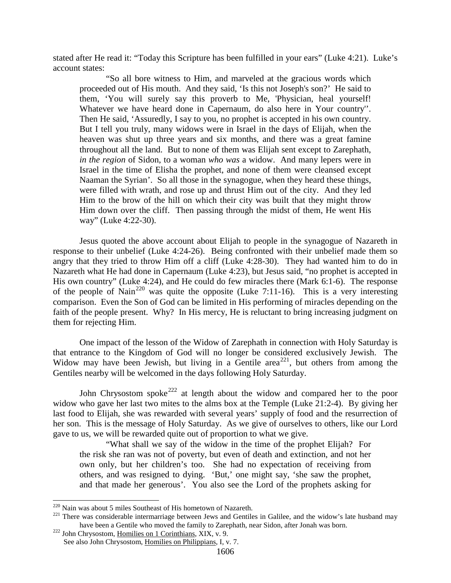stated after He read it: "Today this Scripture has been fulfilled in your ears" (Luke 4:21). Luke's account states:

"So all bore witness to Him, and marveled at the gracious words which proceeded out of His mouth. And they said, 'Is this not Joseph's son?' He said to them, 'You will surely say this proverb to Me, 'Physician, heal yourself! Whatever we have heard done in Capernaum, do also here in Your country''. Then He said, 'Assuredly, I say to you, no prophet is accepted in his own country. But I tell you truly, many widows were in Israel in the days of Elijah, when the heaven was shut up three years and six months, and there was a great famine throughout all the land. But to none of them was Elijah sent except to Zarephath, *in the region* of Sidon, to a woman *who was* a widow. And many lepers were in Israel in the time of Elisha the prophet, and none of them were cleansed except Naaman the Syrian'. So all those in the synagogue, when they heard these things, were filled with wrath, and rose up and thrust Him out of the city. And they led Him to the brow of the hill on which their city was built that they might throw Him down over the cliff. Then passing through the midst of them, He went His way" (Luke 4:22-30).

Jesus quoted the above account about Elijah to people in the synagogue of Nazareth in response to their unbelief (Luke 4:24-26). Being confronted with their unbelief made them so angry that they tried to throw Him off a cliff (Luke 4:28-30). They had wanted him to do in Nazareth what He had done in Capernaum (Luke 4:23), but Jesus said, "no prophet is accepted in His own country" (Luke 4:24), and He could do few miracles there (Mark 6:1-6). The response of the people of Nain<sup>[220](#page-94-0)</sup> was quite the opposite (Luke 7:11-16). This is a very interesting comparison. Even the Son of God can be limited in His performing of miracles depending on the faith of the people present. Why? In His mercy, He is reluctant to bring increasing judgment on them for rejecting Him.

One impact of the lesson of the Widow of Zarephath in connection with Holy Saturday is that entrance to the Kingdom of God will no longer be considered exclusively Jewish. The Widow may have been Jewish, but living in a Gentile area<sup>[221](#page-94-1)</sup>, but others from among the Gentiles nearby will be welcomed in the days following Holy Saturday.

John Chrysostom spoke<sup>[222](#page-94-2)</sup> at length about the widow and compared her to the poor widow who gave her last two mites to the alms box at the Temple (Luke 21:2-4). By giving her last food to Elijah, she was rewarded with several years' supply of food and the resurrection of her son. This is the message of Holy Saturday. As we give of ourselves to others, like our Lord gave to us, we will be rewarded quite out of proportion to what we give.

"What shall we say of the widow in the time of the prophet Elijah? For the risk she ran was not of poverty, but even of death and extinction, and not her own only, but her children's too. She had no expectation of receiving from others, and was resigned to dying. 'But,' one might say, 'she saw the prophet, and that made her generous'. You also see the Lord of the prophets asking for

<span id="page-94-1"></span><span id="page-94-0"></span><sup>&</sup>lt;sup>220</sup> Nain was about 5 miles Southeast of His hometown of Nazareth.<br><sup>221</sup> There was considerable intermarriage between Jews and Gentiles in Galilee, and the widow's late husband may have been a Gentile who moved the family to Zarephath, near Sidon, after Jonah was born. <sup>222</sup> John Chrysostom, <u>Homilies on 1 Corinthians</u>, XIX, v. 9.

<span id="page-94-2"></span>See also John Chrysostom, Homilies on Philippians, I, v. 7.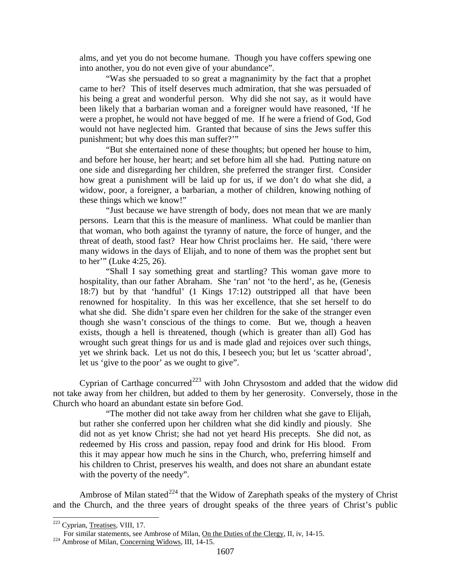alms, and yet you do not become humane. Though you have coffers spewing one into another, you do not even give of your abundance".

"Was she persuaded to so great a magnanimity by the fact that a prophet came to her? This of itself deserves much admiration, that she was persuaded of his being a great and wonderful person. Why did she not say, as it would have been likely that a barbarian woman and a foreigner would have reasoned, 'If he were a prophet, he would not have begged of me. If he were a friend of God, God would not have neglected him. Granted that because of sins the Jews suffer this punishment; but why does this man suffer?'"

"But she entertained none of these thoughts; but opened her house to him, and before her house, her heart; and set before him all she had. Putting nature on one side and disregarding her children, she preferred the stranger first. Consider how great a punishment will be laid up for us, if we don't do what she did, a widow, poor, a foreigner, a barbarian, a mother of children, knowing nothing of these things which we know!"

"Just because we have strength of body, does not mean that we are manly persons. Learn that this is the measure of manliness. What could be manlier than that woman, who both against the tyranny of nature, the force of hunger, and the threat of death, stood fast? Hear how Christ proclaims her. He said, 'there were many widows in the days of Elijah, and to none of them was the prophet sent but to her'" (Luke 4:25, 26).

"Shall I say something great and startling? This woman gave more to hospitality, than our father Abraham. She 'ran' not 'to the herd', as he, (Genesis 18:7) but by that 'handful' (1 Kings 17:12) outstripped all that have been renowned for hospitality. In this was her excellence, that she set herself to do what she did. She didn't spare even her children for the sake of the stranger even though she wasn't conscious of the things to come. But we, though a heaven exists, though a hell is threatened, though (which is greater than all) God has wrought such great things for us and is made glad and rejoices over such things, yet we shrink back. Let us not do this, I beseech you; but let us 'scatter abroad', let us 'give to the poor' as we ought to give".

Cyprian of Carthage concurred<sup>[223](#page-95-0)</sup> with John Chrysostom and added that the widow did not take away from her children, but added to them by her generosity. Conversely, those in the Church who hoard an abundant estate sin before God.

"The mother did not take away from her children what she gave to Elijah, but rather she conferred upon her children what she did kindly and piously. She did not as yet know Christ; she had not yet heard His precepts. She did not, as redeemed by His cross and passion, repay food and drink for His blood. From this it may appear how much he sins in the Church, who, preferring himself and his children to Christ, preserves his wealth, and does not share an abundant estate with the poverty of the needy".

Ambrose of Milan stated<sup>[224](#page-95-1)</sup> that the Widow of Zarephath speaks of the mystery of Christ and the Church, and the three years of drought speaks of the three years of Christ's public

<span id="page-95-0"></span> <sup>223</sup> Cyprian, Treatises, VIII, 17.

<span id="page-95-1"></span>For similar statements, see Ambrose of Milan, <u>On the Duties of the Clergy</u>, II, iv, 14-15.<br><sup>224</sup> Ambrose of Milan, Concerning Widows, III, 14-15.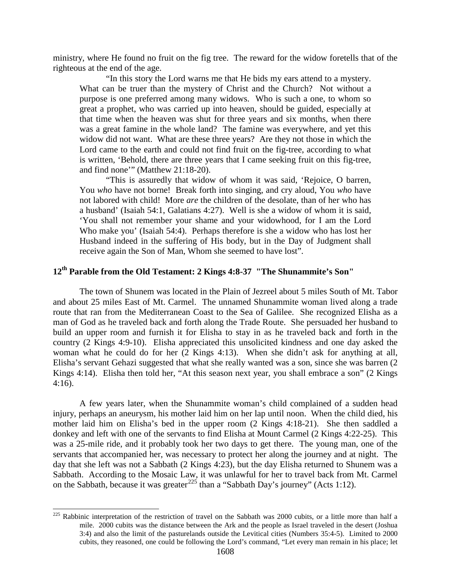ministry, where He found no fruit on the fig tree. The reward for the widow foretells that of the righteous at the end of the age.

"In this story the Lord warns me that He bids my ears attend to a mystery. What can be truer than the mystery of Christ and the Church? Not without a purpose is one preferred among many widows. Who is such a one, to whom so great a prophet, who was carried up into heaven, should be guided, especially at that time when the heaven was shut for three years and six months, when there was a great famine in the whole land? The famine was everywhere, and yet this widow did not want. What are these three years? Are they not those in which the Lord came to the earth and could not find fruit on the fig-tree, according to what is written, 'Behold, there are three years that I came seeking fruit on this fig-tree, and find none'" (Matthew 21:18-20).

"This is assuredly that widow of whom it was said, 'Rejoice, O barren, You *who* have not borne! Break forth into singing, and cry aloud, You *who* have not labored with child! More *are* the children of the desolate, than of her who has a husband' (Isaiah 54:1, Galatians 4:27). Well is she a widow of whom it is said, 'You shall not remember your shame and your widowhood, for I am the Lord Who make you' (Isaiah 54:4). Perhaps therefore is she a widow who has lost her Husband indeed in the suffering of His body, but in the Day of Judgment shall receive again the Son of Man, Whom she seemed to have lost".

## **12th Parable from the Old Testament: 2 Kings 4:8-37 "The Shunammite's Son"**

The town of Shunem was located in the Plain of Jezreel about 5 miles South of Mt. Tabor and about 25 miles East of Mt. Carmel. The unnamed Shunammite woman lived along a trade route that ran from the Mediterranean Coast to the Sea of Galilee. She recognized Elisha as a man of God as he traveled back and forth along the Trade Route. She persuaded her husband to build an upper room and furnish it for Elisha to stay in as he traveled back and forth in the country (2 Kings 4:9-10). Elisha appreciated this unsolicited kindness and one day asked the woman what he could do for her (2 Kings 4:13). When she didn't ask for anything at all, Elisha's servant Gehazi suggested that what she really wanted was a son, since she was barren (2 Kings 4:14). Elisha then told her, "At this season next year, you shall embrace a son" (2 Kings 4:16).

A few years later, when the Shunammite woman's child complained of a sudden head injury, perhaps an aneurysm, his mother laid him on her lap until noon. When the child died, his mother laid him on Elisha's bed in the upper room (2 Kings 4:18-21). She then saddled a donkey and left with one of the servants to find Elisha at Mount Carmel (2 Kings 4:22-25). This was a 25-mile ride, and it probably took her two days to get there. The young man, one of the servants that accompanied her, was necessary to protect her along the journey and at night. The day that she left was not a Sabbath (2 Kings 4:23), but the day Elisha returned to Shunem was a Sabbath. According to the Mosaic Law, it was unlawful for her to travel back from Mt. Carmel on the Sabbath, because it was greater<sup>[225](#page-96-0)</sup> than a "Sabbath Day's journey" (Acts 1:12).

<span id="page-96-0"></span> $\frac{225}{225}$  Rabbinic interpretation of the restriction of travel on the Sabbath was 2000 cubits, or a little more than half a mile. 2000 cubits was the distance between the Ark and the people as Israel traveled in the desert (Joshua 3:4) and also the limit of the pasturelands outside the Levitical cities (Numbers 35:4-5). Limited to 2000 cubits, they reasoned, one could be following the Lord's command, "Let every man remain in his place; let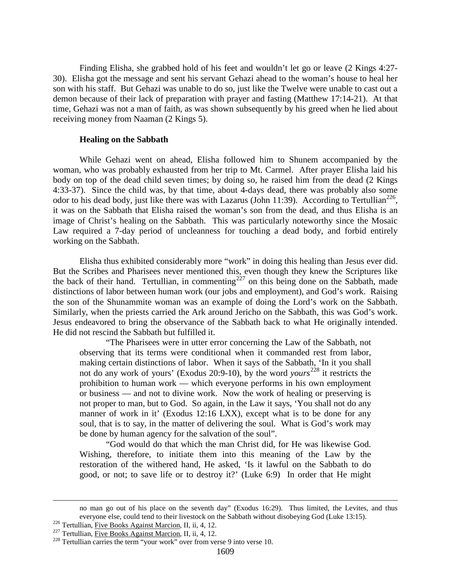Finding Elisha, she grabbed hold of his feet and wouldn't let go or leave (2 Kings 4:27- 30). Elisha got the message and sent his servant Gehazi ahead to the woman's house to heal her son with his staff. But Gehazi was unable to do so, just like the Twelve were unable to cast out a demon because of their lack of preparation with prayer and fasting (Matthew 17:14-21). At that time, Gehazi was not a man of faith, as was shown subsequently by his greed when he lied about receiving money from Naaman (2 Kings 5).

#### **Healing on the Sabbath**

While Gehazi went on ahead, Elisha followed him to Shunem accompanied by the woman, who was probably exhausted from her trip to Mt. Carmel. After prayer Elisha laid his body on top of the dead child seven times; by doing so, he raised him from the dead (2 Kings 4:33-37). Since the child was, by that time, about 4-days dead, there was probably also some odor to his dead body, just like there was with Lazarus (John 11:39). According to Tertullian<sup>[226](#page-97-0)</sup>, it was on the Sabbath that Elisha raised the woman's son from the dead, and thus Elisha is an image of Christ's healing on the Sabbath. This was particularly noteworthy since the Mosaic Law required a 7-day period of uncleanness for touching a dead body, and forbid entirely working on the Sabbath.

Elisha thus exhibited considerably more "work" in doing this healing than Jesus ever did. But the Scribes and Pharisees never mentioned this, even though they knew the Scriptures like the back of their hand. Tertullian, in commenting<sup>[227](#page-97-1)</sup> on this being done on the Sabbath, made distinctions of labor between human work (our jobs and employment), and God's work. Raising the son of the Shunammite woman was an example of doing the Lord's work on the Sabbath. Similarly, when the priests carried the Ark around Jericho on the Sabbath, this was God's work. Jesus endeavored to bring the observance of the Sabbath back to what He originally intended. He did not rescind the Sabbath but fulfilled it.

"The Pharisees were in utter error concerning the Law of the Sabbath, not observing that its terms were conditional when it commanded rest from labor, making certain distinctions of labor. When it says of the Sabbath, 'In it you shall not do any work of yours' (Exodus 20:9-10), by the word *yours* [228](#page-97-2) it restricts the prohibition to human work — which everyone performs in his own employment or business — and not to divine work. Now the work of healing or preserving is not proper to man, but to God. So again, in the Law it says, 'You shall not do any manner of work in it' (Exodus 12:16 LXX), except what is to be done for any soul, that is to say, in the matter of delivering the soul. What is God's work may be done by human agency for the salvation of the soul".

"God would do that which the man Christ did, for He was likewise God. Wishing, therefore, to initiate them into this meaning of the Law by the restoration of the withered hand, He asked, 'Is it lawful on the Sabbath to do good, or not; to save life or to destroy it?' (Luke 6:9) In order that He might

 $\overline{a}$ 

no man go out of his place on the seventh day" (Exodus 16:29). Thus limited, the Levites, and thus everyone else, could tend to their livestock on the Sabbath without disobeying God (Luke 13:15).<br><sup>226</sup> Tertullian, <u>Five Books Against Marcion</u>, II, ii, 4, 12.<br><sup>227</sup> Tertullian, <u>Five Books Against Marcion</u>, II, ii, 4, 12.

<span id="page-97-1"></span><span id="page-97-0"></span>

<span id="page-97-2"></span>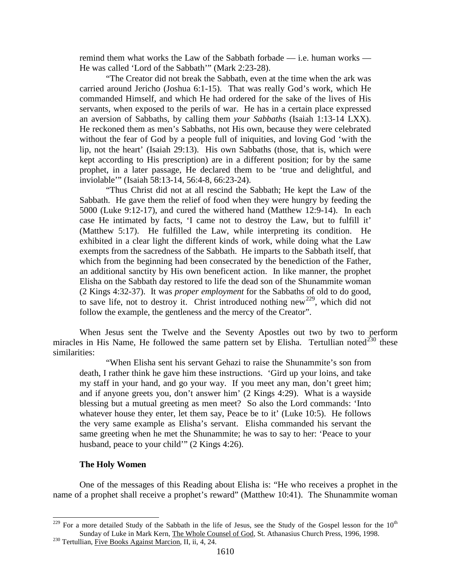remind them what works the Law of the Sabbath forbade — i.e. human works — He was called 'Lord of the Sabbath'" (Mark 2:23-28).

"The Creator did not break the Sabbath, even at the time when the ark was carried around Jericho (Joshua 6:1-15). That was really God's work, which He commanded Himself, and which He had ordered for the sake of the lives of His servants, when exposed to the perils of war. He has in a certain place expressed an aversion of Sabbaths, by calling them *your Sabbaths* (Isaiah 1:13-14 LXX). He reckoned them as men's Sabbaths, not His own, because they were celebrated without the fear of God by a people full of iniquities, and loving God 'with the lip, not the heart' (Isaiah 29:13). His own Sabbaths (those, that is, which were kept according to His prescription) are in a different position; for by the same prophet, in a later passage, He declared them to be 'true and delightful, and inviolable'" (Isaiah 58:13-14, 56:4-8, 66:23-24).

"Thus Christ did not at all rescind the Sabbath; He kept the Law of the Sabbath. He gave them the relief of food when they were hungry by feeding the 5000 (Luke 9:12-17), and cured the withered hand (Matthew 12:9-14). In each case He intimated by facts, 'I came not to destroy the Law, but to fulfill it' (Matthew 5:17). He fulfilled the Law, while interpreting its condition. He exhibited in a clear light the different kinds of work, while doing what the Law exempts from the sacredness of the Sabbath. He imparts to the Sabbath itself, that which from the beginning had been consecrated by the benediction of the Father, an additional sanctity by His own beneficent action. In like manner, the prophet Elisha on the Sabbath day restored to life the dead son of the Shunammite woman (2 Kings 4:32-37). It was *proper employment* for the Sabbaths of old to do good, to save life, not to destroy it. Christ introduced nothing new<sup>229</sup>, which did not follow the example, the gentleness and the mercy of the Creator".

When Jesus sent the Twelve and the Seventy Apostles out two by two to perform miracles in His Name, He followed the same pattern set by Elisha. Tertullian noted $^{230}$  $^{230}$  $^{230}$  these similarities:

"When Elisha sent his servant Gehazi to raise the Shunammite's son from death, I rather think he gave him these instructions. 'Gird up your loins, and take my staff in your hand, and go your way. If you meet any man, don't greet him; and if anyone greets you, don't answer him' (2 Kings 4:29). What is a wayside blessing but a mutual greeting as men meet? So also the Lord commands: 'Into whatever house they enter, let them say, Peace be to it' (Luke 10:5). He follows the very same example as Elisha's servant. Elisha commanded his servant the same greeting when he met the Shunammite; he was to say to her: 'Peace to your husband, peace to your child'" (2 Kings 4:26).

#### **The Holy Women**

One of the messages of this Reading about Elisha is: "He who receives a prophet in the name of a prophet shall receive a prophet's reward" (Matthew 10:41). The Shunammite woman

<span id="page-98-1"></span><span id="page-98-0"></span><sup>&</sup>lt;sup>229</sup> For a more detailed Study of the Sabbath in the life of Jesus, see the Study of the Gospel lesson for the 10<sup>th</sup> Sunday of Luke in Mark Kern, The Whole Counsel of God, St. Athanasius Church Press, 1996, 1998. <sup>230</sup> Tertullian, Five Books Against Marcion, II, ii, 4, 24.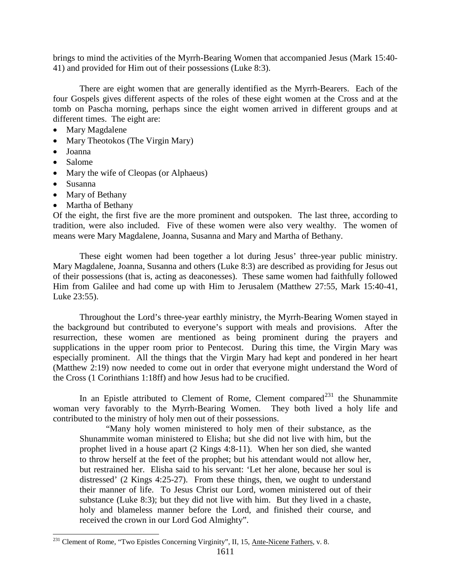brings to mind the activities of the Myrrh-Bearing Women that accompanied Jesus (Mark 15:40- 41) and provided for Him out of their possessions (Luke 8:3).

There are eight women that are generally identified as the Myrrh-Bearers. Each of the four Gospels gives different aspects of the roles of these eight women at the Cross and at the tomb on Pascha morning, perhaps since the eight women arrived in different groups and at different times. The eight are:

- Mary Magdalene
- Mary Theotokos (The Virgin Mary)
- Joanna
- Salome
- Mary the wife of Cleopas (or Alphaeus)
- Susanna
- Mary of Bethany
- Martha of Bethany

Of the eight, the first five are the more prominent and outspoken. The last three, according to tradition, were also included. Five of these women were also very wealthy. The women of means were Mary Magdalene, Joanna, Susanna and Mary and Martha of Bethany.

These eight women had been together a lot during Jesus' three-year public ministry. Mary Magdalene, Joanna, Susanna and others (Luke 8:3) are described as providing for Jesus out of their possessions (that is, acting as deaconesses). These same women had faithfully followed Him from Galilee and had come up with Him to Jerusalem (Matthew 27:55, Mark 15:40-41, Luke 23:55).

Throughout the Lord's three-year earthly ministry, the Myrrh-Bearing Women stayed in the background but contributed to everyone's support with meals and provisions. After the resurrection, these women are mentioned as being prominent during the prayers and supplications in the upper room prior to Pentecost. During this time, the Virgin Mary was especially prominent. All the things that the Virgin Mary had kept and pondered in her heart (Matthew 2:19) now needed to come out in order that everyone might understand the Word of the Cross (1 Corinthians 1:18ff) and how Jesus had to be crucified.

In an Epistle attributed to Clement of Rome, Clement compared<sup>[231](#page-99-0)</sup> the Shunammite woman very favorably to the Myrrh-Bearing Women. They both lived a holy life and contributed to the ministry of holy men out of their possessions.

"Many holy women ministered to holy men of their substance, as the Shunammite woman ministered to Elisha; but she did not live with him, but the prophet lived in a house apart (2 Kings 4:8-11). When her son died, she wanted to throw herself at the feet of the prophet; but his attendant would not allow her, but restrained her. Elisha said to his servant: 'Let her alone, because her soul is distressed' (2 Kings 4:25-27). From these things, then, we ought to understand their manner of life. To Jesus Christ our Lord, women ministered out of their substance (Luke 8:3); but they did not live with him. But they lived in a chaste, holy and blameless manner before the Lord, and finished their course, and received the crown in our Lord God Almighty".

<span id="page-99-0"></span><sup>&</sup>lt;sup>231</sup> Clement of Rome, "Two Epistles Concerning Virginity", II, 15, Ante-Nicene Fathers, v. 8.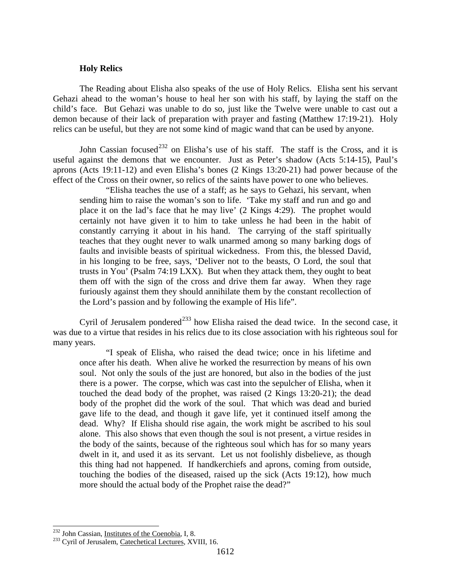### **Holy Relics**

The Reading about Elisha also speaks of the use of Holy Relics. Elisha sent his servant Gehazi ahead to the woman's house to heal her son with his staff, by laying the staff on the child's face. But Gehazi was unable to do so, just like the Twelve were unable to cast out a demon because of their lack of preparation with prayer and fasting (Matthew 17:19-21). Holy relics can be useful, but they are not some kind of magic wand that can be used by anyone.

John Cassian focused<sup>[232](#page-100-0)</sup> on Elisha's use of his staff. The staff is the Cross, and it is useful against the demons that we encounter. Just as Peter's shadow (Acts 5:14-15), Paul's aprons (Acts 19:11-12) and even Elisha's bones (2 Kings 13:20-21) had power because of the effect of the Cross on their owner, so relics of the saints have power to one who believes.

"Elisha teaches the use of a staff; as he says to Gehazi, his servant, when sending him to raise the woman's son to life. 'Take my staff and run and go and place it on the lad's face that he may live' (2 Kings 4:29). The prophet would certainly not have given it to him to take unless he had been in the habit of constantly carrying it about in his hand. The carrying of the staff spiritually teaches that they ought never to walk unarmed among so many barking dogs of faults and invisible beasts of spiritual wickedness. From this, the blessed David, in his longing to be free, says, 'Deliver not to the beasts, O Lord, the soul that trusts in You' (Psalm 74:19 LXX). But when they attack them, they ought to beat them off with the sign of the cross and drive them far away. When they rage furiously against them they should annihilate them by the constant recollection of the Lord's passion and by following the example of His life".

Cyril of Jerusalem pondered<sup>[233](#page-100-1)</sup> how Elisha raised the dead twice. In the second case, it was due to a virtue that resides in his relics due to its close association with his righteous soul for many years.

"I speak of Elisha, who raised the dead twice; once in his lifetime and once after his death. When alive he worked the resurrection by means of his own soul. Not only the souls of the just are honored, but also in the bodies of the just there is a power. The corpse, which was cast into the sepulcher of Elisha, when it touched the dead body of the prophet, was raised (2 Kings 13:20-21); the dead body of the prophet did the work of the soul. That which was dead and buried gave life to the dead, and though it gave life, yet it continued itself among the dead. Why? If Elisha should rise again, the work might be ascribed to his soul alone. This also shows that even though the soul is not present, a virtue resides in the body of the saints, because of the righteous soul which has for so many years dwelt in it, and used it as its servant. Let us not foolishly disbelieve, as though this thing had not happened. If handkerchiefs and aprons, coming from outside, touching the bodies of the diseased, raised up the sick (Acts 19:12), how much more should the actual body of the Prophet raise the dead?"

<span id="page-100-1"></span><span id="page-100-0"></span><sup>&</sup>lt;sup>232</sup> John Cassian, <u>Institutes of the Coenobia</u>, I, 8.<br><sup>233</sup> Cyril of Jerusalem, Catechetical Lectures, XVIII, 16.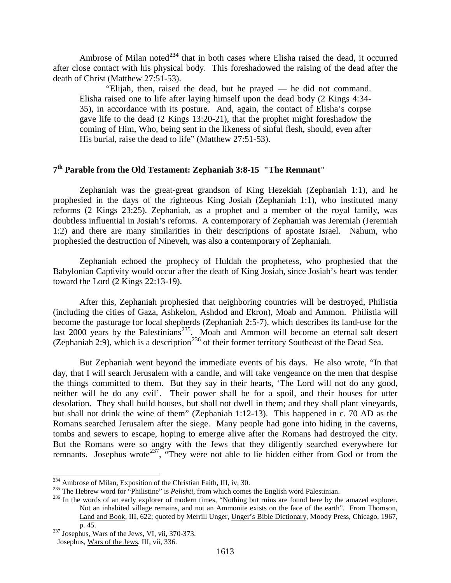Ambrose of Milan noted**[234](#page-101-0)** that in both cases where Elisha raised the dead, it occurred after close contact with his physical body. This foreshadowed the raising of the dead after the death of Christ (Matthew 27:51-53).

"Elijah, then, raised the dead, but he prayed — he did not command. Elisha raised one to life after laying himself upon the dead body (2 Kings 4:34- 35), in accordance with its posture. And, again, the contact of Elisha's corpse gave life to the dead (2 Kings 13:20-21), that the prophet might foreshadow the coming of Him, Who, being sent in the likeness of sinful flesh, should, even after His burial, raise the dead to life" (Matthew 27:51-53).

# **7th Parable from the Old Testament: Zephaniah 3:8-15 "The Remnant"**

Zephaniah was the great-great grandson of King Hezekiah (Zephaniah 1:1), and he prophesied in the days of the righteous King Josiah (Zephaniah 1:1), who instituted many reforms (2 Kings 23:25). Zephaniah, as a prophet and a member of the royal family, was doubtless influential in Josiah's reforms. A contemporary of Zephaniah was Jeremiah (Jeremiah 1:2) and there are many similarities in their descriptions of apostate Israel. Nahum, who prophesied the destruction of Nineveh, was also a contemporary of Zephaniah.

Zephaniah echoed the prophecy of Huldah the prophetess, who prophesied that the Babylonian Captivity would occur after the death of King Josiah, since Josiah's heart was tender toward the Lord (2 Kings 22:13-19).

After this, Zephaniah prophesied that neighboring countries will be destroyed, Philistia (including the cities of Gaza, Ashkelon, Ashdod and Ekron), Moab and Ammon. Philistia will become the pasturage for local shepherds (Zephaniah 2:5-7), which describes its land-use for the last 2000 years by the Palestinians<sup>235</sup>. Moab and Ammon will become an eternal salt desert (Zephaniah 2:9), which is a description<sup>[236](#page-101-2)</sup> of their former territory Southeast of the Dead Sea.

But Zephaniah went beyond the immediate events of his days. He also wrote, "In that day, that I will search Jerusalem with a candle, and will take vengeance on the men that despise the things committed to them. But they say in their hearts, 'The Lord will not do any good, neither will he do any evil'. Their power shall be for a spoil, and their houses for utter desolation. They shall build houses, but shall not dwell in them; and they shall plant vineyards, but shall not drink the wine of them" (Zephaniah 1:12-13). This happened in c. 70 AD as the Romans searched Jerusalem after the siege. Many people had gone into hiding in the caverns, tombs and sewers to escape, hoping to emerge alive after the Romans had destroyed the city. But the Romans were so angry with the Jews that they diligently searched everywhere for remnants. Josephus wrote<sup>[237](#page-101-3)</sup>, "They were not able to lie hidden either from God or from the

<span id="page-101-2"></span>

<span id="page-101-1"></span><span id="page-101-0"></span><sup>&</sup>lt;sup>234</sup> Ambrose of Milan, Exposition of the Christian Faith, III, iv, 30.<br><sup>235</sup> The Hebrew word for "Philistine" is *Pelishti*, from which comes the English word Palestinian.<br><sup>236</sup> In the words of an early explorer of moder Not an inhabited village remains, and not an Ammonite exists on the face of the earth". From Thomson, Land and Book, III, 622; quoted by Merrill Unger, Unger's Bible Dictionary, Moody Press, Chicago, 1967,

<span id="page-101-3"></span>p. 45.  $\frac{237 \text{ Josephus}}{ \text{Wars of the Jews}}$ , VI, vii, 370-373.

Josephus, Wars of the Jews, III, vii, 336.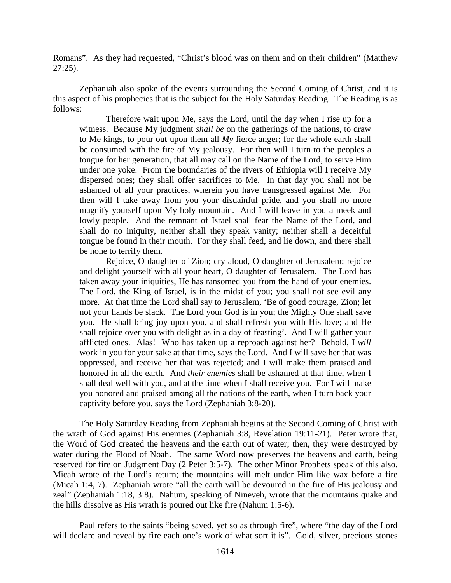Romans". As they had requested, "Christ's blood was on them and on their children" (Matthew 27:25).

Zephaniah also spoke of the events surrounding the Second Coming of Christ, and it is this aspect of his prophecies that is the subject for the Holy Saturday Reading. The Reading is as follows:

Therefore wait upon Me, says the Lord, until the day when I rise up for a witness. Because My judgment *shall be* on the gatherings of the nations, to draw to Me kings, to pour out upon them all *My* fierce anger; for the whole earth shall be consumed with the fire of My jealousy. For then will I turn to the peoples a tongue for her generation, that all may call on the Name of the Lord, to serve Him under one yoke. From the boundaries of the rivers of Ethiopia will I receive My dispersed ones; they shall offer sacrifices to Me. In that day you shall not be ashamed of all your practices, wherein you have transgressed against Me. For then will I take away from you your disdainful pride, and you shall no more magnify yourself upon My holy mountain. And I will leave in you a meek and lowly people. And the remnant of Israel shall fear the Name of the Lord, and shall do no iniquity, neither shall they speak vanity; neither shall a deceitful tongue be found in their mouth. For they shall feed, and lie down, and there shall be none to terrify them.

Rejoice, O daughter of Zion; cry aloud, O daughter of Jerusalem; rejoice and delight yourself with all your heart, O daughter of Jerusalem. The Lord has taken away your iniquities, He has ransomed you from the hand of your enemies. The Lord, the King of Israel, is in the midst of you; you shall not see evil any more. At that time the Lord shall say to Jerusalem, 'Be of good courage, Zion; let not your hands be slack. The Lord your God is in you; the Mighty One shall save you. He shall bring joy upon you, and shall refresh you with His love; and He shall rejoice over you with delight as in a day of feasting'. And I will gather your afflicted ones. Alas! Who has taken up a reproach against her? Behold, I *will*  work in you for your sake at that time, says the Lord. And I will save her that was oppressed, and receive her that was rejected; and I will make them praised and honored in all the earth. And *their enemies* shall be ashamed at that time, when I shall deal well with you, and at the time when I shall receive you. For I will make you honored and praised among all the nations of the earth, when I turn back your captivity before you, says the Lord (Zephaniah 3:8-20).

The Holy Saturday Reading from Zephaniah begins at the Second Coming of Christ with the wrath of God against His enemies (Zephaniah 3:8, Revelation 19:11-21). Peter wrote that, the Word of God created the heavens and the earth out of water; then, they were destroyed by water during the Flood of Noah. The same Word now preserves the heavens and earth, being reserved for fire on Judgment Day (2 Peter 3:5-7). The other Minor Prophets speak of this also. Micah wrote of the Lord's return; the mountains will melt under Him like wax before a fire (Micah 1:4, 7). Zephaniah wrote "all the earth will be devoured in the fire of His jealousy and zeal" (Zephaniah 1:18, 3:8). Nahum, speaking of Nineveh, wrote that the mountains quake and the hills dissolve as His wrath is poured out like fire (Nahum 1:5-6).

Paul refers to the saints "being saved, yet so as through fire", where "the day of the Lord will declare and reveal by fire each one's work of what sort it is". Gold, silver, precious stones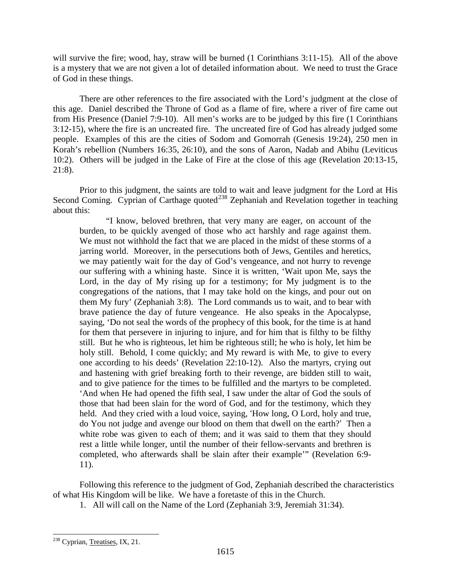will survive the fire; wood, hay, straw will be burned (1 Corinthians 3:11-15). All of the above is a mystery that we are not given a lot of detailed information about. We need to trust the Grace of God in these things.

There are other references to the fire associated with the Lord's judgment at the close of this age. Daniel described the Throne of God as a flame of fire, where a river of fire came out from His Presence (Daniel 7:9-10). All men's works are to be judged by this fire (1 Corinthians 3:12-15), where the fire is an uncreated fire. The uncreated fire of God has already judged some people. Examples of this are the cities of Sodom and Gomorrah (Genesis 19:24), 250 men in Korah's rebellion (Numbers 16:35, 26:10), and the sons of Aaron, Nadab and Abihu (Leviticus 10:2). Others will be judged in the Lake of Fire at the close of this age (Revelation 20:13-15, 21:8).

Prior to this judgment, the saints are told to wait and leave judgment for the Lord at His Second Coming. Cyprian of Carthage quoted<sup>[238](#page-103-0)</sup> Zephaniah and Revelation together in teaching about this:

"I know, beloved brethren, that very many are eager, on account of the burden, to be quickly avenged of those who act harshly and rage against them. We must not withhold the fact that we are placed in the midst of these storms of a jarring world. Moreover, in the persecutions both of Jews, Gentiles and heretics, we may patiently wait for the day of God's vengeance, and not hurry to revenge our suffering with a whining haste. Since it is written, 'Wait upon Me, says the Lord, in the day of My rising up for a testimony; for My judgment is to the congregations of the nations, that I may take hold on the kings, and pour out on them My fury' (Zephaniah 3:8). The Lord commands us to wait, and to bear with brave patience the day of future vengeance. He also speaks in the Apocalypse, saying, 'Do not seal the words of the prophecy of this book, for the time is at hand for them that persevere in injuring to injure, and for him that is filthy to be filthy still. But he who is righteous, let him be righteous still; he who is holy, let him be holy still. Behold, I come quickly; and My reward is with Me, to give to every one according to his deeds' (Revelation 22:10-12). Also the martyrs, crying out and hastening with grief breaking forth to their revenge, are bidden still to wait, and to give patience for the times to be fulfilled and the martyrs to be completed. 'And when He had opened the fifth seal, I saw under the altar of God the souls of those that had been slain for the word of God, and for the testimony, which they held. And they cried with a loud voice, saying, 'How long, O Lord, holy and true, do You not judge and avenge our blood on them that dwell on the earth?' Then a white robe was given to each of them; and it was said to them that they should rest a little while longer, until the number of their fellow-servants and brethren is completed, who afterwards shall be slain after their example'" (Revelation 6:9- 11).

Following this reference to the judgment of God, Zephaniah described the characteristics of what His Kingdom will be like. We have a foretaste of this in the Church.

1. All will call on the Name of the Lord (Zephaniah 3:9, Jeremiah 31:34).

<span id="page-103-0"></span><sup>&</sup>lt;sup>238</sup> Cyprian, Treatises, IX, 21.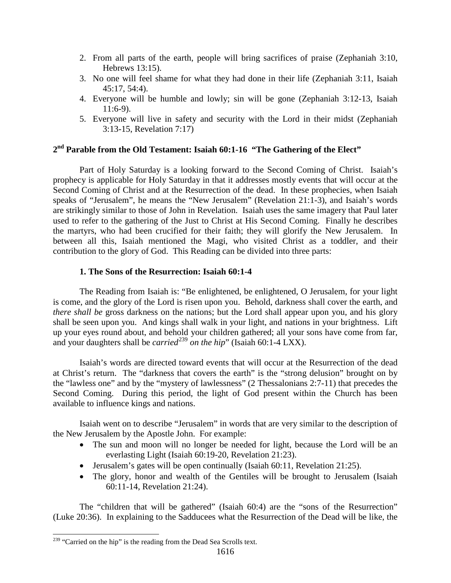- 2. From all parts of the earth, people will bring sacrifices of praise (Zephaniah 3:10, Hebrews 13:15).
- 3. No one will feel shame for what they had done in their life (Zephaniah 3:11, Isaiah 45:17, 54:4).
- 4. Everyone will be humble and lowly; sin will be gone (Zephaniah 3:12-13, Isaiah 11:6-9).
- 5. Everyone will live in safety and security with the Lord in their midst (Zephaniah 3:13-15, Revelation 7:17)

## **2nd Parable from the Old Testament: Isaiah 60:1-16 "The Gathering of the Elect"**

Part of Holy Saturday is a looking forward to the Second Coming of Christ. Isaiah's prophecy is applicable for Holy Saturday in that it addresses mostly events that will occur at the Second Coming of Christ and at the Resurrection of the dead. In these prophecies, when Isaiah speaks of "Jerusalem", he means the "New Jerusalem" (Revelation 21:1-3), and Isaiah's words are strikingly similar to those of John in Revelation. Isaiah uses the same imagery that Paul later used to refer to the gathering of the Just to Christ at His Second Coming. Finally he describes the martyrs, who had been crucified for their faith; they will glorify the New Jerusalem. In between all this, Isaiah mentioned the Magi, who visited Christ as a toddler, and their contribution to the glory of God. This Reading can be divided into three parts:

## **1. The Sons of the Resurrection: Isaiah 60:1-4**

The Reading from Isaiah is: "Be enlightened, be enlightened, O Jerusalem, for your light is come, and the glory of the Lord is risen upon you. Behold, darkness shall cover the earth, and *there shall be* gross darkness on the nations; but the Lord shall appear upon you, and his glory shall be seen upon you. And kings shall walk in your light, and nations in your brightness. Lift up your eyes round about, and behold your children gathered; all your sons have come from far, and your daughters shall be *carried*<sup>[239](#page-104-0)</sup> *on the hip*" (Isaiah 60:1-4 LXX).

Isaiah's words are directed toward events that will occur at the Resurrection of the dead at Christ's return. The "darkness that covers the earth" is the "strong delusion" brought on by the "lawless one" and by the "mystery of lawlessness" (2 Thessalonians 2:7-11) that precedes the Second Coming. During this period, the light of God present within the Church has been available to influence kings and nations.

Isaiah went on to describe "Jerusalem" in words that are very similar to the description of the New Jerusalem by the Apostle John. For example:

- The sun and moon will no longer be needed for light, because the Lord will be an everlasting Light (Isaiah 60:19-20, Revelation 21:23).
- Jerusalem's gates will be open continually (Isaiah 60:11, Revelation 21:25).
- The glory, honor and wealth of the Gentiles will be brought to Jerusalem (Isaiah 60:11-14, Revelation 21:24).

The "children that will be gathered" (Isaiah 60:4) are the "sons of the Resurrection" (Luke 20:36). In explaining to the Sadducees what the Resurrection of the Dead will be like, the

<span id="page-104-0"></span><sup>&</sup>lt;sup>239</sup> "Carried on the hip" is the reading from the Dead Sea Scrolls text.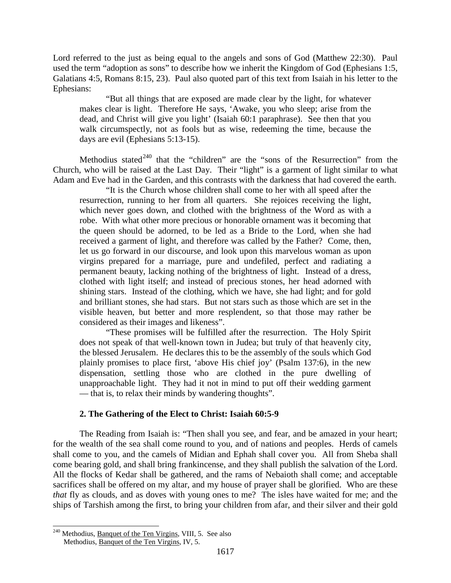Lord referred to the just as being equal to the angels and sons of God (Matthew 22:30). Paul used the term "adoption as sons" to describe how we inherit the Kingdom of God (Ephesians 1:5, Galatians 4:5, Romans 8:15, 23). Paul also quoted part of this text from Isaiah in his letter to the Ephesians:

"But all things that are exposed are made clear by the light, for whatever makes clear is light. Therefore He says, 'Awake, you who sleep; arise from the dead, and Christ will give you light' (Isaiah 60:1 paraphrase). See then that you walk circumspectly, not as fools but as wise, redeeming the time, because the days are evil (Ephesians 5:13-15).

Methodius stated<sup>[240](#page-105-0)</sup> that the "children" are the "sons of the Resurrection" from the Church, who will be raised at the Last Day. Their "light" is a garment of light similar to what Adam and Eve had in the Garden, and this contrasts with the darkness that had covered the earth.

"It is the Church whose children shall come to her with all speed after the resurrection, running to her from all quarters. She rejoices receiving the light, which never goes down, and clothed with the brightness of the Word as with a robe. With what other more precious or honorable ornament was it becoming that the queen should be adorned, to be led as a Bride to the Lord, when she had received a garment of light, and therefore was called by the Father? Come, then, let us go forward in our discourse, and look upon this marvelous woman as upon virgins prepared for a marriage, pure and undefiled, perfect and radiating a permanent beauty, lacking nothing of the brightness of light. Instead of a dress, clothed with light itself; and instead of precious stones, her head adorned with shining stars. Instead of the clothing, which we have, she had light; and for gold and brilliant stones, she had stars. But not stars such as those which are set in the visible heaven, but better and more resplendent, so that those may rather be considered as their images and likeness".

"These promises will be fulfilled after the resurrection. The Holy Spirit does not speak of that well-known town in Judea; but truly of that heavenly city, the blessed Jerusalem. He declares this to be the assembly of the souls which God plainly promises to place first, 'above His chief joy' (Psalm 137:6), in the new dispensation, settling those who are clothed in the pure dwelling of unapproachable light. They had it not in mind to put off their wedding garment — that is, to relax their minds by wandering thoughts".

### **2. The Gathering of the Elect to Christ: Isaiah 60:5-9**

The Reading from Isaiah is: "Then shall you see, and fear, and be amazed in your heart; for the wealth of the sea shall come round to you, and of nations and peoples. Herds of camels shall come to you, and the camels of Midian and Ephah shall cover you. All from Sheba shall come bearing gold, and shall bring frankincense, and they shall publish the salvation of the Lord. All the flocks of Kedar shall be gathered, and the rams of Nebaioth shall come; and acceptable sacrifices shall be offered on my altar, and my house of prayer shall be glorified. Who are these *that* fly as clouds, and as doves with young ones to me? The isles have waited for me; and the ships of Tarshish among the first, to bring your children from afar, and their silver and their gold

<span id="page-105-0"></span><sup>&</sup>lt;sup>240</sup> Methodius, <u>Banquet of the Ten Virgins</u>, VIII, 5. See also Methodius, Banquet of the Ten Virgins, IV, 5.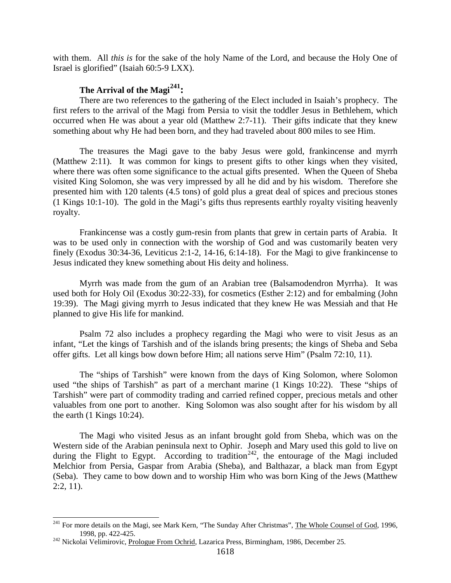with them. All *this is* for the sake of the holy Name of the Lord, and because the Holy One of Israel is glorified" (Isaiah 60:5-9 LXX).

## **The Arrival of the Magi[241:](#page-106-0)**

There are two references to the gathering of the Elect included in Isaiah's prophecy. The first refers to the arrival of the Magi from Persia to visit the toddler Jesus in Bethlehem, which occurred when He was about a year old (Matthew 2:7-11). Their gifts indicate that they knew something about why He had been born, and they had traveled about 800 miles to see Him.

The treasures the Magi gave to the baby Jesus were gold, frankincense and myrrh (Matthew 2:11). It was common for kings to present gifts to other kings when they visited, where there was often some significance to the actual gifts presented. When the Queen of Sheba visited King Solomon, she was very impressed by all he did and by his wisdom. Therefore she presented him with 120 talents (4.5 tons) of gold plus a great deal of spices and precious stones (1 Kings 10:1-10). The gold in the Magi's gifts thus represents earthly royalty visiting heavenly royalty.

Frankincense was a costly gum-resin from plants that grew in certain parts of Arabia. It was to be used only in connection with the worship of God and was customarily beaten very finely (Exodus 30:34-36, Leviticus 2:1-2, 14-16, 6:14-18). For the Magi to give frankincense to Jesus indicated they knew something about His deity and holiness.

Myrrh was made from the gum of an Arabian tree (Balsamodendron Myrrha). It was used both for Holy Oil (Exodus 30:22-33), for cosmetics (Esther 2:12) and for embalming (John 19:39). The Magi giving myrrh to Jesus indicated that they knew He was Messiah and that He planned to give His life for mankind.

Psalm 72 also includes a prophecy regarding the Magi who were to visit Jesus as an infant, "Let the kings of Tarshish and of the islands bring presents; the kings of Sheba and Seba offer gifts. Let all kings bow down before Him; all nations serve Him" (Psalm 72:10, 11).

The "ships of Tarshish" were known from the days of King Solomon, where Solomon used "the ships of Tarshish" as part of a merchant marine (1 Kings 10:22). These "ships of Tarshish" were part of commodity trading and carried refined copper, precious metals and other valuables from one port to another. King Solomon was also sought after for his wisdom by all the earth  $(1$  Kings  $10:24$ ).

The Magi who visited Jesus as an infant brought gold from Sheba, which was on the Western side of the Arabian peninsula next to Ophir. Joseph and Mary used this gold to live on during the Flight to Egypt. According to tradition<sup>242</sup>, the entourage of the Magi included Melchior from Persia, Gaspar from Arabia (Sheba), and Balthazar, a black man from Egypt (Seba). They came to bow down and to worship Him who was born King of the Jews (Matthew  $2:2, 11$ ).

<span id="page-106-0"></span><sup>&</sup>lt;sup>241</sup> For more details on the Magi, see Mark Kern, "The Sunday After Christmas", The Whole Counsel of God, 1996, 1998, pp. 422-425. <sup>242</sup> Nickolai Velimirovic, Prologue From Ochrid, Lazarica Press, Birmingham, 1986, December 25.

<span id="page-106-1"></span>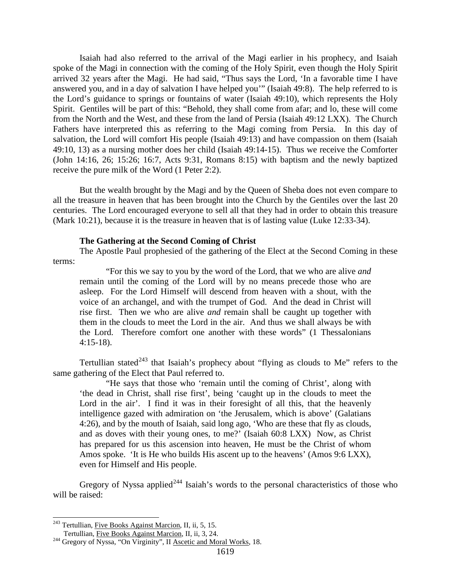Isaiah had also referred to the arrival of the Magi earlier in his prophecy, and Isaiah spoke of the Magi in connection with the coming of the Holy Spirit, even though the Holy Spirit arrived 32 years after the Magi. He had said, "Thus says the Lord, 'In a favorable time I have answered you, and in a day of salvation I have helped you'" (Isaiah 49:8). The help referred to is the Lord's guidance to springs or fountains of water (Isaiah 49:10), which represents the Holy Spirit. Gentiles will be part of this: "Behold, they shall come from afar; and lo, these will come from the North and the West, and these from the land of Persia (Isaiah 49:12 LXX). The Church Fathers have interpreted this as referring to the Magi coming from Persia. In this day of salvation, the Lord will comfort His people (Isaiah 49:13) and have compassion on them (Isaiah 49:10, 13) as a nursing mother does her child (Isaiah 49:14-15). Thus we receive the Comforter (John 14:16, 26; 15:26; 16:7, Acts 9:31, Romans 8:15) with baptism and the newly baptized receive the pure milk of the Word (1 Peter 2:2).

But the wealth brought by the Magi and by the Queen of Sheba does not even compare to all the treasure in heaven that has been brought into the Church by the Gentiles over the last 20 centuries. The Lord encouraged everyone to sell all that they had in order to obtain this treasure (Mark 10:21), because it is the treasure in heaven that is of lasting value (Luke 12:33-34).

#### **The Gathering at the Second Coming of Christ**

The Apostle Paul prophesied of the gathering of the Elect at the Second Coming in these terms:

"For this we say to you by the word of the Lord, that we who are alive *and* remain until the coming of the Lord will by no means precede those who are asleep. For the Lord Himself will descend from heaven with a shout, with the voice of an archangel, and with the trumpet of God. And the dead in Christ will rise first. Then we who are alive *and* remain shall be caught up together with them in the clouds to meet the Lord in the air. And thus we shall always be with the Lord. Therefore comfort one another with these words" (1 Thessalonians 4:15-18).

Tertullian stated<sup>[243](#page-107-0)</sup> that Isaiah's prophecy about "flying as clouds to Me" refers to the same gathering of the Elect that Paul referred to.

"He says that those who 'remain until the coming of Christ', along with 'the dead in Christ, shall rise first', being 'caught up in the clouds to meet the Lord in the air'. I find it was in their foresight of all this, that the heavenly intelligence gazed with admiration on 'the Jerusalem, which is above' (Galatians 4:26), and by the mouth of Isaiah, said long ago, 'Who are these that fly as clouds, and as doves with their young ones, to me?' (Isaiah 60:8 LXX) Now, as Christ has prepared for us this ascension into heaven, He must be the Christ of whom Amos spoke. 'It is He who builds His ascent up to the heavens' (Amos 9:6 LXX), even for Himself and His people.

Gregory of Nyssa applied<sup> $244$ </sup> Isaiah's words to the personal characteristics of those who will be raised:

<span id="page-107-0"></span><sup>&</sup>lt;sup>243</sup> Tertullian, <u>Five Books Against Marcion</u>, II, ii, 5, 15.<br>Tertullian, Five Books Against Marcion, II, ii, 3, 24.

<span id="page-107-1"></span> $T<sup>244</sup>$  Gregory of Nyssa, "On Virginity", II Ascetic and Moral Works, 18.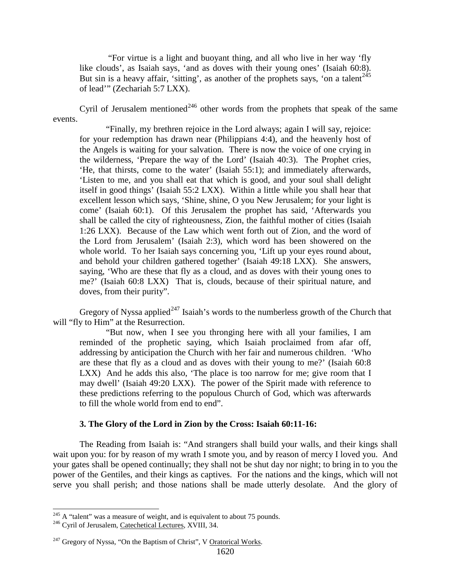"For virtue is a light and buoyant thing, and all who live in her way 'fly like clouds', as Isaiah says, 'and as doves with their young ones' (Isaiah 60:8). But sin is a heavy affair, 'sitting', as another of the prophets says, 'on a talent<sup>[245](#page-108-0)</sup> of lead'" (Zechariah 5:7 LXX).

Cyril of Jerusalem mentioned<sup>[246](#page-108-1)</sup> other words from the prophets that speak of the same events.

"Finally, my brethren rejoice in the Lord always; again I will say, rejoice: for your redemption has drawn near (Philippians 4:4), and the heavenly host of the Angels is waiting for your salvation. There is now the voice of one crying in the wilderness, 'Prepare the way of the Lord' (Isaiah 40:3). The Prophet cries, 'He, that thirsts, come to the water' (Isaiah 55:1); and immediately afterwards, 'Listen to me, and you shall eat that which is good, and your soul shall delight itself in good things' (Isaiah 55:2 LXX). Within a little while you shall hear that excellent lesson which says, 'Shine, shine, O you New Jerusalem; for your light is come' (Isaiah 60:1). Of this Jerusalem the prophet has said, 'Afterwards you shall be called the city of righteousness, Zion, the faithful mother of cities (Isaiah 1:26 LXX). Because of the Law which went forth out of Zion, and the word of the Lord from Jerusalem' (Isaiah 2:3), which word has been showered on the whole world. To her Isaiah says concerning you, 'Lift up your eyes round about, and behold your children gathered together' (Isaiah 49:18 LXX). She answers, saying, 'Who are these that fly as a cloud, and as doves with their young ones to me?' (Isaiah 60:8 LXX) That is, clouds, because of their spiritual nature, and doves, from their purity".

Gregory of Nyssa applied<sup>[247](#page-108-2)</sup> Isaiah's words to the numberless growth of the Church that will "fly to Him" at the Resurrection.

"But now, when I see you thronging here with all your families, I am reminded of the prophetic saying, which Isaiah proclaimed from afar off, addressing by anticipation the Church with her fair and numerous children. 'Who are these that fly as a cloud and as doves with their young to me?' (Isaiah 60:8 LXX) And he adds this also, 'The place is too narrow for me; give room that I may dwell' (Isaiah 49:20 LXX). The power of the Spirit made with reference to these predictions referring to the populous Church of God, which was afterwards to fill the whole world from end to end".

#### **3. The Glory of the Lord in Zion by the Cross: Isaiah 60:11-16:**

The Reading from Isaiah is: "And strangers shall build your walls, and their kings shall wait upon you: for by reason of my wrath I smote you, and by reason of mercy I loved you. And your gates shall be opened continually; they shall not be shut day nor night; to bring in to you the power of the Gentiles, and their kings as captives. For the nations and the kings, which will not serve you shall perish; and those nations shall be made utterly desolate. And the glory of

<span id="page-108-0"></span><sup>&</sup>lt;sup>245</sup> A "talent" was a measure of weight, and is equivalent to about 75 pounds.  $^{246}$  Cyril of Jerusalem, Catechetical Lectures, XVIII, 34.

<span id="page-108-1"></span>

<span id="page-108-2"></span> $^{247}$  Gregory of Nyssa, "On the Baptism of Christ", V Oratorical Works.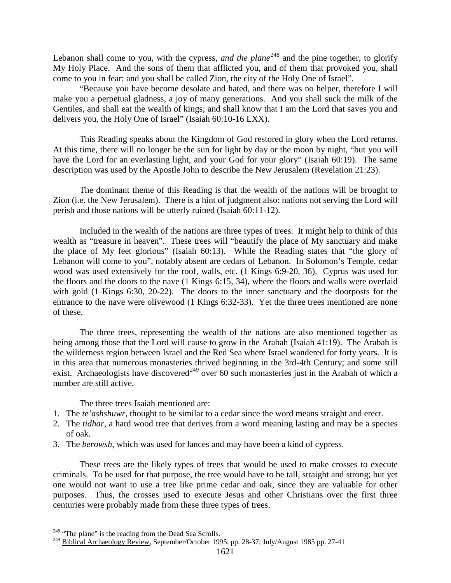Lebanon shall come to you, with the cypress, *and the plane*<sup>[248](#page-109-0)</sup> and the pine together, to glorify My Holy Place. And the sons of them that afflicted you, and of them that provoked you, shall come to you in fear; and you shall be called Zion, the city of the Holy One of Israel".

"Because you have become desolate and hated, and there was no helper, therefore I will make you a perpetual gladness, a joy of many generations. And you shall suck the milk of the Gentiles, and shall eat the wealth of kings; and shall know that I am the Lord that saves you and delivers you, the Holy One of Israel" (Isaiah 60:10-16 LXX).

This Reading speaks about the Kingdom of God restored in glory when the Lord returns. At this time, there will no longer be the sun for light by day or the moon by night, "but you will have the Lord for an everlasting light, and your God for your glory" (Isaiah 60:19). The same description was used by the Apostle John to describe the New Jerusalem (Revelation 21:23).

The dominant theme of this Reading is that the wealth of the nations will be brought to Zion (i.e. the New Jerusalem). There is a hint of judgment also: nations not serving the Lord will perish and those nations will be utterly ruined (Isaiah 60:11-12).

Included in the wealth of the nations are three types of trees. It might help to think of this wealth as "treasure in heaven". These trees will "beautify the place of My sanctuary and make the place of My feet glorious" (Isaiah 60:13). While the Reading states that "the glory of Lebanon will come to you", notably absent are cedars of Lebanon. In Solomon's Temple, cedar wood was used extensively for the roof, walls, etc. (1 Kings 6:9-20, 36). Cyprus was used for the floors and the doors to the nave (1 Kings 6:15, 34), where the floors and walls were overlaid with gold (1 Kings 6:30, 20-22). The doors to the inner sanctuary and the doorposts for the entrance to the nave were olivewood (1 Kings 6:32-33). Yet the three trees mentioned are none of these.

The three trees, representing the wealth of the nations are also mentioned together as being among those that the Lord will cause to grow in the Arabah (Isaiah 41:19). The Arabah is the wilderness region between Israel and the Red Sea where Israel wandered for forty years. It is in this area that numerous monasteries thrived beginning in the 3rd-4th Century; and some still exist. Archaeologists have discovered<sup>[249](#page-109-1)</sup> over 60 such monasteries just in the Arabah of which a number are still active.

The three trees Isaiah mentioned are:

- 1. The *te'ashshuwr*, thought to be similar to a cedar since the word means straight and erect.
- 2. The *tidhar*, a hard wood tree that derives from a word meaning lasting and may be a species of oak.
- 3. The *berowsh*, which was used for lances and may have been a kind of cypress.

These trees are the likely types of trees that would be used to make crosses to execute criminals. To be used for that purpose, the tree would have to be tall, straight and strong; but yet one would not want to use a tree like prime cedar and oak, since they are valuable for other purposes. Thus, the crosses used to execute Jesus and other Christians over the first three centuries were probably made from these three types of trees.

<span id="page-109-0"></span><sup>&</sup>lt;sup>248</sup> "The plane" is the reading from the Dead Sea Scrolls.

<span id="page-109-1"></span><sup>&</sup>lt;sup>249</sup> Biblical Archaeology Review, September/October 1995, pp. 28-37; July/August 1985 pp. 27-41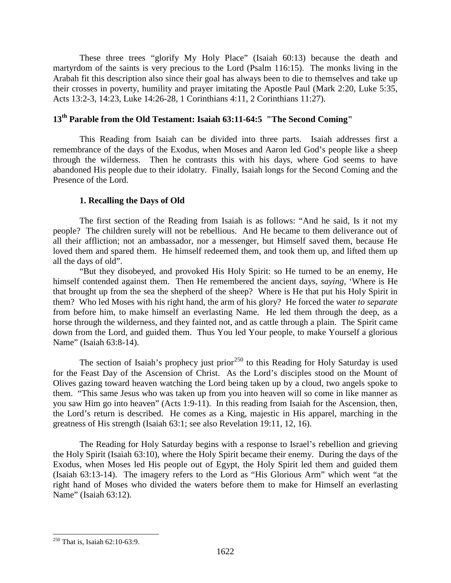These three trees "glorify My Holy Place" (Isaiah 60:13) because the death and martyrdom of the saints is very precious to the Lord (Psalm 116:15). The monks living in the Arabah fit this description also since their goal has always been to die to themselves and take up their crosses in poverty, humility and prayer imitating the Apostle Paul (Mark 2:20, Luke 5:35, Acts 13:2-3, 14:23, Luke 14:26-28, 1 Corinthians 4:11, 2 Corinthians 11:27).

# **13th Parable from the Old Testament: Isaiah 63:11-64:5 "The Second Coming"**

This Reading from Isaiah can be divided into three parts. Isaiah addresses first a remembrance of the days of the Exodus, when Moses and Aaron led God's people like a sheep through the wilderness. Then he contrasts this with his days, where God seems to have abandoned His people due to their idolatry. Finally, Isaiah longs for the Second Coming and the Presence of the Lord.

### **1. Recalling the Days of Old**

The first section of the Reading from Isaiah is as follows: "And he said, Is it not my people? The children surely will not be rebellious. And He became to them deliverance out of all their affliction; not an ambassador, nor a messenger, but Himself saved them, because He loved them and spared them. He himself redeemed them, and took them up, and lifted them up all the days of old".

"But they disobeyed, and provoked His Holy Spirit: so He turned to be an enemy, He himself contended against them. Then He remembered the ancient days, *saying*, 'Where is He that brought up from the sea the shepherd of the sheep? Where is He that put his Holy Spirit in them? Who led Moses with his right hand, the arm of his glory? He forced the water *to separate*  from before him, to make himself an everlasting Name. He led them through the deep, as a horse through the wilderness, and they fainted not, and as cattle through a plain. The Spirit came down from the Lord, and guided them. Thus You led Your people, to make Yourself a glorious Name" (Isaiah 63:8-14).

The section of Isaiah's prophecy just prior<sup>[250](#page-110-0)</sup> to this Reading for Holy Saturday is used for the Feast Day of the Ascension of Christ. As the Lord's disciples stood on the Mount of Olives gazing toward heaven watching the Lord being taken up by a cloud, two angels spoke to them. "This same Jesus who was taken up from you into heaven will so come in like manner as you saw Him go into heaven" (Acts 1:9-11). In this reading from Isaiah for the Ascension, then, the Lord's return is described. He comes as a King, majestic in His apparel, marching in the greatness of His strength (Isaiah 63:1; see also Revelation 19:11, 12, 16).

The Reading for Holy Saturday begins with a response to Israel's rebellion and grieving the Holy Spirit (Isaiah 63:10), where the Holy Spirit became their enemy. During the days of the Exodus, when Moses led His people out of Egypt, the Holy Spirit led them and guided them (Isaiah 63:13-14). The imagery refers to the Lord as "His Glorious Arm" which went "at the right hand of Moses who divided the waters before them to make for Himself an everlasting Name" (Isaiah 63:12).

<span id="page-110-0"></span> <sup>250</sup> That is, Isaiah 62:10-63:9.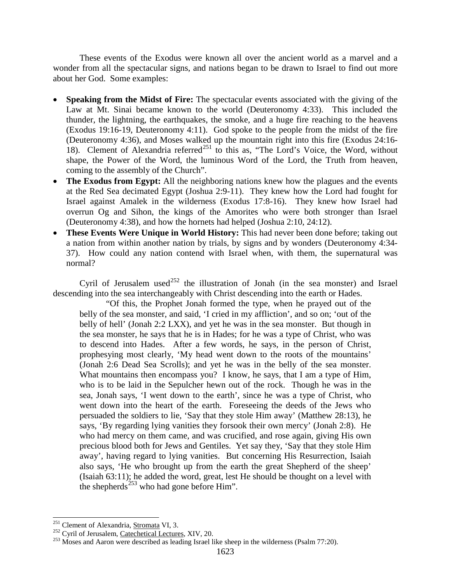These events of the Exodus were known all over the ancient world as a marvel and a wonder from all the spectacular signs, and nations began to be drawn to Israel to find out more about her God. Some examples:

- **Speaking from the Midst of Fire:** The spectacular events associated with the giving of the Law at Mt. Sinai became known to the world (Deuteronomy 4:33). This included the thunder, the lightning, the earthquakes, the smoke, and a huge fire reaching to the heavens (Exodus 19:16-19, Deuteronomy 4:11). God spoke to the people from the midst of the fire (Deuteronomy 4:36), and Moses walked up the mountain right into this fire (Exodus 24:16- 18). Clement of Alexandria referred<sup>[251](#page-111-0)</sup> to this as, "The Lord's Voice, the Word, without shape, the Power of the Word, the luminous Word of the Lord, the Truth from heaven, coming to the assembly of the Church".
- **The Exodus from Egypt:** All the neighboring nations knew how the plagues and the events at the Red Sea decimated Egypt (Joshua 2:9-11). They knew how the Lord had fought for Israel against Amalek in the wilderness (Exodus 17:8-16). They knew how Israel had overrun Og and Sihon, the kings of the Amorites who were both stronger than Israel (Deuteronomy 4:38), and how the hornets had helped (Joshua 2:10, 24:12).
- **These Events Were Unique in World History:** This had never been done before; taking out a nation from within another nation by trials, by signs and by wonders (Deuteronomy 4:34- 37). How could any nation contend with Israel when, with them, the supernatural was normal?

Cyril of Jerusalem used<sup>[252](#page-111-1)</sup> the illustration of Jonah (in the sea monster) and Israel descending into the sea interchangeably with Christ descending into the earth or Hades.

"Of this, the Prophet Jonah formed the type, when he prayed out of the belly of the sea monster, and said, 'I cried in my affliction', and so on; 'out of the belly of hell' (Jonah 2:2 LXX), and yet he was in the sea monster. But though in the sea monster, he says that he is in Hades; for he was a type of Christ, who was to descend into Hades. After a few words, he says, in the person of Christ, prophesying most clearly, 'My head went down to the roots of the mountains' (Jonah 2:6 Dead Sea Scrolls); and yet he was in the belly of the sea monster. What mountains then encompass you? I know, he says, that I am a type of Him, who is to be laid in the Sepulcher hewn out of the rock. Though he was in the sea, Jonah says, 'I went down to the earth', since he was a type of Christ, who went down into the heart of the earth. Foreseeing the deeds of the Jews who persuaded the soldiers to lie, 'Say that they stole Him away' (Matthew 28:13), he says, 'By regarding lying vanities they forsook their own mercy' (Jonah 2:8). He who had mercy on them came, and was crucified, and rose again, giving His own precious blood both for Jews and Gentiles. Yet say they, 'Say that they stole Him away', having regard to lying vanities. But concerning His Resurrection, Isaiah also says, 'He who brought up from the earth the great Shepherd of the sheep' (Isaiah 63:11); he added the word, great, lest He should be thought on a level with the shepherds<sup>[253](#page-111-2)</sup> who had gone before Him".

<span id="page-111-2"></span>

<span id="page-111-1"></span><span id="page-111-0"></span><sup>&</sup>lt;sup>251</sup> Clement of Alexandria, <u>Stromata</u> VI, 3.<br><sup>252</sup> Cyril of Jerusalem, <u>Catechetical Lectures</u>, XIV, 20.<br><sup>253</sup> Moses and Aaron were described as leading Israel like sheep in the wilderness (Psalm 77:20).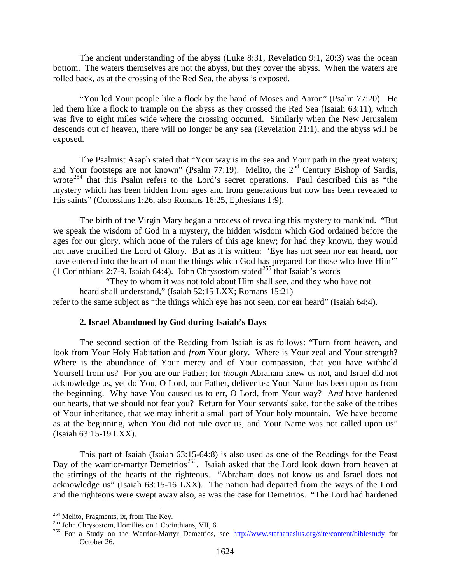The ancient understanding of the abyss (Luke 8:31, Revelation 9:1, 20:3) was the ocean bottom. The waters themselves are not the abyss, but they cover the abyss. When the waters are rolled back, as at the crossing of the Red Sea, the abyss is exposed.

"You led Your people like a flock by the hand of Moses and Aaron" (Psalm 77:20). He led them like a flock to trample on the abyss as they crossed the Red Sea (Isaiah 63:11), which was five to eight miles wide where the crossing occurred. Similarly when the New Jerusalem descends out of heaven, there will no longer be any sea (Revelation 21:1), and the abyss will be exposed.

The Psalmist Asaph stated that "Your way is in the sea and Your path in the great waters; and Your footsteps are not known" (Psalm 77:19). Melito, the  $2<sup>nd</sup>$  Century Bishop of Sardis, wrote<sup>[254](#page-112-0)</sup> that this Psalm refers to the Lord's secret operations. Paul described this as "the mystery which has been hidden from ages and from generations but now has been revealed to His saints" (Colossians 1:26, also Romans 16:25, Ephesians 1:9).

The birth of the Virgin Mary began a process of revealing this mystery to mankind. "But we speak the wisdom of God in a mystery, the hidden wisdom which God ordained before the ages for our glory, which none of the rulers of this age knew; for had they known, they would not have crucified the Lord of Glory. But as it is written: 'Eye has not seen nor ear heard, nor have entered into the heart of man the things which God has prepared for those who love Him'" (1 Corinthians 2:7-9, Isaiah 64:4). John Chrysostom stated<sup>[255](#page-112-1)</sup> that Isaiah's words

"They to whom it was not told about Him shall see, and they who have not heard shall understand," (Isaiah 52:15 LXX; Romans 15:21) refer to the same subject as "the things which eye has not seen, nor ear heard" (Isaiah 64:4).

#### **2. Israel Abandoned by God during Isaiah's Days**

The second section of the Reading from Isaiah is as follows: "Turn from heaven, and look from Your Holy Habitation and *from* Your glory. Where is Your zeal and Your strength? Where is the abundance of Your mercy and of Your compassion, that you have withheld Yourself from us? For you are our Father; for *though* Abraham knew us not, and Israel did not acknowledge us, yet do You, O Lord, our Father, deliver us: Your Name has been upon us from the beginning. Why have You caused us to err, O Lord, from Your way? A*nd* have hardened our hearts, that we should not fear you? Return for Your servants' sake, for the sake of the tribes of Your inheritance, that we may inherit a small part of Your holy mountain. We have become as at the beginning, when You did not rule over us, and Your Name was not called upon us" (Isaiah 63:15-19 LXX).

This part of Isaiah (Isaiah 63:15-64:8) is also used as one of the Readings for the Feast Day of the warrior-martyr Demetrios<sup>256</sup>. Isaiah asked that the Lord look down from heaven at the stirrings of the hearts of the righteous. "Abraham does not know us and Israel does not acknowledge us" (Isaiah 63:15-16 LXX). The nation had departed from the ways of the Lord and the righteous were swept away also, as was the case for Demetrios. "The Lord had hardened

<span id="page-112-2"></span>

<span id="page-112-1"></span><span id="page-112-0"></span><sup>&</sup>lt;sup>254</sup> Melito, Fragments, ix, from <u>The Key</u>.<br><sup>255</sup> John Chrysostom, <u>Homilies on 1 Corinthians</u>, VII, 6.<br><sup>256</sup> For a Study on the Warrior-Martyr Demetrios, see <u><http://www.stathanasius.org/site/content/biblestudy></u> for October 26.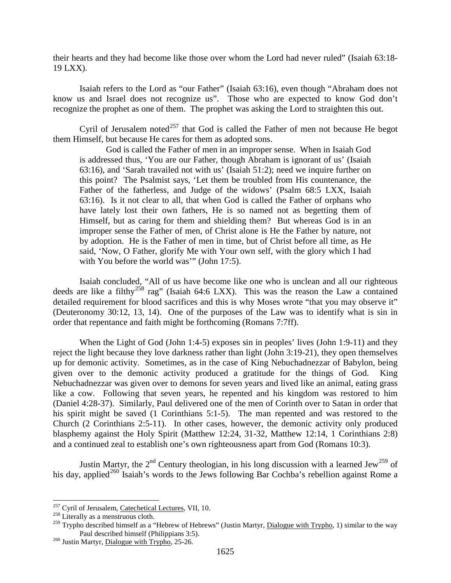their hearts and they had become like those over whom the Lord had never ruled" (Isaiah 63:18- 19 LXX).

Isaiah refers to the Lord as "our Father" (Isaiah 63:16), even though "Abraham does not know us and Israel does not recognize us". Those who are expected to know God don't recognize the prophet as one of them. The prophet was asking the Lord to straighten this out.

Cyril of Jerusalem noted $^{257}$  $^{257}$  $^{257}$  that God is called the Father of men not because He begot them Himself, but because He cares for them as adopted sons.

God is called the Father of men in an improper sense. When in Isaiah God is addressed thus, 'You are our Father, though Abraham is ignorant of us' (Isaiah 63:16), and 'Sarah travailed not with us' (Isaiah 51:2); need we inquire further on this point? The Psalmist says, 'Let them be troubled from His countenance, the Father of the fatherless, and Judge of the widows' (Psalm 68:5 LXX, Isaiah 63:16). Is it not clear to all, that when God is called the Father of orphans who have lately lost their own fathers, He is so named not as begetting them of Himself, but as caring for them and shielding them? But whereas God is in an improper sense the Father of men, of Christ alone is He the Father by nature, not by adoption. He is the Father of men in time, but of Christ before all time, as He said, 'Now, O Father, glorify Me with Your own self, with the glory which I had with You before the world was'" (John 17:5).

Isaiah concluded, "All of us have become like one who is unclean and all our righteous deeds are like a filthy<sup>[258](#page-113-1)</sup> rag" (Isaiah 64:6 LXX). This was the reason the Law a contained detailed requirement for blood sacrifices and this is why Moses wrote "that you may observe it" (Deuteronomy 30:12, 13, 14). One of the purposes of the Law was to identify what is sin in order that repentance and faith might be forthcoming (Romans 7:7ff).

When the Light of God (John 1:4-5) exposes sin in peoples' lives (John 1:9-11) and they reject the light because they love darkness rather than light (John 3:19-21), they open themselves up for demonic activity. Sometimes, as in the case of King Nebuchadnezzar of Babylon, being given over to the demonic activity produced a gratitude for the things of God. King Nebuchadnezzar was given over to demons for seven years and lived like an animal, eating grass like a cow. Following that seven years, he repented and his kingdom was restored to him (Daniel 4:28-37). Similarly, Paul delivered one of the men of Corinth over to Satan in order that his spirit might be saved (1 Corinthians 5:1-5). The man repented and was restored to the Church (2 Corinthians 2:5-11). In other cases, however, the demonic activity only produced blasphemy against the Holy Spirit (Matthew 12:24, 31-32, Matthew 12:14, 1 Corinthians 2:8) and a continued zeal to establish one's own righteousness apart from God (Romans 10:3).

Justin Martyr, the  $2^{nd}$  Century theologian, in his long discussion with a learned Jew<sup>[259](#page-113-2)</sup> of his day, applied<sup>[260](#page-113-3)</sup> Isaiah's words to the Jews following Bar Cochba's rebellion against Rome a

<span id="page-113-0"></span><sup>&</sup>lt;sup>257</sup> Cyril of Jerusalem, <u>Catechetical Lectures</u>, VII, 10.<br><sup>258</sup> Literally as a menstruous cloth.

<span id="page-113-2"></span><span id="page-113-1"></span><sup>&</sup>lt;sup>259</sup> Trypho described himself as a "Hebrew of Hebrews" (Justin Martyr, <u>Dialogue with Trypho</u>, 1) similar to the way Paul described himself (Philippians 3:5).<br><sup>260</sup> Justin Martyr, <u>Dialogue with Trypho</u>, 25-26.

<span id="page-113-3"></span>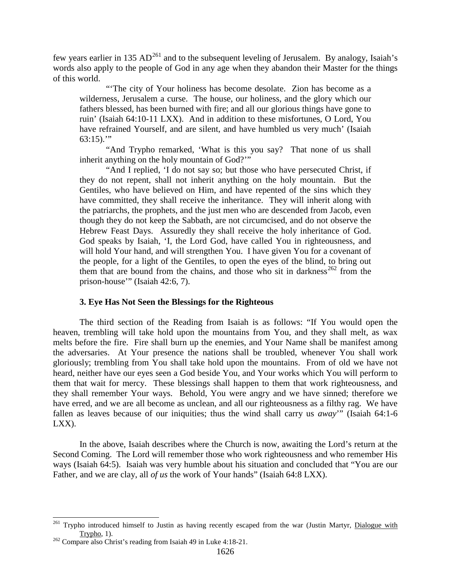few years earlier in 135  $AD^{261}$  $AD^{261}$  $AD^{261}$  and to the subsequent leveling of Jerusalem. By analogy, Isaiah's words also apply to the people of God in any age when they abandon their Master for the things of this world.

"'The city of Your holiness has become desolate. Zion has become as a wilderness, Jerusalem a curse. The house, our holiness, and the glory which our fathers blessed, has been burned with fire; and all our glorious things have gone to ruin' (Isaiah 64:10-11 LXX). And in addition to these misfortunes, O Lord, You have refrained Yourself, and are silent, and have humbled us very much' (Isaiah  $63:15$ )."

"And Trypho remarked, 'What is this you say? That none of us shall inherit anything on the holy mountain of God?'"

"And I replied, 'I do not say so; but those who have persecuted Christ, if they do not repent, shall not inherit anything on the holy mountain. But the Gentiles, who have believed on Him, and have repented of the sins which they have committed, they shall receive the inheritance. They will inherit along with the patriarchs, the prophets, and the just men who are descended from Jacob, even though they do not keep the Sabbath, are not circumcised, and do not observe the Hebrew Feast Days. Assuredly they shall receive the holy inheritance of God. God speaks by Isaiah, 'I, the Lord God, have called You in righteousness, and will hold Your hand, and will strengthen You. I have given You for a covenant of the people, for a light of the Gentiles, to open the eyes of the blind, to bring out them that are bound from the chains, and those who sit in darkness<sup>[262](#page-114-1)</sup> from the prison-house'" (Isaiah 42:6, 7).

### **3. Eye Has Not Seen the Blessings for the Righteous**

The third section of the Reading from Isaiah is as follows: "If You would open the heaven, trembling will take hold upon the mountains from You, and they shall melt, as wax melts before the fire. Fire shall burn up the enemies, and Your Name shall be manifest among the adversaries. At Your presence the nations shall be troubled, whenever You shall work gloriously; trembling from You shall take hold upon the mountains. From of old we have not heard, neither have our eyes seen a God beside You, and Your works which You will perform to them that wait for mercy. These blessings shall happen to them that work righteousness, and they shall remember Your ways. Behold, You were angry and we have sinned; therefore we have erred, and we are all become as unclean, and all our righteousness as a filthy rag. We have fallen as leaves because of our iniquities; thus the wind shall carry us *away*'" (Isaiah 64:1-6 LXX).

In the above, Isaiah describes where the Church is now, awaiting the Lord's return at the Second Coming. The Lord will remember those who work righteousness and who remember His ways (Isaiah 64:5). Isaiah was very humble about his situation and concluded that "You are our Father, and we are clay, all *of us* the work of Your hands" (Isaiah 64:8 LXX).

<span id="page-114-0"></span><sup>&</sup>lt;sup>261</sup> Trypho introduced himself to Justin as having recently escaped from the war (Justin Martyr, *Dialogue with* Trypho, 1). <sup>262</sup> Compare also Christ's reading from Isaiah 49 in Luke 4:18-21.

<span id="page-114-1"></span>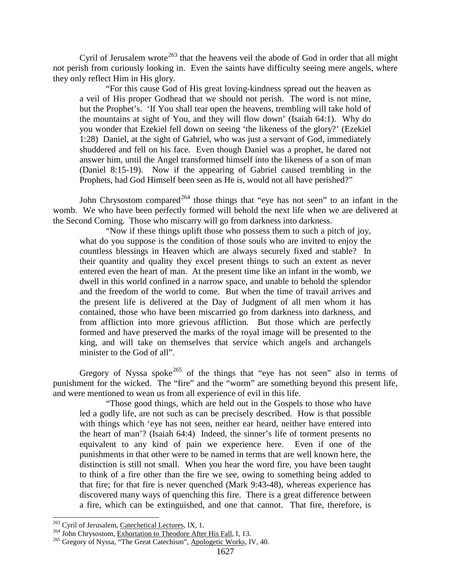Cyril of Jerusalem wrote<sup>[263](#page-115-0)</sup> that the heavens veil the abode of God in order that all might not perish from curiously looking in. Even the saints have difficulty seeing mere angels, where they only reflect Him in His glory.

"For this cause God of His great loving-kindness spread out the heaven as a veil of His proper Godhead that we should not perish. The word is not mine, but the Prophet's. 'If You shall tear open the heavens, trembling will take hold of the mountains at sight of You, and they will flow down' (Isaiah 64:1). Why do you wonder that Ezekiel fell down on seeing 'the likeness of the glory?' (Ezekiel 1:28) Daniel, at the sight of Gabriel, who was just a servant of God, immediately shuddered and fell on his face. Even though Daniel was a prophet, he dared not answer him, until the Angel transformed himself into the likeness of a son of man (Daniel 8:15-19). Now if the appearing of Gabriel caused trembling in the Prophets, had God Himself been seen as He is, would not all have perished?"

John Chrysostom compared<sup>[264](#page-115-1)</sup> those things that "eye has not seen" to an infant in the womb. We who have been perfectly formed will behold the next life when we are delivered at the Second Coming. Those who miscarry will go from darkness into darkness.

"Now if these things uplift those who possess them to such a pitch of joy, what do you suppose is the condition of those souls who are invited to enjoy the countless blessings in Heaven which are always securely fixed and stable? In their quantity and quality they excel present things to such an extent as never entered even the heart of man. At the present time like an infant in the womb, we dwell in this world confined in a narrow space, and unable to behold the splendor and the freedom of the world to come. But when the time of travail arrives and the present life is delivered at the Day of Judgment of all men whom it has contained, those who have been miscarried go from darkness into darkness, and from affliction into more grievous affliction. But those which are perfectly formed and have preserved the marks of the royal image will be presented to the king, and will take on themselves that service which angels and archangels minister to the God of all".

Gregory of Nyssa spoke<sup>[265](#page-115-2)</sup> of the things that "eye has not seen" also in terms of punishment for the wicked. The "fire" and the "worm" are something beyond this present life, and were mentioned to wean us from all experience of evil in this life.

"Those good things, which are held out in the Gospels to those who have led a godly life, are not such as can be precisely described. How is that possible with things which 'eye has not seen, neither ear heard, neither have entered into the heart of man'? (Isaiah 64:4) Indeed, the sinner's life of torment presents no equivalent to any kind of pain we experience here. Even if one of the punishments in that other were to be named in terms that are well known here, the distinction is still not small. When you hear the word fire, you have been taught to think of a fire other than the fire we see, owing to something being added to that fire; for that fire is never quenched (Mark 9:43-48), whereas experience has discovered many ways of quenching this fire. There is a great difference between a fire, which can be extinguished, and one that cannot. That fire, therefore, is

<span id="page-115-2"></span>

<span id="page-115-1"></span><span id="page-115-0"></span><sup>&</sup>lt;sup>263</sup> Cyril of Jerusalem, <u>Catechetical Lectures</u>, IX, 1.<br><sup>264</sup> John Chrysostom, <u>Exhortation to Theodore After His Fall</u>, I, 13.<br><sup>265</sup> Gregory of Nyssa, "The Great Catechism", Apologetic Works, IV, 40.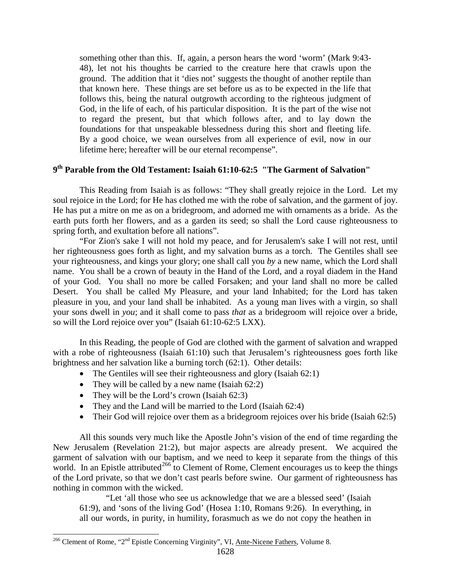something other than this. If, again, a person hears the word 'worm' (Mark 9:43- 48), let not his thoughts be carried to the creature here that crawls upon the ground. The addition that it 'dies not' suggests the thought of another reptile than that known here. These things are set before us as to be expected in the life that follows this, being the natural outgrowth according to the righteous judgment of God, in the life of each, of his particular disposition. It is the part of the wise not to regard the present, but that which follows after, and to lay down the foundations for that unspeakable blessedness during this short and fleeting life. By a good choice, we wean ourselves from all experience of evil, now in our lifetime here; hereafter will be our eternal recompense".

## **9th Parable from the Old Testament: Isaiah 61:10-62:5 "The Garment of Salvation"**

This Reading from Isaiah is as follows: "They shall greatly rejoice in the Lord. Let my soul rejoice in the Lord; for He has clothed me with the robe of salvation, and the garment of joy. He has put a mitre on me as on a bridegroom, and adorned me with ornaments as a bride. As the earth puts forth her flowers, and as a garden its seed; so shall the Lord cause righteousness to spring forth, and exultation before all nations".

"For Zion's sake I will not hold my peace, and for Jerusalem's sake I will not rest, until her righteousness goes forth as light, and my salvation burns as a torch. The Gentiles shall see your righteousness, and kings your glory; one shall call you *by* a new name, which the Lord shall name. You shall be a crown of beauty in the Hand of the Lord, and a royal diadem in the Hand of your God. You shall no more be called Forsaken; and your land shall no more be called Desert. You shall be called My Pleasure, and your land Inhabited; for the Lord has taken pleasure in you, and your land shall be inhabited. As a young man lives with a virgin, so shall your sons dwell in *you*; and it shall come to pass *that* as a bridegroom will rejoice over a bride, so will the Lord rejoice over you" (Isaiah 61:10-62:5 LXX).

In this Reading, the people of God are clothed with the garment of salvation and wrapped with a robe of righteousness (Isaiah 61:10) such that Jerusalem's righteousness goes forth like brightness and her salvation like a burning torch (62:1). Other details:

- The Gentiles will see their righteousness and glory (Isaiah 62:1)
- They will be called by a new name (Isaiah 62:2)
- They will be the Lord's crown (Isaiah 62:3)
- They and the Land will be married to the Lord (Isaiah 62:4)
- Their God will rejoice over them as a bridegroom rejoices over his bride (Isaiah 62:5)

All this sounds very much like the Apostle John's vision of the end of time regarding the New Jerusalem (Revelation 21:2), but major aspects are already present. We acquired the garment of salvation with our baptism, and we need to keep it separate from the things of this world. In an Epistle attributed<sup>[266](#page-116-0)</sup> to Clement of Rome, Clement encourages us to keep the things of the Lord private, so that we don't cast pearls before swine. Our garment of righteousness has nothing in common with the wicked.

"Let 'all those who see us acknowledge that we are a blessed seed' (Isaiah 61:9), and 'sons of the living God' (Hosea 1:10, Romans 9:26). In everything, in all our words, in purity, in humility, forasmuch as we do not copy the heathen in

<span id="page-116-0"></span><sup>&</sup>lt;sup>266</sup> Clement of Rome, "2<sup>nd</sup> Epistle Concerning Virginity", VI, Ante-Nicene Fathers, Volume 8.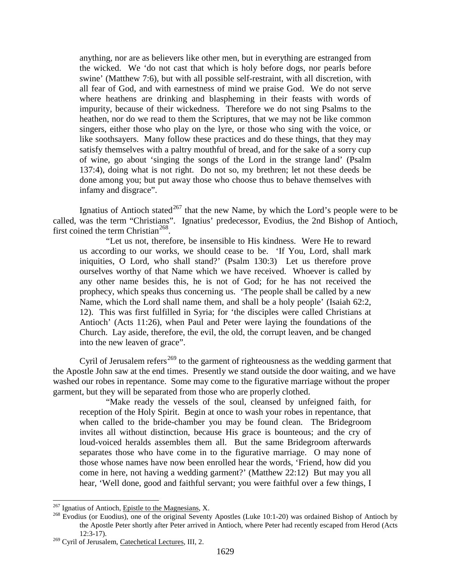anything, nor are as believers like other men, but in everything are estranged from the wicked. We 'do not cast that which is holy before dogs, nor pearls before swine' (Matthew 7:6), but with all possible self-restraint, with all discretion, with all fear of God, and with earnestness of mind we praise God. We do not serve where heathens are drinking and blaspheming in their feasts with words of impurity, because of their wickedness. Therefore we do not sing Psalms to the heathen, nor do we read to them the Scriptures, that we may not be like common singers, either those who play on the lyre, or those who sing with the voice, or like soothsayers. Many follow these practices and do these things, that they may satisfy themselves with a paltry mouthful of bread, and for the sake of a sorry cup of wine, go about 'singing the songs of the Lord in the strange land' (Psalm 137:4), doing what is not right. Do not so, my brethren; let not these deeds be done among you; but put away those who choose thus to behave themselves with infamy and disgrace".

Ignatius of Antioch stated<sup>[267](#page-117-0)</sup> that the new Name, by which the Lord's people were to be called, was the term "Christians". Ignatius' predecessor, Evodius, the 2nd Bishop of Antioch, first coined the term Christian<sup>268</sup>.

"Let us not, therefore, be insensible to His kindness. Were He to reward us according to our works, we should cease to be. 'If You, Lord, shall mark iniquities, O Lord, who shall stand?' (Psalm 130:3) Let us therefore prove ourselves worthy of that Name which we have received. Whoever is called by any other name besides this, he is not of God; for he has not received the prophecy, which speaks thus concerning us. 'The people shall be called by a new Name, which the Lord shall name them, and shall be a holy people' (Isaiah 62:2, 12). This was first fulfilled in Syria; for 'the disciples were called Christians at Antioch' (Acts 11:26), when Paul and Peter were laying the foundations of the Church. Lay aside, therefore, the evil, the old, the corrupt leaven, and be changed into the new leaven of grace".

Cyril of Jerusalem refers<sup>[269](#page-117-2)</sup> to the garment of righteousness as the wedding garment that the Apostle John saw at the end times. Presently we stand outside the door waiting, and we have washed our robes in repentance. Some may come to the figurative marriage without the proper garment, but they will be separated from those who are properly clothed.

"Make ready the vessels of the soul, cleansed by unfeigned faith, for reception of the Holy Spirit. Begin at once to wash your robes in repentance, that when called to the bride-chamber you may be found clean. The Bridegroom invites all without distinction, because His grace is bounteous; and the cry of loud-voiced heralds assembles them all. But the same Bridegroom afterwards separates those who have come in to the figurative marriage. O may none of those whose names have now been enrolled hear the words, 'Friend, how did you come in here, not having a wedding garment?' (Matthew 22:12) But may you all hear, 'Well done, good and faithful servant; you were faithful over a few things, I

<span id="page-117-1"></span><span id="page-117-0"></span><sup>&</sup>lt;sup>267</sup> Ignatius of Antioch, *Epistle to the Magnesians*, X.<br><sup>268</sup> Evodius (or Euodius), one of the original Seventy Apostles (Luke 10:1-20) was ordained Bishop of Antioch by the Apostle Peter shortly after Peter arrived in Antioch, where Peter had recently escaped from Herod (Acts 12:3-17).

<span id="page-117-2"></span><sup>&</sup>lt;sup>269</sup> Cyril of Jerusalem, Catechetical Lectures, III, 2.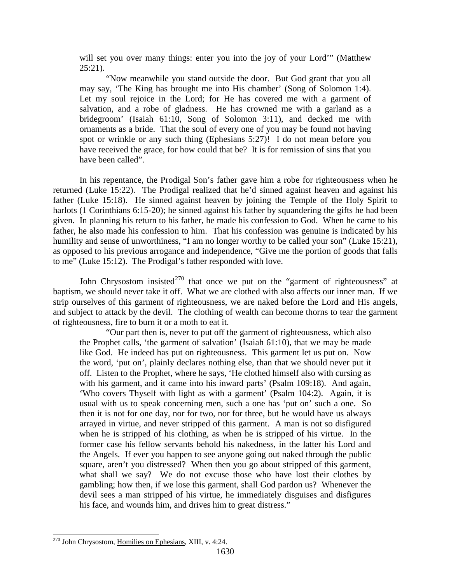will set you over many things: enter you into the joy of your Lord'" (Matthew  $25:21$ ).

"Now meanwhile you stand outside the door. But God grant that you all may say, 'The King has brought me into His chamber' (Song of Solomon 1:4). Let my soul rejoice in the Lord; for He has covered me with a garment of salvation, and a robe of gladness. He has crowned me with a garland as a bridegroom' (Isaiah 61:10, Song of Solomon 3:11), and decked me with ornaments as a bride. That the soul of every one of you may be found not having spot or wrinkle or any such thing (Ephesians 5:27)! I do not mean before you have received the grace, for how could that be? It is for remission of sins that you have been called".

In his repentance, the Prodigal Son's father gave him a robe for righteousness when he returned (Luke 15:22). The Prodigal realized that he'd sinned against heaven and against his father (Luke 15:18). He sinned against heaven by joining the Temple of the Holy Spirit to harlots (1 Corinthians 6:15-20); he sinned against his father by squandering the gifts he had been given. In planning his return to his father, he made his confession to God. When he came to his father, he also made his confession to him. That his confession was genuine is indicated by his humility and sense of unworthiness, "I am no longer worthy to be called your son" (Luke 15:21), as opposed to his previous arrogance and independence, "Give me the portion of goods that falls to me" (Luke 15:12). The Prodigal's father responded with love.

John Chrysostom insisted<sup>[270](#page-118-0)</sup> that once we put on the "garment of righteousness" at baptism, we should never take it off. What we are clothed with also affects our inner man. If we strip ourselves of this garment of righteousness, we are naked before the Lord and His angels, and subject to attack by the devil. The clothing of wealth can become thorns to tear the garment of righteousness, fire to burn it or a moth to eat it.

"Our part then is, never to put off the garment of righteousness, which also the Prophet calls, 'the garment of salvation' (Isaiah 61:10), that we may be made like God. He indeed has put on righteousness. This garment let us put on. Now the word, 'put on', plainly declares nothing else, than that we should never put it off. Listen to the Prophet, where he says, 'He clothed himself also with cursing as with his garment, and it came into his inward parts' (Psalm 109:18). And again, 'Who covers Thyself with light as with a garment' (Psalm 104:2). Again, it is usual with us to speak concerning men, such a one has 'put on' such a one. So then it is not for one day, nor for two, nor for three, but he would have us always arrayed in virtue, and never stripped of this garment. A man is not so disfigured when he is stripped of his clothing, as when he is stripped of his virtue. In the former case his fellow servants behold his nakedness, in the latter his Lord and the Angels. If ever you happen to see anyone going out naked through the public square, aren't you distressed? When then you go about stripped of this garment, what shall we say? We do not excuse those who have lost their clothes by gambling; how then, if we lose this garment, shall God pardon us? Whenever the devil sees a man stripped of his virtue, he immediately disguises and disfigures his face, and wounds him, and drives him to great distress."

<span id="page-118-0"></span> <sup>270</sup> John Chrysostom, Homilies on Ephesians, XIII, v. 4:24.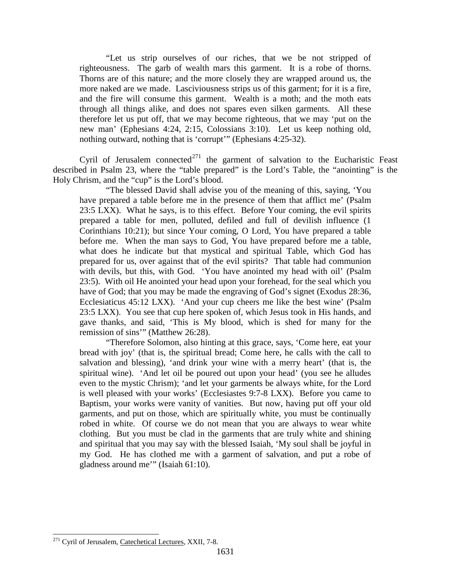"Let us strip ourselves of our riches, that we be not stripped of righteousness. The garb of wealth mars this garment. It is a robe of thorns. Thorns are of this nature; and the more closely they are wrapped around us, the more naked are we made. Lasciviousness strips us of this garment; for it is a fire, and the fire will consume this garment. Wealth is a moth; and the moth eats through all things alike, and does not spares even silken garments. All these therefore let us put off, that we may become righteous, that we may 'put on the new man' (Ephesians 4:24, 2:15, Colossians 3:10). Let us keep nothing old, nothing outward, nothing that is 'corrupt'" (Ephesians 4:25-32).

Cyril of Jerusalem connected<sup>[271](#page-119-0)</sup> the garment of salvation to the Eucharistic Feast described in Psalm 23, where the "table prepared" is the Lord's Table, the "anointing" is the Holy Chrism, and the "cup" is the Lord's blood.

"The blessed David shall advise you of the meaning of this, saying, 'You have prepared a table before me in the presence of them that afflict me' (Psalm 23:5 LXX). What he says, is to this effect. Before Your coming, the evil spirits prepared a table for men, polluted, defiled and full of devilish influence (1 Corinthians 10:21); but since Your coming, O Lord, You have prepared a table before me. When the man says to God, You have prepared before me a table, what does he indicate but that mystical and spiritual Table, which God has prepared for us, over against that of the evil spirits? That table had communion with devils, but this, with God. 'You have anointed my head with oil' (Psalm 23:5). With oil He anointed your head upon your forehead, for the seal which you have of God; that you may be made the engraving of God's signet (Exodus 28:36, Ecclesiaticus 45:12 LXX). 'And your cup cheers me like the best wine' (Psalm 23:5 LXX). You see that cup here spoken of, which Jesus took in His hands, and gave thanks, and said, 'This is My blood, which is shed for many for the remission of sins'" (Matthew 26:28).

"Therefore Solomon, also hinting at this grace, says, 'Come here, eat your bread with joy' (that is, the spiritual bread; Come here, he calls with the call to salvation and blessing), 'and drink your wine with a merry heart' (that is, the spiritual wine). 'And let oil be poured out upon your head' (you see he alludes even to the mystic Chrism); 'and let your garments be always white, for the Lord is well pleased with your works' (Ecclesiastes 9:7-8 LXX). Before you came to Baptism, your works were vanity of vanities. But now, having put off your old garments, and put on those, which are spiritually white, you must be continually robed in white. Of course we do not mean that you are always to wear white clothing. But you must be clad in the garments that are truly white and shining and spiritual that you may say with the blessed Isaiah, 'My soul shall be joyful in my God. He has clothed me with a garment of salvation, and put a robe of gladness around me'" (Isaiah 61:10).

<span id="page-119-0"></span><sup>&</sup>lt;sup>271</sup> Cyril of Jerusalem, Catechetical Lectures, XXII, 7-8.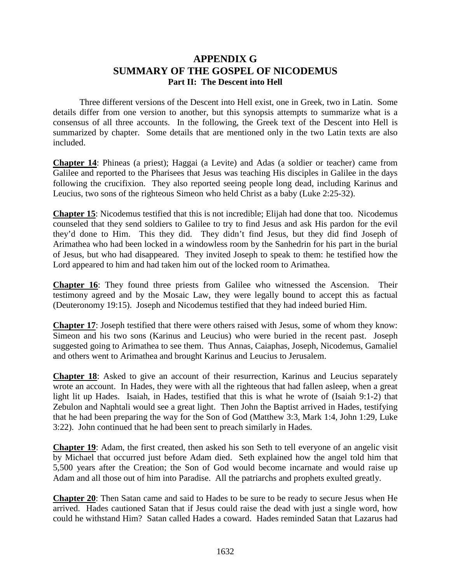## **APPENDIX G SUMMARY OF THE GOSPEL OF NICODEMUS Part II: The Descent into Hell**

Three different versions of the Descent into Hell exist, one in Greek, two in Latin. Some details differ from one version to another, but this synopsis attempts to summarize what is a consensus of all three accounts. In the following, the Greek text of the Descent into Hell is summarized by chapter. Some details that are mentioned only in the two Latin texts are also included.

**Chapter 14**: Phineas (a priest); Haggai (a Levite) and Adas (a soldier or teacher) came from Galilee and reported to the Pharisees that Jesus was teaching His disciples in Galilee in the days following the crucifixion. They also reported seeing people long dead, including Karinus and Leucius, two sons of the righteous Simeon who held Christ as a baby (Luke 2:25-32).

**Chapter 15**: Nicodemus testified that this is not incredible; Elijah had done that too. Nicodemus counseled that they send soldiers to Galilee to try to find Jesus and ask His pardon for the evil they'd done to Him. This they did. They didn't find Jesus, but they did find Joseph of Arimathea who had been locked in a windowless room by the Sanhedrin for his part in the burial of Jesus, but who had disappeared. They invited Joseph to speak to them: he testified how the Lord appeared to him and had taken him out of the locked room to Arimathea.

**Chapter 16**: They found three priests from Galilee who witnessed the Ascension. Their testimony agreed and by the Mosaic Law, they were legally bound to accept this as factual (Deuteronomy 19:15). Joseph and Nicodemus testified that they had indeed buried Him.

**Chapter 17**: Joseph testified that there were others raised with Jesus, some of whom they know: Simeon and his two sons (Karinus and Leucius) who were buried in the recent past. Joseph suggested going to Arimathea to see them. Thus Annas, Caiaphas, Joseph, Nicodemus, Gamaliel and others went to Arimathea and brought Karinus and Leucius to Jerusalem.

**Chapter 18**: Asked to give an account of their resurrection, Karinus and Leucius separately wrote an account. In Hades, they were with all the righteous that had fallen asleep, when a great light lit up Hades. Isaiah, in Hades, testified that this is what he wrote of (Isaiah 9:1-2) that Zebulon and Naphtali would see a great light. Then John the Baptist arrived in Hades, testifying that he had been preparing the way for the Son of God (Matthew 3:3, Mark 1:4, John 1:29, Luke 3:22). John continued that he had been sent to preach similarly in Hades.

**Chapter 19**: Adam, the first created, then asked his son Seth to tell everyone of an angelic visit by Michael that occurred just before Adam died. Seth explained how the angel told him that 5,500 years after the Creation; the Son of God would become incarnate and would raise up Adam and all those out of him into Paradise. All the patriarchs and prophets exulted greatly.

**Chapter 20**: Then Satan came and said to Hades to be sure to be ready to secure Jesus when He arrived. Hades cautioned Satan that if Jesus could raise the dead with just a single word, how could he withstand Him? Satan called Hades a coward. Hades reminded Satan that Lazarus had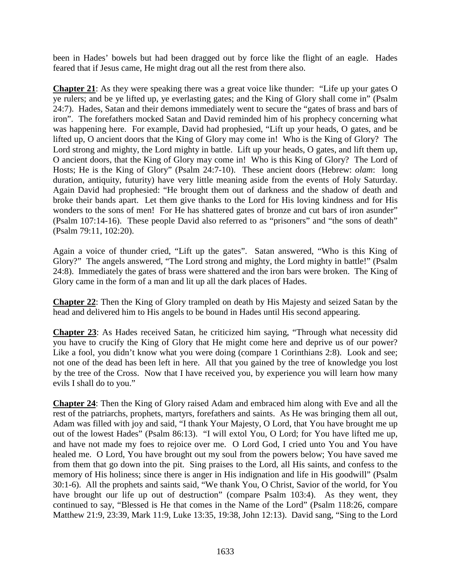been in Hades' bowels but had been dragged out by force like the flight of an eagle. Hades feared that if Jesus came, He might drag out all the rest from there also.

**Chapter 21**: As they were speaking there was a great voice like thunder: "Life up your gates O ye rulers; and be ye lifted up, ye everlasting gates; and the King of Glory shall come in" (Psalm 24:7). Hades, Satan and their demons immediately went to secure the "gates of brass and bars of iron". The forefathers mocked Satan and David reminded him of his prophecy concerning what was happening here. For example, David had prophesied, "Lift up your heads, O gates, and be lifted up, O ancient doors that the King of Glory may come in! Who is the King of Glory? The Lord strong and mighty, the Lord mighty in battle. Lift up your heads, O gates, and lift them up, O ancient doors, that the King of Glory may come in! Who is this King of Glory? The Lord of Hosts; He is the King of Glory" (Psalm 24:7-10). These ancient doors (Hebrew: *olam*: long duration, antiquity, futurity) have very little meaning aside from the events of Holy Saturday. Again David had prophesied: "He brought them out of darkness and the shadow of death and broke their bands apart. Let them give thanks to the Lord for His loving kindness and for His wonders to the sons of men! For He has shattered gates of bronze and cut bars of iron asunder" (Psalm 107:14-16). These people David also referred to as "prisoners" and "the sons of death" (Psalm 79:11, 102:20).

Again a voice of thunder cried, "Lift up the gates". Satan answered, "Who is this King of Glory?" The angels answered, "The Lord strong and mighty, the Lord mighty in battle!" (Psalm 24:8). Immediately the gates of brass were shattered and the iron bars were broken. The King of Glory came in the form of a man and lit up all the dark places of Hades.

**Chapter 22**: Then the King of Glory trampled on death by His Majesty and seized Satan by the head and delivered him to His angels to be bound in Hades until His second appearing.

**Chapter 23**: As Hades received Satan, he criticized him saying, "Through what necessity did you have to crucify the King of Glory that He might come here and deprive us of our power? Like a fool, you didn't know what you were doing (compare 1 Corinthians 2:8). Look and see; not one of the dead has been left in here. All that you gained by the tree of knowledge you lost by the tree of the Cross. Now that I have received you, by experience you will learn how many evils I shall do to you."

**Chapter 24**: Then the King of Glory raised Adam and embraced him along with Eve and all the rest of the patriarchs, prophets, martyrs, forefathers and saints. As He was bringing them all out, Adam was filled with joy and said, "I thank Your Majesty, O Lord, that You have brought me up out of the lowest Hades" (Psalm 86:13). "I will extol You, O Lord; for You have lifted me up, and have not made my foes to rejoice over me. O Lord God, I cried unto You and You have healed me. O Lord, You have brought out my soul from the powers below; You have saved me from them that go down into the pit. Sing praises to the Lord, all His saints, and confess to the memory of His holiness; since there is anger in His indignation and life in His goodwill" (Psalm 30:1-6). All the prophets and saints said, "We thank You, O Christ, Savior of the world, for You have brought our life up out of destruction" (compare Psalm 103:4). As they went, they continued to say, "Blessed is He that comes in the Name of the Lord" (Psalm 118:26, compare Matthew 21:9, 23:39, Mark 11:9, Luke 13:35, 19:38, John 12:13). David sang, "Sing to the Lord